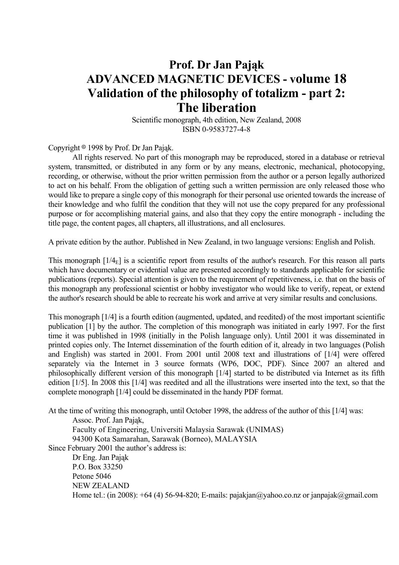## **Prof. Dr Jan Pająk ADVANCED MAGNETIC DEVICES - volume 18 Validation of the philosophy of totalizm - part 2: The liberation**

 Scientific monograph, 4th edition, New Zealand, 2008 ISBN 0-9583727-4-8

Copyright  $\circ$  1998 by Prof. Dr Jan Pająk.

 All rights reserved. No part of this monograph may be reproduced, stored in a database or retrieval system, transmitted, or distributed in any form or by any means, electronic, mechanical, photocopying, recording, or otherwise, without the prior written permission from the author or a person legally authorized to act on his behalf. From the obligation of getting such a written permission are only released those who would like to prepare a single copy of this monograph for their personal use oriented towards the increase of their knowledge and who fulfil the condition that they will not use the copy prepared for any professional purpose or for accomplishing material gains, and also that they copy the entire monograph - including the title page, the content pages, all chapters, all illustrations, and all enclosures.

A private edition by the author. Published in New Zealand, in two language versions: English and Polish.

This monograph  $[1/4<sub>E</sub>]$  is a scientific report from results of the author's research. For this reason all parts which have documentary or evidential value are presented accordingly to standards applicable for scientific publications (reports). Special attention is given to the requirement of repetitiveness, i.e. that on the basis of this monograph any professional scientist or hobby investigator who would like to verify, repeat, or extend the author's research should be able to recreate his work and arrive at very similar results and conclusions.

This monograph [1/4] is a fourth edition (augmented, updated, and reedited) of the most important scientific publication [1] by the author. The completion of this monograph was initiated in early 1997. For the first time it was published in 1998 (initially in the Polish language only). Until 2001 it was disseminated in printed copies only. The Internet dissemination of the fourth edition of it, already in two languages (Polish and English) was started in 2001. From 2001 until 2008 text and illustrations of [1/4] were offered separately via the Internet in 3 source formats (WP6, DOC, PDF). Since 2007 an altered and philosophically different version of this monograph [1/4] started to be distributed via Internet as its fifth edition [1/5]. In 2008 this [1/4] was reedited and all the illustrations were inserted into the text, so that the complete monograph [1/4] could be disseminated in the handy PDF format.

At the time of writing this monograph, until October 1998, the address of the author of this [1/4] was: Assoc. Prof. Jan Pająk, Faculty of Engineering, Universiti Malaysia Sarawak (UNIMAS) 94300 Kota Samarahan, Sarawak (Borneo), MALAYSIA Since February 2001 the author's address is: Dr Eng. Jan Pająk

 P.O. Box 33250 Petone 5046 NEW ZEALAND Home tel.: (in 2008):  $+64$  (4) 56-94-820; E-mails: pajakjan@yahoo.co.nz or janpajak@gmail.com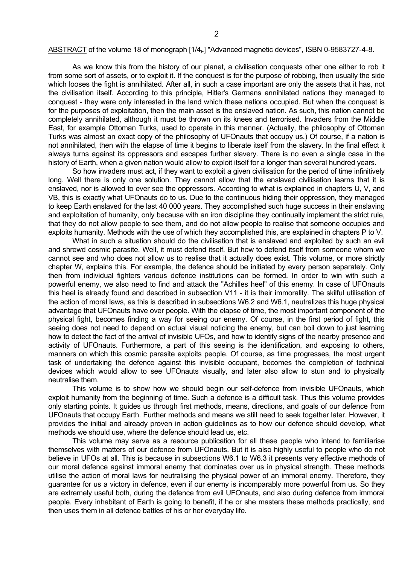#### ABSTRACT of the volume 18 of monograph  $[1/4_F]$  "Advanced magnetic devices", ISBN 0-9583727-4-8.

 As we know this from the history of our planet, a civilisation conquests other one either to rob it from some sort of assets, or to exploit it. If the conquest is for the purpose of robbing, then usually the side which looses the fight is annihilated. After all, in such a case important are only the assets that it has, not the civilisation itself. According to this principle, Hitler's Germans annihilated nations they managed to conquest - they were only interested in the land which these nations occupied. But when the conquest is for the purposes of exploitation, then the main asset is the enslaved nation. As such, this nation cannot be completely annihilated, although it must be thrown on its knees and terrorised. Invaders from the Middle East, for example Ottoman Turks, used to operate in this manner. (Actually, the philosophy of Ottoman Turks was almost an exact copy of the philosophy of UFOnauts that occupy us.) Of course, if a nation is not annihilated, then with the elapse of time it begins to liberate itself from the slavery. In the final effect it always turns against its oppressors and escapes further slavery. There is no even a single case in the history of Earth, when a given nation would allow to exploit itself for a longer than several hundred years.

 So how invaders must act, if they want to exploit a given civilisation for the period of time infinitively long. Well there is only one solution. They cannot allow that the enslaved civilisation learns that it is enslaved, nor is allowed to ever see the oppressors. According to what is explained in chapters U, V, and VB, this is exactly what UFOnauts do to us. Due to the continuous hiding their oppression, they managed to keep Earth enslaved for the last 40 000 years. They accomplished such huge success in their enslaving and exploitation of humanity, only because with an iron discipline they continually implement the strict rule, that they do not allow people to see them, and do not allow people to realise that someone occupies and exploits humanity. Methods with the use of which they accomplished this, are explained in chapters P to V.

 What in such a situation should do the civilisation that is enslaved and exploited by such an evil and shrewd cosmic parasite. Well, it must defend itself. But how to defend itself from someone whom we cannot see and who does not allow us to realise that it actually does exist. This volume, or more strictly chapter W, explains this. For example, the defence should be initiated by every person separately. Only then from individual fighters various defence institutions can be formed. In order to win with such a powerful enemy, we also need to find and attack the "Achilles heel" of this enemy. In case of UFOnauts this heel is already found and described in subsection V11 - it is their immorality. The skilful utilisation of the action of moral laws, as this is described in subsections W6.2 and W6.1, neutralizes this huge physical advantage that UFOnauts have over people. With the elapse of time, the most important component of the physical fight, becomes finding a way for seeing our enemy. Of course, in the first period of fight, this seeing does not need to depend on actual visual noticing the enemy, but can boil down to just learning how to detect the fact of the arrival of invisible UFOs, and how to identify signs of the nearby presence and activity of UFOnauts. Furthermore, a part of this seeing is the identification, and exposing to others, manners on which this cosmic parasite exploits people. Of course, as time progresses, the most urgent task of undertaking the defence against this invisible occupant, becomes the completion of technical devices which would allow to see UFOnauts visually, and later also allow to stun and to physically neutralise them.

 This volume is to show how we should begin our self-defence from invisible UFOnauts, which exploit humanity from the beginning of time. Such a defence is a difficult task. Thus this volume provides only starting points. It guides us through first methods, means, directions, and goals of our defence from UFOnauts that occupy Earth. Further methods and means we still need to seek together later. However, it provides the initial and already proven in action guidelines as to how our defence should develop, what methods we should use, where the defence should lead us, etc.

 This volume may serve as a resource publication for all these people who intend to familiarise themselves with matters of our defence from UFOnauts. But it is also highly useful to people who do not believe in UFOs at all. This is because in subsections W6.1 to W6.3 it presents very effective methods of our moral defence against immoral enemy that dominates over us in physical strength. These methods utilise the action of moral laws for neutralising the physical power of an immoral enemy. Therefore, they guarantee for us a victory in defence, even if our enemy is incomparably more powerful from us. So they are extremely useful both, during the defence from evil UFOnauts, and also during defence from immoral people. Every inhabitant of Earth is going to benefit, if he or she masters these methods practically, and then uses them in all defence battles of his or her everyday life.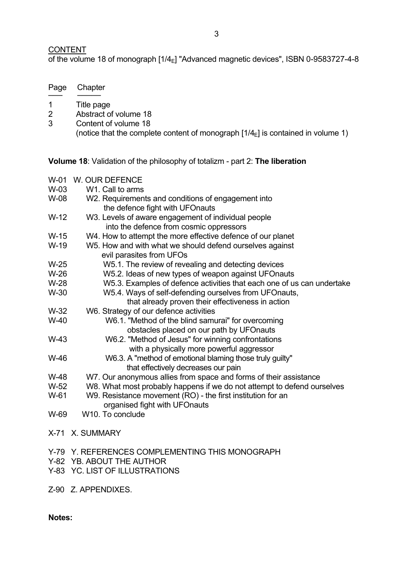### **CONTENT**

Page Chapter ─── ───── 1 Title page

of the volume 18 of monograph  $[1/4<sub>E</sub>]$  "Advanced magnetic devices", ISBN 0-9583727-4-8

| 2                                                                                   | Abstract of volume 18                                                                                      |
|-------------------------------------------------------------------------------------|------------------------------------------------------------------------------------------------------------|
| 3                                                                                   | Content of volume 18                                                                                       |
|                                                                                     | (notice that the complete content of monograph $[1/4E]$ is contained in volume 1)                          |
| <b>Volume 18:</b> Validation of the philosophy of totalizm - part 2: The liberation |                                                                                                            |
| $W-01$                                                                              | W. OUR DEFENCE                                                                                             |
| W-03                                                                                | W1. Call to arms                                                                                           |
| W-08                                                                                | W2. Requirements and conditions of engagement into<br>the defence fight with UFOnauts                      |
| $W-12$                                                                              | W3. Levels of aware engagement of individual people<br>into the defence from cosmic oppressors             |
| $W-15$                                                                              | W4. How to attempt the more effective defence of our planet                                                |
| $W-19$                                                                              | W5. How and with what we should defend ourselves against                                                   |
|                                                                                     | evil parasites from UFOs                                                                                   |
| $W-25$                                                                              | W5.1. The review of revealing and detecting devices                                                        |
| $W-26$                                                                              | W5.2. Ideas of new types of weapon against UFOnauts                                                        |
| $W-28$                                                                              | W5.3. Examples of defence activities that each one of us can undertake                                     |
| W-30                                                                                | W5.4. Ways of self-defending ourselves from UFOnauts,<br>that already proven their effectiveness in action |
| $W-32$                                                                              | W6. Strategy of our defence activities                                                                     |
| $W-40$                                                                              | W6.1. "Method of the blind samurai" for overcoming<br>obstacles placed on our path by UFOnauts             |
| $W-43$                                                                              | W6.2. "Method of Jesus" for winning confrontations<br>with a physically more powerful aggressor            |
| W-46                                                                                | W6.3. A "method of emotional blaming those truly guilty"<br>that effectively decreases our pain            |
| W-48                                                                                | W7. Our anonymous allies from space and forms of their assistance                                          |
| $W-52$                                                                              | W8. What most probably happens if we do not attempt to defend ourselves                                    |
| W-61                                                                                | W9. Resistance movement (RO) - the first institution for an<br>organised fight with UFOnauts               |
| W-69                                                                                | W <sub>10</sub> . To conclude                                                                              |
|                                                                                     | X-71 X. SUMMARY                                                                                            |

- Y-79 Y. REFERENCES COMPLEMENTING THIS MONOGRAPH
- Y-82 YB. ABOUT THE AUTHOR
- Y-83 YC. LIST OF ILLUSTRATIONS

Z-90 Z. APPENDIXES.

**Notes:**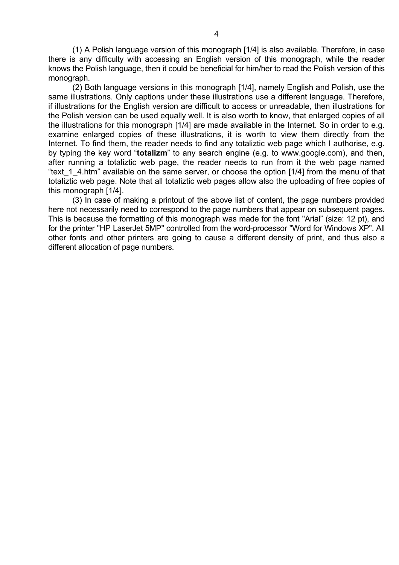(1) A Polish language version of this monograph [1/4] is also available. Therefore, in case there is any difficulty with accessing an English version of this monograph, while the reader knows the Polish language, then it could be beneficial for him/her to read the Polish version of this monograph.

 (2) Both language versions in this monograph [1/4], namely English and Polish, use the same illustrations. Only captions under these illustrations use a different language. Therefore, if illustrations for the English version are difficult to access or unreadable, then illustrations for the Polish version can be used equally well. It is also worth to know, that enlarged copies of all the illustrations for this monograph [1/4] are made available in the Internet. So in order to e.g. examine enlarged copies of these illustrations, it is worth to view them directly from the Internet. To find them, the reader needs to find any totaliztic web page which I authorise, e.g. by typing the key word "**totalizm**" to any search engine (e.g. to www.google.com), and then, after running a totaliztic web page, the reader needs to run from it the web page named "text 1 4.htm" available on the same server, or choose the option [1/4] from the menu of that totaliztic web page. Note that all totaliztic web pages allow also the uploading of free copies of this monograph [1/4].

 (3) In case of making a printout of the above list of content, the page numbers provided here not necessarily need to correspond to the page numbers that appear on subsequent pages. This is because the formatting of this monograph was made for the font "Arial" (size: 12 pt), and for the printer "HP LaserJet 5MP" controlled from the word-processor "Word for Windows XP". All other fonts and other printers are going to cause a different density of print, and thus also a different allocation of page numbers.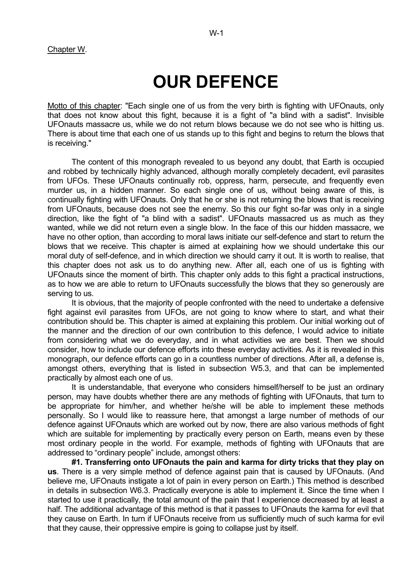# **OUR DEFENCE**

Motto of this chapter: "Each single one of us from the very birth is fighting with UFOnauts, only that does not know about this fight, because it is a fight of "a blind with a sadist". Invisible UFOnauts massacre us, while we do not return blows because we do not see who is hitting us. There is about time that each one of us stands up to this fight and begins to return the blows that is receiving."

 The content of this monograph revealed to us beyond any doubt, that Earth is occupied and robbed by technically highly advanced, although morally completely decadent, evil parasites from UFOs. These UFOnauts continually rob, oppress, harm, persecute, and frequently even murder us, in a hidden manner. So each single one of us, without being aware of this, is continually fighting with UFOnauts. Only that he or she is not returning the blows that is receiving from UFOnauts, because does not see the enemy. So this our fight so-far was only in a single direction, like the fight of "a blind with a sadist". UFOnauts massacred us as much as they wanted, while we did not return even a single blow. In the face of this our hidden massacre, we have no other option, than according to moral laws initiate our self-defence and start to return the blows that we receive. This chapter is aimed at explaining how we should undertake this our moral duty of self-defence, and in which direction we should carry it out. It is worth to realise, that this chapter does not ask us to do anything new. After all, each one of us is fighting with UFOnauts since the moment of birth. This chapter only adds to this fight a practical instructions, as to how we are able to return to UFOnauts successfully the blows that they so generously are serving to us.

 It is obvious, that the majority of people confronted with the need to undertake a defensive fight against evil parasites from UFOs, are not going to know where to start, and what their contribution should be. This chapter is aimed at explaining this problem. Our initial working out of the manner and the direction of our own contribution to this defence, I would advice to initiate from considering what we do everyday, and in what activities we are best. Then we should consider, how to include our defence efforts into these everyday activities. As it is revealed in this monograph, our defence efforts can go in a countless number of directions. After all, a defense is, amongst others, everything that is listed in subsection W5.3, and that can be implemented practically by almost each one of us.

 It is understandable, that everyone who considers himself/herself to be just an ordinary person, may have doubts whether there are any methods of fighting with UFOnauts, that turn to be appropriate for him/her, and whether he/she will be able to implement these methods personally. So I would like to reassure here, that amongst a large number of methods of our defence against UFOnauts which are worked out by now, there are also various methods of fight which are suitable for implementing by practically every person on Earth, means even by these most ordinary people in the world. For example, methods of fighting with UFOnauts that are addressed to "ordinary people" include, amongst others:

**#1. Transferring onto UFOnauts the pain and karma for dirty tricks that they play on us**. There is a very simple method of defence against pain that is caused by UFOnauts. (And believe me, UFOnauts instigate a lot of pain in every person on Earth.) This method is described in details in subsection W6.3. Practically everyone is able to implement it. Since the time when I started to use it practically, the total amount of the pain that I experience decreased by at least a half. The additional advantage of this method is that it passes to UFOnauts the karma for evil that they cause on Earth. In turn if UFOnauts receive from us sufficiently much of such karma for evil that they cause, their oppressive empire is going to collapse just by itself.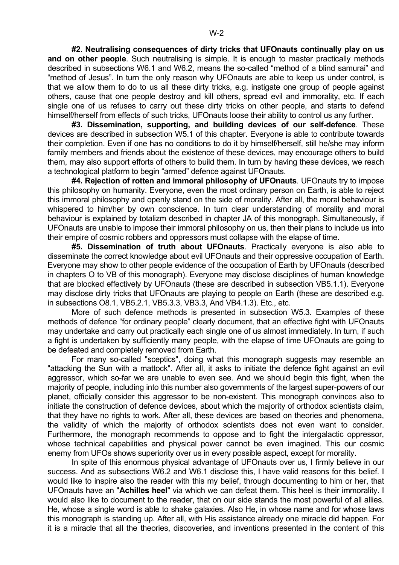**#2. Neutralising consequences of dirty tricks that UFOnauts continually play on us and on other people**. Such neutralising is simple. It is enough to master practically methods described in subsections W6.1 and W6.2, means the so-called "method of a blind samurai" and "method of Jesus". In turn the only reason why UFOnauts are able to keep us under control, is that we allow them to do to us all these dirty tricks, e.g. instigate one group of people against others, cause that one people destroy and kill others, spread evil and immorality, etc. If each single one of us refuses to carry out these dirty tricks on other people, and starts to defend himself/herself from effects of such tricks, UFOnauts loose their ability to control us any further.

**#3. Dissemination, supporting, and building devices of our self-defence**. These devices are described in subsection W5.1 of this chapter. Everyone is able to contribute towards their completion. Even if one has no conditions to do it by himself/herself, still he/she may inform family members and friends about the existence of these devices, may encourage others to build them, may also support efforts of others to build them. In turn by having these devices, we reach a technological platform to begin "armed" defence against UFOnauts.

**#4. Rejection of rotten and immoral philosophy of UFOnauts**. UFOnauts try to impose this philosophy on humanity. Everyone, even the most ordinary person on Earth, is able to reject this immoral philosophy and openly stand on the side of morality. After all, the moral behaviour is whispered to him/her by own conscience. In turn clear understanding of morality and moral behaviour is explained by totalizm described in chapter JA of this monograph. Simultaneously, if UFOnauts are unable to impose their immoral philosophy on us, then their plans to include us into their empire of cosmic robbers and oppressors must collapse with the elapse of time.

**#5. Dissemination of truth about UFOnauts**. Practically everyone is also able to disseminate the correct knowledge about evil UFOnauts and their oppressive occupation of Earth. Everyone may show to other people evidence of the occupation of Earth by UFOnauts (described in chapters O to VB of this monograph). Everyone may disclose disciplines of human knowledge that are blocked effectively by UFOnauts (these are described in subsection VB5.1.1). Everyone may disclose dirty tricks that UFOnauts are playing to people on Earth (these are described e.g. in subsections O8.1, VB5.2.1, VB5.3.3, VB3.3, And VB4.1.3). Etc., etc.

 More of such defence methods is presented in subsection W5.3. Examples of these methods of defence "for ordinary people" clearly document, that an effective fight with UFOnauts may undertake and carry out practically each single one of us almost immediately. In turn, if such a fight is undertaken by sufficiently many people, with the elapse of time UFOnauts are going to be defeated and completely removed from Earth.

 For many so-called "sceptics", doing what this monograph suggests may resemble an "attacking the Sun with a mattock". After all, it asks to initiate the defence fight against an evil aggressor, which so-far we are unable to even see. And we should begin this fight, when the majority of people, including into this number also governments of the largest super-powers of our planet, officially consider this aggressor to be non-existent. This monograph convinces also to initiate the construction of defence devices, about which the majority of orthodox scientists claim, that they have no rights to work. After all, these devices are based on theories and phenomena, the validity of which the majority of orthodox scientists does not even want to consider. Furthermore, the monograph recommends to oppose and to fight the intergalactic oppressor, whose technical capabilities and physical power cannot be even imagined. This our cosmic enemy from UFOs shows superiority over us in every possible aspect, except for morality.

 In spite of this enormous physical advantage of UFOnauts over us, I firmly believe in our success. And as subsections W6.2 and W6.1 disclose this, I have valid reasons for this belief. I would like to inspire also the reader with this my belief, through documenting to him or her, that UFOnauts have an "**Achilles heel**" via which we can defeat them. This heel is their immorality. I would also like to document to the reader, that on our side stands the most powerful of all allies. He, whose a single word is able to shake galaxies. Also He, in whose name and for whose laws this monograph is standing up. After all, with His assistance already one miracle did happen. For it is a miracle that all the theories, discoveries, and inventions presented in the content of this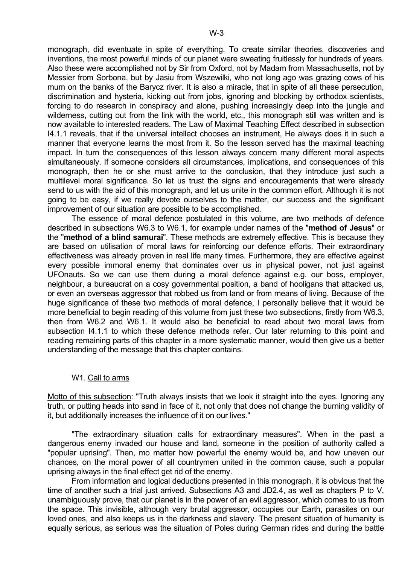monograph, did eventuate in spite of everything. To create similar theories, discoveries and inventions, the most powerful minds of our planet were sweating fruitlessly for hundreds of years. Also these were accomplished not by Sir from Oxford, not by Madam from Massachusetts, not by Messier from Sorbona, but by Jasiu from Wszewilki, who not long ago was grazing cows of his mum on the banks of the Barycz river. It is also a miracle, that in spite of all these persecution, discrimination and hysteria, kicking out from jobs, ignoring and blocking by orthodox scientists, forcing to do research in conspiracy and alone, pushing increasingly deep into the jungle and wilderness, cutting out from the link with the world, etc., this monograph still was written and is now available to interested readers. The Law of Maximal Teaching Effect described in subsection I4.1.1 reveals, that if the universal intellect chooses an instrument, He always does it in such a manner that everyone learns the most from it. So the lesson served has the maximal teaching impact. In turn the consequences of this lesson always concern many different moral aspects simultaneously. If someone considers all circumstances, implications, and consequences of this monograph, then he or she must arrive to the conclusion, that they introduce just such a multilevel moral significance. So let us trust the signs and encouragements that were already send to us with the aid of this monograph, and let us unite in the common effort. Although it is not going to be easy, if we really devote ourselves to the matter, our success and the significant improvement of our situation are possible to be accomplished.

 The essence of moral defence postulated in this volume, are two methods of defence described in subsections W6.3 to W6.1, for example under names of the "**method of Jesus**" or the "**method of a blind samurai**". These methods are extremely effective. This is because they are based on utilisation of moral laws for reinforcing our defence efforts. Their extraordinary effectiveness was already proven in real life many times. Furthermore, they are effective against every possible immoral enemy that dominates over us in physical power, not just against UFOnauts. So we can use them during a moral defence against e.g. our boss, employer, neighbour, a bureaucrat on a cosy governmental position, a band of hooligans that attacked us, or even an overseas aggressor that robbed us from land or from means of living. Because of the huge significance of these two methods of moral defence, I personally believe that it would be more beneficial to begin reading of this volume from just these two subsections, firstly from W6.3, then from W6.2 and W6.1. It would also be beneficial to read about two moral laws from subsection I4.1.1 to which these defence methods refer. Our later returning to this point and reading remaining parts of this chapter in a more systematic manner, would then give us a better understanding of the message that this chapter contains.

#### W1. Call to arms

Motto of this subsection: "Truth always insists that we look it straight into the eyes. Ignoring any truth, or putting heads into sand in face of it, not only that does not change the burning validity of it, but additionally increases the influence of it on our lives."

 "The extraordinary situation calls for extraordinary measures". When in the past a dangerous enemy invaded our house and land, someone in the position of authority called a "popular uprising". Then, mo matter how powerful the enemy would be, and how uneven our chances, on the moral power of all countrymen united in the common cause, such a popular uprising always in the final effect get rid of the enemy.

 From information and logical deductions presented in this monograph, it is obvious that the time of another such a trial just arrived. Subsections A3 and JD2.4, as well as chapters P to V. unambiguously prove, that our planet is in the power of an evil aggressor, which comes to us from the space. This invisible, although very brutal aggressor, occupies our Earth, parasites on our loved ones, and also keeps us in the darkness and slavery. The present situation of humanity is equally serious, as serious was the situation of Poles during German rides and during the battle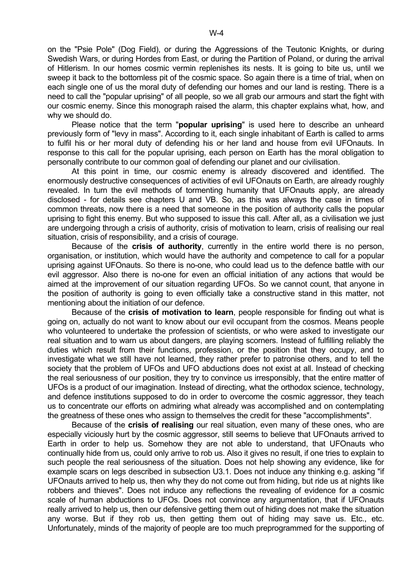on the "Psie Pole" (Dog Field), or during the Aggressions of the Teutonic Knights, or during Swedish Wars, or during Hordes from East, or during the Partition of Poland, or during the arrival of Hitlerism. In our homes cosmic vermin replenishes its nests. It is going to bite us, until we sweep it back to the bottomless pit of the cosmic space. So again there is a time of trial, when on each single one of us the moral duty of defending our homes and our land is resting. There is a need to call the "popular uprising" of all people, so we all grab our armours and start the fight with our cosmic enemy. Since this monograph raised the alarm, this chapter explains what, how, and why we should do.

 Please notice that the term "**popular uprising**" is used here to describe an unheard previously form of "levy in mass". According to it, each single inhabitant of Earth is called to arms to fulfil his or her moral duty of defending his or her land and house from evil UFOnauts. In response to this call for the popular uprising, each person on Earth has the moral obligation to personally contribute to our common goal of defending our planet and our civilisation.

 At this point in time, our cosmic enemy is already discovered and identified. The enormously destructive consequences of activities of evil UFOnauts on Earth, are already roughly revealed. In turn the evil methods of tormenting humanity that UFOnauts apply, are already disclosed - for details see chapters U and VB. So, as this was always the case in times of common threats, now there is a need that someone in the position of authority calls the popular uprising to fight this enemy. But who supposed to issue this call. After all, as a civilisation we just are undergoing through a crisis of authority, crisis of motivation to learn, crisis of realising our real situation, crisis of responsibility, and a crisis of courage.

 Because of the **crisis of authority**, currently in the entire world there is no person, organisation, or institution, which would have the authority and competence to call for a popular uprising against UFOnauts. So there is no-one, who could lead us to the defence battle with our evil aggressor. Also there is no-one for even an official initiation of any actions that would be aimed at the improvement of our situation regarding UFOs. So we cannot count, that anyone in the position of authority is going to even officially take a constructive stand in this matter, not mentioning about the initiation of our defence.

 Because of the **crisis of motivation to learn**, people responsible for finding out what is going on, actually do not want to know about our evil occupant from the cosmos. Means people who volunteered to undertake the profession of scientists, or who were asked to investigate our real situation and to warn us about dangers, are playing scorners. Instead of fulfilling reliably the duties which result from their functions, profession, or the position that they occupy, and to investigate what we still have not learned, they rather prefer to patronise others, and to tell the society that the problem of UFOs and UFO abductions does not exist at all. Instead of checking the real seriousness of our position, they try to convince us irresponsibly, that the entire matter of UFOs is a product of our imagination. Instead of directing, what the orthodox science, technology, and defence institutions supposed to do in order to overcome the cosmic aggressor, they teach us to concentrate our efforts on admiring what already was accomplished and on contemplating the greatness of these ones who assign to themselves the credit for these "accomplishments".

 Because of the **crisis of realising** our real situation, even many of these ones, who are especially viciously hurt by the cosmic aggressor, still seems to believe that UFOnauts arrived to Earth in order to help us. Somehow they are not able to understand, that UFOnauts who continually hide from us, could only arrive to rob us. Also it gives no result, if one tries to explain to such people the real seriousness of the situation. Does not help showing any evidence, like for example scars on legs described in subsection U3.1. Does not induce any thinking e.g. asking "if UFOnauts arrived to help us, then why they do not come out from hiding, but ride us at nights like robbers and thieves". Does not induce any reflections the revealing of evidence for a cosmic scale of human abductions to UFOs. Does not convince any argumentation, that if UFOnauts really arrived to help us, then our defensive getting them out of hiding does not make the situation any worse. But if they rob us, then getting them out of hiding may save us. Etc., etc. Unfortunately, minds of the majority of people are too much preprogrammed for the supporting of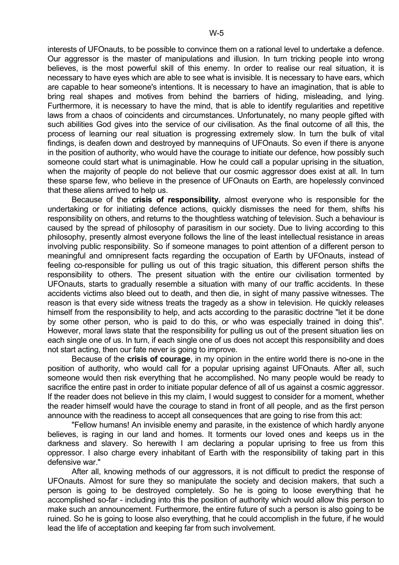interests of UFOnauts, to be possible to convince them on a rational level to undertake a defence. Our aggressor is the master of manipulations and illusion. In turn tricking people into wrong believes, is the most powerful skill of this enemy. In order to realise our real situation, it is necessary to have eyes which are able to see what is invisible. It is necessary to have ears, which are capable to hear someone's intentions. It is necessary to have an imagination, that is able to bring real shapes and motives from behind the barriers of hiding, misleading, and lying. Furthermore, it is necessary to have the mind, that is able to identify regularities and repetitive laws from a chaos of coincidents and circumstances. Unfortunately, no many people gifted with such abilities God gives into the service of our civilisation. As the final outcome of all this, the process of learning our real situation is progressing extremely slow. In turn the bulk of vital findings, is deafen down and destroyed by mannequins of UFOnauts. So even if there is anyone in the position of authority, who would have the courage to initiate our defence, how possibly such someone could start what is unimaginable. How he could call a popular uprising in the situation, when the majority of people do not believe that our cosmic aggressor does exist at all. In turn these sparse few, who believe in the presence of UFOnauts on Earth, are hopelessly convinced that these aliens arrived to help us.

 Because of the **crisis of responsibility**, almost everyone who is responsible for the undertaking or for initiating defence actions, quickly dismisses the need for them, shifts his responsibility on others, and returns to the thoughtless watching of television. Such a behaviour is caused by the spread of philosophy of parasitism in our society. Due to living according to this philosophy, presently almost everyone follows the line of the least intellectual resistance in areas involving public responsibility. So if someone manages to point attention of a different person to meaningful and omnipresent facts regarding the occupation of Earth by UFOnauts, instead of feeling co-responsible for pulling us out of this tragic situation, this different person shifts the responsibility to others. The present situation with the entire our civilisation tormented by UFOnauts, starts to gradually resemble a situation with many of our traffic accidents. In these accidents victims also bleed out to death, and then die, in sight of many passive witnesses. The reason is that every side witness treats the tragedy as a show in television. He quickly releases himself from the responsibility to help, and acts according to the parasitic doctrine "let it be done by some other person, who is paid to do this, or who was especially trained in doing this". However, moral laws state that the responsibility for pulling us out of the present situation lies on each single one of us. In turn, if each single one of us does not accept this responsibility and does not start acting, then our fate never is going to improve.

 Because of the **crisis of courage**, in my opinion in the entire world there is no-one in the position of authority, who would call for a popular uprising against UFOnauts. After all, such someone would then risk everything that he accomplished. No many people would be ready to sacrifice the entire past in order to initiate popular defence of all of us against a cosmic aggressor. If the reader does not believe in this my claim, I would suggest to consider for a moment, whether the reader himself would have the courage to stand in front of all people, and as the first person announce with the readiness to accept all consequences that are going to rise from this act:

 "Fellow humans! An invisible enemy and parasite, in the existence of which hardly anyone believes, is raging in our land and homes. It torments our loved ones and keeps us in the darkness and slavery. So herewith I am declaring a popular uprising to free us from this oppressor. I also charge every inhabitant of Earth with the responsibility of taking part in this defensive war."

 After all, knowing methods of our aggressors, it is not difficult to predict the response of UFOnauts. Almost for sure they so manipulate the society and decision makers, that such a person is going to be destroyed completely. So he is going to loose everything that he accomplished so-far - including into this the position of authority which would allow this person to make such an announcement. Furthermore, the entire future of such a person is also going to be ruined. So he is going to loose also everything, that he could accomplish in the future, if he would lead the life of acceptation and keeping far from such involvement.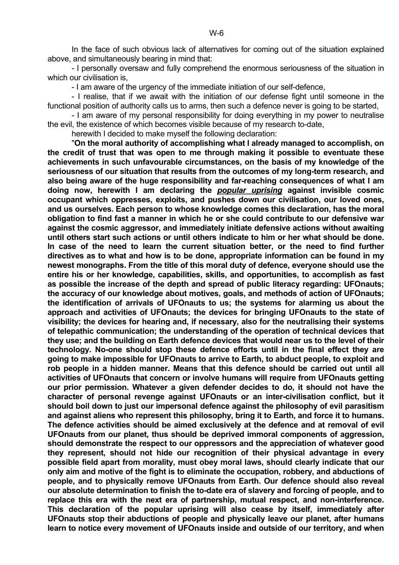In the face of such obvious lack of alternatives for coming out of the situation explained above, and simultaneously bearing in mind that:

 - I personally oversaw and fully comprehend the enormous seriousness of the situation in which our civilisation is.

- I am aware of the urgency of the immediate initiation of our self-defence,

 - I realise, that if we await with the initiation of our defense fight until someone in the functional position of authority calls us to arms, then such a defence never is going to be started,

 - I am aware of my personal responsibility for doing everything in my power to neutralise the evil, the existence of which becomes visible because of my research to-date,

herewith I decided to make myself the following declaration:

 "**On the moral authority of accomplishing what I already managed to accomplish, on the credit of trust that was open to me through making it possible to eventuate these achievements in such unfavourable circumstances, on the basis of my knowledge of the seriousness of our situation that results from the outcomes of my long-term research, and also being aware of the huge responsibility and far-reaching consequences of what I am doing now, herewith I am declaring the** *popular uprising* **against invisible cosmic occupant which oppresses, exploits, and pushes down our civilisation, our loved ones, and us ourselves. Each person to whose knowledge comes this declaration, has the moral obligation to find fast a manner in which he or she could contribute to our defensive war against the cosmic aggressor, and immediately initiate defensive actions without awaiting until others start such actions or until others indicate to him or her what should be done. In case of the need to learn the current situation better, or the need to find further directives as to what and how is to be done, appropriate information can be found in my newest monographs. From the title of this moral duty of defence, everyone should use the entire his or her knowledge, capabilities, skills, and opportunities, to accomplish as fast as possible the increase of the depth and spread of public literacy regarding: UFOnauts; the accuracy of our knowledge about motives, goals, and methods of action of UFOnauts; the identification of arrivals of UFOnauts to us; the systems for alarming us about the approach and activities of UFOnauts; the devices for bringing UFOnauts to the state of visibility; the devices for hearing and, if necessary, also for the neutralising their systems of telepathic communication; the understanding of the operation of technical devices that they use; and the building on Earth defence devices that would near us to the level of their technology. No-one should stop these defence efforts until in the final effect they are going to make impossible for UFOnauts to arrive to Earth, to abduct people, to exploit and rob people in a hidden manner. Means that this defence should be carried out until all activities of UFOnauts that concern or involve humans will require from UFOnauts getting our prior permission. Whatever a given defender decides to do, it should not have the character of personal revenge against UFOnauts or an inter-civilisation conflict, but it should boil down to just our impersonal defence against the philosophy of evil parasitism and against aliens who represent this philosophy, bring it to Earth, and force it to humans. The defence activities should be aimed exclusively at the defence and at removal of evil UFOnauts from our planet, thus should be deprived immoral components of aggression, should demonstrate the respect to our oppressors and the appreciation of whatever good they represent, should not hide our recognition of their physical advantage in every possible field apart from morality, must obey moral laws, should clearly indicate that our only aim and motive of the fight is to eliminate the occupation, robbery, and abductions of people, and to physically remove UFOnauts from Earth. Our defence should also reveal our absolute determination to finish the to-date era of slavery and forcing of people, and to replace this era with the next era of partnership, mutual respect, and non-interference. This declaration of the popular uprising will also cease by itself, immediately after UFOnauts stop their abductions of people and physically leave our planet, after humans learn to notice every movement of UFOnauts inside and outside of our territory, and when**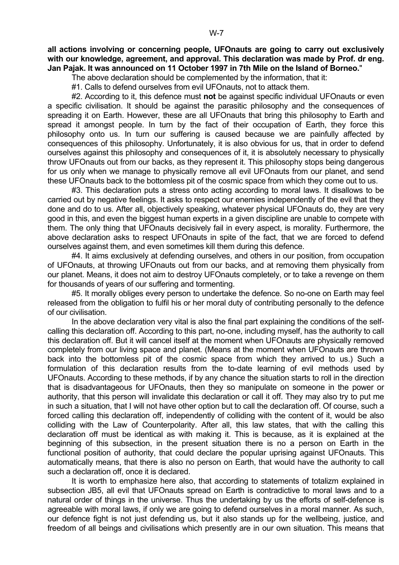**all actions involving or concerning people, UFOnauts are going to carry out exclusively with our knowledge, agreement, and approval. This declaration was made by Prof. dr eng. Jan Pajak. It was announced on 11 October 1997 in 7th Mile on the Island of Borneo.**"

The above declaration should be complemented by the information, that it:

#1. Calls to defend ourselves from evil UFOnauts, not to attack them.

 #2. According to it, this defence must **not** be against specific individual UFOnauts or even a specific civilisation. It should be against the parasitic philosophy and the consequences of spreading it on Earth. However, these are all UFOnauts that bring this philosophy to Earth and spread it amongst people. In turn by the fact of their occupation of Earth, they force this philosophy onto us. In turn our suffering is caused because we are painfully affected by consequences of this philosophy. Unfortunately, it is also obvious for us, that in order to defend ourselves against this philosophy and consequences of it, it is absolutely necessary to physically throw UFOnauts out from our backs, as they represent it. This philosophy stops being dangerous for us only when we manage to physically remove all evil UFOnauts from our planet, and send these UFOnauts back to the bottomless pit of the cosmic space from which they come out to us.

 #3. This declaration puts a stress onto acting according to moral laws. It disallows to be carried out by negative feelings. It asks to respect our enemies independently of the evil that they done and do to us. After all, objectively speaking, whatever physical UFOnauts do, they are very good in this, and even the biggest human experts in a given discipline are unable to compete with them. The only thing that UFOnauts decisively fail in every aspect, is morality. Furthermore, the above declaration asks to respect UFOnauts in spite of the fact, that we are forced to defend ourselves against them, and even sometimes kill them during this defence.

 #4. It aims exclusively at defending ourselves, and others in our position, from occupation of UFOnauts, at throwing UFOnauts out from our backs, and at removing them physically from our planet. Means, it does not aim to destroy UFOnauts completely, or to take a revenge on them for thousands of years of our suffering and tormenting.

 #5. It morally obliges every person to undertake the defence. So no-one on Earth may feel released from the obligation to fulfil his or her moral duty of contributing personally to the defence of our civilisation.

 In the above declaration very vital is also the final part explaining the conditions of the selfcalling this declaration off. According to this part, no-one, including myself, has the authority to call this declaration off. But it will cancel itself at the moment when UFOnauts are physically removed completely from our living space and planet. (Means at the moment when UFOnauts are thrown back into the bottomless pit of the cosmic space from which they arrived to us.) Such a formulation of this declaration results from the to-date learning of evil methods used by UFOnauts. According to these methods, if by any chance the situation starts to roll in the direction that is disadvantageous for UFOnauts, then they so manipulate on someone in the power or authority, that this person will invalidate this declaration or call it off. They may also try to put me in such a situation, that I will not have other option but to call the declaration off. Of course, such a forced calling this declaration off, independently of colliding with the content of it, would be also colliding with the Law of Counterpolarity. After all, this law states, that with the calling this declaration off must be identical as with making it. This is because, as it is explained at the beginning of this subsection, in the present situation there is no a person on Earth in the functional position of authority, that could declare the popular uprising against UFOnauts. This automatically means, that there is also no person on Earth, that would have the authority to call such a declaration off, once it is declared.

 It is worth to emphasize here also, that according to statements of totalizm explained in subsection JB5, all evil that UFOnauts spread on Earth is contradictive to moral laws and to a natural order of things in the universe. Thus the undertaking by us the efforts of self-defence is agreeable with moral laws, if only we are going to defend ourselves in a moral manner. As such, our defence fight is not just defending us, but it also stands up for the wellbeing, justice, and freedom of all beings and civilisations which presently are in our own situation. This means that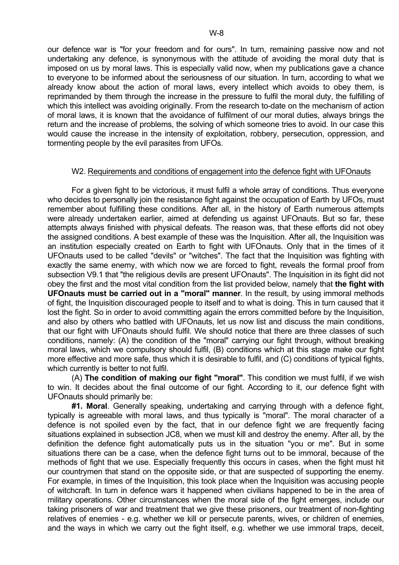our defence war is "for your freedom and for ours". In turn, remaining passive now and not undertaking any defence, is synonymous with the attitude of avoiding the moral duty that is imposed on us by moral laws. This is especially valid now, when my publications gave a chance to everyone to be informed about the seriousness of our situation. In turn, according to what we already know about the action of moral laws, every intellect which avoids to obey them, is reprimanded by them through the increase in the pressure to fulfil the moral duty, the fulfilling of which this intellect was avoiding originally. From the research to-date on the mechanism of action of moral laws, it is known that the avoidance of fulfilment of our moral duties, always brings the return and the increase of problems, the solving of which someone tries to avoid. In our case this would cause the increase in the intensity of exploitation, robbery, persecution, oppression, and tormenting people by the evil parasites from UFOs.

#### W2. Requirements and conditions of engagement into the defence fight with UFOnauts

 For a given fight to be victorious, it must fulfil a whole array of conditions. Thus everyone who decides to personally join the resistance fight against the occupation of Earth by UFOs, must remember about fulfilling these conditions. After all, in the history of Earth numerous attempts were already undertaken earlier, aimed at defending us against UFOnauts. But so far, these attempts always finished with physical defeats. The reason was, that these efforts did not obey the assigned conditions. A best example of these was the Inquisition. After all, the Inquisition was an institution especially created on Earth to fight with UFOnauts. Only that in the times of it UFOnauts used to be called "devils" or "witches". The fact that the Inquisition was fighting with exactly the same enemy, with which now we are forced to fight, reveals the formal proof from subsection V9.1 that "the religious devils are present UFOnauts". The Inquisition in its fight did not obey the first and the most vital condition from the list provided below, namely that **the fight with UFOnauts must be carried out in a "moral" manner**. In the result, by using immoral methods of fight, the Inquisition discouraged people to itself and to what is doing. This in turn caused that it lost the fight. So in order to avoid committing again the errors committed before by the Inquisition, and also by others who battled with UFOnauts, let us now list and discuss the main conditions, that our fight with UFOnauts should fulfil. We should notice that there are three classes of such conditions, namely: (A) the condition of the "moral" carrying our fight through, without breaking moral laws, which we compulsory should fulfil, (B) conditions which at this stage make our fight more effective and more safe, thus which it is desirable to fulfil, and (C) conditions of typical fights, which currently is better to not fulfil.

 (A) **The condition of making our fight "moral"**. This condition we must fulfil, if we wish to win. It decides about the final outcome of our fight. According to it, our defence fight with UFOnauts should primarily be:

 **#1. Moral**. Generally speaking, undertaking and carrying through with a defence fight, typically is agreeable with moral laws, and thus typically is "moral". The moral character of a defence is not spoiled even by the fact, that in our defence fight we are frequently facing situations explained in subsection JC8, when we must kill and destroy the enemy. After all, by the definition the defence fight automatically puts us in the situation "you or me". But in some situations there can be a case, when the defence fight turns out to be immoral, because of the methods of fight that we use. Especially frequently this occurs in cases, when the fight must hit our countrymen that stand on the opposite side, or that are suspected of supporting the enemy. For example, in times of the Inquisition, this took place when the Inquisition was accusing people of witchcraft. In turn in defence wars it happened when civilians happened to be in the area of military operations. Other circumstances when the moral side of the fight emerges, include our taking prisoners of war and treatment that we give these prisoners, our treatment of non-fighting relatives of enemies - e.g. whether we kill or persecute parents, wives, or children of enemies, and the ways in which we carry out the fight itself, e.g. whether we use immoral traps, deceit,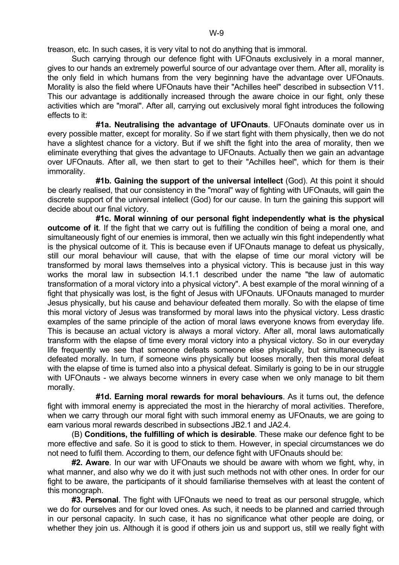Such carrying through our defence fight with UFOnauts exclusively in a moral manner, gives to our hands an extremely powerful source of our advantage over them. After all, morality is the only field in which humans from the very beginning have the advantage over UFOnauts. Morality is also the field where UFOnauts have their "Achilles heel" described in subsection V11. This our advantage is additionally increased through the aware choice in our fight, only these activities which are "moral". After all, carrying out exclusively moral fight introduces the following effects to it:

 **#1a. Neutralising the advantage of UFOnauts**. UFOnauts dominate over us in every possible matter, except for morality. So if we start fight with them physically, then we do not have a slightest chance for a victory. But if we shift the fight into the area of morality, then we eliminate everything that gives the advantage to UFOnauts. Actually then we gain an advantage over UFOnauts. After all, we then start to get to their "Achilles heel", which for them is their immorality.

 **#1b. Gaining the support of the universal intellect** (God). At this point it should be clearly realised, that our consistency in the "moral" way of fighting with UFOnauts, will gain the discrete support of the universal intellect (God) for our cause. In turn the gaining this support will decide about our final victory.

 **#1c. Moral winning of our personal fight independently what is the physical outcome of it**. If the fight that we carry out is fulfilling the condition of being a moral one, and simultaneously fight of our enemies is immoral, then we actually win this fight independently what is the physical outcome of it. This is because even if UFOnauts manage to defeat us physically, still our moral behaviour will cause, that with the elapse of time our moral victory will be transformed by moral laws themselves into a physical victory. This is because just in this way works the moral law in subsection I4.1.1 described under the name "the law of automatic transformation of a moral victory into a physical victory". A best example of the moral winning of a fight that physically was lost, is the fight of Jesus with UFOnauts. UFOnauts managed to murder Jesus physically, but his cause and behaviour defeated them morally. So with the elapse of time this moral victory of Jesus was transformed by moral laws into the physical victory. Less drastic examples of the same principle of the action of moral laws everyone knows from everyday life. This is because an actual victory is always a moral victory. After all, moral laws automatically transform with the elapse of time every moral victory into a physical victory. So in our everyday life frequently we see that someone defeats someone else physically, but simultaneously is defeated morally. In turn, if someone wins physically but looses morally, then this moral defeat with the elapse of time is turned also into a physical defeat. Similarly is going to be in our struggle with UFOnauts - we always become winners in every case when we only manage to bit them morally.

 **#1d. Earning moral rewards for moral behaviours**. As it turns out, the defence fight with immoral enemy is appreciated the most in the hierarchy of moral activities. Therefore, when we carry through our moral fight with such immoral enemy as UFOnauts, we are going to earn various moral rewards described in subsections JB2.1 and JA2.4.

 (B) **Conditions, the fulfilling of which is desirable**. These make our defence fight to be more effective and safe. So it is good to stick to them. However, in special circumstances we do not need to fulfil them. According to them, our defence fight with UFOnauts should be:

 **#2. Aware**. In our war with UFOnauts we should be aware with whom we fight, why, in what manner, and also why we do it with just such methods not with other ones. In order for our fight to be aware, the participants of it should familiarise themselves with at least the content of this monograph.

 **#3. Personal**. The fight with UFOnauts we need to treat as our personal struggle, which we do for ourselves and for our loved ones. As such, it needs to be planned and carried through in our personal capacity. In such case, it has no significance what other people are doing, or whether they join us. Although it is good if others join us and support us, still we really fight with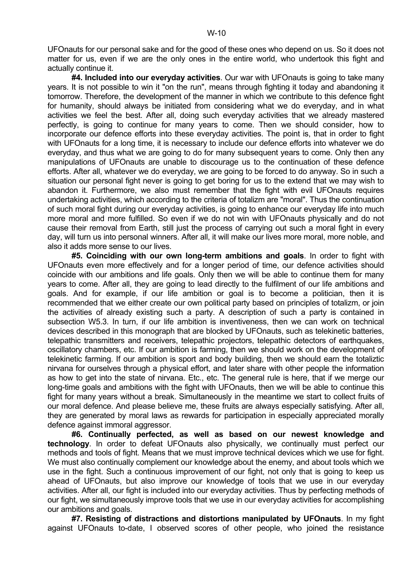UFOnauts for our personal sake and for the good of these ones who depend on us. So it does not matter for us, even if we are the only ones in the entire world, who undertook this fight and actually continue it.

 **#4. Included into our everyday activities**. Our war with UFOnauts is going to take many years. It is not possible to win it "on the run", means through fighting it today and abandoning it tomorrow. Therefore, the development of the manner in which we contribute to this defence fight for humanity, should always be initiated from considering what we do everyday, and in what activities we feel the best. After all, doing such everyday activities that we already mastered perfectly, is going to continue for many years to come. Then we should consider, how to incorporate our defence efforts into these everyday activities. The point is, that in order to fight with UFOnauts for a long time, it is necessary to include our defence efforts into whatever we do everyday, and thus what we are going to do for many subsequent years to come. Only then any manipulations of UFOnauts are unable to discourage us to the continuation of these defence efforts. After all, whatever we do everyday, we are going to be forced to do anyway. So in such a situation our personal fight never is going to get boring for us to the extend that we may wish to abandon it. Furthermore, we also must remember that the fight with evil UFOnauts requires undertaking activities, which according to the criteria of totalizm are "moral". Thus the continuation of such moral fight during our everyday activities, is going to enhance our everyday life into much more moral and more fulfilled. So even if we do not win with UFOnauts physically and do not cause their removal from Earth, still just the process of carrying out such a moral fight in every day, will turn us into personal winners. After all, it will make our lives more moral, more noble, and also it adds more sense to our lives.

 **#5. Coinciding with our own long-term ambitions and goals**. In order to fight with UFOnauts even more effectively and for a longer period of time, our defence activities should coincide with our ambitions and life goals. Only then we will be able to continue them for many years to come. After all, they are going to lead directly to the fulfilment of our life ambitions and goals. And for example, if our life ambition or goal is to become a politician, then it is recommended that we either create our own political party based on principles of totalizm, or join the activities of already existing such a party. A description of such a party is contained in subsection W5.3. In turn, if our life ambition is inventiveness, then we can work on technical devices described in this monograph that are blocked by UFOnauts, such as telekinetic batteries, telepathic transmitters and receivers, telepathic projectors, telepathic detectors of earthquakes, oscillatory chambers, etc. If our ambition is farming, then we should work on the development of telekinetic farming. If our ambition is sport and body building, then we should earn the totaliztic nirvana for ourselves through a physical effort, and later share with other people the information as how to get into the state of nirvana. Etc., etc. The general rule is here, that if we merge our long-time goals and ambitions with the fight with UFOnauts, then we will be able to continue this fight for many years without a break. Simultaneously in the meantime we start to collect fruits of our moral defence. And please believe me, these fruits are always especially satisfying. After all, they are generated by moral laws as rewards for participation in especially appreciated morally defence against immoral aggressor.

 **#6. Continually perfected, as well as based on our newest knowledge and technology**. In order to defeat UFOnauts also physically, we continually must perfect our methods and tools of fight. Means that we must improve technical devices which we use for fight. We must also continually complement our knowledge about the enemy, and about tools which we use in the fight. Such a continuous improvement of our fight, not only that is going to keep us ahead of UFOnauts, but also improve our knowledge of tools that we use in our everyday activities. After all, our fight is included into our everyday activities. Thus by perfecting methods of our fight, we simultaneously improve tools that we use in our everyday activities for accomplishing our ambitions and goals.

 **#7. Resisting of distractions and distortions manipulated by UFOnauts**. In my fight against UFOnauts to-date, I observed scores of other people, who joined the resistance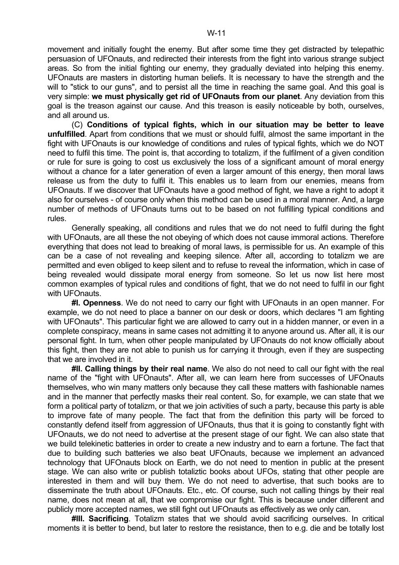movement and initially fought the enemy. But after some time they get distracted by telepathic persuasion of UFOnauts, and redirected their interests from the fight into various strange subject areas. So from the initial fighting our enemy, they gradually deviated into helping this enemy. UFOnauts are masters in distorting human beliefs. It is necessary to have the strength and the will to "stick to our guns", and to persist all the time in reaching the same goal. And this goal is very simple: **we must physically get rid of UFOnauts from our planet**. Any deviation from this goal is the treason against our cause. And this treason is easily noticeable by both, ourselves, and all around us.

 (C) **Conditions of typical fights, which in our situation may be better to leave unfulfilled**. Apart from conditions that we must or should fulfil, almost the same important in the fight with UFOnauts is our knowledge of conditions and rules of typical fights, which we do NOT need to fulfil this time. The point is, that according to totalizm, if the fulfilment of a given condition or rule for sure is going to cost us exclusively the loss of a significant amount of moral energy without a chance for a later generation of even a larger amount of this energy, then moral laws release us from the duty to fulfil it. This enables us to learn from our enemies, means from UFOnauts. If we discover that UFOnauts have a good method of fight, we have a right to adopt it also for ourselves - of course only when this method can be used in a moral manner. And, a large number of methods of UFOnauts turns out to be based on not fulfilling typical conditions and rules.

 Generally speaking, all conditions and rules that we do not need to fulfil during the fight with UFOnauts, are all these the not obeying of which does not cause immoral actions. Therefore everything that does not lead to breaking of moral laws, is permissible for us. An example of this can be a case of not revealing and keeping silence. After all, according to totalizm we are permitted and even obliged to keep silent and to refuse to reveal the information, which in case of being revealed would dissipate moral energy from someone. So let us now list here most common examples of typical rules and conditions of fight, that we do not need to fulfil in our fight with UFOnauts.

 **#I. Openness**. We do not need to carry our fight with UFOnauts in an open manner. For example, we do not need to place a banner on our desk or doors, which declares "I am fighting with UFOnauts". This particular fight we are allowed to carry out in a hidden manner, or even in a complete conspiracy, means in same cases not admitting it to anyone around us. After all, it is our personal fight. In turn, when other people manipulated by UFOnauts do not know officially about this fight, then they are not able to punish us for carrying it through, even if they are suspecting that we are involved in it.

 **#II. Calling things by their real name**. We also do not need to call our fight with the real name of the "fight with UFOnauts". After all, we can learn here from successes of UFOnauts themselves, who win many matters only because they call these matters with fashionable names and in the manner that perfectly masks their real content. So, for example, we can state that we form a political party of totalizm, or that we join activities of such a party, because this party is able to improve fate of many people. The fact that from the definition this party will be forced to constantly defend itself from aggression of UFOnauts, thus that it is going to constantly fight with UFOnauts, we do not need to advertise at the present stage of our fight. We can also state that we build telekinetic batteries in order to create a new industry and to earn a fortune. The fact that due to building such batteries we also beat UFOnauts, because we implement an advanced technology that UFOnauts block on Earth, we do not need to mention in public at the present stage. We can also write or publish totaliztic books about UFOs, stating that other people are interested in them and will buy them. We do not need to advertise, that such books are to disseminate the truth about UFOnauts. Etc., etc. Of course, such not calling things by their real name, does not mean at all, that we compromise our fight. This is because under different and publicly more accepted names, we still fight out UFOnauts as effectively as we only can.

 **#III. Sacrificing**. Totalizm states that we should avoid sacrificing ourselves. In critical moments it is better to bend, but later to restore the resistance, then to e.g. die and be totally lost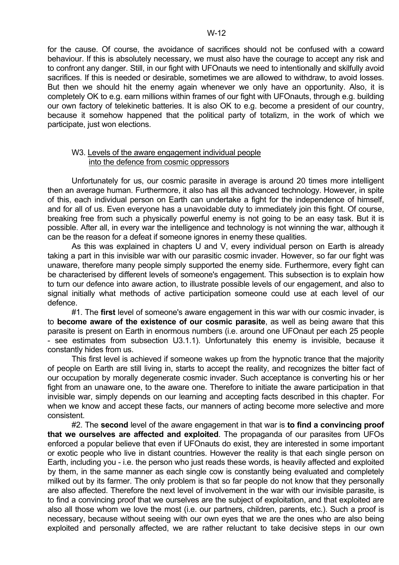for the cause. Of course, the avoidance of sacrifices should not be confused with a coward behaviour. If this is absolutely necessary, we must also have the courage to accept any risk and to confront any danger. Still, in our fight with UFOnauts we need to intentionally and skilfully avoid sacrifices. If this is needed or desirable, sometimes we are allowed to withdraw, to avoid losses. But then we should hit the enemy again whenever we only have an opportunity. Also, it is completely OK to e.g. earn millions within frames of our fight with UFOnauts, through e.g. building our own factory of telekinetic batteries. It is also OK to e.g. become a president of our country, because it somehow happened that the political party of totalizm, in the work of which we participate, just won elections.

#### W3. Levels of the aware engagement individual people into the defence from cosmic oppressors

 Unfortunately for us, our cosmic parasite in average is around 20 times more intelligent then an average human. Furthermore, it also has all this advanced technology. However, in spite of this, each individual person on Earth can undertake a fight for the independence of himself, and for all of us. Even everyone has a unavoidable duty to immediately join this fight. Of course, breaking free from such a physically powerful enemy is not going to be an easy task. But it is possible. After all, in every war the intelligence and technology is not winning the war, although it can be the reason for a defeat if someone ignores in enemy these qualities.

 As this was explained in chapters U and V, every individual person on Earth is already taking a part in this invisible war with our parasitic cosmic invader. However, so far our fight was unaware, therefore many people simply supported the enemy side. Furthermore, every fight can be characterised by different levels of someone's engagement. This subsection is to explain how to turn our defence into aware action, to illustrate possible levels of our engagement, and also to signal initially what methods of active participation someone could use at each level of our defence.

 #1. The **first** level of someone's aware engagement in this war with our cosmic invader, is to **become aware of the existence of our cosmic parasite**, as well as being aware that this parasite is present on Earth in enormous numbers (i.e. around one UFOnaut per each 25 people - see estimates from subsection U3.1.1). Unfortunately this enemy is invisible, because it constantly hides from us.

 This first level is achieved if someone wakes up from the hypnotic trance that the majority of people on Earth are still living in, starts to accept the reality, and recognizes the bitter fact of our occupation by morally degenerate cosmic invader. Such acceptance is converting his or her fight from an unaware one, to the aware one. Therefore to initiate the aware participation in that invisible war, simply depends on our learning and accepting facts described in this chapter. For when we know and accept these facts, our manners of acting become more selective and more consistent.

 #2. The **second** level of the aware engagement in that war is **to find a convincing proof that we ourselves are affected and exploited**. The propaganda of our parasites from UFOs enforced a popular believe that even if UFOnauts do exist, they are interested in some important or exotic people who live in distant countries. However the reality is that each single person on Earth, including you - i.e. the person who just reads these words, is heavily affected and exploited by them, in the same manner as each single cow is constantly being evaluated and completely milked out by its farmer. The only problem is that so far people do not know that they personally are also affected. Therefore the next level of involvement in the war with our invisible parasite, is to find a convincing proof that we ourselves are the subject of exploitation, and that exploited are also all those whom we love the most (i.e. our partners, children, parents, etc.). Such a proof is necessary, because without seeing with our own eyes that we are the ones who are also being exploited and personally affected, we are rather reluctant to take decisive steps in our own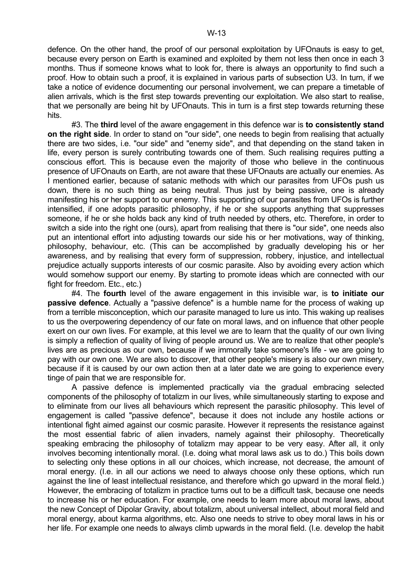defence. On the other hand, the proof of our personal exploitation by UFOnauts is easy to get, because every person on Earth is examined and exploited by them not less then once in each 3 months. Thus if someone knows what to look for, there is always an opportunity to find such a proof. How to obtain such a proof, it is explained in various parts of subsection U3. In turn, if we take a notice of evidence documenting our personal involvement, we can prepare a timetable of alien arrivals, which is the first step towards preventing our exploitation. We also start to realise, that we personally are being hit by UFOnauts. This in turn is a first step towards returning these hits.

 #3. The **third** level of the aware engagement in this defence war is **to consistently stand on the right side**. In order to stand on "our side", one needs to begin from realising that actually there are two sides, i.e. "our side" and "enemy side", and that depending on the stand taken in life, every person is surely contributing towards one of them. Such realising requires putting a conscious effort. This is because even the majority of those who believe in the continuous presence of UFOnauts on Earth, are not aware that these UFOnauts are actually our enemies. As I mentioned earlier, because of satanic methods with which our parasites from UFOs push us down, there is no such thing as being neutral. Thus just by being passive, one is already manifesting his or her support to our enemy. This supporting of our parasites from UFOs is further intensified, if one adopts parasitic philosophy, if he or she supports anything that suppresses someone, if he or she holds back any kind of truth needed by others, etc. Therefore, in order to switch a side into the right one (ours), apart from realising that there is "our side", one needs also put an intentional effort into adjusting towards our side his or her motivations, way of thinking, philosophy, behaviour, etc. (This can be accomplished by gradually developing his or her awareness, and by realising that every form of suppression, robbery, injustice, and intellectual prejudice actually supports interests of our cosmic parasite. Also by avoiding every action which would somehow support our enemy. By starting to promote ideas which are connected with our fight for freedom. Etc., etc.)

 #4. The **fourth** level of the aware engagement in this invisible war, is **to initiate our passive defence**. Actually a "passive defence" is a humble name for the process of waking up from a terrible misconception, which our parasite managed to lure us into. This waking up realises to us the overpowering dependency of our fate on moral laws, and on influence that other people exert on our own lives. For example, at this level we are to learn that the quality of our own living is simply a reflection of quality of living of people around us. We are to realize that other people's lives are as precious as our own, because if we immorally take someone's life - we are going to pay with our own one. We are also to discover, that other people's misery is also our own misery, because if it is caused by our own action then at a later date we are going to experience every tinge of pain that we are responsible for.

 A passive defence is implemented practically via the gradual embracing selected components of the philosophy of totalizm in our lives, while simultaneously starting to expose and to eliminate from our lives all behaviours which represent the parasitic philosophy. This level of engagement is called "passive defence", because it does not include any hostile actions or intentional fight aimed against our cosmic parasite. However it represents the resistance against the most essential fabric of alien invaders, namely against their philosophy. Theoretically speaking embracing the philosophy of totalizm may appear to be very easy. After all, it only involves becoming intentionally moral. (I.e. doing what moral laws ask us to do.) This boils down to selecting only these options in all our choices, which increase, not decrease, the amount of moral energy. (I.e. in all our actions we need to always choose only these options, which run against the line of least intellectual resistance, and therefore which go upward in the moral field.) However, the embracing of totalizm in practice turns out to be a difficult task, because one needs to increase his or her education. For example, one needs to learn more about moral laws, about the new Concept of Dipolar Gravity, about totalizm, about universal intellect, about moral field and moral energy, about karma algorithms, etc. Also one needs to strive to obey moral laws in his or her life. For example one needs to always climb upwards in the moral field. (I.e. develop the habit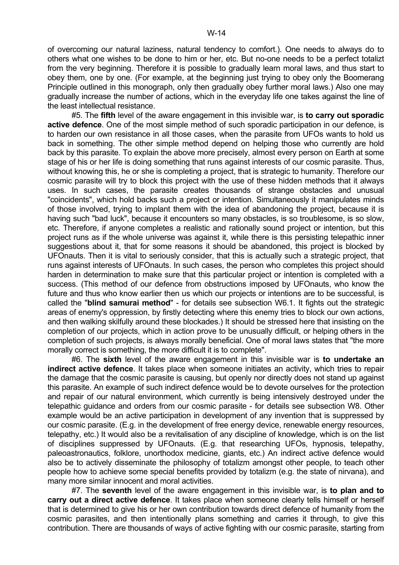of overcoming our natural laziness, natural tendency to comfort.). One needs to always do to others what one wishes to be done to him or her, etc. But no-one needs to be a perfect totalizt from the very beginning. Therefore it is possible to gradually learn moral laws, and thus start to obey them, one by one. (For example, at the beginning just trying to obey only the Boomerang Principle outlined in this monograph, only then gradually obey further moral laws.) Also one may gradually increase the number of actions, which in the everyday life one takes against the line of the least intellectual resistance.

 #5. The **fifth** level of the aware engagement in this invisible war, is **to carry out sporadic active defence**. One of the most simple method of such sporadic participation in our defence, is to harden our own resistance in all those cases, when the parasite from UFOs wants to hold us back in something. The other simple method depend on helping those who currently are hold back by this parasite. To explain the above more precisely, almost every person on Earth at some stage of his or her life is doing something that runs against interests of our cosmic parasite. Thus, without knowing this, he or she is completing a project, that is strategic to humanity. Therefore our cosmic parasite will try to block this project with the use of these hidden methods that it always uses. In such cases, the parasite creates thousands of strange obstacles and unusual "coincidents", which hold backs such a project or intention. Simultaneously it manipulates minds of those involved, trying to implant them with the idea of abandoning the project, because it is having such "bad luck", because it encounters so many obstacles, is so troublesome, is so slow, etc. Therefore, if anyone completes a realistic and rationally sound project or intention, but this project runs as if the whole universe was against it, while there is this persisting telepathic inner suggestions about it, that for some reasons it should be abandoned, this project is blocked by UFOnauts. Then it is vital to seriously consider, that this is actually such a strategic project, that runs against interests of UFOnauts. In such cases, the person who completes this project should harden in determination to make sure that this particular project or intention is completed with a success. (This method of our defence from obstructions imposed by UFOnauts, who know the future and thus who know earlier then us which our projects or intentions are to be successful, is called the "**blind samurai method**" - for details see subsection W6.1. It fights out the strategic areas of enemy's oppression, by firstly detecting where this enemy tries to block our own actions, and then walking skilfully around these blockades.) It should be stressed here that insisting on the completion of our projects, which in action prove to be unusually difficult, or helping others in the completion of such projects, is always morally beneficial. One of moral laws states that "the more morally correct is something, the more difficult it is to complete".

 #6. The **sixth** level of the aware engagement in this invisible war is **to undertake an indirect active defence**. It takes place when someone initiates an activity, which tries to repair the damage that the cosmic parasite is causing, but openly nor directly does not stand up against this parasite. An example of such indirect defence would be to devote ourselves for the protection and repair of our natural environment, which currently is being intensively destroyed under the telepathic guidance and orders from our cosmic parasite - for details see subsection W8. Other example would be an active participation in development of any invention that is suppressed by our cosmic parasite. (E.g. in the development of free energy device, renewable energy resources, telepathy, etc.) It would also be a revitalisation of any discipline of knowledge, which is on the list of disciplines suppressed by UFOnauts. (E.g. that researching UFOs, hypnosis, telepathy, paleoastronautics, folklore, unorthodox medicine, giants, etc.) An indirect active defence would also be to actively disseminate the philosophy of totalizm amongst other people, to teach other people how to achieve some special benefits provided by totalizm (e.g. the state of nirvana), and many more similar innocent and moral activities.

 #7. The **seventh** level of the aware engagement in this invisible war, is **to plan and to carry out a direct active defence**. It takes place when someone clearly tells himself or herself that is determined to give his or her own contribution towards direct defence of humanity from the cosmic parasites, and then intentionally plans something and carries it through, to give this contribution. There are thousands of ways of active fighting with our cosmic parasite, starting from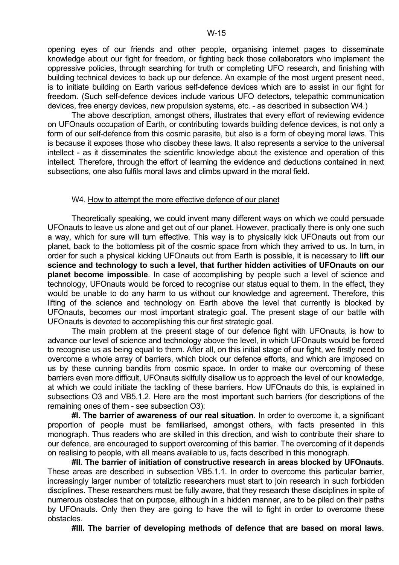opening eyes of our friends and other people, organising internet pages to disseminate knowledge about our fight for freedom, or fighting back those collaborators who implement the oppressive policies, through searching for truth or completing UFO research, and finishing with building technical devices to back up our defence. An example of the most urgent present need, is to initiate building on Earth various self-defence devices which are to assist in our fight for freedom. (Such self-defence devices include various UFO detectors, telepathic communication devices, free energy devices, new propulsion systems, etc. - as described in subsection W4.)

 The above description, amongst others, illustrates that every effort of reviewing evidence on UFOnauts occupation of Earth, or contributing towards building defence devices, is not only a form of our self-defence from this cosmic parasite, but also is a form of obeying moral laws. This is because it exposes those who disobey these laws. It also represents a service to the universal intellect - as it disseminates the scientific knowledge about the existence and operation of this intellect. Therefore, through the effort of learning the evidence and deductions contained in next subsections, one also fulfils moral laws and climbs upward in the moral field.

#### W4. How to attempt the more effective defence of our planet

 Theoretically speaking, we could invent many different ways on which we could persuade UFOnauts to leave us alone and get out of our planet. However, practically there is only one such a way, which for sure will turn effective. This way is to physically kick UFOnauts out from our planet, back to the bottomless pit of the cosmic space from which they arrived to us. In turn, in order for such a physical kicking UFOnauts out from Earth is possible, it is necessary to **lift our science and technology to such a level, that further hidden activities of UFOnauts on our planet become impossible**. In case of accomplishing by people such a level of science and technology, UFOnauts would be forced to recognise our status equal to them. In the effect, they would be unable to do any harm to us without our knowledge and agreement. Therefore, this lifting of the science and technology on Earth above the level that currently is blocked by UFOnauts, becomes our most important strategic goal. The present stage of our battle with UFOnauts is devoted to accomplishing this our first strategic goal.

 The main problem at the present stage of our defence fight with UFOnauts, is how to advance our level of science and technology above the level, in which UFOnauts would be forced to recognise us as being equal to them. After all, on this initial stage of our fight, we firstly need to overcome a whole array of barriers, which block our defence efforts, and which are imposed on us by these cunning bandits from cosmic space. In order to make our overcoming of these barriers even more difficult, UFOnauts skilfully disallow us to approach the level of our knowledge, at which we could initiate the tackling of these barriers. How UFOnauts do this, is explained in subsections O3 and VB5.1.2. Here are the most important such barriers (for descriptions of the remaining ones of them - see subsection O3):

 **#I. The barrier of awareness of our real situation**. In order to overcome it, a significant proportion of people must be familiarised, amongst others, with facts presented in this monograph. Thus readers who are skilled in this direction, and wish to contribute their share to our defence, are encouraged to support overcoming of this barrier. The overcoming of it depends on realising to people, with all means available to us, facts described in this monograph.

 **#II. The barrier of initiation of constructive research in areas blocked by UFOnauts**. These areas are described in subsection VB5.1.1. In order to overcome this particular barrier, increasingly larger number of totaliztic researchers must start to join research in such forbidden disciplines. These researchers must be fully aware, that they research these disciplines in spite of numerous obstacles that on purpose, although in a hidden manner, are to be piled on their paths by UFOnauts. Only then they are going to have the will to fight in order to overcome these obstacles.

 **#III. The barrier of developing methods of defence that are based on moral laws**.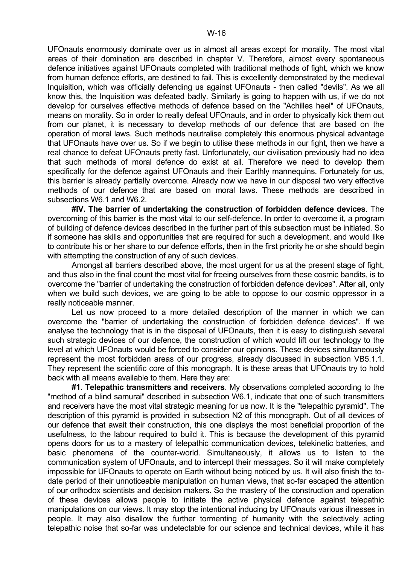UFOnauts enormously dominate over us in almost all areas except for morality. The most vital areas of their domination are described in chapter V. Therefore, almost every spontaneous defence initiatives against UFOnauts completed with traditional methods of fight, which we know from human defence efforts, are destined to fail. This is excellently demonstrated by the medieval Inquisition, which was officially defending us against UFOnauts - then called "devils". As we all know this, the Inquisition was defeated badly. Similarly is going to happen with us, if we do not develop for ourselves effective methods of defence based on the "Achilles heel" of UFOnauts, means on morality. So in order to really defeat UFOnauts, and in order to physically kick them out from our planet, it is necessary to develop methods of our defence that are based on the operation of moral laws. Such methods neutralise completely this enormous physical advantage that UFOnauts have over us. So if we begin to utilise these methods in our fight, then we have a real chance to defeat UFOnauts pretty fast. Unfortunately, our civilisation previously had no idea that such methods of moral defence do exist at all. Therefore we need to develop them specifically for the defence against UFOnauts and their Earthly mannequins. Fortunately for us, this barrier is already partially overcome. Already now we have in our disposal two very effective methods of our defence that are based on moral laws. These methods are described in subsections W6.1 and W6.2.

 **#IV. The barrier of undertaking the construction of forbidden defence devices**. The overcoming of this barrier is the most vital to our self-defence. In order to overcome it, a program of building of defence devices described in the further part of this subsection must be initiated. So if someone has skills and opportunities that are required for such a development, and would like to contribute his or her share to our defence efforts, then in the first priority he or she should begin with attempting the construction of any of such devices.

 Amongst all barriers described above, the most urgent for us at the present stage of fight, and thus also in the final count the most vital for freeing ourselves from these cosmic bandits, is to overcome the "barrier of undertaking the construction of forbidden defence devices". After all, only when we build such devices, we are going to be able to oppose to our cosmic oppressor in a really noticeable manner.

 Let us now proceed to a more detailed description of the manner in which we can overcome the "barrier of undertaking the construction of forbidden defence devices". If we analyse the technology that is in the disposal of UFOnauts, then it is easy to distinguish several such strategic devices of our defence, the construction of which would lift our technology to the level at which UFOnauts would be forced to consider our opinions. These devices simultaneously represent the most forbidden areas of our progress, already discussed in subsection VB5.1.1. They represent the scientific core of this monograph. It is these areas that UFOnauts try to hold back with all means available to them. Here they are:

 **#1. Telepathic transmitters and receivers**. My observations completed according to the "method of a blind samurai" described in subsection W6.1, indicate that one of such transmitters and receivers have the most vital strategic meaning for us now. It is the "telepathic pyramid". The description of this pyramid is provided in subsection N2 of this monograph. Out of all devices of our defence that await their construction, this one displays the most beneficial proportion of the usefulness, to the labour required to build it. This is because the development of this pyramid opens doors for us to a mastery of telepathic communication devices, telekinetic batteries, and basic phenomena of the counter-world. Simultaneously, it allows us to listen to the communication system of UFOnauts, and to intercept their messages. So it will make completely impossible for UFOnauts to operate on Earth without being noticed by us. It will also finish the todate period of their unnoticeable manipulation on human views, that so-far escaped the attention of our orthodox scientists and decision makers. So the mastery of the construction and operation of these devices allows people to initiate the active physical defence against telepathic manipulations on our views. It may stop the intentional inducing by UFOnauts various illnesses in people. It may also disallow the further tormenting of humanity with the selectively acting telepathic noise that so-far was undetectable for our science and technical devices, while it has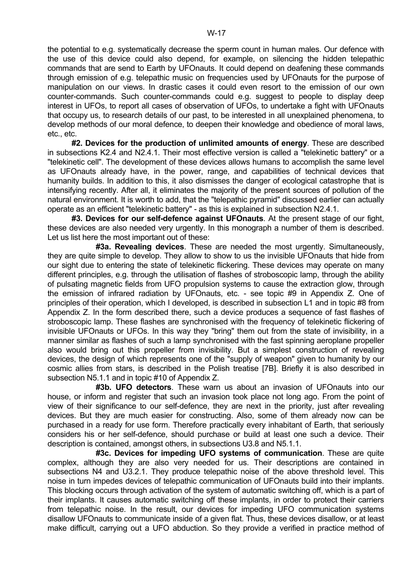the potential to e.g. systematically decrease the sperm count in human males. Our defence with the use of this device could also depend, for example, on silencing the hidden telepathic commands that are send to Earth by UFOnauts. It could depend on deafening these commands through emission of e.g. telepathic music on frequencies used by UFOnauts for the purpose of manipulation on our views. In drastic cases it could even resort to the emission of our own counter-commands. Such counter-commands could e.g. suggest to people to display deep interest in UFOs, to report all cases of observation of UFOs, to undertake a fight with UFOnauts that occupy us, to research details of our past, to be interested in all unexplained phenomena, to develop methods of our moral defence, to deepen their knowledge and obedience of moral laws, etc., etc.

 **#2. Devices for the production of unlimited amounts of energy**. These are described in subsections K2.4 and N2.4.1. Their most effective version is called a "telekinetic battery" or a "telekinetic cell". The development of these devices allows humans to accomplish the same level as UFOnauts already have, in the power, range, and capabilities of technical devices that humanity builds. In addition to this, it also dismisses the danger of ecological catastrophe that is intensifying recently. After all, it eliminates the majority of the present sources of pollution of the natural environment. It is worth to add, that the "telepathic pyramid" discussed earlier can actually operate as an efficient "telekinetic battery" - as this is explained in subsection N2.4.1.

 **#3. Devices for our self-defence against UFOnauts**. At the present stage of our fight, these devices are also needed very urgently. In this monograph a number of them is described. Let us list here the most important out of these:

 **#3a. Revealing devices**. These are needed the most urgently. Simultaneously, they are quite simple to develop. They allow to show to us the invisible UFOnauts that hide from our sight due to entering the state of telekinetic flickering. These devices may operate on many different principles, e.g. through the utilisation of flashes of stroboscopic lamp, through the ability of pulsating magnetic fields from UFO propulsion systems to cause the extraction glow, through the emission of infrared radiation by UFOnauts, etc. - see topic #9 in Appendix Z. One of principles of their operation, which I developed, is described in subsection L1 and in topic #8 from Appendix Z. In the form described there, such a device produces a sequence of fast flashes of stroboscopic lamp. These flashes are synchronised with the frequency of telekinetic flickering of invisible UFOnauts or UFOs. In this way they "bring" them out from the state of invisibility, in a manner similar as flashes of such a lamp synchronised with the fast spinning aeroplane propeller also would bring out this propeller from invisibility. But a simplest construction of revealing devices, the design of which represents one of the "supply of weapon" given to humanity by our cosmic allies from stars, is described in the Polish treatise [7B]. Briefly it is also described in subsection N5.1.1 and in topic #10 of Appendix Z.

 **#3b. UFO detectors**. These warn us about an invasion of UFOnauts into our house, or inform and register that such an invasion took place not long ago. From the point of view of their significance to our self-defence, they are next in the priority, just after revealing devices. But they are much easier for constructing. Also, some of them already now can be purchased in a ready for use form. Therefore practically every inhabitant of Earth, that seriously considers his or her self-defence, should purchase or build at least one such a device. Their description is contained, amongst others, in subsections U3.8 and N5.1.1.

 **#3c. Devices for impeding UFO systems of communication**. These are quite complex, although they are also very needed for us. Their descriptions are contained in subsections N4 and U3.2.1. They produce telepathic noise of the above threshold level. This noise in turn impedes devices of telepathic communication of UFOnauts build into their implants. This blocking occurs through activation of the system of automatic switching off, which is a part of their implants. It causes automatic switching off these implants, in order to protect their carriers from telepathic noise. In the result, our devices for impeding UFO communication systems disallow UFOnauts to communicate inside of a given flat. Thus, these devices disallow, or at least make difficult, carrying out a UFO abduction. So they provide a verified in practice method of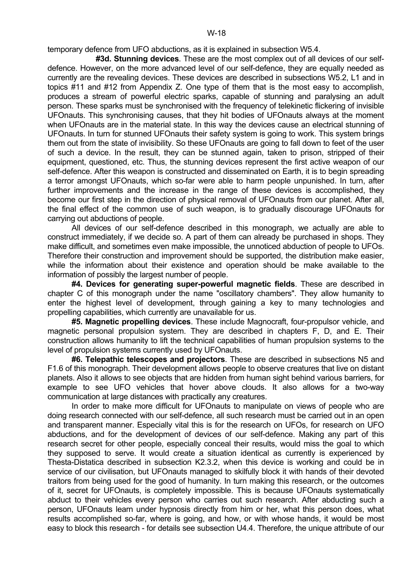temporary defence from UFO abductions, as it is explained in subsection W5.4.

 **#3d. Stunning devices**. These are the most complex out of all devices of our selfdefence. However, on the more advanced level of our self-defence, they are equally needed as currently are the revealing devices. These devices are described in subsections W5.2, L1 and in topics #11 and #12 from Appendix Z. One type of them that is the most easy to accomplish, produces a stream of powerful electric sparks, capable of stunning and paralysing an adult person. These sparks must be synchronised with the frequency of telekinetic flickering of invisible UFOnauts. This synchronising causes, that they hit bodies of UFOnauts always at the moment when UFOnauts are in the material state. In this way the devices cause an electrical stunning of UFOnauts. In turn for stunned UFOnauts their safety system is going to work. This system brings them out from the state of invisibility. So these UFOnauts are going to fall down to feet of the user of such a device. In the result, they can be stunned again, taken to prison, stripped of their equipment, questioned, etc. Thus, the stunning devices represent the first active weapon of our self-defence. After this weapon is constructed and disseminated on Earth, it is to begin spreading a terror amongst UFOnauts, which so-far were able to harm people unpunished. In turn, after further improvements and the increase in the range of these devices is accomplished, they become our first step in the direction of physical removal of UFOnauts from our planet. After all, the final effect of the common use of such weapon, is to gradually discourage UFOnauts for carrying out abductions of people.

 All devices of our self-defence described in this monograph, we actually are able to construct immediately, if we decide so. A part of them can already be purchased in shops. They make difficult, and sometimes even make impossible, the unnoticed abduction of people to UFOs. Therefore their construction and improvement should be supported, the distribution make easier, while the information about their existence and operation should be make available to the information of possibly the largest number of people.

 **#4. Devices for generating super-powerful magnetic fields**. These are described in chapter C of this monograph under the name "oscillatory chambers". They allow humanity to enter the highest level of development, through gaining a key to many technologies and propelling capabilities, which currently are unavailable for us.

 **#5. Magnetic propelling devices**. These include Magnocraft, four-propulsor vehicle, and magnetic personal propulsion system. They are described in chapters F, D, and E. Their construction allows humanity to lift the technical capabilities of human propulsion systems to the level of propulsion systems currently used by UFOnauts.

 **#6. Telepathic telescopes and projectors**. These are described in subsections N5 and F1.6 of this monograph. Their development allows people to observe creatures that live on distant planets. Also it allows to see objects that are hidden from human sight behind various barriers, for example to see UFO vehicles that hover above clouds. It also allows for a two-way communication at large distances with practically any creatures.

 In order to make more difficult for UFOnauts to manipulate on views of people who are doing research connected with our self-defence, all such research must be carried out in an open and transparent manner. Especially vital this is for the research on UFOs, for research on UFO abductions, and for the development of devices of our self-defence. Making any part of this research secret for other people, especially conceal their results, would miss the goal to which they supposed to serve. It would create a situation identical as currently is experienced by Thesta-Distatica described in subsection K2.3.2, when this device is working and could be in service of our civilisation, but UFOnauts managed to skilfully block it with hands of their devoted traitors from being used for the good of humanity. In turn making this research, or the outcomes of it, secret for UFOnauts, is completely impossible. This is because UFOnauts systematically abduct to their vehicles every person who carries out such research. After abducting such a person, UFOnauts learn under hypnosis directly from him or her, what this person does, what results accomplished so-far, where is going, and how, or with whose hands, it would be most easy to block this research - for details see subsection U4.4. Therefore, the unique attribute of our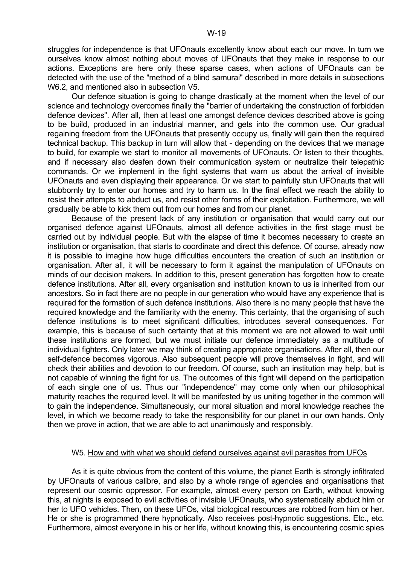struggles for independence is that UFOnauts excellently know about each our move. In turn we ourselves know almost nothing about moves of UFOnauts that they make in response to our actions. Exceptions are here only these sparse cases, when actions of UFOnauts can be detected with the use of the "method of a blind samurai" described in more details in subsections W6.2, and mentioned also in subsection V5.

 Our defence situation is going to change drastically at the moment when the level of our science and technology overcomes finally the "barrier of undertaking the construction of forbidden defence devices". After all, then at least one amongst defence devices described above is going to be build, produced in an industrial manner, and gets into the common use. Our gradual regaining freedom from the UFOnauts that presently occupy us, finally will gain then the required technical backup. This backup in turn will allow that - depending on the devices that we manage to build, for example we start to monitor all movements of UFOnauts. Or listen to their thoughts, and if necessary also deafen down their communication system or neutralize their telepathic commands. Or we implement in the fight systems that warn us about the arrival of invisible UFOnauts and even displaying their appearance. Or we start to painfully stun UFOnauts that will stubbornly try to enter our homes and try to harm us. In the final effect we reach the ability to resist their attempts to abduct us, and resist other forms of their exploitation. Furthermore, we will gradually be able to kick them out from our homes and from our planet.

 Because of the present lack of any institution or organisation that would carry out our organised defence against UFOnauts, almost all defence activities in the first stage must be carried out by individual people. But with the elapse of time it becomes necessary to create an institution or organisation, that starts to coordinate and direct this defence. Of course, already now it is possible to imagine how huge difficulties encounters the creation of such an institution or organisation. After all, it will be necessary to form it against the manipulation of UFOnauts on minds of our decision makers. In addition to this, present generation has forgotten how to create defence institutions. After all, every organisation and institution known to us is inherited from our ancestors. So in fact there are no people in our generation who would have any experience that is required for the formation of such defence institutions. Also there is no many people that have the required knowledge and the familiarity with the enemy. This certainty, that the organising of such defence institutions is to meet significant difficulties, introduces several consequences. For example, this is because of such certainty that at this moment we are not allowed to wait until these institutions are formed, but we must initiate our defence immediately as a multitude of individual fighters. Only later we may think of creating appropriate organisations. After all, then our self-defence becomes vigorous. Also subsequent people will prove themselves in fight, and will check their abilities and devotion to our freedom. Of course, such an institution may help, but is not capable of winning the fight for us. The outcomes of this fight will depend on the participation of each single one of us. Thus our "independence" may come only when our philosophical maturity reaches the required level. It will be manifested by us uniting together in the common will to gain the independence. Simultaneously, our moral situation and moral knowledge reaches the level, in which we become ready to take the responsibility for our planet in our own hands. Only then we prove in action, that we are able to act unanimously and responsibly.

#### W5. How and with what we should defend ourselves against evil parasites from UFOs

 As it is quite obvious from the content of this volume, the planet Earth is strongly infiltrated by UFOnauts of various calibre, and also by a whole range of agencies and organisations that represent our cosmic oppressor. For example, almost every person on Earth, without knowing this, at nights is exposed to evil activities of invisible UFOnauts, who systematically abduct him or her to UFO vehicles. Then, on these UFOs, vital biological resources are robbed from him or her. He or she is programmed there hypnotically. Also receives post-hypnotic suggestions. Etc., etc. Furthermore, almost everyone in his or her life, without knowing this, is encountering cosmic spies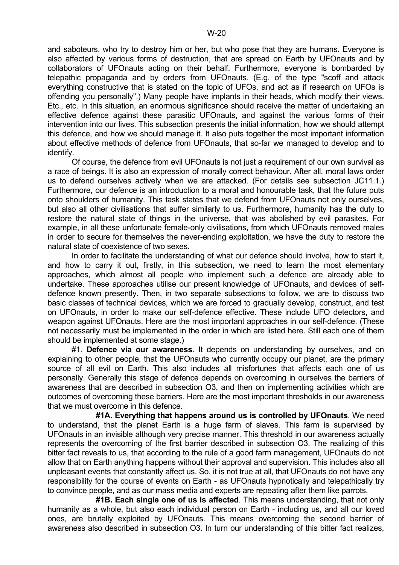and saboteurs, who try to destroy him or her, but who pose that they are humans. Everyone is also affected by various forms of destruction, that are spread on Earth by UFOnauts and by collaborators of UFOnauts acting on their behalf. Furthermore, everyone is bombarded by telepathic propaganda and by orders from UFOnauts. (E.g. of the type "scoff and attack everything constructive that is stated on the topic of UFOs, and act as if research on UFOs is offending you personally".) Many people have implants in their heads, which modify their views. Etc., etc. In this situation, an enormous significance should receive the matter of undertaking an effective defence against these parasitic UFOnauts, and against the various forms of their intervention into our lives. This subsection presents the initial information, how we should attempt this defence, and how we should manage it. It also puts together the most important information about effective methods of defence from UFOnauts, that so-far we managed to develop and to identify.

 Of course, the defence from evil UFOnauts is not just a requirement of our own survival as a race of beings. It is also an expression of morally correct behaviour. After all, moral laws order us to defend ourselves actively when we are attacked. (For details see subsection JC11.1.) Furthermore, our defence is an introduction to a moral and honourable task, that the future puts onto shoulders of humanity. This task states that we defend from UFOnauts not only ourselves, but also all other civilisations that suffer similarly to us. Furthermore, humanity has the duty to restore the natural state of things in the universe, that was abolished by evil parasites. For example, in all these unfortunate female-only civilisations, from which UFOnauts removed males in order to secure for themselves the never-ending exploitation, we have the duty to restore the natural state of coexistence of two sexes.

 In order to facilitate the understanding of what our defence should involve, how to start it, and how to carry it out, firstly, in this subsection, we need to learn the most elementary approaches, which almost all people who implement such a defence are already able to undertake. These approaches utilise our present knowledge of UFOnauts, and devices of selfdefence known presently. Then, in two separate subsections to follow, we are to discuss two basic classes of technical devices, which we are forced to gradually develop, construct, and test on UFOnauts, in order to make our self-defence effective. These include UFO detectors, and weapon against UFOnauts. Here are the most important approaches in our self-defence. (These not necessarily must be implemented in the order in which are listed here. Still each one of them should be implemented at some stage.)

 #1. **Defence via our awareness**. It depends on understanding by ourselves, and on explaining to other people, that the UFOnauts who currently occupy our planet, are the primary source of all evil on Earth. This also includes all misfortunes that affects each one of us personally. Generally this stage of defence depends on overcoming in ourselves the barriers of awareness that are described in subsection O3, and then on implementing activities which are outcomes of overcoming these barriers. Here are the most important thresholds in our awareness that we must overcome in this defence.

 **#1A. Everything that happens around us is controlled by UFOnauts**. We need to understand, that the planet Earth is a huge farm of slaves. This farm is supervised by UFOnauts in an invisible although very precise manner. This threshold in our awareness actually represents the overcoming of the first barrier described in subsection O3. The realizing of this bitter fact reveals to us, that according to the rule of a good farm management, UFOnauts do not allow that on Earth anything happens without their approval and supervision. This includes also all unpleasant events that constantly affect us. So, it is not true at all, that UFOnauts do not have any responsibility for the course of events on Earth - as UFOnauts hypnotically and telepathically try to convince people, and as our mass media and experts are repeating after them like parrots.

 **#1B. Each single one of us is affected**. This means understanding, that not only humanity as a whole, but also each individual person on Earth - including us, and all our loved ones, are brutally exploited by UFOnauts. This means overcoming the second barrier of awareness also described in subsection O3. In turn our understanding of this bitter fact realizes,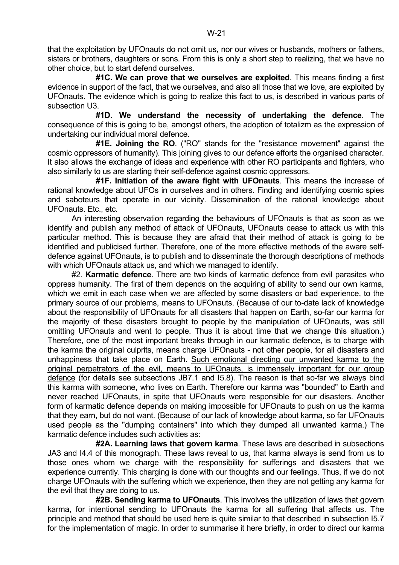that the exploitation by UFOnauts do not omit us, nor our wives or husbands, mothers or fathers, sisters or brothers, daughters or sons. From this is only a short step to realizing, that we have no other choice, but to start defend ourselves.

 **#1C. We can prove that we ourselves are exploited**. This means finding a first evidence in support of the fact, that we ourselves, and also all those that we love, are exploited by UFOnauts. The evidence which is going to realize this fact to us, is described in various parts of subsection U3.

 **#1D. We understand the necessity of undertaking the defence**. The consequence of this is going to be, amongst others, the adoption of totalizm as the expression of undertaking our individual moral defence.

 **#1E. Joining the RO**. ("RO" stands for the "resistance movement" against the cosmic oppressors of humanity). This joining gives to our defence efforts the organised character. It also allows the exchange of ideas and experience with other RO participants and fighters, who also similarly to us are starting their self-defence against cosmic oppressors.

 **#1F. Initiation of the aware fight with UFOnauts**. This means the increase of rational knowledge about UFOs in ourselves and in others. Finding and identifying cosmic spies and saboteurs that operate in our vicinity. Dissemination of the rational knowledge about UFOnauts. Etc., etc.

 An interesting observation regarding the behaviours of UFOnauts is that as soon as we identify and publish any method of attack of UFOnauts, UFOnauts cease to attack us with this particular method. This is because they are afraid that their method of attack is going to be identified and publicised further. Therefore, one of the more effective methods of the aware selfdefence against UFOnauts, is to publish and to disseminate the thorough descriptions of methods with which UFOnauts attack us, and which we managed to identify.

 #2. **Karmatic defence**. There are two kinds of karmatic defence from evil parasites who oppress humanity. The first of them depends on the acquiring of ability to send our own karma, which we emit in each case when we are affected by some disasters or bad experience, to the primary source of our problems, means to UFOnauts. (Because of our to-date lack of knowledge about the responsibility of UFOnauts for all disasters that happen on Earth, so-far our karma for the majority of these disasters brought to people by the manipulation of UFOnauts, was still omitting UFOnauts and went to people. Thus it is about time that we change this situation.) Therefore, one of the most important breaks through in our karmatic defence, is to charge with the karma the original culprits, means charge UFOnauts - not other people, for all disasters and unhappiness that take place on Earth. Such emotional directing our unwanted karma to the original perpetrators of the evil, means to UFOnauts, is immensely important for our group defence (for details see subsections JB7.1 and I5.8). The reason is that so-far we always bind this karma with someone, who lives on Earth. Therefore our karma was "bounded" to Earth and never reached UFOnauts, in spite that UFOnauts were responsible for our disasters. Another form of karmatic defence depends on making impossible for UFOnauts to push on us the karma that they earn, but do not want. (Because of our lack of knowledge about karma, so far UFOnauts used people as the "dumping containers" into which they dumped all unwanted karma.) The karmatic defence includes such activities as:

 **#2A. Learning laws that govern karma**. These laws are described in subsections JA3 and I4.4 of this monograph. These laws reveal to us, that karma always is send from us to those ones whom we charge with the responsibility for sufferings and disasters that we experience currently. This charging is done with our thoughts and our feelings. Thus, if we do not charge UFOnauts with the suffering which we experience, then they are not getting any karma for the evil that they are doing to us.

 **#2B. Sending karma to UFOnauts**. This involves the utilization of laws that govern karma, for intentional sending to UFOnauts the karma for all suffering that affects us. The principle and method that should be used here is quite similar to that described in subsection I5.7 for the implementation of magic. In order to summarise it here briefly, in order to direct our karma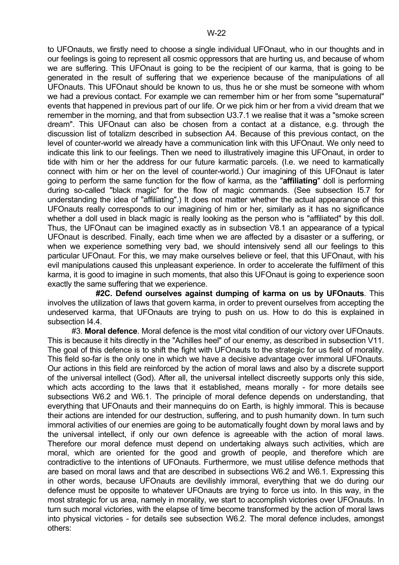to UFOnauts, we firstly need to choose a single individual UFOnaut, who in our thoughts and in our feelings is going to represent all cosmic oppressors that are hurting us, and because of whom we are suffering. This UFOnaut is going to be the recipient of our karma, that is going to be generated in the result of suffering that we experience because of the manipulations of all UFOnauts. This UFOnaut should be known to us, thus he or she must be someone with whom we had a previous contact. For example we can remember him or her from some "supernatural" events that happened in previous part of our life. Or we pick him or her from a vivid dream that we remember in the morning, and that from subsection U3.7.1 we realise that it was a "smoke screen dream". This UFOnaut can also be chosen from a contact at a distance, e.g. through the discussion list of totalizm described in subsection A4. Because of this previous contact, on the level of counter-world we already have a communication link with this UFOnaut. We only need to indicate this link to our feelings. Then we need to illustratively imagine this UFOnaut, in order to tide with him or her the address for our future karmatic parcels. (I.e. we need to karmatically connect with him or her on the level of counter-world.) Our imagining of this UFOnaut is later going to perform the same function for the flow of karma, as the "**affiliating**" doll is performing during so-called "black magic" for the flow of magic commands. (See subsection I5.7 for understanding the idea of "affiliating".) It does not matter whether the actual appearance of this UFOnauts really corresponds to our imagining of him or her, similarly as it has no significance whether a doll used in black magic is really looking as the person who is "affiliated" by this doll. Thus, the UFOnaut can be imagined exactly as in subsection V8.1 an appearance of a typical UFOnaut is described. Finally, each time when we are affected by a disaster or a suffering, or when we experience something very bad, we should intensively send all our feelings to this particular UFOnaut. For this, we may make ourselves believe or feel, that this UFOnaut, with his evil manipulations caused this unpleasant experience. In order to accelerate the fulfilment of this karma, it is good to imagine in such moments, that also this UFOnaut is going to experience soon exactly the same suffering that we experience.

 **#2C. Defend ourselves against dumping of karma on us by UFOnauts**. This involves the utilization of laws that govern karma, in order to prevent ourselves from accepting the undeserved karma, that UFOnauts are trying to push on us. How to do this is explained in subsection I4.4.

 #3. **Moral defence**. Moral defence is the most vital condition of our victory over UFOnauts. This is because it hits directly in the "Achilles heel" of our enemy, as described in subsection V11. The goal of this defence is to shift the fight with UFOnauts to the strategic for us field of morality. This field so-far is the only one in which we have a decisive advantage over immoral UFOnauts. Our actions in this field are reinforced by the action of moral laws and also by a discrete support of the universal intellect (God). After all, the universal intellect discreetly supports only this side, which acts according to the laws that it established, means morally - for more details see subsections W6.2 and W6.1. The principle of moral defence depends on understanding, that everything that UFOnauts and their mannequins do on Earth, is highly immoral. This is because their actions are intended for our destruction, suffering, and to push humanity down. In turn such immoral activities of our enemies are going to be automatically fought down by moral laws and by the universal intellect, if only our own defence is agreeable with the action of moral laws. Therefore our moral defence must depend on undertaking always such activities, which are moral, which are oriented for the good and growth of people, and therefore which are contradictive to the intentions of UFOnauts. Furthermore, we must utilise defence methods that are based on moral laws and that are described in subsections W6.2 and W6.1. Expressing this in other words, because UFOnauts are devilishly immoral, everything that we do during our defence must be opposite to whatever UFOnauts are trying to force us into. In this way, in the most strategic for us area, namely in morality, we start to accomplish victories over UFOnauts. In turn such moral victories, with the elapse of time become transformed by the action of moral laws into physical victories - for details see subsection W6.2. The moral defence includes, amongst others: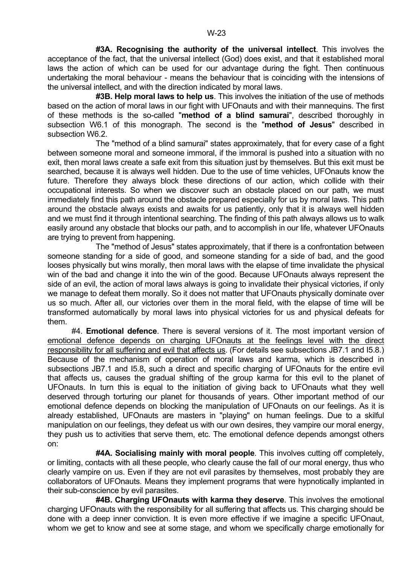**#3A. Recognising the authority of the universal intellect**. This involves the acceptance of the fact, that the universal intellect (God) does exist, and that it established moral laws the action of which can be used for our advantage during the fight. Then continuous undertaking the moral behaviour - means the behaviour that is coinciding with the intensions of the universal intellect, and with the direction indicated by moral laws.

 **#3B. Help moral laws to help us**. This involves the initiation of the use of methods based on the action of moral laws in our fight with UFOnauts and with their mannequins. The first of these methods is the so-called "**method of a blind samurai**", described thoroughly in subsection W6.1 of this monograph. The second is the "**method of Jesus**" described in subsection W6.2.

 The "method of a blind samurai" states approximately, that for every case of a fight between someone moral and someone immoral, if the immoral is pushed into a situation with no exit, then moral laws create a safe exit from this situation just by themselves. But this exit must be searched, because it is always well hidden. Due to the use of time vehicles, UFOnauts know the future. Therefore they always block these directions of our action, which collide with their occupational interests. So when we discover such an obstacle placed on our path, we must immediately find this path around the obstacle prepared especially for us by moral laws. This path around the obstacle always exists and awaits for us patiently, only that it is always well hidden and we must find it through intentional searching. The finding of this path always allows us to walk easily around any obstacle that blocks our path, and to accomplish in our life, whatever UFOnauts are trying to prevent from happening.

 The "method of Jesus" states approximately, that if there is a confrontation between someone standing for a side of good, and someone standing for a side of bad, and the good looses physically but wins morally, then moral laws with the elapse of time invalidate the physical win of the bad and change it into the win of the good. Because UFOnauts always represent the side of an evil, the action of moral laws always is going to invalidate their physical victories, if only we manage to defeat them morally. So it does not matter that UFOnauts physically dominate over us so much. After all, our victories over them in the moral field, with the elapse of time will be transformed automatically by moral laws into physical victories for us and physical defeats for them.

 #4. **Emotional defence**. There is several versions of it. The most important version of emotional defence depends on charging UFOnauts at the feelings level with the direct responsibility for all suffering and evil that affects us. (For details see subsections JB7.1 and I5.8.) Because of the mechanism of operation of moral laws and karma, which is described in subsections JB7.1 and I5.8, such a direct and specific charging of UFOnauts for the entire evil that affects us, causes the gradual shifting of the group karma for this evil to the planet of UFOnauts. In turn this is equal to the initiation of giving back to UFOnauts what they well deserved through torturing our planet for thousands of years. Other important method of our emotional defence depends on blocking the manipulation of UFOnauts on our feelings. As it is already established, UFOnauts are masters in "playing" on human feelings. Due to a skilful manipulation on our feelings, they defeat us with our own desires, they vampire our moral energy, they push us to activities that serve them, etc. The emotional defence depends amongst others on:

 **#4A. Socialising mainly with moral people**. This involves cutting off completely, or limiting, contacts with all these people, who clearly cause the fall of our moral energy, thus who clearly vampire on us. Even if they are not evil parasites by themselves, most probably they are collaborators of UFOnauts. Means they implement programs that were hypnotically implanted in their sub-conscience by evil parasites.

 **#4B. Charging UFOnauts with karma they deserve**. This involves the emotional charging UFOnauts with the responsibility for all suffering that affects us. This charging should be done with a deep inner conviction. It is even more effective if we imagine a specific UFOnaut, whom we get to know and see at some stage, and whom we specifically charge emotionally for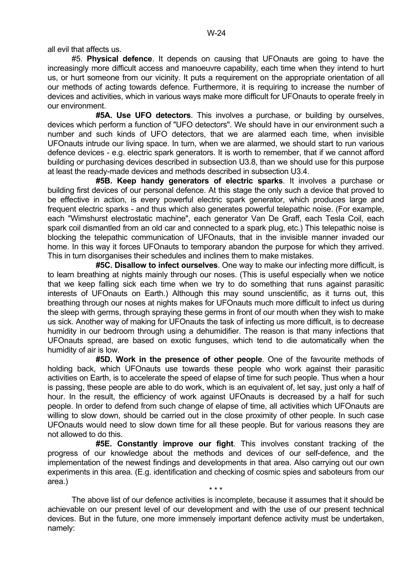all evil that affects us.

 #5. **Physical defence**. It depends on causing that UFOnauts are going to have the increasingly more difficult access and manoeuvre capability, each time when they intend to hurt us, or hurt someone from our vicinity. It puts a requirement on the appropriate orientation of all our methods of acting towards defence. Furthermore, it is requiring to increase the number of devices and activities, which in various ways make more difficult for UFOnauts to operate freely in our environment.

 **#5A. Use UFO detectors**. This involves a purchase, or building by ourselves, devices which perform a function of "UFO detectors". We should have in our environment such a number and such kinds of UFO detectors, that we are alarmed each time, when invisible UFOnauts intrude our living space. In turn, when we are alarmed, we should start to run various defence devices - e.g. electric spark generators. It is worth to remember, that if we cannot afford building or purchasing devices described in subsection U3.8, than we should use for this purpose at least the ready-made devices and methods described in subsection U3.4.

 **#5B. Keep handy generators of electric sparks**. It involves a purchase or building first devices of our personal defence. At this stage the only such a device that proved to be effective in action, is every powerful electric spark generator, which produces large and frequent electric sparks - and thus which also generates powerful telepathic noise. (For example, each "Wimshurst electrostatic machine", each generator Van De Graff, each Tesla Coil, each spark coil dismantled from an old car and connected to a spark plug, etc.) This telepathic noise is blocking the telepathic communication of UFOnauts, that in the invisible manner invaded our home. In this way it forces UFOnauts to temporary abandon the purpose for which they arrived. This in turn disorganises their schedules and inclines them to make mistakes.

 **#5C. Disallow to infect ourselves**. One way to make our infecting more difficult, is to learn breathing at nights mainly through our noses. (This is useful especially when we notice that we keep falling sick each time when we try to do something that runs against parasitic interests of UFOnauts on Earth.) Although this may sound unscientific, as it turns out, this breathing through our noses at nights makes for UFOnauts much more difficult to infect us during the sleep with germs, through spraying these germs in front of our mouth when they wish to make us sick. Another way of making for UFOnauts the task of infecting us more difficult, is to decrease humidity in our bedroom through using a dehumidifier. The reason is that many infections that UFOnauts spread, are based on exotic funguses, which tend to die automatically when the humidity of air is low.

 **#5D. Work in the presence of other people**. One of the favourite methods of holding back, which UFOnauts use towards these people who work against their parasitic activities on Earth, is to accelerate the speed of elapse of time for such people. Thus when a hour is passing, these people are able to do work, which is an equivalent of, let say, just only a half of hour. In the result, the efficiency of work against UFOnauts is decreased by a half for such people. In order to defend from such change of elapse of time, all activities which UFOnauts are willing to slow down, should be carried out in the close proximity of other people. In such case UFOnauts would need to slow down time for all these people. But for various reasons they are not allowed to do this.

 **#5E. Constantly improve our fight**. This involves constant tracking of the progress of our knowledge about the methods and devices of our self-defence, and the implementation of the newest findings and developments in that area. Also carrying out our own experiments in this area. (E.g. identification and checking of cosmic spies and saboteurs from our area.)

 The above list of our defence activities is incomplete, because it assumes that it should be achievable on our present level of our development and with the use of our present technical devices. But in the future, one more immensely important defence activity must be undertaken, namely:

 $\star \star \star$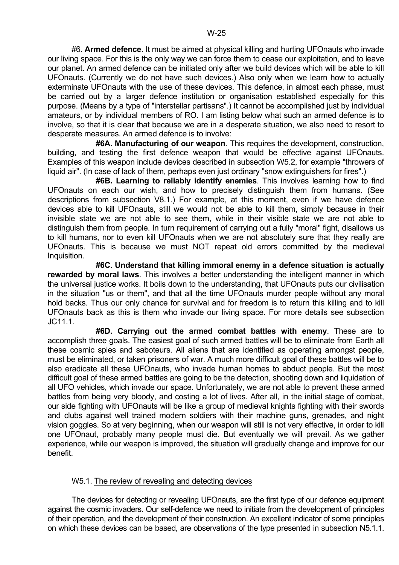#6. **Armed defence**. It must be aimed at physical killing and hurting UFOnauts who invade our living space. For this is the only way we can force them to cease our exploitation, and to leave our planet. An armed defence can be initiated only after we build devices which will be able to kill UFOnauts. (Currently we do not have such devices.) Also only when we learn how to actually exterminate UFOnauts with the use of these devices. This defence, in almost each phase, must be carried out by a larger defence institution or organisation established especially for this purpose. (Means by a type of "interstellar partisans".) It cannot be accomplished just by individual amateurs, or by individual members of RO. I am listing below what such an armed defence is to involve, so that it is clear that because we are in a desperate situation, we also need to resort to desperate measures. An armed defence is to involve:

 **#6A. Manufacturing of our weapon**. This requires the development, construction, building, and testing the first defence weapon that would be effective against UFOnauts. Examples of this weapon include devices described in subsection W5.2, for example "throwers of liquid air". (In case of lack of them, perhaps even just ordinary "snow extinguishers for fires".)

 **#6B. Learning to reliably identify enemies**. This involves learning how to find UFOnauts on each our wish, and how to precisely distinguish them from humans. (See descriptions from subsection V8.1.) For example, at this moment, even if we have defence devices able to kill UFOnauts, still we would not be able to kill them, simply because in their invisible state we are not able to see them, while in their visible state we are not able to distinguish them from people. In turn requirement of carrying out a fully "moral" fight, disallows us to kill humans, nor to even kill UFOnauts when we are not absolutely sure that they really are UFOnauts. This is because we must NOT repeat old errors committed by the medieval Inquisition.

 **#6C. Understand that killing immoral enemy in a defence situation is actually rewarded by moral laws**. This involves a better understanding the intelligent manner in which the universal justice works. It boils down to the understanding, that UFOnauts puts our civilisation in the situation "us or them", and that all the time UFOnauts murder people without any moral hold backs. Thus our only chance for survival and for freedom is to return this killing and to kill UFOnauts back as this is them who invade our living space. For more details see subsection JC11.1.

 **#6D. Carrying out the armed combat battles with enemy**. These are to accomplish three goals. The easiest goal of such armed battles will be to eliminate from Earth all these cosmic spies and saboteurs. All aliens that are identified as operating amongst people, must be eliminated, or taken prisoners of war. A much more difficult goal of these battles will be to also eradicate all these UFOnauts, who invade human homes to abduct people. But the most difficult goal of these armed battles are going to be the detection, shooting down and liquidation of all UFO vehicles, which invade our space. Unfortunately, we are not able to prevent these armed battles from being very bloody, and costing a lot of lives. After all, in the initial stage of combat, our side fighting with UFOnauts will be like a group of medieval knights fighting with their swords and clubs against well trained modern soldiers with their machine guns, grenades, and night vision goggles. So at very beginning, when our weapon will still is not very effective, in order to kill one UFOnaut, probably many people must die. But eventually we will prevail. As we gather experience, while our weapon is improved, the situation will gradually change and improve for our benefit.

#### W5.1. The review of revealing and detecting devices

 The devices for detecting or revealing UFOnauts, are the first type of our defence equipment against the cosmic invaders. Our self-defence we need to initiate from the development of principles of their operation, and the development of their construction. An excellent indicator of some principles on which these devices can be based, are observations of the type presented in subsection N5.1.1.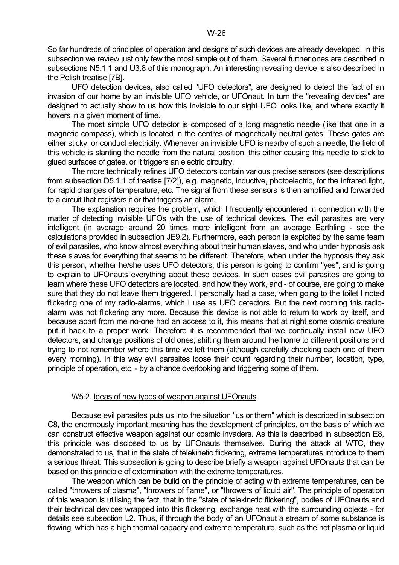So far hundreds of principles of operation and designs of such devices are already developed. In this subsection we review just only few the most simple out of them. Several further ones are described in subsections N5.1.1 and U3.8 of this monograph. An interesting revealing device is also described in the Polish treatise [7B].

 UFO detection devices, also called "UFO detectors", are designed to detect the fact of an invasion of our home by an invisible UFO vehicle, or UFOnaut. In turn the "revealing devices" are designed to actually show to us how this invisible to our sight UFO looks like, and where exactly it hovers in a given moment of time.

 The most simple UFO detector is composed of a long magnetic needle (like that one in a magnetic compass), which is located in the centres of magnetically neutral gates. These gates are either sticky, or conduct electricity. Whenever an invisible UFO is nearby of such a needle, the field of this vehicle is slanting the needle from the natural position, this either causing this needle to stick to glued surfaces of gates, or it triggers an electric circuitry.

 The more technically refines UFO detectors contain various precise sensors (see descriptions from subsection D5.1.1 of treatise [7/2]), e.g. magnetic, inductive, photoelectric, for the infrared light, for rapid changes of temperature, etc. The signal from these sensors is then amplified and forwarded to a circuit that registers it or that triggers an alarm.

 The explanation requires the problem, which I frequently encountered in connection with the matter of detecting invisible UFOs with the use of technical devices. The evil parasites are very intelligent (in average around 20 times more intelligent from an average Earthling - see the calculations provided in subsection JE9.2). Furthermore, each person is exploited by the same team of evil parasites, who know almost everything about their human slaves, and who under hypnosis ask these slaves for everything that seems to be different. Therefore, when under the hypnosis they ask this person, whether he/she uses UFO detectors, this person is going to confirm "yes", and is going to explain to UFOnauts everything about these devices. In such cases evil parasites are going to learn where these UFO detectors are located, and how they work, and - of course, are going to make sure that they do not leave them triggered. I personally had a case, when going to the toilet I noted flickering one of my radio-alarms, which I use as UFO detectors. But the next morning this radioalarm was not flickering any more. Because this device is not able to return to work by itself, and because apart from me no-one had an access to it, this means that at night some cosmic creature put it back to a proper work. Therefore it is recommended that we continually install new UFO detectors, and change positions of old ones, shifting them around the home to different positions and trying to not remember where this time we left them (although carefully checking each one of them every morning). In this way evil parasites loose their count regarding their number, location, type, principle of operation, etc. - by a chance overlooking and triggering some of them.

#### W5.2. Ideas of new types of weapon against UFOnauts

 Because evil parasites puts us into the situation "us or them" which is described in subsection C8, the enormously important meaning has the development of principles, on the basis of which we can construct effective weapon against our cosmic invaders. As this is described in subsection E8, this principle was disclosed to us by UFOnauts themselves. During the attack at WTC, they demonstrated to us, that in the state of telekinetic flickering, extreme temperatures introduce to them a serious threat. This subsection is going to describe briefly a weapon against UFOnauts that can be based on this principle of extermination with the extreme temperatures.

 The weapon which can be build on the principle of acting with extreme temperatures, can be called "throwers of plasma", "throwers of flame", or "throwers of liquid air". The principle of operation of this weapon is utilising the fact, that in the "state of telekinetic flickering", bodies of UFOnauts and their technical devices wrapped into this flickering, exchange heat with the surrounding objects - for details see subsection L2. Thus, if through the body of an UFOnaut a stream of some substance is flowing, which has a high thermal capacity and extreme temperature, such as the hot plasma or liquid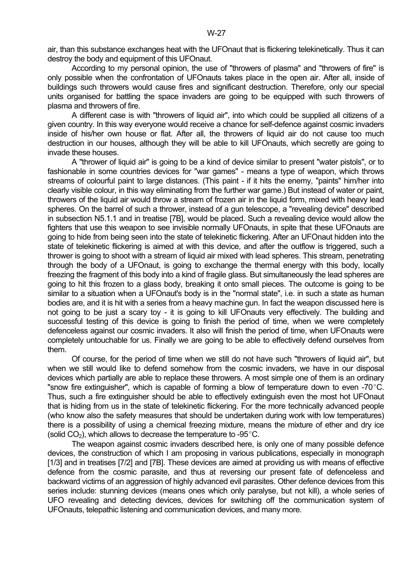air, than this substance exchanges heat with the UFOnaut that is flickering telekinetically. Thus it can destroy the body and equipment of this UFOnaut.

 According to my personal opinion, the use of "throwers of plasma" and "throwers of fire" is only possible when the confrontation of UFOnauts takes place in the open air. After all, inside of buildings such throwers would cause fires and significant destruction. Therefore, only our special units organised for battling the space invaders are going to be equipped with such throwers of plasma and throwers of fire.

 A different case is with "throwers of liquid air", into which could be supplied all citizens of a given country. In this way everyone would receive a chance for self-defence against cosmic invaders inside of his/her own house or flat. After all, the throwers of liquid air do not cause too much destruction in our houses, although they will be able to kill UFOnauts, which secretly are going to invade these houses.

 A "thrower of liquid air" is going to be a kind of device similar to present "water pistols", or to fashionable in some countries devices for "war games" - means a type of weapon, which throws streams of colourful paint to large distances. (This paint - if it hits the enemy, "paints" him/her into clearly visible colour, in this way eliminating from the further war game.) But instead of water or paint, throwers of the liquid air would throw a stream of frozen air in the liquid form, mixed with heavy lead spheres. On the barrel of such a thrower, instead of a gun telescope, a "revealing device" described in subsection N5.1.1 and in treatise [7B], would be placed. Such a revealing device would allow the fighters that use this weapon to see invisible normally UFOnauts, in spite that these UFOnauts are going to hide from being seen into the state of telekinetic flickering. After an UFOnaut hidden into the state of telekinetic flickering is aimed at with this device, and after the outflow is triggered, such a thrower is going to shoot with a stream of liquid air mixed with lead spheres. This stream, penetrating through the body of a UFOnaut, is going to exchange the thermal energy with this body, locally freezing the fragment of this body into a kind of fragile glass. But simultaneously the lead spheres are going to hit this frozen to a glass body, breaking it onto small pieces. The outcome is going to be similar to a situation when a UFOnaut's body is in the "normal state", i.e. in such a state as human bodies are, and it is hit with a series from a heavy machine gun. In fact the weapon discussed here is not going to be just a scary toy - it is going to kill UFOnauts very effectively. The building and successful testing of this device is going to finish the period of time, when we were completely defenceless against our cosmic invaders. It also will finish the period of time, when UFOnauts were completely untouchable for us. Finally we are going to be able to effectively defend ourselves from them.

 Of course, for the period of time when we still do not have such "throwers of liquid air", but when we still would like to defend somehow from the cosmic invaders, we have in our disposal devices which partially are able to replace these throwers. A most simple one of them is an ordinary "snow fire extinguisher", which is capable of forming a blow of temperature down to even  $-70^{\circ}$ C. Thus, such a fire extinguisher should be able to effectively extinguish even the most hot UFOnaut that is hiding from us in the state of telekinetic flickering. For the more technically advanced people (who know also the safety measures that should be undertaken during work with low temperatures) there is a possibility of using a chemical freezing mixture, means the mixture of ether and dry ice (solid  $CO<sub>2</sub>$ ), which allows to decrease the temperature to -95 $^{\circ}$ C.

 The weapon against cosmic invaders described here, is only one of many possible defence devices, the construction of which I am proposing in various publications, especially in monograph [1/3] and in treatises [7/2] and [7B]. These devices are aimed at providing us with means of effective defence from the cosmic parasite, and thus at reversing our present fate of defenceless and backward victims of an aggression of highly advanced evil parasites. Other defence devices from this series include: stunning devices (means ones which only paralyse, but not kill), a whole series of UFO revealing and detecting devices, devices for switching off the communication system of UFOnauts, telepathic listening and communication devices, and many more.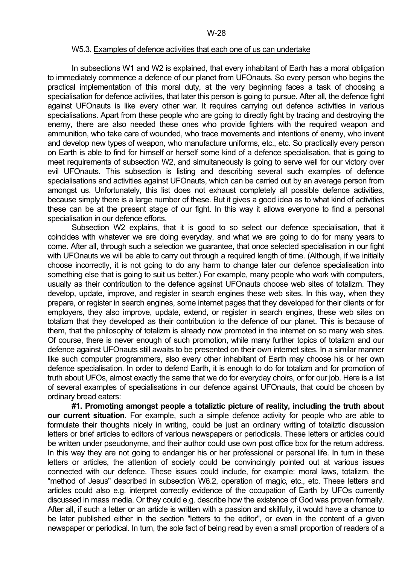#### W5.3. Examples of defence activities that each one of us can undertake

 In subsections W1 and W2 is explained, that every inhabitant of Earth has a moral obligation to immediately commence a defence of our planet from UFOnauts. So every person who begins the practical implementation of this moral duty, at the very beginning faces a task of choosing a specialisation for defence activities, that later this person is going to pursue. After all, the defence fight against UFOnauts is like every other war. It requires carrying out defence activities in various specialisations. Apart from these people who are going to directly fight by tracing and destroying the enemy, there are also needed these ones who provide fighters with the required weapon and ammunition, who take care of wounded, who trace movements and intentions of enemy, who invent and develop new types of weapon, who manufacture uniforms, etc., etc. So practically every person on Earth is able to find for himself or herself some kind of a defence specialisation, that is going to meet requirements of subsection W2, and simultaneously is going to serve well for our victory over evil UFOnauts. This subsection is listing and describing several such examples of defence specialisations and activities against UFOnauts, which can be carried out by an average person from amongst us. Unfortunately, this list does not exhaust completely all possible defence activities, because simply there is a large number of these. But it gives a good idea as to what kind of activities these can be at the present stage of our fight. In this way it allows everyone to find a personal specialisation in our defence efforts.

 Subsection W2 explains, that it is good to so select our defence specialisation, that it coincides with whatever we are doing everyday, and what we are going to do for many years to come. After all, through such a selection we guarantee, that once selected specialisation in our fight with UFOnauts we will be able to carry out through a required length of time. (Although, if we initially choose incorrectly, it is not going to do any harm to change later our defence specialisation into something else that is going to suit us better.) For example, many people who work with computers, usually as their contribution to the defence against UFOnauts choose web sites of totalizm. They develop, update, improve, and register in search engines these web sites. In this way, when they prepare, or register in search engines, some internet pages that they developed for their clients or for employers, they also improve, update, extend, or register in search engines, these web sites on totalizm that they developed as their contribution to the defence of our planet. This is because of them, that the philosophy of totalizm is already now promoted in the internet on so many web sites. Of course, there is never enough of such promotion, while many further topics of totalizm and our defence against UFOnauts still awaits to be presented on their own internet sites. In a similar manner like such computer programmers, also every other inhabitant of Earth may choose his or her own defence specialisation. In order to defend Earth, it is enough to do for totalizm and for promotion of truth about UFOs, almost exactly the same that we do for everyday choirs, or for our job. Here is a list of several examples of specialisations in our defence against UFOnauts, that could be chosen by ordinary bread eaters:

 **#1. Promoting amongst people a totaliztic picture of reality, including the truth about our current situation**. For example, such a simple defence activity for people who are able to formulate their thoughts nicely in writing, could be just an ordinary writing of totaliztic discussion letters or brief articles to editors of various newspapers or periodicals. These letters or articles could be written under pseudonyme, and their author could use own post office box for the return address. In this way they are not going to endanger his or her professional or personal life. In turn in these letters or articles, the attention of society could be convincingly pointed out at various issues connected with our defence. These issues could include, for example: moral laws, totalizm, the "method of Jesus" described in subsection W6.2, operation of magic, etc., etc. These letters and articles could also e.g. interpret correctly evidence of the occupation of Earth by UFOs currently discussed in mass media. Or they could e.g. describe how the existence of God was proven formally. After all, if such a letter or an article is written with a passion and skilfully, it would have a chance to be later published either in the section "letters to the editor", or even in the content of a given newspaper or periodical. In turn, the sole fact of being read by even a small proportion of readers of a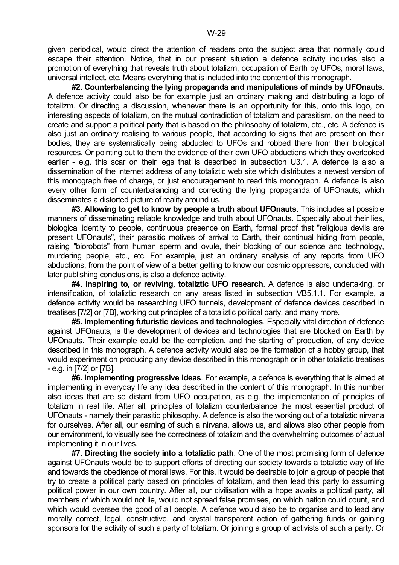universal intellect, etc. Means everything that is included into the content of this monograph.  **#2. Counterbalancing the lying propaganda and manipulations of minds by UFOnauts**. A defence activity could also be for example just an ordinary making and distributing a logo of totalizm. Or directing a discussion, whenever there is an opportunity for this, onto this logo, on interesting aspects of totalizm, on the mutual contradiction of totalizm and parasitism, on the need to create and support a political party that is based on the philosophy of totalizm, etc., etc. A defence is also just an ordinary realising to various people, that according to signs that are present on their bodies, they are systematically being abducted to UFOs and robbed there from their biological resources. Or pointing out to them the evidence of their own UFO abductions which they overlooked earlier - e.g. this scar on their legs that is described in subsection U3.1. A defence is also a dissemination of the internet address of any totaliztic web site which distributes a newest version of this monograph free of charge, or just encouragement to read this monograph. A defence is also every other form of counterbalancing and correcting the lying propaganda of UFOnauts, which disseminates a distorted picture of reality around us.

 **#3. Allowing to get to know by people a truth about UFOnauts**. This includes all possible manners of disseminating reliable knowledge and truth about UFOnauts. Especially about their lies, biological identity to people, continuous presence on Earth, formal proof that "religious devils are present UFOnauts", their parasitic motives of arrival to Earth, their continual hiding from people, raising "biorobots" from human sperm and ovule, their blocking of our science and technology, murdering people, etc., etc. For example, just an ordinary analysis of any reports from UFO abductions, from the point of view of a better getting to know our cosmic oppressors, concluded with later publishing conclusions, is also a defence activity.

 **#4. Inspiring to, or reviving, totaliztic UFO research**. A defence is also undertaking, or intensification, of totaliztic research on any areas listed in subsection VB5.1.1. For example, a defence activity would be researching UFO tunnels, development of defence devices described in treatises [7/2] or [7B], working out principles of a totaliztic political party, and many more.

 **#5. Implementing futuristic devices and technologies**. Especially vital direction of defence against UFOnauts, is the development of devices and technologies that are blocked on Earth by UFOnauts. Their example could be the completion, and the starting of production, of any device described in this monograph. A defence activity would also be the formation of a hobby group, that would experiment on producing any device described in this monograph or in other totaliztic treatises - e.g. in [7/2] or [7B].

 **#6. Implementing progressive ideas**. For example, a defence is everything that is aimed at implementing in everyday life any idea described in the content of this monograph. In this number also ideas that are so distant from UFO occupation, as e.g. the implementation of principles of totalizm in real life. After all, principles of totalizm counterbalance the most essential product of UFOnauts - namely their parasitic philosophy. A defence is also the working out of a totaliztic nirvana for ourselves. After all, our earning of such a nirvana, allows us, and allows also other people from our environment, to visually see the correctness of totalizm and the overwhelming outcomes of actual implementing it in our lives.

 **#7. Directing the society into a totaliztic path**. One of the most promising form of defence against UFOnauts would be to support efforts of directing our society towards a totaliztic way of life and towards the obedience of moral laws. For this, it would be desirable to join a group of people that try to create a political party based on principles of totalizm, and then lead this party to assuming political power in our own country. After all, our civilisation with a hope awaits a political party, all members of which would not lie, would not spread false promises, on which nation could count, and which would oversee the good of all people. A defence would also be to organise and to lead any morally correct, legal, constructive, and crystal transparent action of gathering funds or gaining sponsors for the activity of such a party of totalizm. Or joining a group of activists of such a party. Or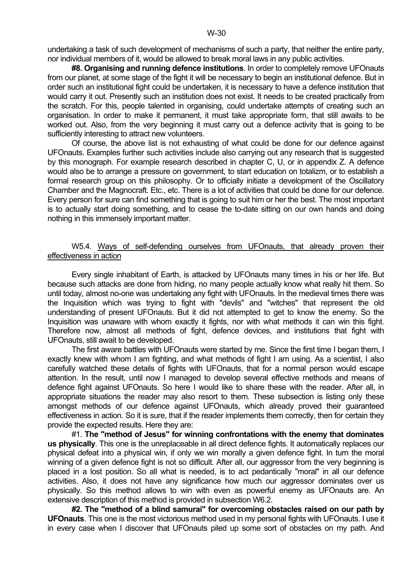undertaking a task of such development of mechanisms of such a party, that neither the entire party, nor individual members of it, would be allowed to break moral laws in any public activities.

 **#8. Organising and running defence institutions**. In order to completely remove UFOnauts from our planet, at some stage of the fight it will be necessary to begin an institutional defence. But in order such an institutional fight could be undertaken, it is necessary to have a defence institution that would carry it out. Presently such an institution does not exist. It needs to be created practically from the scratch. For this, people talented in organising, could undertake attempts of creating such an organisation. In order to make it permanent, it must take appropriate form, that still awaits to be worked out. Also, from the very beginning it must carry out a defence activity that is going to be sufficiently interesting to attract new volunteers.

 Of course, the above list is not exhausting of what could be done for our defence against UFOnauts. Examples further such activities include also carrying out any research that is suggested by this monograph. For example research described in chapter C, U, or in appendix Z. A defence would also be to arrange a pressure on government, to start education on totalizm, or to establish a formal research group on this philosophy. Or to officially initiate a development of the Oscillatory Chamber and the Magnocraft. Etc., etc. There is a lot of activities that could be done for our defence. Every person for sure can find something that is going to suit him or her the best. The most important is to actually start doing something, and to cease the to-date sitting on our own hands and doing nothing in this immensely important matter.

#### W5.4. Ways of self-defending ourselves from UFOnauts, that already proven their effectiveness in action

 Every single inhabitant of Earth, is attacked by UFOnauts many times in his or her life. But because such attacks are done from hiding, no many people actually know what really hit them. So until today, almost no-one was undertaking any fight with UFOnauts. In the medieval times there was the Inquisition which was trying to fight with "devils" and "witches" that represent the old understanding of present UFOnauts. But it did not attempted to get to know the enemy. So the Inquisition was unaware with whom exactly it fights, nor with what methods it can win this fight. Therefore now, almost all methods of fight, defence devices, and institutions that fight with UFOnauts, still await to be developed.

 The first aware battles with UFOnauts were started by me. Since the first time I began them, I exactly knew with whom I am fighting, and what methods of fight I am using. As a scientist, I also carefully watched these details of fights with UFOnauts, that for a normal person would escape attention. In the result, until now I managed to develop several effective methods and means of defence fight against UFOnauts. So here I would like to share these with the reader. After all, in appropriate situations the reader may also resort to them. These subsection is listing only these amongst methods of our defence against UFOnauts, which already proved their guaranteed effectiveness in action. So it is sure, that if the reader implements them correctly, then for certain they provide the expected results. Here they are:

 #1. **The "method of Jesus" for winning confrontations with the enemy that dominates us physically**. This one is the unreplaceable in all direct defence fights. It automatically replaces our physical defeat into a physical win, if only we win morally a given defence fight. In turn the moral winning of a given defence fight is not so difficult. After all, our aggressor from the very beginning is placed in a lost position. So all what is needed, is to act pedantically "moral" in all our defence activities. Also, it does not have any significance how much our aggressor dominates over us physically. So this method allows to win with even as powerful enemy as UFOnauts are. An extensive description of this method is provided in subsection W6.2.

 **#2. The "method of a blind samurai" for overcoming obstacles raised on our path by UFOnauts**. This one is the most victorious method used in my personal fights with UFOnauts. I use it in every case when I discover that UFOnauts piled up some sort of obstacles on my path. And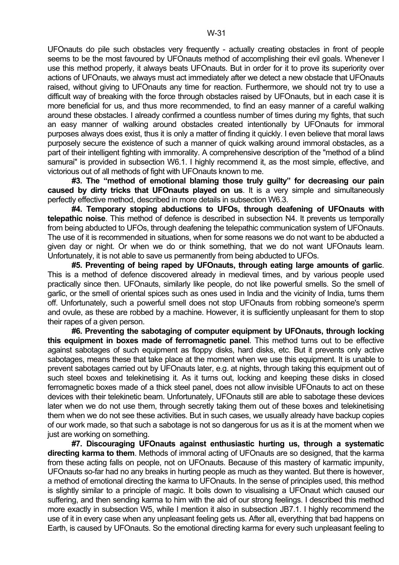UFOnauts do pile such obstacles very frequently - actually creating obstacles in front of people seems to be the most favoured by UFOnauts method of accomplishing their evil goals. Whenever I use this method properly, it always beats UFOnauts. But in order for it to prove its superiority over actions of UFOnauts, we always must act immediately after we detect a new obstacle that UFOnauts raised, without giving to UFOnauts any time for reaction. Furthermore, we should not try to use a difficult way of breaking with the force through obstacles raised by UFOnauts, but in each case it is more beneficial for us, and thus more recommended, to find an easy manner of a careful walking around these obstacles. I already confirmed a countless number of times during my fights, that such an easy manner of walking around obstacles created intentionally by UFOnauts for immoral purposes always does exist, thus it is only a matter of finding it quickly. I even believe that moral laws purposely secure the existence of such a manner of quick walking around immoral obstacles, as a part of their intelligent fighting with immorality. A comprehensive description of the "method of a blind samurai" is provided in subsection W6.1. I highly recommend it, as the most simple, effective, and victorious out of all methods of fight with UFOnauts known to me.

**#3. The "method of emotional blaming those truly guilty" for decreasing our pain caused by dirty tricks that UFOnauts played on us**. It is a very simple and simultaneously perfectly effective method, described in more details in subsection W6.3.

 **#4. Temporary stoping abductions to UFOs, through deafening of UFOnauts with telepathic noise**. This method of defence is described in subsection N4. It prevents us temporally from being abducted to UFOs, through deafening the telepathic communication system of UFOnauts. The use of it is recommended in situations, when for some reasons we do not want to be abducted a given day or night. Or when we do or think something, that we do not want UFOnauts learn. Unfortunately, it is not able to save us permanently from being abducted to UFOs.

 **#5. Preventing of being raped by UFOnauts, through eating large amounts of garlic**. This is a method of defence discovered already in medieval times, and by various people used practically since then. UFOnauts, similarly like people, do not like powerful smells. So the smell of garlic, or the smell of oriental spices such as ones used in India and the vicinity of India, turns them off. Unfortunately, such a powerful smell does not stop UFOnauts from robbing someone's sperm and ovule, as these are robbed by a machine. However, it is sufficiently unpleasant for them to stop their rapes of a given person.

 **#6. Preventing the sabotaging of computer equipment by UFOnauts, through locking this equipment in boxes made of ferromagnetic panel**. This method turns out to be effective against sabotages of such equipment as floppy disks, hard disks, etc. But it prevents only active sabotages, means these that take place at the moment when we use this equipment. It is unable to prevent sabotages carried out by UFOnauts later, e.g. at nights, through taking this equipment out of such steel boxes and telekinetising it. As it turns out, locking and keeping these disks in closed ferromagnetic boxes made of a thick steel panel, does not allow invisible UFOnauts to act on these devices with their telekinetic beam. Unfortunately, UFOnauts still are able to sabotage these devices later when we do not use them, through secretly taking them out of these boxes and telekinetising them when we do not see these activities. But in such cases, we usually already have backup copies of our work made, so that such a sabotage is not so dangerous for us as it is at the moment when we just are working on something.

 **#7. Discouraging UFOnauts against enthusiastic hurting us, through a systematic directing karma to them**. Methods of immoral acting of UFOnauts are so designed, that the karma from these acting falls on people, not on UFOnauts. Because of this mastery of karmatic impunity, UFOnauts so-far had no any breaks in hurting people as much as they wanted. But there is however, a method of emotional directing the karma to UFOnauts. In the sense of principles used, this method is slightly similar to a principle of magic. It boils down to visualising a UFOnaut which caused our suffering, and then sending karma to him with the aid of our strong feelings. I described this method more exactly in subsection W5, while I mention it also in subsection JB7.1. I highly recommend the use of it in every case when any unpleasant feeling gets us. After all, everything that bad happens on Earth, is caused by UFOnauts. So the emotional directing karma for every such unpleasant feeling to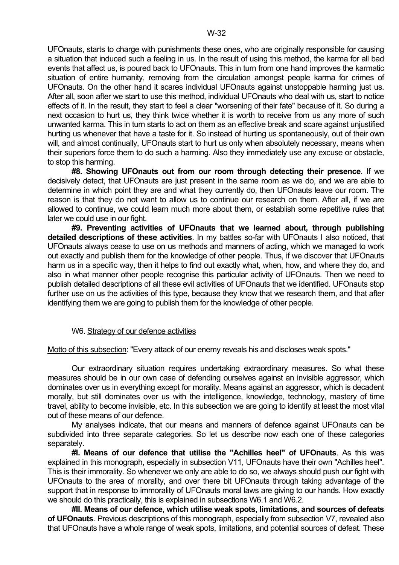UFOnauts, starts to charge with punishments these ones, who are originally responsible for causing a situation that induced such a feeling in us. In the result of using this method, the karma for all bad events that affect us, is poured back to UFOnauts. This in turn from one hand improves the karmatic situation of entire humanity, removing from the circulation amongst people karma for crimes of UFOnauts. On the other hand it scares individual UFOnauts against unstoppable harming just us. After all, soon after we start to use this method, individual UFOnauts who deal with us, start to notice effects of it. In the result, they start to feel a clear "worsening of their fate" because of it. So during a next occasion to hurt us, they think twice whether it is worth to receive from us any more of such unwanted karma. This in turn starts to act on them as an effective break and scare against unjustified hurting us whenever that have a taste for it. So instead of hurting us spontaneously, out of their own will, and almost continually, UFOnauts start to hurt us only when absolutely necessary, means when their superiors force them to do such a harming. Also they immediately use any excuse or obstacle, to stop this harming.

 **#8. Showing UFOnauts out from our room through detecting their presence**. If we decisively detect, that UFOnauts are just present in the same room as we do, and we are able to determine in which point they are and what they currently do, then UFOnauts leave our room. The reason is that they do not want to allow us to continue our research on them. After all, if we are allowed to continue, we could learn much more about them, or establish some repetitive rules that later we could use in our fight.

 **#9. Preventing activities of UFOnauts that we learned about, through publishing detailed descriptions of these activities**. In my battles so-far with UFOnauts I also noticed, that UFOnauts always cease to use on us methods and manners of acting, which we managed to work out exactly and publish them for the knowledge of other people. Thus, if we discover that UFOnauts harm us in a specific way, then it helps to find out exactly what, when, how, and where they do, and also in what manner other people recognise this particular activity of UFOnauts. Then we need to publish detailed descriptions of all these evil activities of UFOnauts that we identified. UFOnauts stop further use on us the activities of this type, because they know that we research them, and that after identifying them we are going to publish them for the knowledge of other people.

#### W6. Strategy of our defence activities

Motto of this subsection: "Every attack of our enemy reveals his and discloses weak spots."

 Our extraordinary situation requires undertaking extraordinary measures. So what these measures should be in our own case of defending ourselves against an invisible aggressor, which dominates over us in everything except for morality. Means against an aggressor, which is decadent morally, but still dominates over us with the intelligence, knowledge, technology, mastery of time travel, ability to become invisible, etc. In this subsection we are going to identify at least the most vital out of these means of our defence.

 My analyses indicate, that our means and manners of defence against UFOnauts can be subdivided into three separate categories. So let us describe now each one of these categories separately.

 **#I. Means of our defence that utilise the "Achilles heel" of UFOnauts**. As this was explained in this monograph, especially in subsection V11, UFOnauts have their own "Achilles heel". This is their immorality. So whenever we only are able to do so, we always should push our fight with UFOnauts to the area of morality, and over there bit UFOnauts through taking advantage of the support that in response to immorality of UFOnauts moral laws are giving to our hands. How exactly we should do this practically, this is explained in subsections W6.1 and W6.2.

 **#II. Means of our defence, which utilise weak spots, limitations, and sources of defeats of UFOnauts**. Previous descriptions of this monograph, especially from subsection V7, revealed also that UFOnauts have a whole range of weak spots, limitations, and potential sources of defeat. These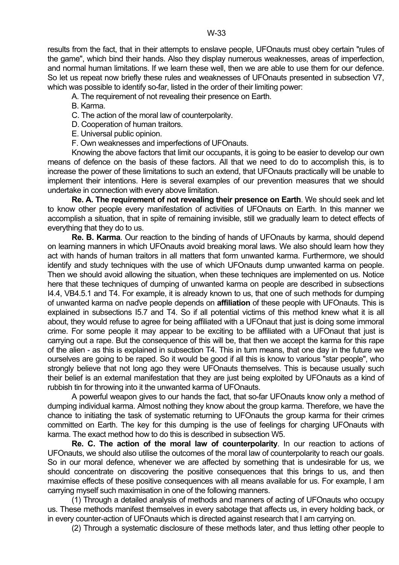results from the fact, that in their attempts to enslave people, UFOnauts must obey certain "rules of the game", which bind their hands. Also they display numerous weaknesses, areas of imperfection, and normal human limitations. If we learn these well, then we are able to use them for our defence. So let us repeat now briefly these rules and weaknesses of UFOnauts presented in subsection V7, which was possible to identify so-far, listed in the order of their limiting power:

A. The requirement of not revealing their presence on Earth.

B. Karma.

C. The action of the moral law of counterpolarity.

D. Cooperation of human traitors.

E. Universal public opinion.

F. Own weaknesses and imperfections of UFOnauts.

 Knowing the above factors that limit our occupants, it is going to be easier to develop our own means of defence on the basis of these factors. All that we need to do to accomplish this, is to increase the power of these limitations to such an extend, that UFOnauts practically will be unable to implement their intentions. Here is several examples of our prevention measures that we should undertake in connection with every above limitation.

 **Re. A. The requirement of not revealing their presence on Earth**. We should seek and let to know other people every manifestation of activities of UFOnauts on Earth. In this manner we accomplish a situation, that in spite of remaining invisible, still we gradually learn to detect effects of everything that they do to us.

 **Re. B. Karma**. Our reaction to the binding of hands of UFOnauts by karma, should depend on learning manners in which UFOnauts avoid breaking moral laws. We also should learn how they act with hands of human traitors in all matters that form unwanted karma. Furthermore, we should identify and study techniques with the use of which UFOnauts dump unwanted karma on people. Then we should avoid allowing the situation, when these techniques are implemented on us. Notice here that these techniques of dumping of unwanted karma on people are described in subsections I4.4, VB4.5.1 and T4. For example, it is already known to us, that one of such methods for dumping of unwanted karma on naďve people depends on **affiliation** of these people with UFOnauts. This is explained in subsections I5.7 and T4. So if all potential victims of this method knew what it is all about, they would refuse to agree for being affiliated with a UFOnaut that just is doing some immoral crime. For some people it may appear to be exciting to be affiliated with a UFOnaut that just is carrying out a rape. But the consequence of this will be, that then we accept the karma for this rape of the alien - as this is explained in subsection T4. This in turn means, that one day in the future we ourselves are going to be raped. So it would be good if all this is know to various "star people", who strongly believe that not long ago they were UFOnauts themselves. This is because usually such their belief is an external manifestation that they are just being exploited by UFOnauts as a kind of rubbish tin for throwing into it the unwanted karma of UFOnauts.

 A powerful weapon gives to our hands the fact, that so-far UFOnauts know only a method of dumping individual karma. Almost nothing they know about the group karma. Therefore, we have the chance to initiating the task of systematic returning to UFOnauts the group karma for their crimes committed on Earth. The key for this dumping is the use of feelings for charging UFOnauts with karma. The exact method how to do this is described in subsection W5.

 **Re. C. The action of the moral law of counterpolarity**. In our reaction to actions of UFOnauts, we should also utilise the outcomes of the moral law of counterpolarity to reach our goals. So in our moral defence, whenever we are affected by something that is undesirable for us, we should concentrate on discovering the positive consequences that this brings to us, and then maximise effects of these positive consequences with all means available for us. For example, I am carrying myself such maximisation in one of the following manners.

 (1) Through a detailed analysis of methods and manners of acting of UFOnauts who occupy us. These methods manifest themselves in every sabotage that affects us, in every holding back, or in every counter-action of UFOnauts which is directed against research that I am carrying on.

(2) Through a systematic disclosure of these methods later, and thus letting other people to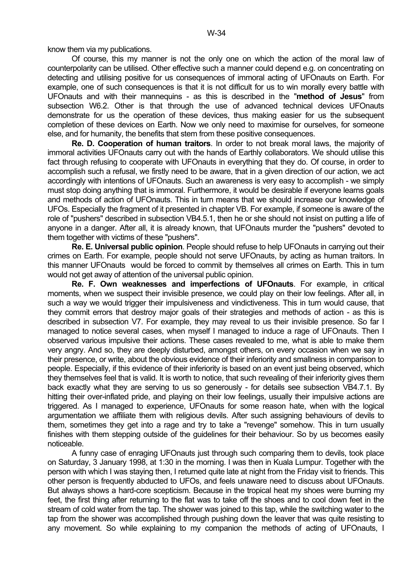know them via my publications.

 Of course, this my manner is not the only one on which the action of the moral law of counterpolarity can be utilised. Other effective such a manner could depend e.g. on concentrating on detecting and utilising positive for us consequences of immoral acting of UFOnauts on Earth. For example, one of such consequences is that it is not difficult for us to win morally every battle with UFOnauts and with their mannequins - as this is described in the "**method of Jesus**" from subsection W6.2. Other is that through the use of advanced technical devices UFOnauts demonstrate for us the operation of these devices, thus making easier for us the subsequent completion of these devices on Earth. Now we only need to maximise for ourselves, for someone else, and for humanity, the benefits that stem from these positive consequences.

 **Re. D. Cooperation of human traitors**. In order to not break moral laws, the majority of immoral activities UFOnauts carry out with the hands of Earthly collaborators. We should utilise this fact through refusing to cooperate with UFOnauts in everything that they do. Of course, in order to accomplish such a refusal, we firstly need to be aware, that in a given direction of our action, we act accordingly with intentions of UFOnauts. Such an awareness is very easy to accomplish - we simply must stop doing anything that is immoral. Furthermore, it would be desirable if everyone learns goals and methods of action of UFOnauts. This in turn means that we should increase our knowledge of UFOs. Especially the fragment of it presented in chapter VB. For example, if someone is aware of the role of "pushers" described in subsection VB4.5.1, then he or she should not insist on putting a life of anyone in a danger. After all, it is already known, that UFOnauts murder the "pushers" devoted to them together with victims of these "pushers".

 **Re. E. Universal public opinion**. People should refuse to help UFOnauts in carrying out their crimes on Earth. For example, people should not serve UFOnauts, by acting as human traitors. In this manner UFOnauts would be forced to commit by themselves all crimes on Earth. This in turn would not get away of attention of the universal public opinion.

 **Re. F. Own weaknesses and imperfections of UFOnauts**. For example, in critical moments, when we suspect their invisible presence, we could play on their low feelings. After all, in such a way we would trigger their impulsiveness and vindictiveness. This in turn would cause, that they commit errors that destroy major goals of their strategies and methods of action - as this is described in subsection V7. For example, they may reveal to us their invisible presence. So far I managed to notice several cases, when myself I managed to induce a rage of UFOnauts. Then I observed various impulsive their actions. These cases revealed to me, what is able to make them very angry. And so, they are deeply disturbed, amongst others, on every occasion when we say in their presence, or write, about the obvious evidence of their inferiority and smallness in comparison to people. Especially, if this evidence of their inferiority is based on an event just being observed, which they themselves feel that is valid. It is worth to notice, that such revealing of their inferiority gives them back exactly what they are serving to us so generously - for details see subsection VB4.7.1. By hitting their over-inflated pride, and playing on their low feelings, usually their impulsive actions are triggered. As I managed to experience, UFOnauts for some reason hate, when with the logical argumentation we affiliate them with religious devils. After such assigning behaviours of devils to them, sometimes they get into a rage and try to take a "revenge" somehow. This in turn usually finishes with them stepping outside of the guidelines for their behaviour. So by us becomes easily noticeable.

 A funny case of enraging UFOnauts just through such comparing them to devils, took place on Saturday, 3 January 1998, at 1:30 in the morning. I was then in Kuala Lumpur. Together with the person with which I was staying then, I returned quite late at night from the Friday visit to friends. This other person is frequently abducted to UFOs, and feels unaware need to discuss about UFOnauts. But always shows a hard-core scepticism. Because in the tropical heat my shoes were burning my feet, the first thing after returning to the flat was to take off the shoes and to cool down feet in the stream of cold water from the tap. The shower was joined to this tap, while the switching water to the tap from the shower was accomplished through pushing down the leaver that was quite resisting to any movement. So while explaining to my companion the methods of acting of UFOnauts, I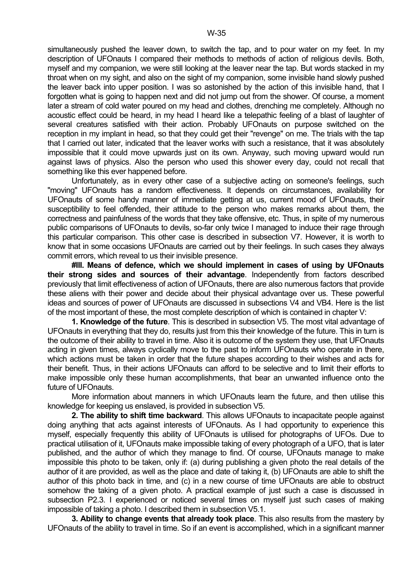simultaneously pushed the leaver down, to switch the tap, and to pour water on my feet. In my description of UFOnauts I compared their methods to methods of action of religious devils. Both, myself and my companion, we were still looking at the leaver near the tap. But words stacked in my throat when on my sight, and also on the sight of my companion, some invisible hand slowly pushed the leaver back into upper position. I was so astonished by the action of this invisible hand, that I forgotten what is going to happen next and did not jump out from the shower. Of course, a moment later a stream of cold water poured on my head and clothes, drenching me completely. Although no acoustic effect could be heard, in my head I heard like a telepathic feeling of a blast of laughter of several creatures satisfied with their action. Probably UFOnauts on purpose switched on the reception in my implant in head, so that they could get their "revenge" on me. The trials with the tap that I carried out later, indicated that the leaver works with such a resistance, that it was absolutely impossible that it could move upwards just on its own. Anyway, such moving upward would run against laws of physics. Also the person who used this shower every day, could not recall that something like this ever happened before.

 Unfortunately, as in every other case of a subjective acting on someone's feelings, such "moving" UFOnauts has a random effectiveness. It depends on circumstances, availability for UFOnauts of some handy manner of immediate getting at us, current mood of UFOnauts, their susceptibility to feel offended, their attitude to the person who makes remarks about them, the correctness and painfulness of the words that they take offensive, etc. Thus, in spite of my numerous public comparisons of UFOnauts to devils, so-far only twice I managed to induce their rage through this particular comparison. This other case is described in subsection V7. However, it is worth to know that in some occasions UFOnauts are carried out by their feelings. In such cases they always commit errors, which reveal to us their invisible presence.

 **#III. Means of defence, which we should implement in cases of using by UFOnauts their strong sides and sources of their advantage**. Independently from factors described previously that limit effectiveness of action of UFOnauts, there are also numerous factors that provide these aliens with their power and decide about their physical advantage over us. These powerful ideas and sources of power of UFOnauts are discussed in subsections V4 and VB4. Here is the list of the most important of these, the most complete description of which is contained in chapter V:

 **1. Knowledge of the future**. This is described in subsection V5. The most vital advantage of UFOnauts in everything that they do, results just from this their knowledge of the future. This in turn is the outcome of their ability to travel in time. Also it is outcome of the system they use, that UFOnauts acting in given times, always cyclically move to the past to inform UFOnauts who operate in there, which actions must be taken in order that the future shapes according to their wishes and acts for their benefit. Thus, in their actions UFOnauts can afford to be selective and to limit their efforts to make impossible only these human accomplishments, that bear an unwanted influence onto the future of UFOnauts.

 More information about manners in which UFOnauts learn the future, and then utilise this knowledge for keeping us enslaved, is provided in subsection V5.

 **2. The ability to shift time backward**. This allows UFOnauts to incapacitate people against doing anything that acts against interests of UFOnauts. As I had opportunity to experience this myself, especially frequently this ability of UFOnauts is utilised for photographs of UFOs. Due to practical utilisation of it, UFOnauts make impossible taking of every photograph of a UFO, that is later published, and the author of which they manage to find. Of course, UFOnauts manage to make impossible this photo to be taken, only if: (a) during publishing a given photo the real details of the author of it are provided, as well as the place and date of taking it, (b) UFOnauts are able to shift the author of this photo back in time, and (c) in a new course of time UFOnauts are able to obstruct somehow the taking of a given photo. A practical example of just such a case is discussed in subsection P2.3. I experienced or noticed several times on myself just such cases of making impossible of taking a photo. I described them in subsection V5.1.

 **3. Ability to change events that already took place**. This also results from the mastery by UFOnauts of the ability to travel in time. So if an event is accomplished, which in a significant manner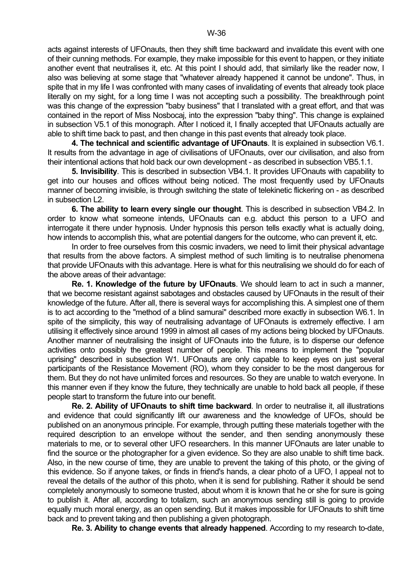acts against interests of UFOnauts, then they shift time backward and invalidate this event with one of their cunning methods. For example, they make impossible for this event to happen, or they initiate another event that neutralises it, etc. At this point I should add, that similarly like the reader now, I also was believing at some stage that "whatever already happened it cannot be undone". Thus, in spite that in my life I was confronted with many cases of invalidating of events that already took place literally on my sight, for a long time I was not accepting such a possibility. The breakthrough point was this change of the expression "baby business" that I translated with a great effort, and that was contained in the report of Miss Nosbocaj, into the expression "baby thing". This change is explained in subsection V5.1 of this monograph. After I noticed it, I finally accepted that UFOnauts actually are able to shift time back to past, and then change in this past events that already took place.

 **4. The technical and scientific advantage of UFOnauts**. It is explained in subsection V6.1. It results from the advantage in age of civilisations of UFOnauts, over our civilisation, and also from their intentional actions that hold back our own development - as described in subsection VB5.1.1.

 **5. Invisibility**. This is described in subsection VB4.1. It provides UFOnauts with capability to get into our houses and offices without being noticed. The most frequently used by UFOnauts manner of becoming invisible, is through switching the state of telekinetic flickering on - as described in subsection L2.

 **6. The ability to learn every single our thought**. This is described in subsection VB4.2. In order to know what someone intends, UFOnauts can e.g. abduct this person to a UFO and interrogate it there under hypnosis. Under hypnosis this person tells exactly what is actually doing, how intends to accomplish this, what are potential dangers for the outcome, who can prevent it, etc.

 In order to free ourselves from this cosmic invaders, we need to limit their physical advantage that results from the above factors. A simplest method of such limiting is to neutralise phenomena that provide UFOnauts with this advantage. Here is what for this neutralising we should do for each of the above areas of their advantage:

 **Re. 1. Knowledge of the future by UFOnauts**. We should learn to act in such a manner, that we become resistant against sabotages and obstacles caused by UFOnauts in the result of their knowledge of the future. After all, there is several ways for accomplishing this. A simplest one of them is to act according to the "method of a blind samurai" described more exactly in subsection W6.1. In spite of the simplicity, this way of neutralising advantage of UFOnauts is extremely effective. I am utilising it effectively since around 1999 in almost all cases of my actions being blocked by UFOnauts. Another manner of neutralising the insight of UFOnauts into the future, is to disperse our defence activities onto possibly the greatest number of people. This means to implement the "popular uprising" described in subsection W1. UFOnauts are only capable to keep eyes on just several participants of the Resistance Movement (RO), whom they consider to be the most dangerous for them. But they do not have unlimited forces and resources. So they are unable to watch everyone. In this manner even if they know the future, they technically are unable to hold back all people, if these people start to transform the future into our benefit.

 **Re. 2. Ability of UFOnauts to shift time backward**. In order to neutralise it, all illustrations and evidence that could significantly lift our awareness and the knowledge of UFOs, should be published on an anonymous principle. For example, through putting these materials together with the required description to an envelope without the sender, and then sending anonymously these materials to me, or to several other UFO researchers. In this manner UFOnauts are later unable to find the source or the photographer for a given evidence. So they are also unable to shift time back. Also, in the new course of time, they are unable to prevent the taking of this photo, or the giving of this evidence. So if anyone takes, or finds in friend's hands, a clear photo of a UFO, I appeal not to reveal the details of the author of this photo, when it is send for publishing. Rather it should be send completely anonymously to someone trusted, about whom it is known that he or she for sure is going to publish it. After all, according to totalizm, such an anonymous sending still is going to provide equally much moral energy, as an open sending. But it makes impossible for UFOnauts to shift time back and to prevent taking and then publishing a given photograph.

 **Re. 3. Ability to change events that already happened**. According to my research to-date,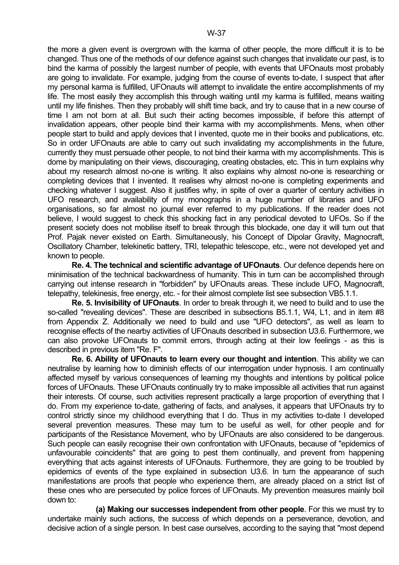the more a given event is overgrown with the karma of other people, the more difficult it is to be changed. Thus one of the methods of our defence against such changes that invalidate our past, is to bind the karma of possibly the largest number of people, with events that UFOnauts most probably are going to invalidate. For example, judging from the course of events to-date, I suspect that after my personal karma is fulfilled, UFOnauts will attempt to invalidate the entire accomplishments of my life. The most easily they accomplish this through waiting until my karma is fulfilled, means waiting until my life finishes. Then they probably will shift time back, and try to cause that in a new course of time I am not born at all. But such their acting becomes impossible, if before this attempt of invalidation appears, other people bind their karma with my accomplishments. Mens, when other people start to build and apply devices that I invented, quote me in their books and publications, etc. So in order UFOnauts are able to carry out such invalidating my accomplishments in the future, currently they must persuade other people, to not bind their karma with my accomplishments. This is dome by manipulating on their views, discouraging, creating obstacles, etc. This in turn explains why about my research almost no-one is writing. It also explains why almost no-one is researching or completing devices that I invented. It realises why almost no-one is completing experiments and checking whatever I suggest. Also it justifies why, in spite of over a quarter of century activities in UFO research, and availability of my monographs in a huge number of libraries and UFO organisations, so far almost no journal ever referred to my publications. If the reader does not believe, I would suggest to check this shocking fact in any periodical devoted to UFOs. So if the present society does not mobilise itself to break through this blockade, one day it will turn out that Prof. Pajak never existed on Earth. Simultaneously, his Concept of Dipolar Gravity, Magnocraft, Oscillatory Chamber, telekinetic battery, TRI, telepathic telescope, etc., were not developed yet and known to people.

 **Re. 4. The technical and scientific advantage of UFOnauts**. Our defence depends here on minimisation of the technical backwardness of humanity. This in turn can be accomplished through carrying out intense research in "forbidden" by UFOnauts areas. These include UFO, Magnocraft, telepathy, telekinesis, free energy, etc. - for their almost complete list see subsection VB5.1.1.

 **Re. 5. Invisibility of UFOnauts**. In order to break through it, we need to build and to use the so-called "revealing devices". These are described in subsections B5.1.1, W4, L1, and in item #8 from Appendix Z. Additionally we need to build and use "UFO detectors", as well as learn to recognise effects of the nearby activities of UFOnauts described in subsection U3.6. Furthermore, we can also provoke UFOnauts to commit errors, through acting at their low feelings - as this is described in previous item "Re. F".

 **Re. 6. Ability of UFOnauts to learn every our thought and intention**. This ability we can neutralise by learning how to diminish effects of our interrogation under hypnosis. I am continually affected myself by various consequences of learning my thoughts and intentions by political police forces of UFOnauts. These UFOnauts continually try to make impossible all activities that run against their interests. Of course, such activities represent practically a large proportion of everything that I do. From my experience to-date, gathering of facts, and analyses, it appears that UFOnauts try to control strictly since my childhood everything that I do. Thus in my activities to-date I developed several prevention measures. These may turn to be useful as well, for other people and for participants of the Resistance Movement, who by UFOnauts are also considered to be dangerous. Such people can easily recognise their own confrontation with UFOnauts, because of "epidemics of unfavourable coincidents" that are going to pest them continually, and prevent from happening everything that acts against interests of UFOnauts. Furthermore, they are going to be troubled by epidemics of events of the type explained in subsection U3.6. In turn the appearance of such manifestations are proofs that people who experience them, are already placed on a strict list of these ones who are persecuted by police forces of UFOnauts. My prevention measures mainly boil down to:

 **(a) Making our successes independent from other people**. For this we must try to undertake mainly such actions, the success of which depends on a perseverance, devotion, and decisive action of a single person. In best case ourselves, according to the saying that "most depend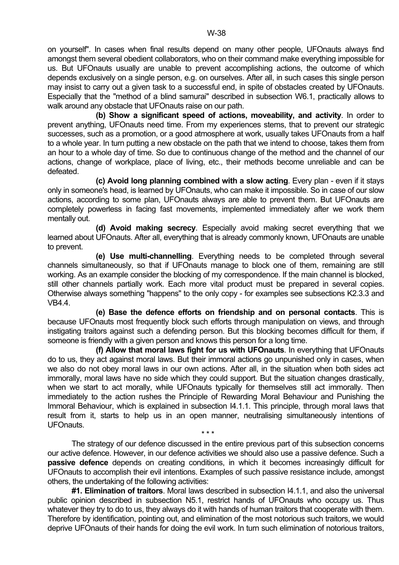on yourself". In cases when final results depend on many other people, UFOnauts always find amongst them several obedient collaborators, who on their command make everything impossible for us. But UFOnauts usually are unable to prevent accomplishing actions, the outcome of which depends exclusively on a single person, e.g. on ourselves. After all, in such cases this single person may insist to carry out a given task to a successful end, in spite of obstacles created by UFOnauts. Especially that the "method of a blind samurai" described in subsection W6.1, practically allows to walk around any obstacle that UFOnauts raise on our path.

 **(b) Show a significant speed of actions, moveability, and activity**. In order to prevent anything, UFOnauts need time. From my experiences stems, that to prevent our strategic successes, such as a promotion, or a good atmosphere at work, usually takes UFOnauts from a half to a whole year. In turn putting a new obstacle on the path that we intend to choose, takes them from an hour to a whole day of time. So due to continuous change of the method and the channel of our actions, change of workplace, place of living, etc., their methods become unreliable and can be defeated.

 **(c) Avoid long planning combined with a slow acting**. Every plan - even if it stays only in someone's head, is learned by UFOnauts, who can make it impossible. So in case of our slow actions, according to some plan, UFOnauts always are able to prevent them. But UFOnauts are completely powerless in facing fast movements, implemented immediately after we work them mentally out.

 **(d) Avoid making secrecy**. Especially avoid making secret everything that we learned about UFOnauts. After all, everything that is already commonly known, UFOnauts are unable to prevent.

 **(e) Use multi-channelling**. Everything needs to be completed through several channels simultaneously, so that if UFOnauts manage to block one of them, remaining are still working. As an example consider the blocking of my correspondence. If the main channel is blocked, still other channels partially work. Each more vital product must be prepared in several copies. Otherwise always something "happens" to the only copy - for examples see subsections K2.3.3 and VB4.4.

 **(e) Base the defence efforts on friendship and on personal contacts**. This is because UFOnauts most frequently block such efforts through manipulation on views, and through instigating traitors against such a defending person. But this blocking becomes difficult for them, if someone is friendly with a given person and knows this person for a long time.

 **(f) Allow that moral laws fight for us with UFOnauts**. In everything that UFOnauts do to us, they act against moral laws. But their immoral actions go unpunished only in cases, when we also do not obey moral laws in our own actions. After all, in the situation when both sides act immorally, moral laws have no side which they could support. But the situation changes drastically, when we start to act morally, while UFOnauts typically for themselves still act immorally. Then immediately to the action rushes the Principle of Rewarding Moral Behaviour and Punishing the Immoral Behaviour, which is explained in subsection I4.1.1. This principle, through moral laws that result from it, starts to help us in an open manner, neutralising simultaneously intentions of UFOnauts.

 $\star \star \star$  The strategy of our defence discussed in the entire previous part of this subsection concerns our active defence. However, in our defence activities we should also use a passive defence. Such a **passive defence** depends on creating conditions, in which it becomes increasingly difficult for UFOnauts to accomplish their evil intentions. Examples of such passive resistance include, amongst others, the undertaking of the following activities:

 **#1. Elimination of traitors**. Moral laws described in subsection I4.1.1, and also the universal public opinion described in subsection N5.1, restrict hands of UFOnauts who occupy us. Thus whatever they try to do to us, they always do it with hands of human traitors that cooperate with them. Therefore by identification, pointing out, and elimination of the most notorious such traitors, we would deprive UFOnauts of their hands for doing the evil work. In turn such elimination of notorious traitors,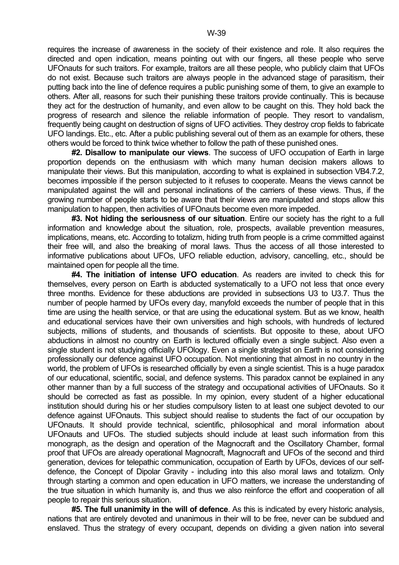requires the increase of awareness in the society of their existence and role. It also requires the directed and open indication, means pointing out with our fingers, all these people who serve UFOnauts for such traitors. For example, traitors are all these people, who publicly claim that UFOs do not exist. Because such traitors are always people in the advanced stage of parasitism, their putting back into the line of defence requires a public punishing some of them, to give an example to others. After all, reasons for such their punishing these traitors provide continually. This is because they act for the destruction of humanity, and even allow to be caught on this. They hold back the progress of research and silence the reliable information of people. They resort to vandalism, frequently being caught on destruction of signs of UFO activities. They destroy crop fields to fabricate UFO landings. Etc., etc. After a public publishing several out of them as an example for others, these others would be forced to think twice whether to follow the path of these punished ones.

 **#2. Disallow to manipulate our views**. The success of UFO occupation of Earth in large proportion depends on the enthusiasm with which many human decision makers allows to manipulate their views. But this manipulation, according to what is explained in subsection VB4.7.2, becomes impossible if the person subjected to it refuses to cooperate. Means the views cannot be manipulated against the will and personal inclinations of the carriers of these views. Thus, if the growing number of people starts to be aware that their views are manipulated and stops allow this manipulation to happen, then activities of UFOnauts become even more impeded.

 **#3. Not hiding the seriousness of our situation**. Entire our society has the right to a full information and knowledge about the situation, role, prospects, available prevention measures, implications, means, etc. According to totalizm, hiding truth from people is a crime committed against their free will, and also the breaking of moral laws. Thus the access of all those interested to informative publications about UFOs, UFO reliable eduction, advisory, cancelling, etc., should be maintained open for people all the time.

 **#4. The initiation of intense UFO education**. As readers are invited to check this for themselves, every person on Earth is abducted systematically to a UFO not less that once every three months. Evidence for these abductions are provided in subsections U3 to U3.7. Thus the number of people harmed by UFOs every day, manyfold exceeds the number of people that in this time are using the health service, or that are using the educational system. But as we know, health and educational services have their own universities and high schools, with hundreds of lectured subjects, millions of students, and thousands of scientists. But opposite to these, about UFO abductions in almost no country on Earth is lectured officially even a single subject. Also even a single student is not studying officially UFOlogy. Even a single strategist on Earth is not considering professionally our defence against UFO occupation. Not mentioning that almost in no country in the world, the problem of UFOs is researched officially by even a single scientist. This is a huge paradox of our educational, scientific, social, and defence systems. This paradox cannot be explained in any other manner than by a full success of the strategy and occupational activities of UFOnauts. So it should be corrected as fast as possible. In my opinion, every student of a higher educational institution should during his or her studies compulsory listen to at least one subject devoted to our defence against UFOnauts. This subject should realise to students the fact of our occupation by UFOnauts. It should provide technical, scientific, philosophical and moral information about UFOnauts and UFOs. The studied subjects should include at least such information from this monograph, as the design and operation of the Magnocraft and the Oscillatory Chamber, formal proof that UFOs are already operational Magnocraft, Magnocraft and UFOs of the second and third generation, devices for telepathic communication, occupation of Earth by UFOs, devices of our selfdefence, the Concept of Dipolar Gravity - including into this also moral laws and totalizm. Only through starting a common and open education in UFO matters, we increase the understanding of the true situation in which humanity is, and thus we also reinforce the effort and cooperation of all people to repair this serious situation.

 **#5. The full unanimity in the will of defence**. As this is indicated by every historic analysis, nations that are entirely devoted and unanimous in their will to be free, never can be subdued and enslaved. Thus the strategy of every occupant, depends on dividing a given nation into several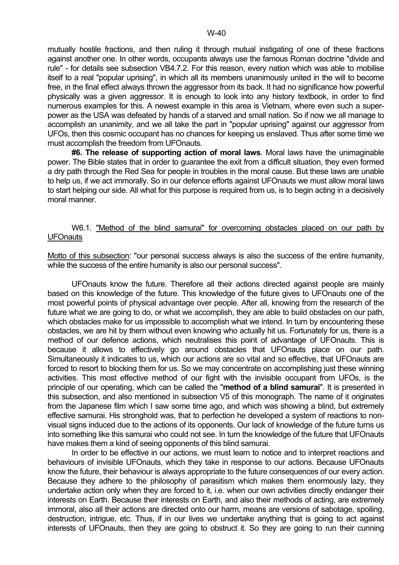mutually hostile fractions, and then ruling it through mutual instigating of one of these fractions against another one. In other words, occupants always use the famous Roman doctrine "divide and rule" - for details see subsection VB4.7.2. For this reason, every nation which was able to mobilise itself to a real "popular uprising", in which all its members unanimously united in the will to become free, in the final effect always thrown the aggressor from its back. It had no significance how powerful physically was a given aggressor. It is enough to look into any history textbook, in order to find numerous examples for this. A newest example in this area is Vietnam, where even such a superpower as the USA was defeated by hands of a starved and small nation. So if now we all manage to accomplish an unanimity, and we all take the part in "popular uprising" against our aggressor from UFOs, then this cosmic occupant has no chances for keeping us enslaved. Thus after some time we must accomplish the freedom from UFOnauts.

 **#6. The release of supporting action of moral laws**. Moral laws have the unimaginable power. The Bible states that in order to guarantee the exit from a difficult situation, they even formed a dry path through the Red Sea for people in troubles in the moral cause. But these laws are unable to help us, if we act immorally. So in our defence efforts against UFOnauts we must allow moral laws to start helping our side. All what for this purpose is required from us, is to begin acting in a decisively moral manner.

# W6.1. "Method of the blind samurai" for overcoming obstacles placed on our path by **UFOnauts**

Motto of this subsection: "our personal success always is also the success of the entire humanity, while the success of the entire humanity is also our personal success".

 UFOnauts know the future. Therefore all their actions directed against people are mainly based on this knowledge of the future. This knowledge of the future gives to UFOnauts one of the most powerful points of physical advantage over people. After all, knowing from the research of the future what we are going to do, or what we accomplish, they are able to build obstacles on our path, which obstacles make for us impossible to accomplish what we intend. In turn by encountering these obstacles, we are hit by them without even knowing who actually hit us. Fortunately for us, there is a method of our defence actions, which neutralises this point of advantage of UFOnauts. This is because it allows to effectively go around obstacles that UFOnauts place on our path. Simultaneously it indicates to us, which our actions are so vital and so effective, that UFOnauts are forced to resort to blocking them for us. So we may concentrate on accomplishing just these winning activities. This most effective method of our fight with the invisible occupant from UFOs, is the principle of our operating, which can be called the "**method of a blind samurai**". It is presented in this subsection, and also mentioned in subsection V5 of this monograph. The name of it originates from the Japanese film which I saw some time ago, and which was showing a blind, but extremely effective samurai. His stronghold was, that to perfection he developed a system of reactions to nonvisual signs induced due to the actions of its opponents. Our lack of knowledge of the future turns us into something like this samurai who could not see. In turn the knowledge of the future that UFOnauts have makes them a kind of seeing opponents of this blind samurai.

 In order to be effective in our actions, we must learn to notice and to interpret reactions and behaviours of invisible UFOnauts, which they take in response to our actions. Because UFOnauts know the future, their behaviour is always appropriate to the future consequences of our every action. Because they adhere to the philosophy of parasitism which makes them enormously lazy, they undertake action only when they are forced to it, i.e. when our own activities directly endanger their interests on Earth. Because their interests on Earth, and also their methods of acting, are extremely immoral, also all their actions are directed onto our harm, means are versions of sabotage, spoiling, destruction, intrigue, etc. Thus, if in our lives we undertake anything that is going to act against interests of UFOnauts, then they are going to obstruct it. So they are going to run their cunning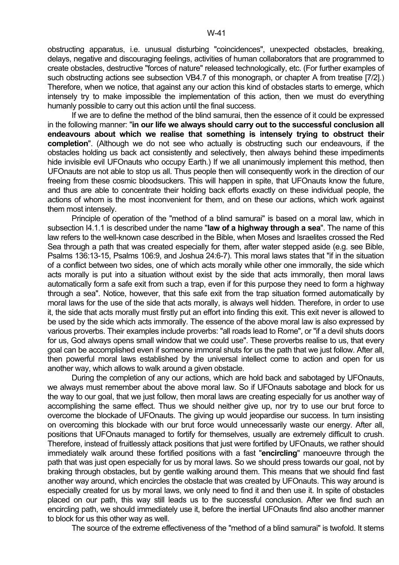obstructing apparatus, i.e. unusual disturbing "coincidences", unexpected obstacles, breaking, delays, negative and discouraging feelings, activities of human collaborators that are programmed to create obstacles, destructive "forces of nature" released technologically, etc. (For further examples of such obstructing actions see subsection VB4.7 of this monograph, or chapter A from treatise [7/2].) Therefore, when we notice, that against any our action this kind of obstacles starts to emerge, which intensely try to make impossible the implementation of this action, then we must do everything humanly possible to carry out this action until the final success.

 If we are to define the method of the blind samurai, then the essence of it could be expressed in the following manner: "**in our life we always should carry out to the successful conclusion all endeavours about which we realise that something is intensely trying to obstruct their completion**". (Although we do not see who actually is obstructing such our endeavours, if the obstacles holding us back act consistently and selectively, then always behind these impediments hide invisible evil UFOnauts who occupy Earth.) If we all unanimously implement this method, then UFOnauts are not able to stop us all. Thus people then will consequently work in the direction of our freeing from these cosmic bloodsuckers. This will happen in spite, that UFOnauts know the future, and thus are able to concentrate their holding back efforts exactly on these individual people, the actions of whom is the most inconvenient for them, and on these our actions, which work against them most intensely.

 Principle of operation of the "method of a blind samurai" is based on a moral law, which in subsection I4.1.1 is described under the name "**law of a highway through a sea**". The name of this law refers to the well-known case described in the Bible, when Moses and Israelites crossed the Red Sea through a path that was created especially for them, after water stepped aside (e.g. see Bible, Psalms 136:13-15, Psalms 106:9, and Joshua 24:6-7). This moral laws states that "if in the situation of a conflict between two sides, one of which acts morally while other one immorally, the side which acts morally is put into a situation without exist by the side that acts immorally, then moral laws automatically form a safe exit from such a trap, even if for this purpose they need to form a highway through a sea". Notice, however, that this safe exit from the trap situation formed automatically by moral laws for the use of the side that acts morally, is always well hidden. Therefore, in order to use it, the side that acts morally must firstly put an effort into finding this exit. This exit never is allowed to be used by the side which acts immorally. The essence of the above moral law is also expressed by various proverbs. Their examples include proverbs: "all roads lead to Rome", or "if a devil shuts doors for us, God always opens small window that we could use". These proverbs realise to us, that every goal can be accomplished even if someone immoral shuts for us the path that we just follow. After all, then powerful moral laws established by the universal intellect come to action and open for us another way, which allows to walk around a given obstacle.

 During the completion of any our actions, which are hold back and sabotaged by UFOnauts, we always must remember about the above moral law. So if UFOnauts sabotage and block for us the way to our goal, that we just follow, then moral laws are creating especially for us another way of accomplishing the same effect. Thus we should neither give up, nor try to use our brut force to overcome the blockade of UFOnauts. The giving up would jeopardise our success. In turn insisting on overcoming this blockade with our brut force would unnecessarily waste our energy. After all, positions that UFOnauts managed to fortify for themselves, usually are extremely difficult to crush. Therefore, instead of fruitlessly attack positions that just were fortified by UFOnauts, we rather should immediately walk around these fortified positions with a fast "**encircling**" manoeuvre through the path that was just open especially for us by moral laws. So we should press towards our goal, not by braking through obstacles, but by gentle walking around them. This means that we should find fast another way around, which encircles the obstacle that was created by UFOnauts. This way around is especially created for us by moral laws, we only need to find it and then use it. In spite of obstacles placed on our path, this way still leads us to the successful conclusion. After we find such an encircling path, we should immediately use it, before the inertial UFOnauts find also another manner to block for us this other way as well.

The source of the extreme effectiveness of the "method of a blind samurai" is twofold. It stems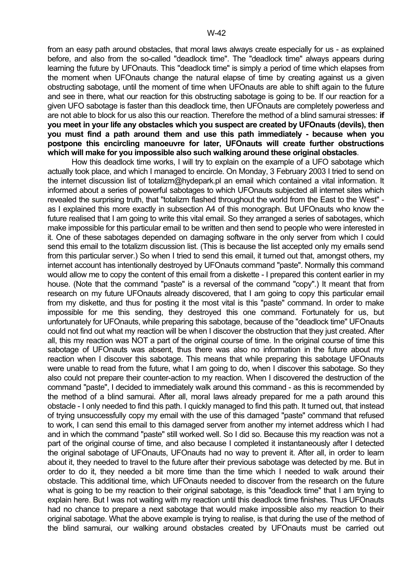from an easy path around obstacles, that moral laws always create especially for us - as explained before, and also from the so-called "deadlock time". The "deadlock time" always appears during learning the future by UFOnauts. This "deadlock time" is simply a period of time which elapses from the moment when UFOnauts change the natural elapse of time by creating against us a given obstructing sabotage, until the moment of time when UFOnauts are able to shift again to the future and see in there, what our reaction for this obstructing sabotage is going to be. If our reaction for a given UFO sabotage is faster than this deadlock time, then UFOnauts are completely powerless and are not able to block for us also this our reaction. Therefore the method of a blind samurai stresses: **if you meet in your life any obstacles which you suspect are created by UFOnauts (devils), then you must find a path around them and use this path immediately - because when you postpone this encircling manoeuvre for later, UFOnauts will create further obstructions which will make for you impossible also such walking around these original obstacles**.

 How this deadlock time works, I will try to explain on the example of a UFO sabotage which actually took place, and which I managed to encircle. On Monday, 3 February 2003 I tried to send on the internet discussion list of totalizm@hydepark.pl an email which contained a vital information. It informed about a series of powerful sabotages to which UFOnauts subjected all internet sites which revealed the surprising truth, that "totalizm flashed throughout the world from the East to the West" as I explained this more exactly in subsection A4 of this monograph. But UFOnauts who know the future realised that I am going to write this vital email. So they arranged a series of sabotages, which make impossible for this particular email to be written and then send to people who were interested in it. One of these sabotages depended on damaging software in the only server from which I could send this email to the totalizm discussion list. (This is because the list accepted only my emails send from this particular server.) So when I tried to send this email, it turned out that, amongst others, my internet account has intentionally destroyed by UFOnauts command "paste". Normally this command would allow me to copy the content of this email from a diskette - I prepared this content earlier in my house. (Note that the command "paste" is a reversal of the command "copy".) It meant that from research on my future UFOnauts already discovered, that I am going to copy this particular email from my diskette, and thus for posting it the most vital is this "paste" command. In order to make impossible for me this sending, they destroyed this one command. Fortunately for us, but unfortunately for UFOnauts, while preparing this sabotage, because of the "deadlock time" UFOnauts could not find out what my reaction will be when I discover the obstruction that they just created. After all, this my reaction was NOT a part of the original course of time. In the original course of time this sabotage of UFOnauts was absent, thus there was also no information in the future about my reaction when I discover this sabotage. This means that while preparing this sabotage UFOnauts were unable to read from the future, what I am going to do, when I discover this sabotage. So they also could not prepare their counter-action to my reaction. When I discovered the destruction of the command "paste", I decided to immediately walk around this command - as this is recommended by the method of a blind samurai. After all, moral laws already prepared for me a path around this obstacle - I only needed to find this path. I quickly managed to find this path. It turned out, that instead of trying unsuccessfully copy my email with the use of this damaged "paste" command that refused to work, I can send this email to this damaged server from another my internet address which I had and in which the command "paste" still worked well. So I did so. Because this my reaction was not a part of the original course of time, and also because I completed it instantaneously after I detected the original sabotage of UFOnauts, UFOnauts had no way to prevent it. After all, in order to learn about it, they needed to travel to the future after their previous sabotage was detected by me. But in order to do it, they needed a bit more time than the time which I needed to walk around their obstacle. This additional time, which UFOnauts needed to discover from the research on the future what is going to be my reaction to their original sabotage, is this "deadlock time" that I am trying to explain here. But I was not waiting with my reaction until this deadlock time finishes. Thus UFOnauts had no chance to prepare a next sabotage that would make impossible also my reaction to their original sabotage. What the above example is trying to realise, is that during the use of the method of the blind samurai, our walking around obstacles created by UFOnauts must be carried out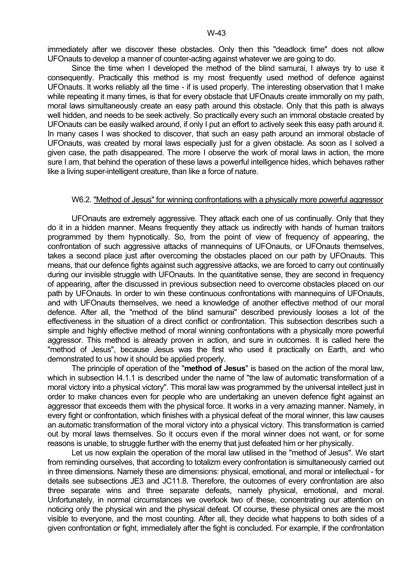immediately after we discover these obstacles. Only then this "deadlock time" does not allow UFOnauts to develop a manner of counter-acting against whatever we are going to do.

 Since the time when I developed the method of the blind samurai, I always try to use it consequently. Practically this method is my most frequently used method of defence against UFOnauts. It works reliably all the time - if is used properly. The interesting observation that I make while repeating it many times, is that for every obstacle that UFOnauts create immorally on my path, moral laws simultaneously create an easy path around this obstacle. Only that this path is always well hidden, and needs to be seek actively. So practically every such an immoral obstacle created by UFOnauts can be easily walked around, if only I put an effort to actively seek this easy path around it. In many cases I was shocked to discover, that such an easy path around an immoral obstacle of UFOnauts, was created by moral laws especially just for a given obstacle. As soon as I solved a given case, the path disappeared. The more I observe the work of moral laws in action, the more sure I am, that behind the operation of these laws a powerful intelligence hides, which behaves rather like a living super-intelligent creature, than like a force of nature.

## W6.2. "Method of Jesus" for winning confrontations with a physically more powerful aggressor

 UFOnauts are extremely aggressive. They attack each one of us continually. Only that they do it in a hidden manner. Means frequently they attack us indirectly with hands of human traitors programmed by them hypnotically. So, from the point of view of frequency of appearing, the confrontation of such aggressive attacks of mannequins of UFOnauts, or UFOnauts themselves, takes a second place just after overcoming the obstacles placed on our path by UFOnauts. This means, that our defence fights against such aggressive attacks, we are forced to carry out continually during our invisible struggle with UFOnauts. In the quantitative sense, they are second in frequency of appearing, after the discussed in previous subsection need to overcome obstacles placed on our path by UFOnauts. In order to win these continuous confrontations with mannequins of UFOnauts, and with UFOnauts themselves, we need a knowledge of another effective method of our moral defence. After all, the "method of the blind samurai" described previously looses a lot of the effectiveness in the situation of a direct conflict or confrontation. This subsection describes such a simple and highly effective method of moral winning confrontations with a physically more powerful aggressor. This method is already proven in action, and sure in outcomes. It is called here the "method of Jesus", because Jesus was the first who used it practically on Earth, and who demonstrated to us how it should be applied properly.

 The principle of operation of the "**method of Jesus**" is based on the action of the moral law, which in subsection I4.1.1 is described under the name of "the law of automatic transformation of a moral victory into a physical victory". This moral law was programmed by the universal intellect just in order to make chances even for people who are undertaking an uneven defence fight against an aggressor that exceeds them with the physical force. It works in a very amazing manner. Namely, in every fight or confrontation, which finishes with a physical defeat of the moral winner, this law causes an automatic transformation of the moral victory into a physical victory. This transformation is carried out by moral laws themselves. So it occurs even if the moral winner does not want, or for some reasons is unable, to struggle further with the enemy that just defeated him or her physically.

 Let us now explain the operation of the moral law utilised in the "method of Jesus". We start from reminding ourselves, that according to totalizm every confrontation is simultaneously carried out in three dimensions. Namely these are dimensions: physical, emotional, and moral or intellectual - for details see subsections JE3 and JC11.8. Therefore, the outcomes of every confrontation are also three separate wins and three separate defeats, namely physical, emotional, and moral. Unfortunately, in normal circumstances we overlook two of these, concentrating our attention on noticing only the physical win and the physical defeat. Of course, these physical ones are the most visible to everyone, and the most counting. After all, they decide what happens to both sides of a given confrontation or fight, immediately after the fight is concluded. For example, if the confrontation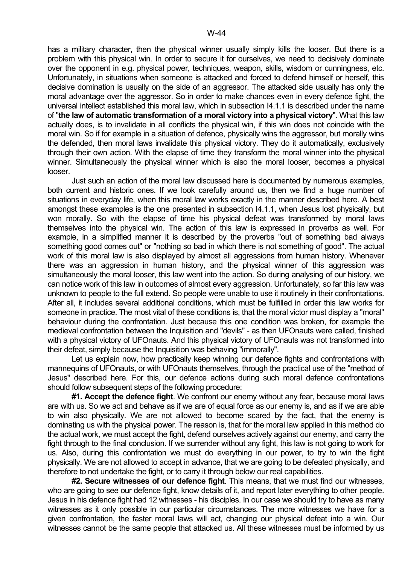has a military character, then the physical winner usually simply kills the looser. But there is a problem with this physical win. In order to secure it for ourselves, we need to decisively dominate over the opponent in e.g. physical power, techniques, weapon, skills, wisdom or cunningness, etc. Unfortunately, in situations when someone is attacked and forced to defend himself or herself, this decisive domination is usually on the side of an aggressor. The attacked side usually has only the moral advantage over the aggressor. So in order to make chances even in every defence fight, the universal intellect established this moral law, which in subsection I4.1.1 is described under the name of "**the law of automatic transformation of a moral victory into a physical victory**". What this law actually does, is to invalidate in all conflicts the physical win, if this win does not coincide with the moral win. So if for example in a situation of defence, physically wins the aggressor, but morally wins the defended, then moral laws invalidate this physical victory. They do it automatically, exclusively through their own action. With the elapse of time they transform the moral winner into the physical winner. Simultaneously the physical winner which is also the moral looser, becomes a physical looser.

 Just such an action of the moral law discussed here is documented by numerous examples, both current and historic ones. If we look carefully around us, then we find a huge number of situations in everyday life, when this moral law works exactly in the manner described here. A best amongst these examples is the one presented in subsection I4.1.1, when Jesus lost physically, but won morally. So with the elapse of time his physical defeat was transformed by moral laws themselves into the physical win. The action of this law is expressed in proverbs as well. For example, in a simplified manner it is described by the proverbs "out of something bad always something good comes out" or "nothing so bad in which there is not something of good". The actual work of this moral law is also displayed by almost all aggressions from human history. Whenever there was an aggression in human history, and the physical winner of this aggression was simultaneously the moral looser, this law went into the action. So during analysing of our history, we can notice work of this law in outcomes of almost every aggression. Unfortunately, so far this law was unknown to people to the full extend. So people were unable to use it routinely in their confrontations. After all, it includes several additional conditions, which must be fulfilled in order this law works for someone in practice. The most vital of these conditions is, that the moral victor must display a "moral" behaviour during the confrontation. Just because this one condition was broken, for example the medieval confrontation between the Inquisition and "devils" - as then UFOnauts were called, finished with a physical victory of UFOnauts. And this physical victory of UFOnauts was not transformed into their defeat, simply because the Inquisition was behaving "immorally".

 Let us explain now, how practically keep winning our defence fights and confrontations with mannequins of UFOnauts, or with UFOnauts themselves, through the practical use of the "method of Jesus" described here. For this, our defence actions during such moral defence confrontations should follow subsequent steps of the following procedure:

 **#1. Accept the defence fight**. We confront our enemy without any fear, because moral laws are with us. So we act and behave as if we are of equal force as our enemy is, and as if we are able to win also physically. We are not allowed to become scared by the fact, that the enemy is dominating us with the physical power. The reason is, that for the moral law applied in this method do the actual work, we must accept the fight, defend ourselves actively against our enemy, and carry the fight through to the final conclusion. If we surrender without any fight, this law is not going to work for us. Also, during this confrontation we must do everything in our power, to try to win the fight physically. We are not allowed to accept in advance, that we are going to be defeated physically, and therefore to not undertake the fight, or to carry it through below our real capabilities.

 **#2. Secure witnesses of our defence fight**. This means, that we must find our witnesses, who are going to see our defence fight, know details of it, and report later everything to other people. Jesus in his defence fight had 12 witnesses - his disciples. In our case we should try to have as many witnesses as it only possible in our particular circumstances. The more witnesses we have for a given confrontation, the faster moral laws will act, changing our physical defeat into a win. Our witnesses cannot be the same people that attacked us. All these witnesses must be informed by us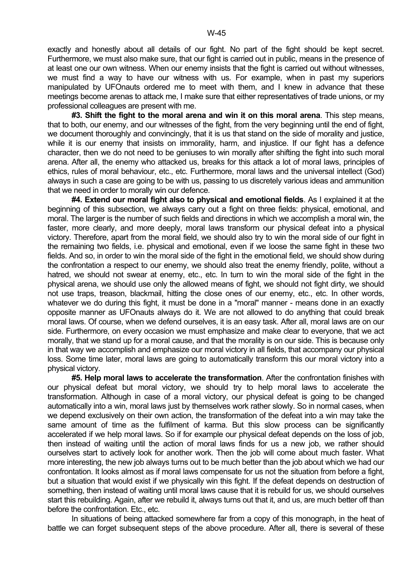exactly and honestly about all details of our fight. No part of the fight should be kept secret. Furthermore, we must also make sure, that our fight is carried out in public, means in the presence of at least one our own witness. When our enemy insists that the fight is carried out without witnesses, we must find a way to have our witness with us. For example, when in past my superiors manipulated by UFOnauts ordered me to meet with them, and I knew in advance that these meetings become arenas to attack me, I make sure that either representatives of trade unions, or my professional colleagues are present with me.

 **#3. Shift the fight to the moral arena and win it on this moral arena**. This step means, that to both, our enemy, and our witnesses of the fight, from the very beginning until the end of fight, we document thoroughly and convincingly, that it is us that stand on the side of morality and justice, while it is our enemy that insists on immorality, harm, and injustice. If our fight has a defence character, then we do not need to be geniuses to win morally after shifting the fight into such moral arena. After all, the enemy who attacked us, breaks for this attack a lot of moral laws, principles of ethics, rules of moral behaviour, etc., etc. Furthermore, moral laws and the universal intellect (God) always in such a case are going to be with us, passing to us discretely various ideas and ammunition that we need in order to morally win our defence.

 **#4. Extend our moral fight also to physical and emotional fields**. As I explained it at the beginning of this subsection, we always carry out a fight on three fields: physical, emotional, and moral. The larger is the number of such fields and directions in which we accomplish a moral win, the faster, more clearly, and more deeply, moral laws transform our physical defeat into a physical victory. Therefore, apart from the moral field, we should also try to win the moral side of our fight in the remaining two fields, i.e. physical and emotional, even if we loose the same fight in these two fields. And so, in order to win the moral side of the fight in the emotional field, we should show during the confrontation a respect to our enemy, we should also treat the enemy friendly, polite, without a hatred, we should not swear at enemy, etc., etc. In turn to win the moral side of the fight in the physical arena, we should use only the allowed means of fight, we should not fight dirty, we should not use traps, treason, blackmail, hitting the close ones of our enemy, etc., etc. In other words, whatever we do during this fight, it must be done in a "moral" manner - means done in an exactly opposite manner as UFOnauts always do it. We are not allowed to do anything that could break moral laws. Of course, when we defend ourselves, it is an easy task. After all, moral laws are on our side. Furthermore, on every occasion we must emphasize and make clear to everyone, that we act morally, that we stand up for a moral cause, and that the morality is on our side. This is because only in that way we accomplish and emphasize our moral victory in all fields, that accompany our physical loss. Some time later, moral laws are going to automatically transform this our moral victory into a physical victory.

 **#5. Help moral laws to accelerate the transformation**. After the confrontation finishes with our physical defeat but moral victory, we should try to help moral laws to accelerate the transformation. Although in case of a moral victory, our physical defeat is going to be changed automatically into a win, moral laws just by themselves work rather slowly. So in normal cases, when we depend exclusively on their own action, the transformation of the defeat into a win may take the same amount of time as the fulfilment of karma. But this slow process can be significantly accelerated if we help moral laws. So if for example our physical defeat depends on the loss of job, then instead of waiting until the action of moral laws finds for us a new job, we rather should ourselves start to actively look for another work. Then the job will come about much faster. What more interesting, the new job always turns out to be much better than the job about which we had our confrontation. It looks almost as if moral laws compensate for us not the situation from before a fight, but a situation that would exist if we physically win this fight. If the defeat depends on destruction of something, then instead of waiting until moral laws cause that it is rebuild for us, we should ourselves start this rebuilding. Again, after we rebuild it, always turns out that it, and us, are much better off than before the confrontation. Etc., etc.

 In situations of being attacked somewhere far from a copy of this monograph, in the heat of battle we can forget subsequent steps of the above procedure. After all, there is several of these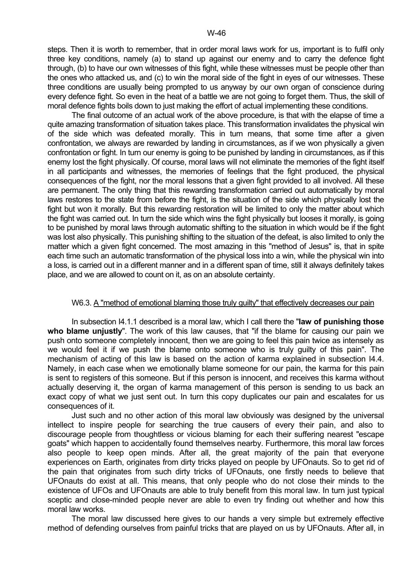steps. Then it is worth to remember, that in order moral laws work for us, important is to fulfil only three key conditions, namely (a) to stand up against our enemy and to carry the defence fight through, (b) to have our own witnesses of this fight, while these witnesses must be people other than the ones who attacked us, and (c) to win the moral side of the fight in eyes of our witnesses. These three conditions are usually being prompted to us anyway by our own organ of conscience during every defence fight. So even in the heat of a battle we are not going to forget them. Thus, the skill of moral defence fights boils down to just making the effort of actual implementing these conditions.

 The final outcome of an actual work of the above procedure, is that with the elapse of time a quite amazing transformation of situation takes place. This transformation invalidates the physical win of the side which was defeated morally. This in turn means, that some time after a given confrontation, we always are rewarded by landing in circumstances, as if we won physically a given confrontation or fight. In turn our enemy is going to be punished by landing in circumstances, as if this enemy lost the fight physically. Of course, moral laws will not eliminate the memories of the fight itself in all participants and witnesses, the memories of feelings that the fight produced, the physical consequences of the fight, nor the moral lessons that a given fight provided to all involved. All these are permanent. The only thing that this rewarding transformation carried out automatically by moral laws restores to the state from before the fight, is the situation of the side which physically lost the fight but won it morally. But this rewarding restoration will be limited to only the matter about which the fight was carried out. In turn the side which wins the fight physically but looses it morally, is going to be punished by moral laws through automatic shifting to the situation in which would be if the fight was lost also physically. This punishing shifting to the situation of the defeat, is also limited to only the matter which a given fight concerned. The most amazing in this "method of Jesus" is, that in spite each time such an automatic transformation of the physical loss into a win, while the physical win into a loss, is carried out in a different manner and in a different span of time, still it always definitely takes place, and we are allowed to count on it, as on an absolute certainty.

## W6.3. A "method of emotional blaming those truly guilty" that effectively decreases our pain

 In subsection I4.1.1 described is a moral law, which I call there the "**law of punishing those who blame unjustly**". The work of this law causes, that "if the blame for causing our pain we push onto someone completely innocent, then we are going to feel this pain twice as intensely as we would feel it if we push the blame onto someone who is truly guilty of this pain". The mechanism of acting of this law is based on the action of karma explained in subsection I4.4. Namely, in each case when we emotionally blame someone for our pain, the karma for this pain is sent to registers of this someone. But if this person is innocent, and receives this karma without actually deserving it, the organ of karma management of this person is sending to us back an exact copy of what we just sent out. In turn this copy duplicates our pain and escalates for us consequences of it.

 Just such and no other action of this moral law obviously was designed by the universal intellect to inspire people for searching the true causers of every their pain, and also to discourage people from thoughtless or vicious blaming for each their suffering nearest "escape goats" which happen to accidentally found themselves nearby. Furthermore, this moral law forces also people to keep open minds. After all, the great majority of the pain that everyone experiences on Earth, originates from dirty tricks played on people by UFOnauts. So to get rid of the pain that originates from such dirty tricks of UFOnauts, one firstly needs to believe that UFOnauts do exist at all. This means, that only people who do not close their minds to the existence of UFOs and UFOnauts are able to truly benefit from this moral law. In turn just typical sceptic and close-minded people never are able to even try finding out whether and how this moral law works.

 The moral law discussed here gives to our hands a very simple but extremely effective method of defending ourselves from painful tricks that are played on us by UFOnauts. After all, in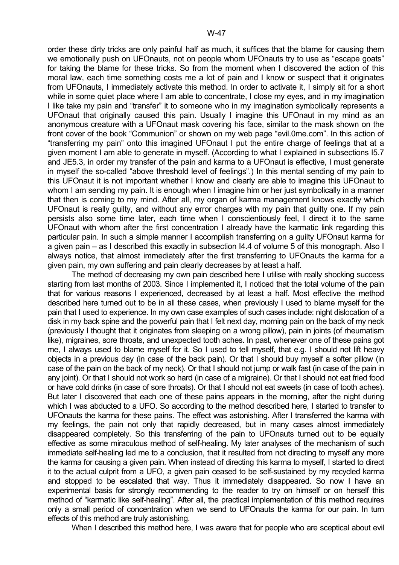order these dirty tricks are only painful half as much, it suffices that the blame for causing them we emotionally push on UFOnauts, not on people whom UFOnauts try to use as "escape goats" for taking the blame for these tricks. So from the moment when I discovered the action of this moral law, each time something costs me a lot of pain and I know or suspect that it originates from UFOnauts, I immediately activate this method. In order to activate it, I simply sit for a short while in some quiet place where I am able to concentrate, I close my eyes, and in my imagination I like take my pain and "transfer" it to someone who in my imagination symbolically represents a UFOnaut that originally caused this pain. Usually I imagine this UFOnaut in my mind as an anonymous creature with a UFOnaut mask covering his face, similar to the mask shown on the front cover of the book "Communion" or shown on my web page "evil.0me.com". In this action of "transferring my pain" onto this imagined UFOnaut I put the entire charge of feelings that at a given moment I am able to generate in myself. (According to what I explained in subsections I5.7 and JE5.3, in order my transfer of the pain and karma to a UFOnaut is effective, I must generate in myself the so-called "above threshold level of feelings".) In this mental sending of my pain to this UFOnaut it is not important whether I know and clearly are able to imagine this UFOnaut to whom I am sending my pain. It is enough when I imagine him or her just symbolically in a manner that then is coming to my mind. After all, my organ of karma management knows exactly which UFOnaut is really guilty, and without any error charges with my pain that guilty one. If my pain persists also some time later, each time when I conscientiously feel, I direct it to the same UFOnaut with whom after the first concentration I already have the karmatic link regarding this particular pain. In such a simple manner I accomplish transferring on a guilty UFOnaut karma for a given pain – as I described this exactly in subsection I4.4 of volume 5 of this monograph. Also I always notice, that almost immediately after the first transferring to UFOnauts the karma for a given pain, my own suffering and pain clearly decreases by at least a half.

 The method of decreasing my own pain described here I utilise with really shocking success starting from last months of 2003. Since I implemented it, I noticed that the total volume of the pain that for various reasons I experienced, decreased by at least a half. Most effective the method described here turned out to be in all these cases, when previously I used to blame myself for the pain that I used to experience. In my own case examples of such cases include: night dislocation of a disk in my back spine and the powerful pain that I felt next day, morning pain on the back of my neck (previously I thought that it originates from sleeping on a wrong pillow), pain in joints (of rheumatism like), migraines, sore throats, and unexpected tooth aches. In past, whenever one of these pains got me, I always used to blame myself for it. So I used to tell myself, that e.g. I should not lift heavy objects in a previous day (in case of the back pain). Or that I should buy myself a softer pillow (in case of the pain on the back of my neck). Or that I should not jump or walk fast (in case of the pain in any joint). Or that I should not work so hard (in case of a migraine). Or that I should not eat fried food or have cold drinks (in case of sore throats). Or that I should not eat sweets (in case of tooth aches). But later I discovered that each one of these pains appears in the morning, after the night during which I was abducted to a UFO. So according to the method described here, I started to transfer to UFOnauts the karma for these pains. The effect was astonishing. After I transferred the karma with my feelings, the pain not only that rapidly decreased, but in many cases almost immediately disappeared completely. So this transferring of the pain to UFOnauts turned out to be equally effective as some miraculous method of self-healing. My later analyses of the mechanism of such immediate self-healing led me to a conclusion, that it resulted from not directing to myself any more the karma for causing a given pain. When instead of directing this karma to myself, I started to direct it to the actual culprit from a UFO, a given pain ceased to be self-sustained by my recycled karma and stopped to be escalated that way. Thus it immediately disappeared. So now I have an experimental basis for strongly recommending to the reader to try on himself or on herself this method of "karmatic like self-healing". After all, the practical implementation of this method requires only a small period of concentration when we send to UFOnauts the karma for our pain. In turn effects of this method are truly astonishing.

When I described this method here, I was aware that for people who are sceptical about evil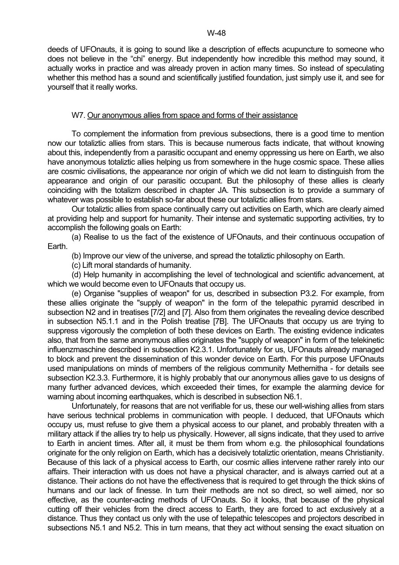deeds of UFOnauts, it is going to sound like a description of effects acupuncture to someone who does not believe in the "chi" energy. But independently how incredible this method may sound, it actually works in practice and was already proven in action many times. So instead of speculating whether this method has a sound and scientifically justified foundation, just simply use it, and see for yourself that it really works.

#### W7. Our anonymous allies from space and forms of their assistance

 To complement the information from previous subsections, there is a good time to mention now our totaliztic allies from stars. This is because numerous facts indicate, that without knowing about this, independently from a parasitic occupant and enemy oppressing us here on Earth, we also have anonymous totaliztic allies helping us from somewhere in the huge cosmic space. These allies are cosmic civilisations, the appearance nor origin of which we did not learn to distinguish from the appearance and origin of our parasitic occupant. But the philosophy of these allies is clearly coinciding with the totalizm described in chapter JA. This subsection is to provide a summary of whatever was possible to establish so-far about these our totaliztic allies from stars.

 Our totaliztic allies from space continually carry out activities on Earth, which are clearly aimed at providing help and support for humanity. Their intense and systematic supporting activities, try to accomplish the following goals on Earth:

 (a) Realise to us the fact of the existence of UFOnauts, and their continuous occupation of Earth.

(b) Improve our view of the universe, and spread the totaliztic philosophy on Earth.

(c) Lift moral standards of humanity.

 (d) Help humanity in accomplishing the level of technological and scientific advancement, at which we would become even to UFOnauts that occupy us.

 (e) Organise "supplies of weapon" for us, described in subsection P3.2. For example, from these allies originate the "supply of weapon" in the form of the telepathic pyramid described in subsection N2 and in treatises [7/2] and [7]. Also from them originates the revealing device described in subsection N5.1.1 and in the Polish treatise [7B]. The UFOnauts that occupy us are trying to suppress vigorously the completion of both these devices on Earth. The existing evidence indicates also, that from the same anonymous allies originates the "supply of weapon" in form of the telekinetic influenzmaschine described in subsection K2.3.1. Unfortunately for us, UFOnauts already managed to block and prevent the dissemination of this wonder device on Earth. For this purpose UFOnauts used manipulations on minds of members of the religious community Methernitha - for details see subsection K2.3.3. Furthermore, it is highly probably that our anonymous allies gave to us designs of many further advanced devices, which exceeded their times, for example the alarming device for warning about incoming earthquakes, which is described in subsection N6.1.

 Unfortunately, for reasons that are not verifiable for us, these our well-wishing allies from stars have serious technical problems in communication with people. I deduced, that UFOnauts which occupy us, must refuse to give them a physical access to our planet, and probably threaten with a military attack if the allies try to help us physically. However, all signs indicate, that they used to arrive to Earth in ancient times. After all, it must be them from whom e.g. the philosophical foundations originate for the only religion on Earth, which has a decisively totaliztic orientation, means Christianity. Because of this lack of a physical access to Earth, our cosmic allies intervene rather rarely into our affairs. Their interaction with us does not have a physical character, and is always carried out at a distance. Their actions do not have the effectiveness that is required to get through the thick skins of humans and our lack of finesse. In turn their methods are not so direct, so well aimed, nor so effective, as the counter-acting methods of UFOnauts. So it looks, that because of the physical cutting off their vehicles from the direct access to Earth, they are forced to act exclusively at a distance. Thus they contact us only with the use of telepathic telescopes and projectors described in subsections N5.1 and N5.2. This in turn means, that they act without sensing the exact situation on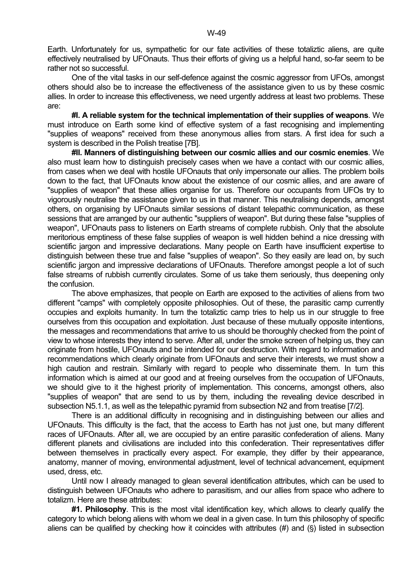Earth. Unfortunately for us, sympathetic for our fate activities of these totaliztic aliens, are quite effectively neutralised by UFOnauts. Thus their efforts of giving us a helpful hand, so-far seem to be rather not so successful.

 One of the vital tasks in our self-defence against the cosmic aggressor from UFOs, amongst others should also be to increase the effectiveness of the assistance given to us by these cosmic allies. In order to increase this effectiveness, we need urgently address at least two problems. These are:

 **#I. A reliable system for the technical implementation of their supplies of weapons**. We must introduce on Earth some kind of effective system of a fast recognising and implementing "supplies of weapons" received from these anonymous allies from stars. A first idea for such a system is described in the Polish treatise [7B].

 **#II. Manners of distinguishing between our cosmic allies and our cosmic enemies**. We also must learn how to distinguish precisely cases when we have a contact with our cosmic allies, from cases when we deal with hostile UFOnauts that only impersonate our allies. The problem boils down to the fact, that UFOnauts know about the existence of our cosmic allies, and are aware of "supplies of weapon" that these allies organise for us. Therefore our occupants from UFOs try to vigorously neutralise the assistance given to us in that manner. This neutralising depends, amongst others, on organising by UFOnauts similar sessions of distant telepathic communication, as these sessions that are arranged by our authentic "suppliers of weapon". But during these false "supplies of weapon", UFOnauts pass to listeners on Earth streams of complete rubbish. Only that the absolute meritorious emptiness of these false supplies of weapon is well hidden behind a nice dressing with scientific jargon and impressive declarations. Many people on Earth have insufficient expertise to distinguish between these true and false "supplies of weapon". So they easily are lead on, by such scientific jargon and impressive declarations of UFOnauts. Therefore amongst people a lot of such false streams of rubbish currently circulates. Some of us take them seriously, thus deepening only the confusion.

 The above emphasizes, that people on Earth are exposed to the activities of aliens from two different "camps" with completely opposite philosophies. Out of these, the parasitic camp currently occupies and exploits humanity. In turn the totaliztic camp tries to help us in our struggle to free ourselves from this occupation and exploitation. Just because of these mutually opposite intentions, the messages and recommendations that arrive to us should be thoroughly checked from the point of view to whose interests they intend to serve. After all, under the smoke screen of helping us, they can originate from hostile, UFOnauts and be intended for our destruction. With regard to information and recommendations which clearly originate from UFOnauts and serve their interests, we must show a high caution and restrain. Similarly with regard to people who disseminate them. In turn this information which is aimed at our good and at freeing ourselves from the occupation of UFOnauts, we should give to it the highest priority of implementation. This concerns, amongst others, also "supplies of weapon" that are send to us by them, including the revealing device described in subsection N5.1.1, as well as the telepathic pyramid from subsection N2 and from treatise [7/2].

 There is an additional difficulty in recognising and in distinguishing between our allies and UFOnauts. This difficulty is the fact, that the access to Earth has not just one, but many different races of UFOnauts. After all, we are occupied by an entire parasitic confederation of aliens. Many different planets and civilisations are included into this confederation. Their representatives differ between themselves in practically every aspect. For example, they differ by their appearance, anatomy, manner of moving, environmental adjustment, level of technical advancement, equipment used, dress, etc.

 Until now I already managed to glean several identification attributes, which can be used to distinguish between UFOnauts who adhere to parasitism, and our allies from space who adhere to totalizm. Here are these attributes:

 **#1. Philosophy**. This is the most vital identification key, which allows to clearly qualify the category to which belong aliens with whom we deal in a given case. In turn this philosophy of specific aliens can be qualified by checking how it coincides with attributes  $(\#)$  and  $(\S)$  listed in subsection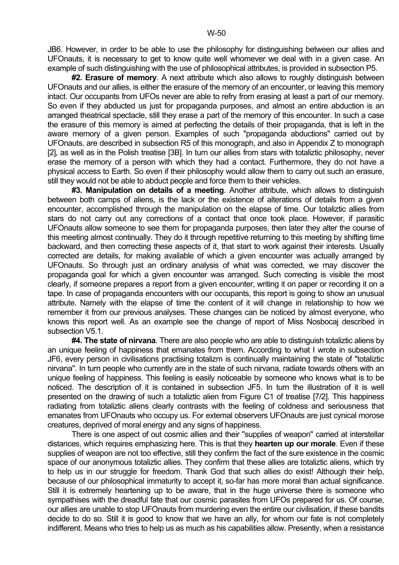JB6. However, in order to be able to use the philosophy for distinguishing between our allies and UFOnauts, it is necessary to get to know quite well whomever we deal with in a given case. An example of such distinguishing with the use of philosophical attributes, is provided in subsection P5.

 **#2. Erasure of memory**. A next attribute which also allows to roughly distinguish between UFOnauts and our allies, is either the erasure of the memory of an encounter, or leaving this memory intact. Our occupants from UFOs never are able to refry from erasing at least a part of our memory. So even if they abducted us just for propaganda purposes, and almost an entire abduction is an arranged theatrical spectacle, still they erase a part of the memory of this encounter. In such a case the erasure of this memory is aimed at perfecting the details of their propaganda, that is left in the aware memory of a given person. Examples of such "propaganda abductions" carried out by UFOnauts, are described in subsection R5 of this monograph, and also in Appendix Z to monograph [2], as well as in the Polish treatise [3B]. In turn our allies from stars with totaliztic philosophy, never erase the memory of a person with which they had a contact. Furthermore, they do not have a physical access to Earth. So even if their philosophy would allow them to carry out such an erasure, still they would not be able to abduct people and force them to their vehicles.

 **#3. Manipulation on details of a meeting**. Another attribute, which allows to distinguish between both camps of aliens, is the lack or the existence of alterations of details from a given encounter, accomplished through the manipulation on the elapse of time. Our totaliztic allies from stars do not carry out any corrections of a contact that once took place. However, if parasitic UFOnauts allow someone to see them for propaganda purposes, then later they alter the course of this meeting almost continually. They do it through repetitive returning to this meeting by shifting time backward, and then correcting these aspects of it, that start to work against their interests. Usually corrected are details, for making available of which a given encounter was actually arranged by UFOnauts. So through just an ordinary analysis of what was corrected, we may discover the propaganda goal for which a given encounter was arranged. Such correcting is visible the most clearly, if someone prepares a report from a given encounter, writing it on paper or recording it on a tape. In case of propaganda encounters with our occupants, this report is going to show an unusual attribute. Namely with the elapse of time the content of it will change in relationship to how we remember it from our previous analyses. These changes can be noticed by almost everyone, who knows this report well. As an example see the change of report of Miss Nosbocaj described in subsection V5.1.

 **#4. The state of nirvana**. There are also people who are able to distinguish totaliztic aliens by an unique feeling of happiness that emanates from them. According to what I wrote in subsection JF6, every person in civilisations practising totalizm is continually maintaining the state of "totaliztic nirvana". In turn people who currently are in the state of such nirvana, radiate towards others with an unique feeling of happiness. This feeling is easily noticeable by someone who knows what is to be noticed. The description of it is contained in subsection JF5. In turn the illustration of it is well presented on the drawing of such a totaliztic alien from Figure C1 of treatise [7/2]. This happiness radiating from totaliztic aliens clearly contrasts with the feeling of coldness and seriousness that emanates from UFOnauts who occupy us. For external observers UFOnauts are just cynical morose creatures, deprived of moral energy and any signs of happiness.

 There is one aspect of out cosmic allies and their "supplies of weapon" carried at interstellar distances, which requires emphasizing here. This is that they **hearten up our morale**. Even if these supplies of weapon are not too effective, still they confirm the fact of the sure existence in the cosmic space of our anonymous totaliztic allies. They confirm that these allies are totaliztic aliens, which try to help us in our struggle for freedom. Thank God that such allies do exist! Although their help, because of our philosophical immaturity to accept it, so-far has more moral than actual significance. Still it is extremely heartening up to be aware, that in the huge universe there is someone who sympathises with the dreadful fate that our cosmic parasites from UFOs prepared for us. Of course, our allies are unable to stop UFOnauts from murdering even the entire our civilisation, if these bandits decide to do so. Still it is good to know that we have an ally, for whom our fate is not completely indifferent. Means who tries to help us as much as his capabilities allow. Presently, when a resistance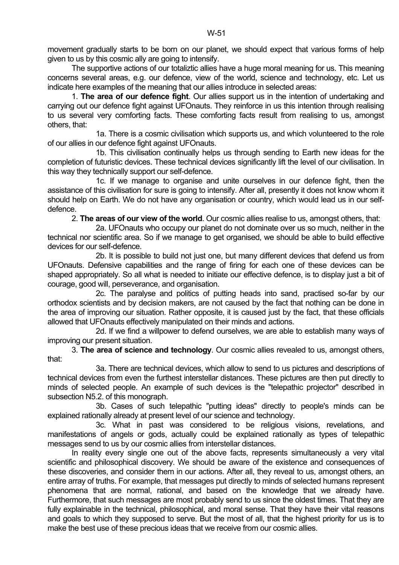The supportive actions of our totaliztic allies have a huge moral meaning for us. This meaning concerns several areas, e.g. our defence, view of the world, science and technology, etc. Let us indicate here examples of the meaning that our allies introduce in selected areas:

 1. **The area of our defence fight**. Our allies support us in the intention of undertaking and carrying out our defence fight against UFOnauts. They reinforce in us this intention through realising to us several very comforting facts. These comforting facts result from realising to us, amongst others, that:

 1a. There is a cosmic civilisation which supports us, and which volunteered to the role of our allies in our defence fight against UFOnauts.

 1b. This civilisation continually helps us through sending to Earth new ideas for the completion of futuristic devices. These technical devices significantly lift the level of our civilisation. In this way they technically support our self-defence.

 1c. If we manage to organise and unite ourselves in our defence fight, then the assistance of this civilisation for sure is going to intensify. After all, presently it does not know whom it should help on Earth. We do not have any organisation or country, which would lead us in our selfdefence.

2. **The areas of our view of the world**. Our cosmic allies realise to us, amongst others, that:

 2a. UFOnauts who occupy our planet do not dominate over us so much, neither in the technical nor scientific area. So if we manage to get organised, we should be able to build effective devices for our self-defence.

 2b. It is possible to build not just one, but many different devices that defend us from UFOnauts. Defensive capabilities and the range of firing for each one of these devices can be shaped appropriately. So all what is needed to initiate our effective defence, is to display just a bit of courage, good will, perseverance, and organisation.

 2c. The paralyse and politics of putting heads into sand, practised so-far by our orthodox scientists and by decision makers, are not caused by the fact that nothing can be done in the area of improving our situation. Rather opposite, it is caused just by the fact, that these officials allowed that UFOnauts effectively manipulated on their minds and actions.

 2d. If we find a willpower to defend ourselves, we are able to establish many ways of improving our present situation.

 3. **The area of science and technology**. Our cosmic allies revealed to us, amongst others, that:

 3a. There are technical devices, which allow to send to us pictures and descriptions of technical devices from even the furthest interstellar distances. These pictures are then put directly to minds of selected people. An example of such devices is the "telepathic projector" described in subsection N5.2. of this monograph.

 3b. Cases of such telepathic "putting ideas" directly to people's minds can be explained rationally already at present level of our science and technology.

 3c. What in past was considered to be religious visions, revelations, and manifestations of angels or gods, actually could be explained rationally as types of telepathic messages send to us by our cosmic allies from interstellar distances.

 In reality every single one out of the above facts, represents simultaneously a very vital scientific and philosophical discovery. We should be aware of the existence and consequences of these discoveries, and consider them in our actions. After all, they reveal to us, amongst others, an entire array of truths. For example, that messages put directly to minds of selected humans represent phenomena that are normal, rational, and based on the knowledge that we already have. Furthermore, that such messages are most probably send to us since the oldest times. That they are fully explainable in the technical, philosophical, and moral sense. That they have their vital reasons and goals to which they supposed to serve. But the most of all, that the highest priority for us is to make the best use of these precious ideas that we receive from our cosmic allies.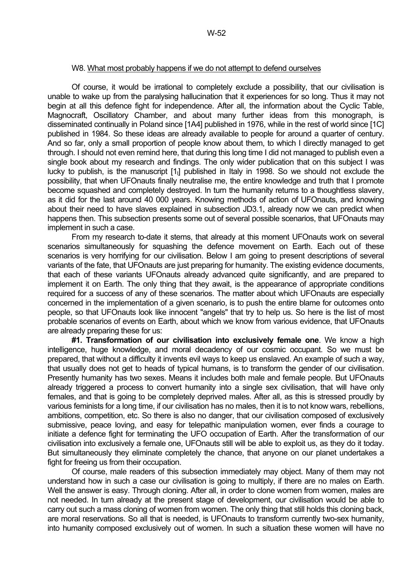#### W8. What most probably happens if we do not attempt to defend ourselves

 Of course, it would be irrational to completely exclude a possibility, that our civilisation is unable to wake up from the paralysing hallucination that it experiences for so long. Thus it may not begin at all this defence fight for independence. After all, the information about the Cyclic Table, Magnocraft, Oscillatory Chamber, and about many further ideas from this monograph, is disseminated continually in Poland since [1A4] published in 1976, while in the rest of world since [1C] published in 1984. So these ideas are already available to people for around a quarter of century. And so far, only a small proportion of people know about them, to which I directly managed to get through. I should not even remind here, that during this long time I did not managed to publish even a single book about my research and findings. The only wider publication that on this subject I was lucky to publish, is the manuscript [1<sub>i</sub>] published in Italy in 1998. So we should not exclude the possibility, that when UFOnauts finally neutralise me, the entire knowledge and truth that I promote become squashed and completely destroyed. In turn the humanity returns to a thoughtless slavery, as it did for the last around 40 000 years. Knowing methods of action of UFOnauts, and knowing about their need to have slaves explained in subsection JD3.1, already now we can predict when happens then. This subsection presents some out of several possible scenarios, that UFOnauts may implement in such a case.

 From my research to-date it stems, that already at this moment UFOnauts work on several scenarios simultaneously for squashing the defence movement on Earth. Each out of these scenarios is very horrifying for our civilisation. Below I am going to present descriptions of several variants of the fate, that UFOnauts are just preparing for humanity. The existing evidence documents, that each of these variants UFOnauts already advanced quite significantly, and are prepared to implement it on Earth. The only thing that they await, is the appearance of appropriate conditions required for a success of any of these scenarios. The matter about which UFOnauts are especially concerned in the implementation of a given scenario, is to push the entire blame for outcomes onto people, so that UFOnauts look like innocent "angels" that try to help us. So here is the list of most probable scenarios of events on Earth, about which we know from various evidence, that UFOnauts are already preparing these for us:

 **#1. Transformation of our civilisation into exclusively female one**. We know a high intelligence, huge knowledge, and moral decadency of our cosmic occupant. So we must be prepared, that without a difficulty it invents evil ways to keep us enslaved. An example of such a way, that usually does not get to heads of typical humans, is to transform the gender of our civilisation. Presently humanity has two sexes. Means it includes both male and female people. But UFOnauts already triggered a process to convert humanity into a single sex civilisation, that will have only females, and that is going to be completely deprived males. After all, as this is stressed proudly by various feminists for a long time, if our civilisation has no males, then it is to not know wars, rebellions, ambitions, competition, etc. So there is also no danger, that our civilisation composed of exclusively submissive, peace loving, and easy for telepathic manipulation women, ever finds a courage to initiate a defence fight for terminating the UFO occupation of Earth. After the transformation of our civilisation into exclusively a female one, UFOnauts still will be able to exploit us, as they do it today. But simultaneously they eliminate completely the chance, that anyone on our planet undertakes a fight for freeing us from their occupation.

 Of course, male readers of this subsection immediately may object. Many of them may not understand how in such a case our civilisation is going to multiply, if there are no males on Earth. Well the answer is easy. Through cloning. After all, in order to clone women from women, males are not needed. In turn already at the present stage of development, our civilisation would be able to carry out such a mass cloning of women from women. The only thing that still holds this cloning back, are moral reservations. So all that is needed, is UFOnauts to transform currently two-sex humanity, into humanity composed exclusively out of women. In such a situation these women will have no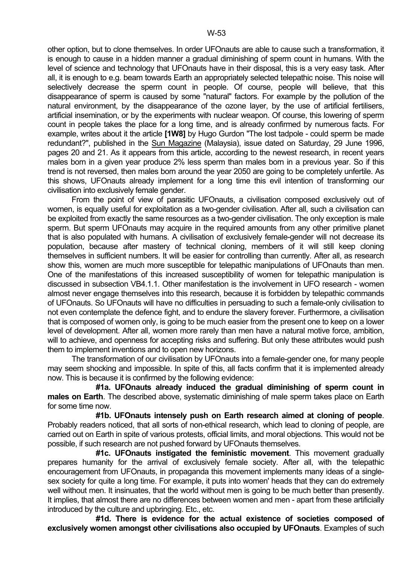other option, but to clone themselves. In order UFOnauts are able to cause such a transformation, it is enough to cause in a hidden manner a gradual diminishing of sperm count in humans. With the level of science and technology that UFOnauts have in their disposal, this is a very easy task. After all, it is enough to e.g. beam towards Earth an appropriately selected telepathic noise. This noise will selectively decrease the sperm count in people. Of course, people will believe, that this disappearance of sperm is caused by some "natural" factors. For example by the pollution of the natural environment, by the disappearance of the ozone layer, by the use of artificial fertilisers, artificial insemination, or by the experiments with nuclear weapon. Of course, this lowering of sperm count in people takes the place for a long time, and is already confirmed by numerous facts. For example, writes about it the article **[1W8]** by Hugo Gurdon "The lost tadpole - could sperm be made redundant?", published in the Sun Magazine (Malaysia), issue dated on Saturday, 29 June 1996. pages 20 and 21. As it appears from this article, according to the newest research, in recent years males born in a given year produce 2% less sperm than males born in a previous year. So if this trend is not reversed, then males born around the year 2050 are going to be completely unfertile. As this shows, UFOnauts already implement for a long time this evil intention of transforming our civilisation into exclusively female gender.

 From the point of view of parasitic UFOnauts, a civilisation composed exclusively out of women, is equally useful for exploitation as a two-gender civilisation. After all, such a civilisation can be exploited from exactly the same resources as a two-gender civilisation. The only exception is male sperm. But sperm UFOnauts may acquire in the required amounts from any other primitive planet that is also populated with humans. A civilisation of exclusively female-gender will not decrease its population, because after mastery of technical cloning, members of it will still keep cloning themselves in sufficient numbers. It will be easier for controlling than currently. After all, as research show this, women are much more susceptible for telepathic manipulations of UFOnauts than men. One of the manifestations of this increased susceptibility of women for telepathic manipulation is discussed in subsection VB4.1.1. Other manifestation is the involvement in UFO research - women almost never engage themselves into this research, because it is forbidden by telepathic commands of UFOnauts. So UFOnauts will have no difficulties in persuading to such a female-only civilisation to not even contemplate the defence fight, and to endure the slavery forever. Furthermore, a civilisation that is composed of women only, is going to be much easier from the present one to keep on a lower level of development. After all, women more rarely than men have a natural motive force, ambition, will to achieve, and openness for accepting risks and suffering. But only these attributes would push them to implement inventions and to open new horizons.

 The transformation of our civilisation by UFOnauts into a female-gender one, for many people may seem shocking and impossible. In spite of this, all facts confirm that it is implemented already now. This is because it is confirmed by the following evidence:

 **#1a. UFOnauts already induced the gradual diminishing of sperm count in males on Earth**. The described above, systematic diminishing of male sperm takes place on Earth for some time now.

 **#1b. UFOnauts intensely push on Earth research aimed at cloning of people**. Probably readers noticed, that all sorts of non-ethical research, which lead to cloning of people, are carried out on Earth in spite of various protests, official limits, and moral objections. This would not be possible, if such research are not pushed forward by UFOnauts themselves.

 **#1c. UFOnauts instigated the feministic movement**. This movement gradually prepares humanity for the arrival of exclusively female society. After all, with the telepathic encouragement from UFOnauts, in propaganda this movement implements many ideas of a singlesex society for quite a long time. For example, it puts into women' heads that they can do extremely well without men. It insinuates, that the world without men is going to be much better than presently. It implies, that almost there are no differences between women and men - apart from these artificially introduced by the culture and upbringing. Etc., etc.

 **#1d. There is evidence for the actual existence of societies composed of exclusively women amongst other civilisations also occupied by UFOnauts**. Examples of such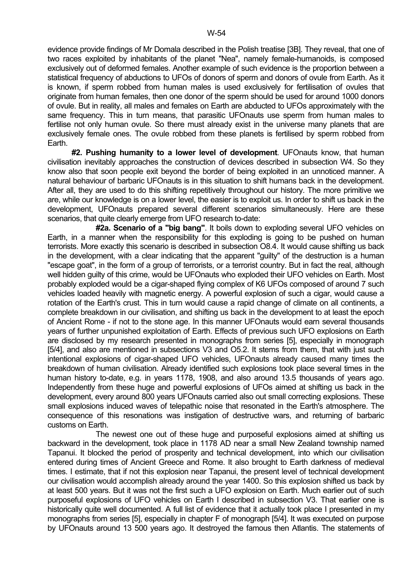evidence provide findings of Mr Domala described in the Polish treatise [3B]. They reveal, that one of two races exploited by inhabitants of the planet "Nea", namely female-humanoids, is composed exclusively out of deformed females. Another example of such evidence is the proportion between a statistical frequency of abductions to UFOs of donors of sperm and donors of ovule from Earth. As it is known, if sperm robbed from human males is used exclusively for fertilisation of ovules that originate from human females, then one donor of the sperm should be used for around 1000 donors of ovule. But in reality, all males and females on Earth are abducted to UFOs approximately with the same frequency. This in turn means, that parasitic UFOnauts use sperm from human males to fertilise not only human ovule. So there must already exist in the universe many planets that are exclusively female ones. The ovule robbed from these planets is fertilised by sperm robbed from Earth.

 **#2. Pushing humanity to a lower level of development**. UFOnauts know, that human civilisation inevitably approaches the construction of devices described in subsection W4. So they know also that soon people exit beyond the border of being exploited in an unnoticed manner. A natural behaviour of barbaric UFOnauts is in this situation to shift humans back in the development. After all, they are used to do this shifting repetitively throughout our history. The more primitive we are, while our knowledge is on a lower level, the easier is to exploit us. In order to shift us back in the development, UFOnauts prepared several different scenarios simultaneously. Here are these scenarios, that quite clearly emerge from UFO research to-date:

 **#2a. Scenario of a "big bang"**. It boils down to exploding several UFO vehicles on Earth, in a manner when the responsibility for this exploding is going to be pushed on human terrorists. More exactly this scenario is described in subsection O8.4. It would cause shifting us back in the development, with a clear indicating that the apparent "guilty" of the destruction is a human "escape goat", in the form of a group of terrorists, or a terrorist country. But in fact the real, although well hidden guilty of this crime, would be UFOnauts who exploded their UFO vehicles on Earth. Most probably exploded would be a cigar-shaped flying complex of K6 UFOs composed of around 7 such vehicles loaded heavily with magnetic energy. A powerful explosion of such a cigar, would cause a rotation of the Earth's crust. This in turn would cause a rapid change of climate on all continents, a complete breakdown in our civilisation, and shifting us back in the development to at least the epoch of Ancient Rome - if not to the stone age. In this manner UFOnauts would earn several thousands years of further unpunished exploitation of Earth. Effects of previous such UFO explosions on Earth are disclosed by my research presented in monographs from series [5], especially in monograph [5/4], and also are mentioned in subsections V3 and O5.2. It stems from them, that with just such intentional explosions of cigar-shaped UFO vehicles, UFOnauts already caused many times the breakdown of human civilisation. Already identified such explosions took place several times in the human history to-date, e.g. in years 1178, 1908, and also around 13.5 thousands of years ago. Independently from these huge and powerful explosions of UFOs aimed at shifting us back in the development, every around 800 years UFOnauts carried also out small correcting explosions. These small explosions induced waves of telepathic noise that resonated in the Earth's atmosphere. The consequence of this resonations was instigation of destructive wars, and returning of barbaric customs on Earth.

 The newest one out of these huge and purposeful explosions aimed at shifting us backward in the development, took place in 1178 AD near a small New Zealand township named Tapanui. It blocked the period of prosperity and technical development, into which our civilisation entered during times of Ancient Greece and Rome. It also brought to Earth darkness of medieval times. I estimate, that if not this explosion near Tapanui, the present level of technical development our civilisation would accomplish already around the year 1400. So this explosion shifted us back by at least 500 years. But it was not the first such a UFO explosion on Earth. Much earlier out of such purposeful explosions of UFO vehicles on Earth I described in subsection V3. That earlier one is historically quite well documented. A full list of evidence that it actually took place I presented in my monographs from series [5], especially in chapter F of monograph [5/4]. It was executed on purpose by UFOnauts around 13 500 years ago. It destroyed the famous then Atlantis. The statements of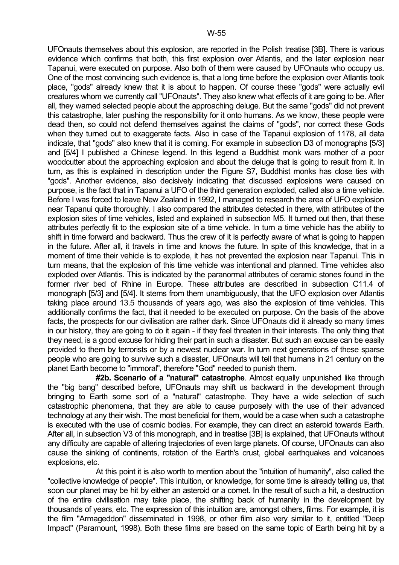UFOnauts themselves about this explosion, are reported in the Polish treatise [3B]. There is various evidence which confirms that both, this first explosion over Atlantis, and the later explosion near Tapanui, were executed on purpose. Also both of them were caused by UFOnauts who occupy us. One of the most convincing such evidence is, that a long time before the explosion over Atlantis took place, "gods" already knew that it is about to happen. Of course these "gods" were actually evil creatures whom we currently call "UFOnauts". They also knew what effects of it are going to be. After all, they warned selected people about the approaching deluge. But the same "gods" did not prevent this catastrophe, later pushing the responsibility for it onto humans. As we know, these people were dead then, so could not defend themselves against the claims of "gods", nor correct these Gods when they turned out to exaggerate facts. Also in case of the Tapanui explosion of 1178, all data indicate, that "gods" also knew that it is coming. For example in subsection D3 of monographs [5/3] and [5/4] I published a Chinese legend. In this legend a Buddhist monk wars mother of a poor woodcutter about the approaching explosion and about the deluge that is going to result from it. In turn, as this is explained in description under the Figure S7, Buddhist monks has close ties with "gods". Another evidence, also decisively indicating that discussed explosions were caused on purpose, is the fact that in Tapanui a UFO of the third generation exploded, called also a time vehicle. Before I was forced to leave New Zealand in 1992, I managed to research the area of UFO explosion near Tapanui quite thoroughly. I also compared the attributes detected in there, with attributes of the explosion sites of time vehicles, listed and explained in subsection M5. It turned out then, that these attributes perfectly fit to the explosion site of a time vehicle. In turn a time vehicle has the ability to shift in time forward and backward. Thus the crew of it is perfectly aware of what is going to happen in the future. After all, it travels in time and knows the future. In spite of this knowledge, that in a moment of time their vehicle is to explode, it has not prevented the explosion near Tapanui. This in turn means, that the explosion of this time vehicle was intentional and planned. Time vehicles also exploded over Atlantis. This is indicated by the paranormal attributes of ceramic stones found in the former river bed of Rhine in Europe. These attributes are described in subsection C11.4 of monograph [5/3] and [5/4]. It stems from them unambiguously, that the UFO explosion over Atlantis taking place around 13.5 thousands of years ago, was also the explosion of time vehicles. This additionally confirms the fact, that it needed to be executed on purpose. On the basis of the above facts, the prospects for our civilisation are rather dark. Since UFOnauts did it already so many times in our history, they are going to do it again - if they feel threaten in their interests. The only thing that they need, is a good excuse for hiding their part in such a disaster. But such an excuse can be easily provided to them by terrorists or by a newest nuclear war. In turn next generations of these sparse people who are going to survive such a disaster, UFOnauts will tell that humans in 21 century on the planet Earth become to "immoral", therefore "God" needed to punish them.

 **#2b. Scenario of a "natural" catastrophe**. Almost equally unpunished like through the "big bang" described before, UFOnauts may shift us backward in the development through bringing to Earth some sort of a "natural" catastrophe. They have a wide selection of such catastrophic phenomena, that they are able to cause purposely with the use of their advanced technology at any their wish. The most beneficial for them, would be a case when such a catastrophe is executed with the use of cosmic bodies. For example, they can direct an asteroid towards Earth. After all, in subsection V3 of this monograph, and in treatise [3B] is explained, that UFOnauts without any difficulty are capable of altering trajectories of even large planets. Of course, UFOnauts can also cause the sinking of continents, rotation of the Earth's crust, global earthquakes and volcanoes explosions, etc.

 At this point it is also worth to mention about the "intuition of humanity", also called the "collective knowledge of people". This intuition, or knowledge, for some time is already telling us, that soon our planet may be hit by either an asteroid or a comet. In the result of such a hit, a destruction of the entire civilisation may take place, the shifting back of humanity in the development by thousands of years, etc. The expression of this intuition are, amongst others, films. For example, it is the film "Armageddon" disseminated in 1998, or other film also very similar to it, entitled "Deep Impact" (Paramount, 1998). Both these films are based on the same topic of Earth being hit by a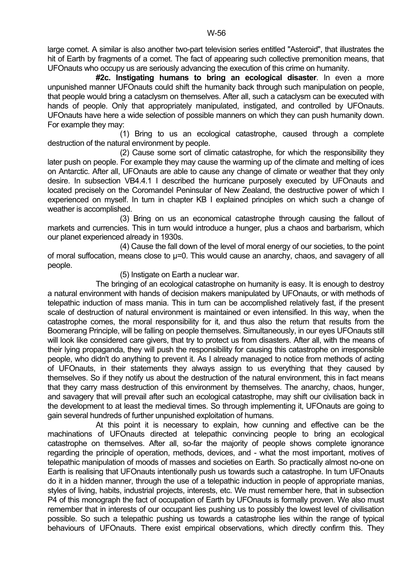large comet. A similar is also another two-part television series entitled "Asteroid", that illustrates the hit of Earth by fragments of a comet. The fact of appearing such collective premonition means, that UFOnauts who occupy us are seriously advancing the execution of this crime on humanity.

 **#2c. Instigating humans to bring an ecological disaster**. In even a more unpunished manner UFOnauts could shift the humanity back through such manipulation on people, that people would bring a cataclysm on themselves. After all, such a cataclysm can be executed with hands of people. Only that appropriately manipulated, instigated, and controlled by UFOnauts. UFOnauts have here a wide selection of possible manners on which they can push humanity down. For example they may:

 (1) Bring to us an ecological catastrophe, caused through a complete destruction of the natural environment by people.

 (2) Cause some sort of climatic catastrophe, for which the responsibility they later push on people. For example they may cause the warming up of the climate and melting of ices on Antarctic. After all, UFOnauts are able to cause any change of climate or weather that they only desire. In subsection VB4.4.1 I described the hurricane purposely executed by UFOnauts and located precisely on the Coromandel Peninsular of New Zealand, the destructive power of which I experienced on myself. In turn in chapter KB I explained principles on which such a change of weather is accomplished.

 (3) Bring on us an economical catastrophe through causing the fallout of markets and currencies. This in turn would introduce a hunger, plus a chaos and barbarism, which our planet experienced already in 1930s.

 (4) Cause the fall down of the level of moral energy of our societies, to the point of moral suffocation, means close to µ=0. This would cause an anarchy, chaos, and savagery of all people.

# (5) Instigate on Earth a nuclear war.

 The bringing of an ecological catastrophe on humanity is easy. It is enough to destroy a natural environment with hands of decision makers manipulated by UFOnauts, or with methods of telepathic induction of mass mania. This in turn can be accomplished relatively fast, if the present scale of destruction of natural environment is maintained or even intensified. In this way, when the catastrophe comes, the moral responsibility for it, and thus also the return that results from the Boomerang Principle, will be falling on people themselves. Simultaneously, in our eyes UFOnauts still will look like considered care givers, that try to protect us from disasters. After all, with the means of their lying propaganda, they will push the responsibility for causing this catastrophe on irresponsible people, who didn't do anything to prevent it. As I already managed to notice from methods of acting of UFOnauts, in their statements they always assign to us everything that they caused by themselves. So if they notify us about the destruction of the natural environment, this in fact means that they carry mass destruction of this environment by themselves. The anarchy, chaos, hunger, and savagery that will prevail after such an ecological catastrophe, may shift our civilisation back in the development to at least the medieval times. So through implementing it, UFOnauts are going to gain several hundreds of further unpunished exploitation of humans.

 At this point it is necessary to explain, how cunning and effective can be the machinations of UFOnauts directed at telepathic convincing people to bring an ecological catastrophe on themselves. After all, so-far the majority of people shows complete ignorance regarding the principle of operation, methods, devices, and - what the most important, motives of telepathic manipulation of moods of masses and societies on Earth. So practically almost no-one on Earth is realising that UFOnauts intentionally push us towards such a catastrophe. In turn UFOnauts do it in a hidden manner, through the use of a telepathic induction in people of appropriate manias, styles of living, habits, industrial projects, interests, etc. We must remember here, that in subsection P4 of this monograph the fact of occupation of Earth by UFOnauts is formally proven. We also must remember that in interests of our occupant lies pushing us to possibly the lowest level of civilisation possible. So such a telepathic pushing us towards a catastrophe lies within the range of typical behaviours of UFOnauts. There exist empirical observations, which directly confirm this. They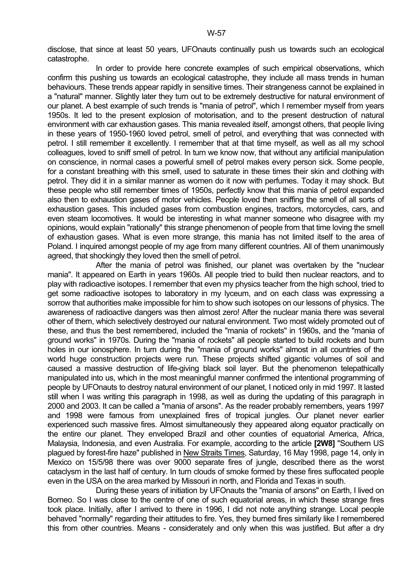disclose, that since at least 50 years, UFOnauts continually push us towards such an ecological catastrophe.

In order to provide here concrete examples of such empirical observations, which confirm this pushing us towards an ecological catastrophe, they include all mass trends in human behaviours. These trends appear rapidly in sensitive times. Their strangeness cannot be explained in a "natural" manner. Slightly later they turn out to be extremely destructive for natural environment of our planet. A best example of such trends is "mania of petrol", which I remember myself from years 1950s. It led to the present explosion of motorisation, and to the present destruction of natural environment with car exhaustion gases. This mania revealed itself, amongst others, that people living in these years of 1950-1960 loved petrol, smell of petrol, and everything that was connected with petrol. I still remember it excellently. I remember that at that time myself, as well as all my school colleagues, loved to sniff smell of petrol. In turn we know now, that without any artificial manipulation on conscience, in normal cases a powerful smell of petrol makes every person sick. Some people, for a constant breathing with this smell, used to saturate in these times their skin and clothing with petrol. They did it in a similar manner as women do it now with perfumes. Today it may shock. But these people who still remember times of 1950s, perfectly know that this mania of petrol expanded also then to exhaustion gases of motor vehicles. People loved then sniffing the smell of all sorts of exhaustion gases. This included gases from combustion engines, tractors, motorcycles, cars, and even steam locomotives. It would be interesting in what manner someone who disagree with my opinions, would explain "rationally" this strange phenomenon of people from that time loving the smell of exhaustion gases. What is even more strange, this mania has not limited itself to the area of Poland. I inquired amongst people of my age from many different countries. All of them unanimously agreed, that shockingly they loved then the smell of petrol.

 After the mania of petrol was finished, our planet was overtaken by the "nuclear mania". It appeared on Earth in years 1960s. All people tried to build then nuclear reactors, and to play with radioactive isotopes. I remember that even my physics teacher from the high school, tried to get some radioactive isotopes to laboratory in my lyceum, and on each class was expressing a sorrow that authorities make impossible for him to show such isotopes on our lessons of physics. The awareness of radioactive dangers was then almost zero! After the nuclear mania there was several other of them, which selectively destroyed our natural environment. Two most widely promoted out of these, and thus the best remembered, included the "mania of rockets" in 1960s, and the "mania of ground works" in 1970s. During the "mania of rockets" all people started to build rockets and burn holes in our ionosphere. In turn during the "mania of ground works" almost in all countries of the world huge construction projects were run. These projects shifted gigantic volumes of soil and caused a massive destruction of life-giving black soil layer. But the phenomenon telepathically manipulated into us, which in the most meaningful manner confirmed the intentional programming of people by UFOnauts to destroy natural environment of our planet, I noticed only in mid 1997. It lasted still when I was writing this paragraph in 1998, as well as during the updating of this paragraph in 2000 and 2003. It can be called a "mania of arsons". As the reader probably remembers, years 1997 and 1998 were famous from unexplained fires of tropical jungles. Our planet never earlier experienced such massive fires. Almost simultaneously they appeared along equator practically on the entire our planet. They enveloped Brazil and other counties of equatorial America, Africa, Malaysia, Indonesia, and even Australia. For example, according to the article **[2W8]** "Southern US plagued by forest-fire haze" published in New Straits Times, Saturday, 16 May 1998, page 14, only in Mexico on 15/5/98 there was over 9000 separate fires of jungle, described there as the worst cataclysm in the last half of century. In turn clouds of smoke formed by these fires suffocated people even in the USA on the area marked by Missouri in north, and Florida and Texas in south.

 During these years of initiation by UFOnauts the "mania of arsons" on Earth, I lived on Borneo. So I was close to the centre of one of such equatorial areas, in which these strange fires took place. Initially, after I arrived to there in 1996, I did not note anything strange. Local people behaved "normally" regarding their attitudes to fire. Yes, they burned fires similarly like I remembered this from other countries. Means - considerately and only when this was justified. But after a dry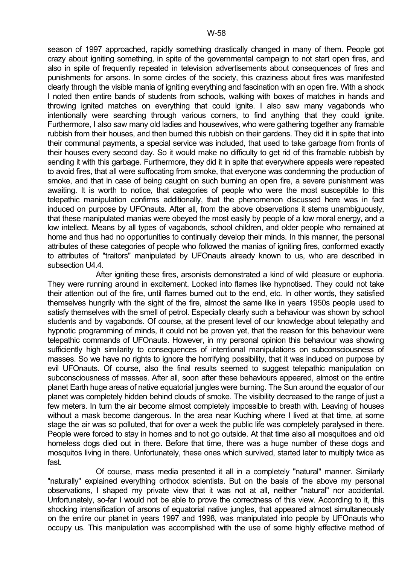season of 1997 approached, rapidly something drastically changed in many of them. People got crazy about igniting something, in spite of the governmental campaign to not start open fires, and also in spite of frequently repeated in television advertisements about consequences of fires and punishments for arsons. In some circles of the society, this craziness about fires was manifested clearly through the visible mania of igniting everything and fascination with an open fire. With a shock I noted then entire bands of students from schools, walking with boxes of matches in hands and throwing ignited matches on everything that could ignite. I also saw many vagabonds who intentionally were searching through various corners, to find anything that they could ignite. Furthermore, I also saw many old ladies and housewives, who were gathering together any framable rubbish from their houses, and then burned this rubbish on their gardens. They did it in spite that into their communal payments, a special service was included, that used to take garbage from fronts of their houses every second day. So it would make no difficulty to get rid of this framable rubbish by sending it with this garbage. Furthermore, they did it in spite that everywhere appeals were repeated to avoid fires, that all were suffocating from smoke, that everyone was condemning the production of smoke, and that in case of being caught on such burning an open fire, a severe punishment was awaiting. It is worth to notice, that categories of people who were the most susceptible to this telepathic manipulation confirms additionally, that the phenomenon discussed here was in fact induced on purpose by UFOnauts. After all, from the above observations it stems unambiguously, that these manipulated manias were obeyed the most easily by people of a low moral energy, and a low intellect. Means by all types of vagabonds, school children, and older people who remained at home and thus had no opportunities to continually develop their minds. In this manner, the personal attributes of these categories of people who followed the manias of igniting fires, conformed exactly to attributes of "traitors" manipulated by UFOnauts already known to us, who are described in subsection U4.4.

 After igniting these fires, arsonists demonstrated a kind of wild pleasure or euphoria. They were running around in excitement. Looked into flames like hypnotised. They could not take their attention out of the fire, until flames burned out to the end, etc. In other words, they satisfied themselves hungrily with the sight of the fire, almost the same like in years 1950s people used to satisfy themselves with the smell of petrol. Especially clearly such a behaviour was shown by school students and by vagabonds. Of course, at the present level of our knowledge about telepathy and hypnotic programming of minds, it could not be proven yet, that the reason for this behaviour were telepathic commands of UFOnauts. However, in my personal opinion this behaviour was showing sufficiently high similarity to consequences of intentional manipulations on subconsciousness of masses. So we have no rights to ignore the horrifying possibility, that it was induced on purpose by evil UFOnauts. Of course, also the final results seemed to suggest telepathic manipulation on subconsciousness of masses. After all, soon after these behaviours appeared, almost on the entire planet Earth huge areas of native equatorial jungles were burning. The Sun around the equator of our planet was completely hidden behind clouds of smoke. The visibility decreased to the range of just a few meters. In turn the air become almost completely impossible to breath with. Leaving of houses without a mask become dangerous. In the area near Kuching where I lived at that time, at some stage the air was so polluted, that for over a week the public life was completely paralysed in there. People were forced to stay in homes and to not go outside. At that time also all mosquitoes and old homeless dogs died out in there. Before that time, there was a huge number of these dogs and mosquitos living in there. Unfortunately, these ones which survived, started later to multiply twice as fast.

 Of course, mass media presented it all in a completely "natural" manner. Similarly "naturally" explained everything orthodox scientists. But on the basis of the above my personal observations, I shaped my private view that it was not at all, neither "natural" nor accidental. Unfortunately, so-far I would not be able to prove the correctness of this view. According to it, this shocking intensification of arsons of equatorial native jungles, that appeared almost simultaneously on the entire our planet in years 1997 and 1998, was manipulated into people by UFOnauts who occupy us. This manipulation was accomplished with the use of some highly effective method of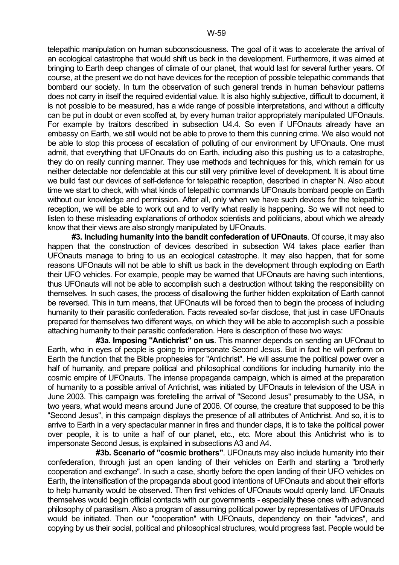telepathic manipulation on human subconsciousness. The goal of it was to accelerate the arrival of an ecological catastrophe that would shift us back in the development. Furthermore, it was aimed at bringing to Earth deep changes of climate of our planet, that would last for several further years. Of course, at the present we do not have devices for the reception of possible telepathic commands that bombard our society. In turn the observation of such general trends in human behaviour patterns does not carry in itself the required evidential value. It is also highly subjective, difficult to document, it is not possible to be measured, has a wide range of possible interpretations, and without a difficulty can be put in doubt or even scoffed at, by every human traitor appropriately manipulated UFOnauts. For example by traitors described in subsection U4.4. So even if UFOnauts already have an embassy on Earth, we still would not be able to prove to them this cunning crime. We also would not be able to stop this process of escalation of polluting of our environment by UFOnauts. One must admit, that everything that UFOnauts do on Earth, including also this pushing us to a catastrophe, they do on really cunning manner. They use methods and techniques for this, which remain for us neither detectable nor defendable at this our still very primitive level of development. It is about time we build fast our devices of self-defence for telepathic reception, described in chapter N. Also about time we start to check, with what kinds of telepathic commands UFOnauts bombard people on Earth without our knowledge and permission. After all, only when we have such devices for the telepathic reception, we will be able to work out and to verify what really is happening. So we will not need to listen to these misleading explanations of orthodox scientists and politicians, about which we already know that their views are also strongly manipulated by UFOnauts.

 **#3. Including humanity into the bandit confederation of UFOnauts**. Of course, it may also happen that the construction of devices described in subsection W4 takes place earlier than UFOnauts manage to bring to us an ecological catastrophe. It may also happen, that for some reasons UFOnauts will not be able to shift us back in the development through exploding on Earth their UFO vehicles. For example, people may be warned that UFOnauts are having such intentions, thus UFOnauts will not be able to accomplish such a destruction without taking the responsibility on themselves. In such cases, the process of disallowing the further hidden exploitation of Earth cannot be reversed. This in turn means, that UFOnauts will be forced then to begin the process of including humanity to their parasitic confederation. Facts revealed so-far disclose, that just in case UFOnauts prepared for themselves two different ways, on which they will be able to accomplish such a possible attaching humanity to their parasitic confederation. Here is description of these two ways:

 **#3a. Imposing "Antichrist" on us**. This manner depends on sending an UFOnaut to Earth, who in eyes of people is going to impersonate Second Jesus. But in fact he will perform on Earth the function that the Bible prophesies for "Antichrist". He will assume the political power over a half of humanity, and prepare political and philosophical conditions for including humanity into the cosmic empire of UFOnauts. The intense propaganda campaign, which is aimed at the preparation of humanity to a possible arrival of Antichrist, was initiated by UFOnauts in television of the USA in June 2003. This campaign was foretelling the arrival of "Second Jesus" presumably to the USA, in two years, what would means around June of 2006. Of course, the creature that supposed to be this "Second Jesus", in this campaign displays the presence of all attributes of Antichrist. And so, it is to arrive to Earth in a very spectacular manner in fires and thunder claps, it is to take the political power over people, it is to unite a half of our planet, etc., etc. More about this Antichrist who is to impersonate Second Jesus, is explained in subsections A3 and A4.

 **#3b. Scenario of "cosmic brothers"**. UFOnauts may also include humanity into their confederation, through just an open landing of their vehicles on Earth and starting a "brotherly cooperation and exchange". In such a case, shortly before the open landing of their UFO vehicles on Earth, the intensification of the propaganda about good intentions of UFOnauts and about their efforts to help humanity would be observed. Then first vehicles of UFOnauts would openly land. UFOnauts themselves would begin official contacts with our governments - especially these ones with advanced philosophy of parasitism. Also a program of assuming political power by representatives of UFOnauts would be initiated. Then our "cooperation" with UFOnauts, dependency on their "advices", and copying by us their social, political and philosophical structures, would progress fast. People would be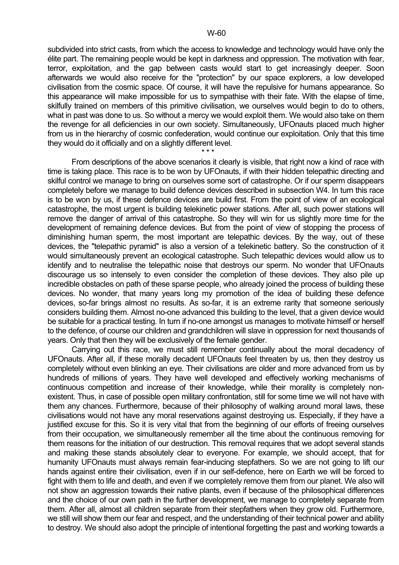subdivided into strict casts, from which the access to knowledge and technology would have only the élite part. The remaining people would be kept in darkness and oppression. The motivation with fear, terror, exploitation, and the gap between casts would start to get increasingly deeper. Soon afterwards we would also receive for the "protection" by our space explorers, a low developed civilisation from the cosmic space. Of course, it will have the repulsive for humans appearance. So this appearance will make impossible for us to sympathise with their fate. With the elapse of time, skilfully trained on members of this primitive civilisation, we ourselves would begin to do to others, what in past was done to us. So without a mercy we would exploit them. We would also take on them the revenge for all deficiencies in our own society. Simultaneously, UFOnauts placed much higher from us in the hierarchy of cosmic confederation, would continue our exploitation. Only that this time they would do it officially and on a slightly different level.

 $\star \star \star$ 

 From descriptions of the above scenarios it clearly is visible, that right now a kind of race with time is taking place. This race is to be won by UFOnauts, if with their hidden telepathic directing and skilful control we manage to bring on ourselves some sort of catastrophe. Or if our sperm disappears completely before we manage to build defence devices described in subsection W4. In turn this race is to be won by us, if these defence devices are build first. From the point of view of an ecological catastrophe, the most urgent is building telekinetic power stations. After all, such power stations will remove the danger of arrival of this catastrophe. So they will win for us slightly more time for the development of remaining defence devices. But from the point of view of stopping the process of diminishing human sperm, the most important are telepathic devices. By the way, out of these devices, the "telepathic pyramid" is also a version of a telekinetic battery. So the construction of it would simultaneously prevent an ecological catastrophe. Such telepathic devices would allow us to identify and to neutralise the telepathic noise that destroys our sperm. No wonder that UFOnauts discourage us so intensely to even consider the completion of these devices. They also pile up incredible obstacles on path of these sparse people, who already joined the process of building these devices. No wonder, that many years long my promotion of the idea of building these defence devices, so-far brings almost no results. As so-far, it is an extreme rarity that someone seriously considers building them. Almost no-one advanced this building to the level, that a given device would be suitable for a practical testing. In turn if no-one amongst us manages to motivate himself or herself to the defence, of course our children and grandchildren will slave in oppression for next thousands of years. Only that then they will be exclusively of the female gender.

 Carrying out this race, we must still remember continually about the moral decadency of UFOnauts. After all, if these morally decadent UFOnauts feel threaten by us, then they destroy us completely without even blinking an eye. Their civilisations are older and more advanced from us by hundreds of millions of years. They have well developed and effectively working mechanisms of continuous competition and increase of their knowledge, while their morality is completely nonexistent. Thus, in case of possible open military confrontation, still for some time we will not have with them any chances. Furthermore, because of their philosophy of walking around moral laws, these civilisations would not have any moral reservations against destroying us. Especially, if they have a justified excuse for this. So it is very vital that from the beginning of our efforts of freeing ourselves from their occupation, we simultaneously remember all the time about the continuous removing for them reasons for the initiation of our destruction. This removal requires that we adopt several stands and making these stands absolutely clear to everyone. For example, we should accept, that for humanity UFOnauts must always remain fear-inducing stepfathers. So we are not going to lift our hands against entire their civilisation, even if in our self-defence, here on Earth we will be forced to fight with them to life and death, and even if we completely remove them from our planet. We also will not show an aggression towards their native plants, even if because of the philosophical differences and the choice of our own path in the further development, we manage to completely separate from them. After all, almost all children separate from their stepfathers when they grow old. Furthermore, we still will show them our fear and respect, and the understanding of their technical power and ability to destroy. We should also adopt the principle of intentional forgetting the past and working towards a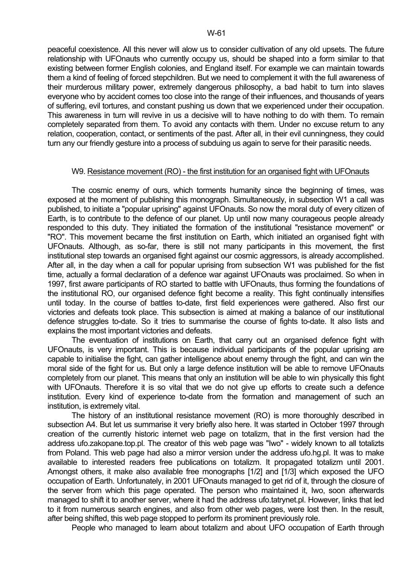peaceful coexistence. All this never will alow us to consider cultivation of any old upsets. The future relationship with UFOnauts who currently occupy us, should be shaped into a form similar to that existing between former English colonies, and England itself. For example we can maintain towards them a kind of feeling of forced stepchildren. But we need to complement it with the full awareness of their murderous military power, extremely dangerous philosophy, a bad habit to turn into slaves everyone who by accident comes too close into the range of their influences, and thousands of years of suffering, evil tortures, and constant pushing us down that we experienced under their occupation. This awareness in turn will revive in us a decisive will to have nothing to do with them. To remain completely separated from them. To avoid any contacts with them. Under no excuse return to any relation, cooperation, contact, or sentiments of the past. After all, in their evil cunningness, they could turn any our friendly gesture into a process of subduing us again to serve for their parasitic needs.

# W9. Resistance movement (RO) - the first institution for an organised fight with UFOnauts

 The cosmic enemy of ours, which torments humanity since the beginning of times, was exposed at the moment of publishing this monograph. Simultaneously, in subsection W1 a call was published, to initiate a "popular uprising" against UFOnauts. So now the moral duty of every citizen of Earth, is to contribute to the defence of our planet. Up until now many courageous people already responded to this duty. They initiated the formation of the institutional "resistance movement" or "RO". This movement became the first institution on Earth, which initiated an organised fight with UFOnauts. Although, as so-far, there is still not many participants in this movement, the first institutional step towards an organised fight against our cosmic aggressors, is already accomplished. After all, in the day when a call for popular uprising from subsection W1 was published for the fist time, actually a formal declaration of a defence war against UFOnauts was proclaimed. So when in 1997, first aware participants of RO started to battle with UFOnauts, thus forming the foundations of the institutional RO, our organised defence fight become a reality. This fight continually intensifies until today. In the course of battles to-date, first field experiences were gathered. Also first our victories and defeats took place. This subsection is aimed at making a balance of our institutional defence struggles to-date. So it tries to summarise the course of fights to-date. It also lists and explains the most important victories and defeats.

 The eventuation of institutions on Earth, that carry out an organised defence fight with UFOnauts, is very important. This is because individual participants of the popular uprising are capable to initialise the fight, can gather intelligence about enemy through the fight, and can win the moral side of the fight for us. But only a large defence institution will be able to remove UFOnauts completely from our planet. This means that only an institution will be able to win physically this fight with UFOnauts. Therefore it is so vital that we do not give up efforts to create such a defence institution. Every kind of experience to-date from the formation and management of such an institution, is extremely vital.

 The history of an institutional resistance movement (RO) is more thoroughly described in subsection A4. But let us summarise it very briefly also here. It was started in October 1997 through creation of the currently historic internet web page on totalizm, that in the first version had the address ufo.zakopane.top.pl. The creator of this web page was "Iwo" - widely known to all totalizts from Poland. This web page had also a mirror version under the address ufo.hg.pl. It was to make available to interested readers free publications on totalizm. It propagated totalizm until 2001. Amongst others, it make also available free monographs [1/2] and [1/3] which exposed the UFO occupation of Earth. Unfortunately, in 2001 UFOnauts managed to get rid of it, through the closure of the server from which this page operated. The person who maintained it, Iwo, soon afterwards managed to shift it to another server, where it had the address ufo.tatrynet.pl. However, links that led to it from numerous search engines, and also from other web pages, were lost then. In the result, after being shifted, this web page stopped to perform its prominent previously role.

People who managed to learn about totalizm and about UFO occupation of Earth through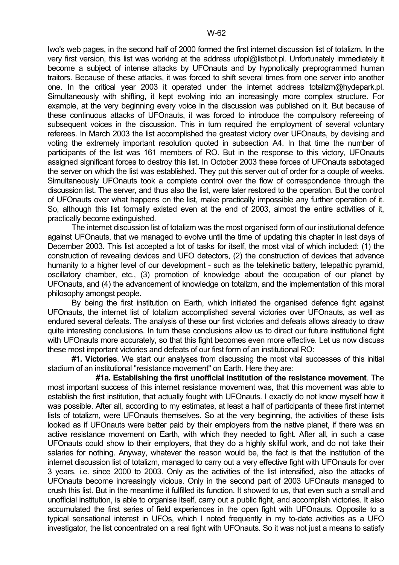Iwo's web pages, in the second half of 2000 formed the first internet discussion list of totalizm. In the very first version, this list was working at the address ufopl@listbot.pl. Unfortunately immediately it become a subject of intense attacks by UFOnauts and by hypnotically preprogrammed human traitors. Because of these attacks, it was forced to shift several times from one server into another one. In the critical year 2003 it operated under the internet address totalizm@hydepark.pl. Simultaneously with shifting, it kept evolving into an increasingly more complex structure. For example, at the very beginning every voice in the discussion was published on it. But because of these continuous attacks of UFOnauts, it was forced to introduce the compulsory refereeing of subsequent voices in the discussion. This in turn required the employment of several voluntary referees. In March 2003 the list accomplished the greatest victory over UFOnauts, by devising and voting the extremely important resolution quoted in subsection A4. In that time the number of participants of the list was 161 members of RO. But in the response to this victory, UFOnauts assigned significant forces to destroy this list. In October 2003 these forces of UFOnauts sabotaged the server on which the list was established. They put this server out of order for a couple of weeks. Simultaneously UFOnauts took a complete control over the flow of correspondence through the discussion list. The server, and thus also the list, were later restored to the operation. But the control of UFOnauts over what happens on the list, make practically impossible any further operation of it. So, although this list formally existed even at the end of 2003, almost the entire activities of it, practically become extinguished.

 The internet discussion list of totalizm was the most organised form of our institutional defence against UFOnauts, that we managed to evolve until the time of updating this chapter in last days of December 2003. This list accepted a lot of tasks for itself, the most vital of which included: (1) the construction of revealing devices and UFO detectors, (2) the construction of devices that advance humanity to a higher level of our development - such as the telekinetic battery, telepathic pyramid, oscillatory chamber, etc., (3) promotion of knowledge about the occupation of our planet by UFOnauts, and (4) the advancement of knowledge on totalizm, and the implementation of this moral philosophy amongst people.

By being the first institution on Earth, which initiated the organised defence fight against UFOnauts, the internet list of totalizm accomplished several victories over UFOnauts, as well as endured several defeats. The analysis of these our first victories and defeats allows already to draw quite interesting conclusions. In turn these conclusions allow us to direct our future institutional fight with UFOnauts more accurately, so that this fight becomes even more effective. Let us now discuss these most important victories and defeats of our first form of an institutional RO:

 **#1. Victories**. We start our analyses from discussing the most vital successes of this initial stadium of an institutional "resistance movement" on Earth. Here they are:

 **#1a. Establishing the first unofficial institution of the resistance movement**. The most important success of this internet resistance movement was, that this movement was able to establish the first institution, that actually fought with UFOnauts. I exactly do not know myself how it was possible. After all, according to my estimates, at least a half of participants of these first internet lists of totalizm, were UFOnauts themselves. So at the very beginning, the activities of these lists looked as if UFOnauts were better paid by their employers from the native planet, if there was an active resistance movement on Earth, with which they needed to fight. After all, in such a case UFOnauts could show to their employers, that they do a highly skilful work, and do not take their salaries for nothing. Anyway, whatever the reason would be, the fact is that the institution of the internet discussion list of totalizm, managed to carry out a very effective fight with UFOnauts for over 3 years, i.e. since 2000 to 2003. Only as the activities of the list intensified, also the attacks of UFOnauts become increasingly vicious. Only in the second part of 2003 UFOnauts managed to crush this list. But in the meantime it fulfilled its function. It showed to us, that even such a small and unofficial institution, is able to organise itself, carry out a public fight, and accomplish victories. It also accumulated the first series of field experiences in the open fight with UFOnauts. Opposite to a typical sensational interest in UFOs, which I noted frequently in my to-date activities as a UFO investigator, the list concentrated on a real fight with UFOnauts. So it was not just a means to satisfy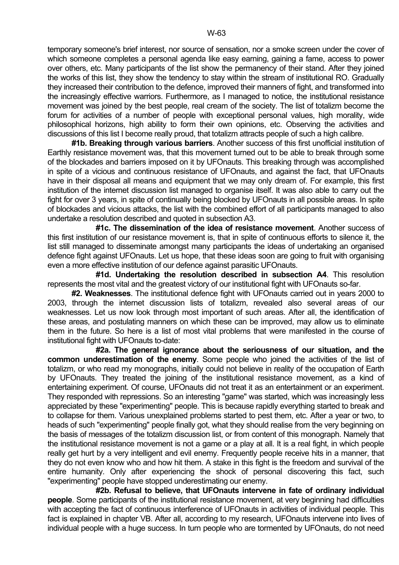temporary someone's brief interest, nor source of sensation, nor a smoke screen under the cover of which someone completes a personal agenda like easy earning, gaining a fame, access to power over others, etc. Many participants of the list show the permanency of their stand. After they joined the works of this list, they show the tendency to stay within the stream of institutional RO. Gradually they increased their contribution to the defence, improved their manners of fight, and transformed into the increasingly effective warriors. Furthermore, as I managed to notice, the institutional resistance movement was joined by the best people, real cream of the society. The list of totalizm become the forum for activities of a number of people with exceptional personal values, high morality, wide philosophical horizons, high ability to form their own opinions, etc. Observing the activities and discussions of this list I become really proud, that totalizm attracts people of such a high calibre.

 **#1b. Breaking through various barriers**. Another success of this first unofficial institution of Earthly resistance movement was, that this movement turned out to be able to break through some of the blockades and barriers imposed on it by UFOnauts. This breaking through was accomplished in spite of a vicious and continuous resistance of UFOnauts, and against the fact, that UFOnauts have in their disposal all means and equipment that we may only dream of. For example, this first institution of the internet discussion list managed to organise itself. It was also able to carry out the fight for over 3 years, in spite of continually being blocked by UFOnauts in all possible areas. In spite of blockades and vicious attacks, the list with the combined effort of all participants managed to also undertake a resolution described and quoted in subsection A3.

 **#1c. The dissemination of the idea of resistance movement**. Another success of this first institution of our resistance movement is, that in spite of continuous efforts to silence it, the list still managed to disseminate amongst many participants the ideas of undertaking an organised defence fight against UFOnauts. Let us hope, that these ideas soon are going to fruit with organising even a more effective institution of our defence against parasitic UFOnauts.

 **#1d. Undertaking the resolution described in subsection A4**. This resolution represents the most vital and the greatest victory of our institutional fight with UFOnauts so-far.

 **#2. Weaknesses**. The institutional defence fight with UFOnauts carried out in years 2000 to 2003, through the internet discussion lists of totalizm, revealed also several areas of our weaknesses. Let us now look through most important of such areas. After all, the identification of these areas, and postulating manners on which these can be improved, may allow us to eliminate them in the future. So here is a list of most vital problems that were manifested in the course of institutional fight with UFOnauts to-date:

 **#2a. The general ignorance about the seriousness of our situation, and the common underestimation of the enemy**. Some people who joined the activities of the list of totalizm, or who read my monographs, initially could not believe in reality of the occupation of Earth by UFOnauts. They treated the joining of the institutional resistance movement, as a kind of entertaining experiment. Of course, UFOnauts did not treat it as an entertainment or an experiment. They responded with repressions. So an interesting "game" was started, which was increasingly less appreciated by these "experimenting" people. This is because rapidly everything started to break and to collapse for them. Various unexplained problems started to pest them, etc. After a year or two, to heads of such "experimenting" people finally got, what they should realise from the very beginning on the basis of messages of the totalizm discussion list, or from content of this monograph. Namely that the institutional resistance movement is not a game or a play at all. It is a real fight, in which people really get hurt by a very intelligent and evil enemy. Frequently people receive hits in a manner, that they do not even know who and how hit them. A stake in this fight is the freedom and survival of the entire humanity. Only after experiencing the shock of personal discovering this fact, such "experimenting" people have stopped underestimating our enemy.

 **#2b. Refusal to believe, that UFOnauts intervene in fate of ordinary individual people**. Some participants of the institutional resistance movement, at very beginning had difficulties with accepting the fact of continuous interference of UFOnauts in activities of individual people. This fact is explained in chapter VB. After all, according to my research, UFOnauts intervene into lives of individual people with a huge success. In turn people who are tormented by UFOnauts, do not need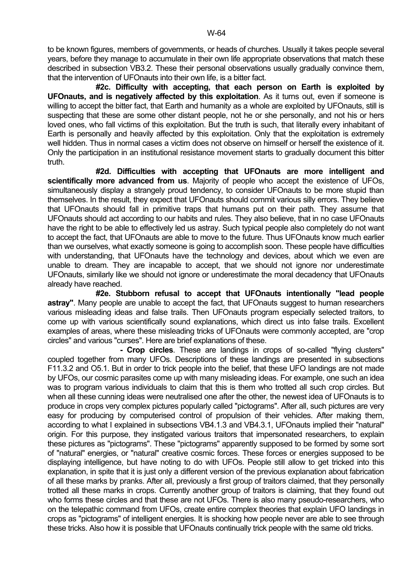to be known figures, members of governments, or heads of churches. Usually it takes people several years, before they manage to accumulate in their own life appropriate observations that match these described in subsection VB3.2. These their personal observations usually gradually convince them, that the intervention of UFOnauts into their own life, is a bitter fact.

 **#2c. Difficulty with accepting, that each person on Earth is exploited by UFOnauts, and is negatively affected by this exploitation**. As it turns out, even if someone is willing to accept the bitter fact, that Earth and humanity as a whole are exploited by UFOnauts, still is suspecting that these are some other distant people, not he or she personally, and not his or hers loved ones, who fall victims of this exploitation. But the truth is such, that literally every inhabitant of Earth is personally and heavily affected by this exploitation. Only that the exploitation is extremely well hidden. Thus in normal cases a victim does not observe on himself or herself the existence of it. Only the participation in an institutional resistance movement starts to gradually document this bitter truth.

 **#2d. Difficulties with accepting that UFOnauts are more intelligent and scientifically more advanced from us**. Majority of people who accept the existence of UFOs, simultaneously display a strangely proud tendency, to consider UFOnauts to be more stupid than themselves. In the result, they expect that UFOnauts should commit various silly errors. They believe that UFOnauts should fall in primitive traps that humans put on their path. They assume that UFOnauts should act according to our habits and rules. They also believe, that in no case UFOnauts have the right to be able to effectively led us astray. Such typical people also completely do not want to accept the fact, that UFOnauts are able to move to the future. Thus UFOnauts know much earlier than we ourselves, what exactly someone is going to accomplish soon. These people have difficulties with understanding, that UFOnauts have the technology and devices, about which we even are unable to dream. They are incapable to accept, that we should not ignore nor underestimate UFOnauts, similarly like we should not ignore or underestimate the moral decadency that UFOnauts already have reached.

 **#2e. Stubborn refusal to accept that UFOnauts intentionally "lead people astray"**. Many people are unable to accept the fact, that UFOnauts suggest to human researchers various misleading ideas and false trails. Then UFOnauts program especially selected traitors, to come up with various scientifically sound explanations, which direct us into false trails. Excellent examples of areas, where these misleading tricks of UFOnauts were commonly accepted, are "crop circles" and various "curses". Here are brief explanations of these.

 **- Crop circles**. These are landings in crops of so-called "flying clusters" coupled together from many UFOs. Descriptions of these landings are presented in subsections F11.3.2 and O5.1. But in order to trick people into the belief, that these UFO landings are not made by UFOs, our cosmic parasites come up with many misleading ideas. For example, one such an idea was to program various individuals to claim that this is them who trotted all such crop circles. But when all these cunning ideas were neutralised one after the other, the newest idea of UFOnauts is to produce in crops very complex pictures popularly called "pictograms". After all, such pictures are very easy for producing by computerised control of propulsion of their vehicles. After making them, according to what I explained in subsections VB4.1.3 and VB4.3.1, UFOnauts implied their "natural" origin. For this purpose, they instigated various traitors that impersonated researchers, to explain these pictures as "pictograms". These "pictograms" apparently supposed to be formed by some sort of "natural" energies, or "natural" creative cosmic forces. These forces or energies supposed to be displaying intelligence, but have noting to do with UFOs. People still allow to get tricked into this explanation, in spite that it is just only a different version of the previous explanation about fabrication of all these marks by pranks. After all, previously a first group of traitors claimed, that they personally trotted all these marks in crops. Currently another group of traitors is claiming, that they found out who forms these circles and that these are not UFOs. There is also many pseudo-researchers, who on the telepathic command from UFOs, create entire complex theories that explain UFO landings in crops as "pictograms" of intelligent energies. It is shocking how people never are able to see through these tricks. Also how it is possible that UFOnauts continually trick people with the same old tricks.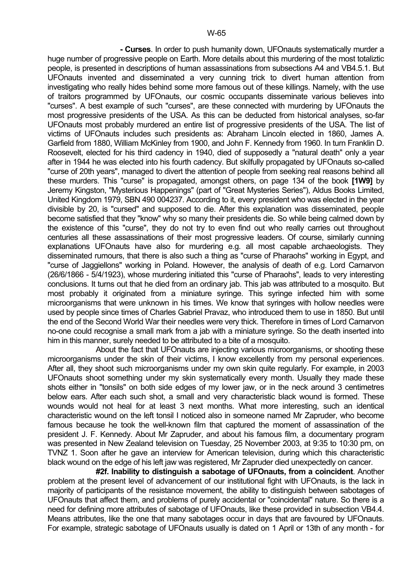**- Curses**. In order to push humanity down, UFOnauts systematically murder a huge number of progressive people on Earth. More details about this murdering of the most totaliztic people, is presented in descriptions of human assassinations from subsections A4 and VB4.5.1. But UFOnauts invented and disseminated a very cunning trick to divert human attention from investigating who really hides behind some more famous out of these killings. Namely, with the use of traitors programmed by UFOnauts, our cosmic occupants disseminate various believes into "curses". A best example of such "curses", are these connected with murdering by UFOnauts the most progressive presidents of the USA. As this can be deducted from historical analyses, so-far UFOnauts most probably murdered an entire list of progressive presidents of the USA. The list of victims of UFOnauts includes such presidents as: Abraham Lincoln elected in 1860, James A. Garfield from 1880, William McKinley from 1900, and John F. Kennedy from 1960. In turn Franklin D. Roosevelt, elected for his third cadency in 1940, died of supposedly a "natural death" only a year after in 1944 he was elected into his fourth cadency. But skilfully propagated by UFOnauts so-called "curse of 20th years", managed to divert the attention of people from seeking real reasons behind all these murders. This "curse" is propagated, amongst others, on page 134 of the book **[1W9]** by Jeremy Kingston, "Mysterious Happenings" (part of "Great Mysteries Series"), Aldus Books Limited, United Kingdom 1979, SBN 490 004237. According to it, every president who was elected in the year divisible by 20, is "cursed" and supposed to die. After this explanation was disseminated, people become satisfied that they "know" why so many their presidents die. So while being calmed down by the existence of this "curse", they do not try to even find out who really carries out throughout centuries all these assassinations of their most progressive leaders. Of course, similarly cunning explanations UFOnauts have also for murdering e.g. all most capable archaeologists. They disseminated rumours, that there is also such a thing as "curse of Pharaohs" working in Egypt, and "curse of Jaggiellons" working in Poland. However, the analysis of death of e.g. Lord Carnarvon (26/6/1866 - 5/4/1923), whose murdering initiated this "curse of Pharaohs", leads to very interesting conclusions. It turns out that he died from an ordinary jab. This jab was attributed to a mosquito. But most probably it originated from a miniature syringe. This syringe infected him with some microorganisms that were unknown in his times. We know that syringes with hollow needles were used by people since times of Charles Gabriel Pravaz, who introduced them to use in 1850. But until the end of the Second World War their needles were very thick. Therefore in times of Lord Carnarvon no-one could recognise a small mark from a jab with a miniature syringe. So the death inserted into him in this manner, surely needed to be attributed to a bite of a mosquito.

 About the fact that UFOnauts are injecting various microorganisms, or shooting these microorganisms under the skin of their victims, I know excellently from my personal experiences. After all, they shoot such microorganisms under my own skin quite regularly. For example, in 2003 UFOnauts shoot something under my skin systematically every month. Usually they made these shots either in "tonsils" on both side edges of my lower jaw, or in the neck around 3 centimetres below ears. After each such shot, a small and very characteristic black wound is formed. These wounds would not heal for at least 3 next months. What more interesting, such an identical characteristic wound on the left tonsil I noticed also in someone named Mr Zapruder, who become famous because he took the well-known film that captured the moment of assassination of the president J. F. Kennedy. About Mr Zapruder, and about his famous film, a documentary program was presented in New Zealand television on Tuesday, 25 November 2003, at 9:35 to 10:30 pm, on TVNZ 1. Soon after he gave an interview for American television, during which this characteristic black wound on the edge of his left jaw was registered, Mr Zapruder died unexpectedly on cancer.

 **#2f. Inability to distinguish a sabotage of UFOnauts, from a coincident**. Another problem at the present level of advancement of our institutional fight with UFOnauts, is the lack in majority of participants of the resistance movement, the ability to distinguish between sabotages of UFOnauts that affect them, and problems of purely accidental or "coincidental" nature. So there is a need for defining more attributes of sabotage of UFOnauts, like these provided in subsection VB4.4. Means attributes, like the one that many sabotages occur in days that are favoured by UFOnauts. For example, strategic sabotage of UFOnauts usually is dated on 1 April or 13th of any month - for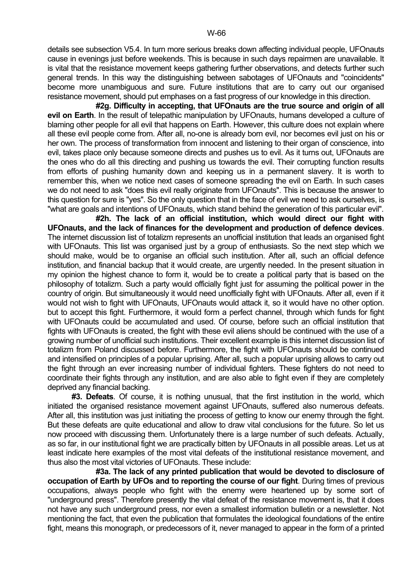details see subsection V5.4. In turn more serious breaks down affecting individual people, UFOnauts cause in evenings just before weekends. This is because in such days repairmen are unavailable. It is vital that the resistance movement keeps gathering further observations, and detects further such general trends. In this way the distinguishing between sabotages of UFOnauts and "coincidents" become more unambiguous and sure. Future institutions that are to carry out our organised resistance movement, should put emphases on a fast progress of our knowledge in this direction.

 **#2g. Difficulty in accepting, that UFOnauts are the true source and origin of all evil on Earth**. In the result of telepathic manipulation by UFOnauts, humans developed a culture of blaming other people for all evil that happens on Earth. However, this culture does not explain where all these evil people come from. After all, no-one is already born evil, nor becomes evil just on his or her own. The process of transformation from innocent and listening to their organ of conscience, into evil, takes place only because someone directs and pushes us to evil. As it turns out, UFOnauts are the ones who do all this directing and pushing us towards the evil. Their corrupting function results from efforts of pushing humanity down and keeping us in a permanent slavery. It is worth to remember this, when we notice next cases of someone spreading the evil on Earth. In such cases we do not need to ask "does this evil really originate from UFOnauts". This is because the answer to this question for sure is "yes". So the only question that in the face of evil we need to ask ourselves, is "what are goals and intentions of UFOnauts, which stand behind the generation of this particular evil".

 **#2h. The lack of an official institution, which would direct our fight with UFOnauts, and the lack of finances for the development and production of defence devices**. The internet discussion list of totalizm represents an unofficial institution that leads an organised fight with UFOnauts. This list was organised just by a group of enthusiasts. So the next step which we should make, would be to organise an official such institution. After all, such an official defence institution, and financial backup that it would create, are urgently needed. In the present situation in my opinion the highest chance to form it, would be to create a political party that is based on the philosophy of totalizm. Such a party would officially fight just for assuming the political power in the country of origin. But simultaneously it would need unofficially fight with UFOnauts. After all, even if it would not wish to fight with UFOnauts, UFOnauts would attack it, so it would have no other option. but to accept this fight. Furthermore, it would form a perfect channel, through which funds for fight with UFOnauts could be accumulated and used. Of course, before such an official institution that fights with UFOnauts is created, the fight with these evil aliens should be continued with the use of a growing number of unofficial such institutions. Their excellent example is this internet discussion list of totalizm from Poland discussed before. Furthermore, the fight with UFOnauts should be continued and intensified on principles of a popular uprising. After all, such a popular uprising allows to carry out the fight through an ever increasing number of individual fighters. These fighters do not need to coordinate their fights through any institution, and are also able to fight even if they are completely deprived any financial backing.

 **#3. Defeats**. Of course, it is nothing unusual, that the first institution in the world, which initiated the organised resistance movement against UFOnauts, suffered also numerous defeats. After all, this institution was just initiating the process of getting to know our enemy through the fight. But these defeats are quite educational and allow to draw vital conclusions for the future. So let us now proceed with discussing them. Unfortunately there is a large number of such defeats. Actually, as so far, in our institutional fight we are practically bitten by UFOnauts in all possible areas. Let us at least indicate here examples of the most vital defeats of the institutional resistance movement, and thus also the most vital victories of UFOnauts. These include:

 **#3a. The lack of any printed publication that would be devoted to disclosure of occupation of Earth by UFOs and to reporting the course of our fight**. During times of previous occupations, always people who fight with the enemy were heartened up by some sort of "underground press". Therefore presently the vital defeat of the resistance movement is, that it does not have any such underground press, nor even a smallest information bulletin or a newsletter. Not mentioning the fact, that even the publication that formulates the ideological foundations of the entire fight, means this monograph, or predecessors of it, never managed to appear in the form of a printed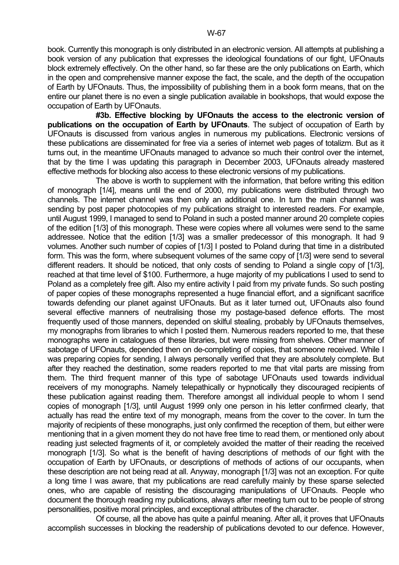book. Currently this monograph is only distributed in an electronic version. All attempts at publishing a book version of any publication that expresses the ideological foundations of our fight, UFOnauts block extremely effectively. On the other hand, so far these are the only publications on Earth, which in the open and comprehensive manner expose the fact, the scale, and the depth of the occupation of Earth by UFOnauts. Thus, the impossibility of publishing them in a book form means, that on the entire our planet there is no even a single publication available in bookshops, that would expose the occupation of Earth by UFOnauts.

 **#3b. Effective blocking by UFOnauts the access to the electronic version of publications on the occupation of Earth by UFOnauts**. The subject of occupation of Earth by UFOnauts is discussed from various angles in numerous my publications. Electronic versions of these publications are disseminated for free via a series of internet web pages of totalizm. But as it turns out, in the meantime UFOnauts managed to advance so much their control over the internet, that by the time I was updating this paragraph in December 2003, UFOnauts already mastered effective methods for blocking also access to these electronic versions of my publications.

 The above is worth to supplement with the information, that before writing this edition of monograph [1/4], means until the end of 2000, my publications were distributed through two channels. The internet channel was then only an additional one. In turn the main channel was sending by post paper photocopies of my publications straight to interested readers. For example, until August 1999, I managed to send to Poland in such a posted manner around 20 complete copies of the edition [1/3] of this monograph. These were copies where all volumes were send to the same addressee. Notice that the edition [1/3] was a smaller predecessor of this monograph. It had 9 volumes. Another such number of copies of [1/3] I posted to Poland during that time in a distributed form. This was the form, where subsequent volumes of the same copy of [1/3] were send to several different readers. It should be noticed, that only costs of sending to Poland a single copy of [1/3], reached at that time level of \$100. Furthermore, a huge majority of my publications I used to send to Poland as a completely free gift. Also my entire activity I paid from my private funds. So such posting of paper copies of these monographs represented a huge financial effort, and a significant sacrifice towards defending our planet against UFOnauts. But as it later turned out, UFOnauts also found several effective manners of neutralising those my postage-based defence efforts. The most frequently used of those manners, depended on skilful stealing, probably by UFOnauts themselves, my monographs from libraries to which I posted them. Numerous readers reported to me, that these monographs were in catalogues of these libraries, but were missing from shelves. Other manner of sabotage of UFOnauts, depended then on de-completing of copies, that someone received. While I was preparing copies for sending, I always personally verified that they are absolutely complete. But after they reached the destination, some readers reported to me that vital parts are missing from them. The third frequent manner of this type of sabotage UFOnauts used towards individual receivers of my monographs. Namely telepathically or hypnotically they discouraged recipients of these publication against reading them. Therefore amongst all individual people to whom I send copies of monograph [1/3], until August 1999 only one person in his letter confirmed clearly, that actually has read the entire text of my monograph, means from the cover to the cover. In turn the majority of recipients of these monographs, just only confirmed the reception of them, but either were mentioning that in a given moment they do not have free time to read them, or mentioned only about reading just selected fragments of it, or completely avoided the matter of their reading the received monograph [1/3]. So what is the benefit of having descriptions of methods of our fight with the occupation of Earth by UFOnauts, or descriptions of methods of actions of our occupants, when these description are not being read at all. Anyway, monograph [1/3] was not an exception. For quite a long time I was aware, that my publications are read carefully mainly by these sparse selected ones, who are capable of resisting the discouraging manipulations of UFOnauts. People who document the thorough reading my publications, always after meeting turn out to be people of strong personalities, positive moral principles, and exceptional attributes of the character.

 Of course, all the above has quite a painful meaning. After all, it proves that UFOnauts accomplish successes in blocking the readership of publications devoted to our defence. However,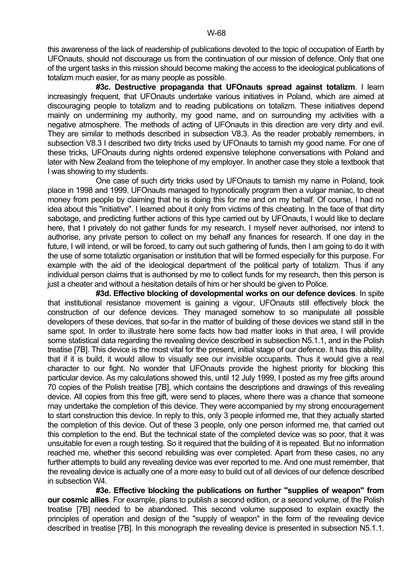this awareness of the lack of readership of publications devoted to the topic of occupation of Earth by UFOnauts, should not discourage us from the continuation of our mission of defence. Only that one of the urgent tasks in this mission should become making the access to the ideological publications of totalizm much easier, for as many people as possible.

 **#3c. Destructive propaganda that UFOnauts spread against totalizm**. I learn increasingly frequent, that UFOnauts undertake various initiatives in Poland, which are aimed at discouraging people to totalizm and to reading publications on totalizm. These initiatives depend mainly on undermining my authority, my good name, and on surrounding my activities with a negative atmosphere. The methods of acting of UFOnauts in this direction are very dirty and evil. They are similar to methods described in subsection V8.3. As the reader probably remembers, in subsection V8.3 I described two dirty tricks used by UFOnauts to tarnish my good name. For one of these tricks, UFOnauts during nights ordered expensive telephone conversations with Poland and later with New Zealand from the telephone of my employer. In another case they stole a textbook that I was showing to my students.

 One case of such dirty tricks used by UFOnauts to tarnish my name in Poland, took place in 1998 and 1999. UFOnauts managed to hypnotically program then a vulgar maniac, to cheat money from people by claiming that he is doing this for me and on my behalf. Of course, I had no idea about this "initiative". I learned about it only from victims of this cheating. In the face of that dirty sabotage, and predicting further actions of this type carried out by UFOnauts, I would like to declare here, that I privately do not gather funds for my research. I myself never authorised, nor intend to authorise, any private person to collect on my behalf any finances for research. If one day in the future, I will intend, or will be forced, to carry out such gathering of funds, then I am going to do it with the use of some totaliztic organisation or institution that will be formed especially for this purpose. For example with the aid of the ideological department of the political party of totalizm. Thus if any individual person claims that is authorised by me to collect funds for my research, then this person is just a cheater and without a hesitation details of him or her should be given to Police.

 **#3d. Effective blocking of developmental works on our defence devices**. In spite that institutional resistance movement is gaining a vigour, UFOnauts still effectively block the construction of our defence devices. They managed somehow to so manipulate all possible developers of these devices, that so-far in the matter of building of these devices we stand still in the same spot. In order to illustrate here some facts how bad matter looks in that area, I will provide some statistical data regarding the revealing device described in subsection N5.1.1, and in the Polish treatise [7B]. This device is the most vital for the present, initial stage of our defence. It has this ability, that if it is build, it would allow to visually see our invisible occupants. Thus it would give a real character to our fight. No wonder that UFOnauts provide the highest priority for blocking this particular device. As my calculations showed this, until 12 July 1999, I posted as my free gifts around 70 copies of the Polish treatise [7B], which contains the descriptions and drawings of this revealing device. All copies from this free gift, were send to places, where there was a chance that someone may undertake the completion of this device. They were accompanied by my strong encouragement to start construction this device. In reply to this, only 3 people informed me, that they actually started the completion of this device. Out of these 3 people, only one person informed me, that carried out this completion to the end. But the technical state of the completed device was so poor, that it was unsuitable for even a rough testing. So it required that the building of it is repeated. But no information reached me, whether this second rebuilding was ever completed. Apart from these cases, no any further attempts to build any revealing device was ever reported to me. And one must remember, that the revealing device is actually one of a more easy to build out of all devices of our defence described in subsection W4.

 **#3e. Effective blocking the publications on further "supplies of weapon" from our cosmic allies**. For example, plans to publish a second edition, or a second volume, of the Polish treatise [7B] needed to be abandoned. This second volume supposed to explain exactly the principles of operation and design of the "supply of weapon" in the form of the revealing device described in treatise [7B]. In this monograph the revealing device is presented in subsection N5.1.1.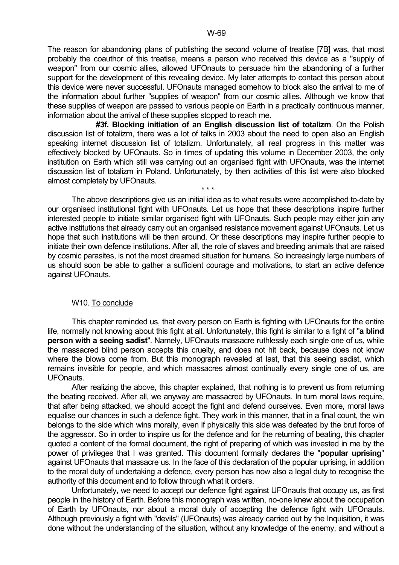The reason for abandoning plans of publishing the second volume of treatise [7B] was, that most probably the coauthor of this treatise, means a person who received this device as a "supply of weapon" from our cosmic allies, allowed UFOnauts to persuade him the abandoning of a further support for the development of this revealing device. My later attempts to contact this person about this device were never successful. UFOnauts managed somehow to block also the arrival to me of the information about further "supplies of weapon" from our cosmic allies. Although we know that these supplies of weapon are passed to various people on Earth in a practically continuous manner, information about the arrival of these supplies stopped to reach me.

 **#3f. Blocking initiation of an English discussion list of totalizm**. On the Polish discussion list of totalizm, there was a lot of talks in 2003 about the need to open also an English speaking internet discussion list of totalizm. Unfortunately, all real progress in this matter was effectively blocked by UFOnauts. So in times of updating this volume in December 2003, the only institution on Earth which still was carrying out an organised fight with UFOnauts, was the internet discussion list of totalizm in Poland. Unfortunately, by then activities of this list were also blocked almost completely by UFOnauts.

 The above descriptions give us an initial idea as to what results were accomplished to-date by our organised institutional fight with UFOnauts. Let us hope that these descriptions inspire further interested people to initiate similar organised fight with UFOnauts. Such people may either join any active institutions that already carry out an organised resistance movement against UFOnauts. Let us hope that such institutions will be then around. Or these descriptions may inspire further people to initiate their own defence institutions. After all, the role of slaves and breeding animals that are raised by cosmic parasites, is not the most dreamed situation for humans. So increasingly large numbers of us should soon be able to gather a sufficient courage and motivations, to start an active defence against UFOnauts.

#### W10. To conclude

 $\star \star \star$ 

 This chapter reminded us, that every person on Earth is fighting with UFOnauts for the entire life, normally not knowing about this fight at all. Unfortunately, this fight is similar to a fight of "**a blind person with a seeing sadist**". Namely, UFOnauts massacre ruthlessly each single one of us, while the massacred blind person accepts this cruelty, and does not hit back, because does not know where the blows come from. But this monograph revealed at last, that this seeing sadist, which remains invisible for people, and which massacres almost continually every single one of us, are UFOnauts.

 After realizing the above, this chapter explained, that nothing is to prevent us from returning the beating received. After all, we anyway are massacred by UFOnauts. In turn moral laws require, that after being attacked, we should accept the fight and defend ourselves. Even more, moral laws equalise our chances in such a defence fight. They work in this manner, that in a final count, the win belongs to the side which wins morally, even if physically this side was defeated by the brut force of the aggressor. So in order to inspire us for the defence and for the returning of beating, this chapter quoted a content of the formal document, the right of preparing of which was invested in me by the power of privileges that I was granted. This document formally declares the "**popular uprising**" against UFOnauts that massacre us. In the face of this declaration of the popular uprising, in addition to the moral duty of undertaking a defence, every person has now also a legal duty to recognise the authority of this document and to follow through what it orders.

 Unfortunately, we need to accept our defence fight against UFOnauts that occupy us, as first people in the history of Earth. Before this monograph was written, no-one knew about the occupation of Earth by UFOnauts, nor about a moral duty of accepting the defence fight with UFOnauts. Although previously a fight with "devils" (UFOnauts) was already carried out by the Inquisition, it was done without the understanding of the situation, without any knowledge of the enemy, and without a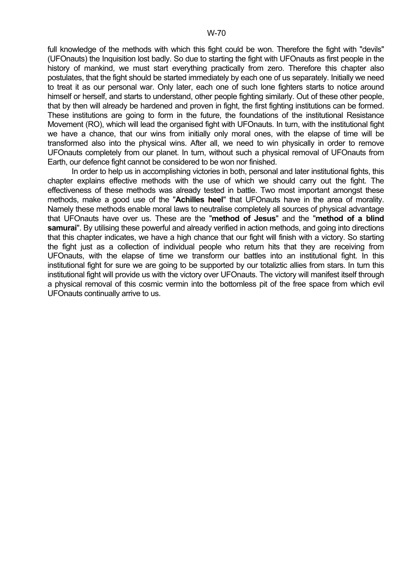full knowledge of the methods with which this fight could be won. Therefore the fight with "devils" (UFOnauts) the Inquisition lost badly. So due to starting the fight with UFOnauts as first people in the history of mankind, we must start everything practically from zero. Therefore this chapter also postulates, that the fight should be started immediately by each one of us separately. Initially we need to treat it as our personal war. Only later, each one of such lone fighters starts to notice around himself or herself, and starts to understand, other people fighting similarly. Out of these other people, that by then will already be hardened and proven in fight, the first fighting institutions can be formed. These institutions are going to form in the future, the foundations of the institutional Resistance Movement (RO), which will lead the organised fight with UFOnauts. In turn, with the institutional fight we have a chance, that our wins from initially only moral ones, with the elapse of time will be transformed also into the physical wins. After all, we need to win physically in order to remove UFOnauts completely from our planet. In turn, without such a physical removal of UFOnauts from Earth, our defence fight cannot be considered to be won nor finished.

 In order to help us in accomplishing victories in both, personal and later institutional fights, this chapter explains effective methods with the use of which we should carry out the fight. The effectiveness of these methods was already tested in battle. Two most important amongst these methods, make a good use of the "**Achilles heel**" that UFOnauts have in the area of morality. Namely these methods enable moral laws to neutralise completely all sources of physical advantage that UFOnauts have over us. These are the "**method of Jesus**" and the "**method of a blind samurai**". By utilising these powerful and already verified in action methods, and going into directions that this chapter indicates, we have a high chance that our fight will finish with a victory. So starting the fight just as a collection of individual people who return hits that they are receiving from UFOnauts, with the elapse of time we transform our battles into an institutional fight. In this institutional fight for sure we are going to be supported by our totaliztic allies from stars. In turn this institutional fight will provide us with the victory over UFOnauts. The victory will manifest itself through a physical removal of this cosmic vermin into the bottomless pit of the free space from which evil UFOnauts continually arrive to us.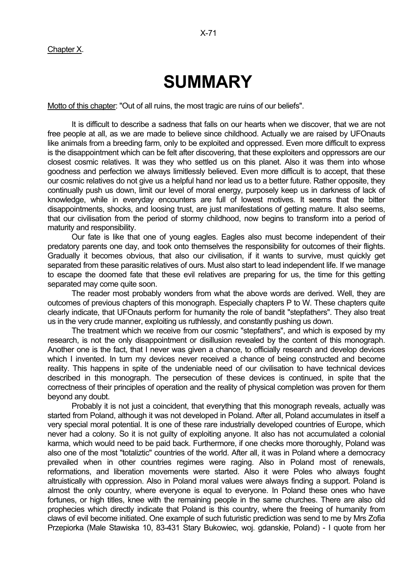# **SUMMARY**

Motto of this chapter: "Out of all ruins, the most tragic are ruins of our beliefs".

 It is difficult to describe a sadness that falls on our hearts when we discover, that we are not free people at all, as we are made to believe since childhood. Actually we are raised by UFOnauts like animals from a breeding farm, only to be exploited and oppressed. Even more difficult to express is the disappointment which can be felt after discovering, that these exploiters and oppressors are our closest cosmic relatives. It was they who settled us on this planet. Also it was them into whose goodness and perfection we always limitlessly believed. Even more difficult is to accept, that these our cosmic relatives do not give us a helpful hand nor lead us to a better future. Rather opposite, they continually push us down, limit our level of moral energy, purposely keep us in darkness of lack of knowledge, while in everyday encounters are full of lowest motives. It seems that the bitter disappointments, shocks, and loosing trust, are just manifestations of getting mature. It also seems, that our civilisation from the period of stormy childhood, now begins to transform into a period of maturity and responsibility.

 Our fate is like that one of young eagles. Eagles also must become independent of their predatory parents one day, and took onto themselves the responsibility for outcomes of their flights. Gradually it becomes obvious, that also our civilisation, if it wants to survive, must quickly get separated from these parasitic relatives of ours. Must also start to lead independent life. If we manage to escape the doomed fate that these evil relatives are preparing for us, the time for this getting separated may come quite soon.

 The reader most probably wonders from what the above words are derived. Well, they are outcomes of previous chapters of this monograph. Especially chapters P to W. These chapters quite clearly indicate, that UFOnauts perform for humanity the role of bandit "stepfathers". They also treat us in the very crude manner, exploiting us ruthlessly, and constantly pushing us down.

 The treatment which we receive from our cosmic "stepfathers", and which is exposed by my research, is not the only disappointment or disillusion revealed by the content of this monograph. Another one is the fact, that I never was given a chance, to officially research and develop devices which I invented. In turn my devices never received a chance of being constructed and become reality. This happens in spite of the undeniable need of our civilisation to have technical devices described in this monograph. The persecution of these devices is continued, in spite that the correctness of their principles of operation and the reality of physical completion was proven for them beyond any doubt.

 Probably it is not just a coincident, that everything that this monograph reveals, actually was started from Poland, although it was not developed in Poland. After all, Poland accumulates in itself a very special moral potential. It is one of these rare industrially developed countries of Europe, which never had a colony. So it is not guilty of exploiting anyone. It also has not accumulated a colonial karma, which would need to be paid back. Furthermore, if one checks more thoroughly, Poland was also one of the most "totaliztic" countries of the world. After all, it was in Poland where a democracy prevailed when in other countries regimes were raging. Also in Poland most of renewals, reformations, and liberation movements were started. Also it were Poles who always fought altruistically with oppression. Also in Poland moral values were always finding a support. Poland is almost the only country, where everyone is equal to everyone. In Poland these ones who have fortunes, or high titles, knee with the remaining people in the same churches. There are also old prophecies which directly indicate that Poland is this country, where the freeing of humanity from claws of evil become initiated. One example of such futuristic prediction was send to me by Mrs Zofia Przepiorka (Male Stawiska 10, 83-431 Stary Bukowiec, woj. gdanskie, Poland) - I quote from her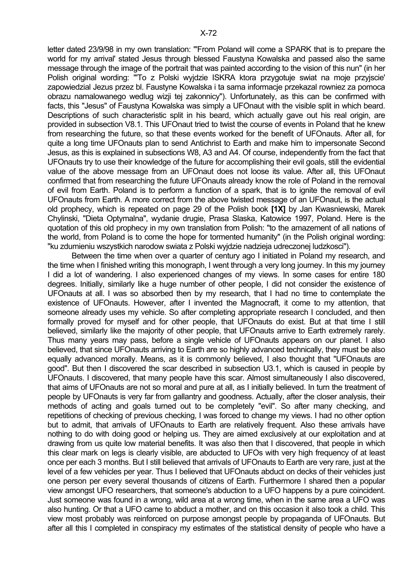letter dated 23/9/98 in my own translation: "'From Poland will come a SPARK that is to prepare the world for my arrival' stated Jesus through blessed Faustyna Kowalska and passed also the same message through the image of the portrait that was painted according to the vision of this nun" (in her Polish original wording: "'To z Polski wyjdzie ISKRA ktora przygotuje swiat na moje przyjscie' zapowiedzial Jezus przez bl. Faustyne Kowalska i ta sama informacje przekazal rowniez za pomoca obrazu namalowanego wedlug wizji tej zakonnicy"). Unfortunately, as this can be confirmed with facts, this "Jesus" of Faustyna Kowalska was simply a UFOnaut with the visible split in which beard. Descriptions of such characteristic split in his beard, which actually gave out his real origin, are provided in subsection V8.1. This UFOnaut tried to twist the course of events in Poland that he knew from researching the future, so that these events worked for the benefit of UFOnauts. After all, for quite a long time UFOnauts plan to send Antichrist to Earth and make him to impersonate Second Jesus, as this is explained in subsections W8, A3 and A4. Of course, independently from the fact that UFOnauts try to use their knowledge of the future for accomplishing their evil goals, still the evidential value of the above message from an UFOnaut does not loose its value. After all, this UFOnaut confirmed that from researching the future UFOnauts already know the role of Poland in the removal of evil from Earth. Poland is to perform a function of a spark, that is to ignite the removal of evil UFOnauts from Earth. A more correct from the above twisted message of an UFOnaut, is the actual old prophecy, which is repeated on page 29 of the Polish book **[1X]** by Jan Kwasniewski, Marek Chylinski, "Dieta Optymalna", wydanie drugie, Prasa Slaska, Katowice 1997, Poland. Here is the quotation of this old prophecy in my own translation from Polish: "to the amazement of all nations of the world, from Poland is to come the hope for tormented humanity" (in the Polish original wording: "ku zdumieniu wszystkich narodow swiata z Polski wyjdzie nadzieja udreczonej ludzkosci").

 Between the time when over a quarter of century ago I initiated in Poland my research, and the time when I finished writing this monograph, I went through a very long journey. In this my journey I did a lot of wandering. I also experienced changes of my views. In some cases for entire 180 degrees. Initially, similarly like a huge number of other people, I did not consider the existence of UFOnauts at all. I was so absorbed then by my research, that I had no time to contemplate the existence of UFOnauts. However, after I invented the Magnocraft, it come to my attention, that someone already uses my vehicle. So after completing appropriate research I concluded, and then formally proved for myself and for other people, that UFOnauts do exist. But at that time I still believed, similarly like the majority of other people, that UFOnauts arrive to Earth extremely rarely. Thus many years may pass, before a single vehicle of UFOnauts appears on our planet. I also believed, that since UFOnauts arriving to Earth are so highly advanced technically, they must be also equally advanced morally. Means, as it is commonly believed, I also thought that "UFOnauts are good". But then I discovered the scar described in subsection U3.1, which is caused in people by UFOnauts. I discovered, that many people have this scar. Almost simultaneously I also discovered, that aims of UFOnauts are not so moral and pure at all, as I initially believed. In turn the treatment of people by UFOnauts is very far from gallantry and goodness. Actually, after the closer analysis, their methods of acting and goals turned out to be completely "evil". So after many checking, and repetitions of checking of previous checking, I was forced to change my views. I had no other option but to admit, that arrivals of UFOnauts to Earth are relatively frequent. Also these arrivals have nothing to do with doing good or helping us. They are aimed exclusively at our exploitation and at drawing from us quite low material benefits. It was also then that I discovered, that people in which this clear mark on legs is clearly visible, are abducted to UFOs with very high frequency of at least once per each 3 months. But I still believed that arrivals of UFOnauts to Earth are very rare, just at the level of a few vehicles per year. Thus I believed that UFOnauts abduct on decks of their vehicles just one person per every several thousands of citizens of Earth. Furthermore I shared then a popular view amongst UFO researchers, that someone's abduction to a UFO happens by a pure coincident. Just someone was found in a wrong, wild area at a wrong time, when in the same area a UFO was also hunting. Or that a UFO came to abduct a mother, and on this occasion it also took a child. This view most probably was reinforced on purpose amongst people by propaganda of UFOnauts. But after all this I completed in conspiracy my estimates of the statistical density of people who have a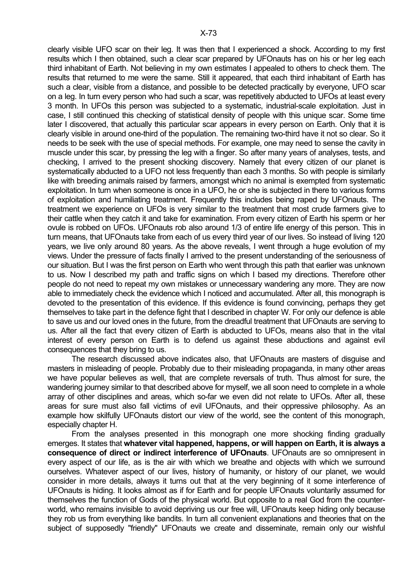clearly visible UFO scar on their leg. It was then that I experienced a shock. According to my first results which I then obtained, such a clear scar prepared by UFOnauts has on his or her leg each third inhabitant of Earth. Not believing in my own estimates I appealed to others to check them. The results that returned to me were the same. Still it appeared, that each third inhabitant of Earth has such a clear, visible from a distance, and possible to be detected practically by everyone, UFO scar on a leg. In turn every person who had such a scar, was repetitively abducted to UFOs at least every 3 month. In UFOs this person was subjected to a systematic, industrial-scale exploitation. Just in case, I still continued this checking of statistical density of people with this unique scar. Some time later I discovered, that actually this particular scar appears in every person on Earth. Only that it is clearly visible in around one-third of the population. The remaining two-third have it not so clear. So it needs to be seek with the use of special methods. For example, one may need to sense the cavity in muscle under this scar, by pressing the leg with a finger. So after many years of analyses, tests, and checking, I arrived to the present shocking discovery. Namely that every citizen of our planet is systematically abducted to a UFO not less frequently than each 3 months. So with people is similarly like with breeding animals raised by farmers, amongst which no animal is exempted from systematic exploitation. In turn when someone is once in a UFO, he or she is subjected in there to various forms of exploitation and humiliating treatment. Frequently this includes being raped by UFOnauts. The treatment we experience on UFOs is very similar to the treatment that most crude farmers give to their cattle when they catch it and take for examination. From every citizen of Earth his sperm or her ovule is robbed on UFOs. UFOnauts rob also around 1/3 of entire life energy of this person. This in turn means, that UFOnauts take from each of us every third year of our lives. So instead of living 120 years, we live only around 80 years. As the above reveals, I went through a huge evolution of my views. Under the pressure of facts finally I arrived to the present understanding of the seriousness of our situation. But I was the first person on Earth who went through this path that earlier was unknown to us. Now I described my path and traffic signs on which I based my directions. Therefore other people do not need to repeat my own mistakes or unnecessary wandering any more. They are now able to immediately check the evidence which I noticed and accumulated. After all, this monograph is devoted to the presentation of this evidence. If this evidence is found convincing, perhaps they get themselves to take part in the defence fight that I described in chapter W. For only our defence is able to save us and our loved ones in the future, from the dreadful treatment that UFOnauts are serving to us. After all the fact that every citizen of Earth is abducted to UFOs, means also that in the vital interest of every person on Earth is to defend us against these abductions and against evil consequences that they bring to us.

 The research discussed above indicates also, that UFOnauts are masters of disguise and masters in misleading of people. Probably due to their misleading propaganda, in many other areas we have popular believes as well, that are complete reversals of truth. Thus almost for sure, the wandering journey similar to that described above for myself, we all soon need to complete in a whole array of other disciplines and areas, which so-far we even did not relate to UFOs. After all, these areas for sure must also fall victims of evil UFOnauts, and their oppressive philosophy. As an example how skilfully UFOnauts distort our view of the world, see the content of this monograph, especially chapter H.

 From the analyses presented in this monograph one more shocking finding gradually emerges. It states that **whatever vital happened, happens, or will happen on Earth, it is always a consequence of direct or indirect interference of UFOnauts**. UFOnauts are so omnipresent in every aspect of our life, as is the air with which we breathe and objects with which we surround ourselves. Whatever aspect of our lives, history of humanity, or history of our planet, we would consider in more details, always it turns out that at the very beginning of it some interference of UFOnauts is hiding. It looks almost as if for Earth and for people UFOnauts voluntarily assumed for themselves the function of Gods of the physical world. But opposite to a real God from the counterworld, who remains invisible to avoid depriving us our free will, UFOnauts keep hiding only because they rob us from everything like bandits. In turn all convenient explanations and theories that on the subject of supposedly "friendly" UFOnauts we create and disseminate, remain only our wishful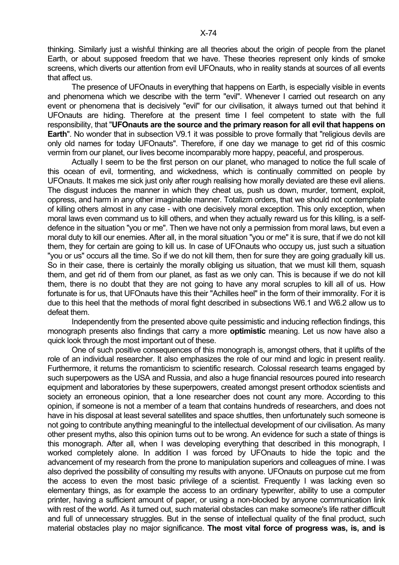thinking. Similarly just a wishful thinking are all theories about the origin of people from the planet Earth, or about supposed freedom that we have. These theories represent only kinds of smoke screens, which diverts our attention from evil UFOnauts, who in reality stands at sources of all events that affect us.

 The presence of UFOnauts in everything that happens on Earth, is especially visible in events and phenomena which we describe with the term "evil". Whenever I carried out research on any event or phenomena that is decisively "evil" for our civilisation, it always turned out that behind it UFOnauts are hiding. Therefore at the present time I feel competent to state with the full responsibility, that "**UFOnauts are the source and the primary reason for all evil that happens on Earth**". No wonder that in subsection V9.1 it was possible to prove formally that "religious devils are only old names for today UFOnauts". Therefore, if one day we manage to get rid of this cosmic vermin from our planet, our lives become incomparably more happy, peaceful, and prosperous.

 Actually I seem to be the first person on our planet, who managed to notice the full scale of this ocean of evil, tormenting, and wickedness, which is continually committed on people by UFOnauts. It makes me sick just only after rough realising how morally deviated are these evil aliens. The disgust induces the manner in which they cheat us, push us down, murder, torment, exploit, oppress, and harm in any other imaginable manner. Totalizm orders, that we should not contemplate of killing others almost in any case - with one decisively moral exception. This only exception, when moral laws even command us to kill others, and when they actually reward us for this killing, is a selfdefence in the situation "you or me". Then we have not only a permission from moral laws, but even a moral duty to kill our enemies. After all, in the moral situation "you or me" it is sure, that if we do not kill them, they for certain are going to kill us. In case of UFOnauts who occupy us, just such a situation "you or us" occurs all the time. So if we do not kill them, then for sure they are going gradually kill us. So in their case, there is certainly the morally obliging us situation, that we must kill them, squash them, and get rid of them from our planet, as fast as we only can. This is because if we do not kill them, there is no doubt that they are not going to have any moral scruples to kill all of us. How fortunate is for us, that UFOnauts have this their "Achilles heel" in the form of their immorality. For it is due to this heel that the methods of moral fight described in subsections W6.1 and W6.2 allow us to defeat them.

 Independently from the presented above quite pessimistic and inducing reflection findings, this monograph presents also findings that carry a more **optimistic** meaning. Let us now have also a quick look through the most important out of these.

 One of such positive consequences of this monograph is, amongst others, that it uplifts of the role of an individual researcher. It also emphasizes the role of our mind and logic in present reality. Furthermore, it returns the romanticism to scientific research. Colossal research teams engaged by such superpowers as the USA and Russia, and also a huge financial resources poured into research equipment and laboratories by these superpowers, created amongst present orthodox scientists and society an erroneous opinion, that a lone researcher does not count any more. According to this opinion, if someone is not a member of a team that contains hundreds of researchers, and does not have in his disposal at least several satellites and space shuttles, then unfortunately such someone is not going to contribute anything meaningful to the intellectual development of our civilisation. As many other present myths, also this opinion turns out to be wrong. An evidence for such a state of things is this monograph. After all, when I was developing everything that described in this monograph, I worked completely alone. In addition I was forced by UFOnauts to hide the topic and the advancement of my research from the prone to manipulation superiors and colleagues of mine. I was also deprived the possibility of consulting my results with anyone. UFOnauts on purpose cut me from the access to even the most basic privilege of a scientist. Frequently I was lacking even so elementary things, as for example the access to an ordinary typewriter, ability to use a computer printer, having a sufficient amount of paper, or using a non-blocked by anyone communication link with rest of the world. As it turned out, such material obstacles can make someone's life rather difficult and full of unnecessary struggles. But in the sense of intellectual quality of the final product, such material obstacles play no major significance. **The most vital force of progress was, is, and is**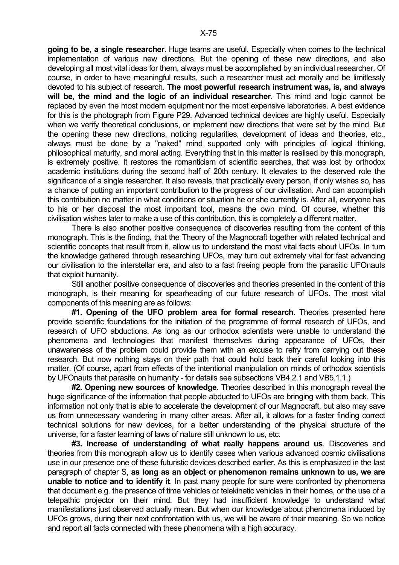**going to be, a single researcher**. Huge teams are useful. Especially when comes to the technical implementation of various new directions. But the opening of these new directions, and also developing all most vital ideas for them, always must be accomplished by an individual researcher. Of course, in order to have meaningful results, such a researcher must act morally and be limitlessly devoted to his subject of research. **The most powerful research instrument was, is, and always will be, the mind and the logic of an individual researcher**. This mind and logic cannot be replaced by even the most modern equipment nor the most expensive laboratories. A best evidence for this is the photograph from Figure P29. Advanced technical devices are highly useful. Especially when we verify theoretical conclusions, or implement new directions that were set by the mind. But the opening these new directions, noticing regularities, development of ideas and theories, etc., always must be done by a "naked" mind supported only with principles of logical thinking, philosophical maturity, and moral acting. Everything that in this matter is realised by this monograph, is extremely positive. It restores the romanticism of scientific searches, that was lost by orthodox academic institutions during the second half of 20th century. It elevates to the deserved role the significance of a single researcher. It also reveals, that practically every person, if only wishes so, has a chance of putting an important contribution to the progress of our civilisation. And can accomplish this contribution no matter in what conditions or situation he or she currently is. After all, everyone has to his or her disposal the most important tool, means the own mind. Of course, whether this civilisation wishes later to make a use of this contribution, this is completely a different matter.

 There is also another positive consequence of discoveries resulting from the content of this monograph. This is the finding, that the Theory of the Magnocraft together with related technical and scientific concepts that result from it, allow us to understand the most vital facts about UFOs. In turn the knowledge gathered through researching UFOs, may turn out extremely vital for fast advancing our civilisation to the interstellar era, and also to a fast freeing people from the parasitic UFOnauts that exploit humanity.

 Still another positive consequence of discoveries and theories presented in the content of this monograph, is their meaning for spearheading of our future research of UFOs. The most vital components of this meaning are as follows:

 **#1. Opening of the UFO problem area for formal research**. Theories presented here provide scientific foundations for the initiation of the programme of formal research of UFOs, and research of UFO abductions. As long as our orthodox scientists were unable to understand the phenomena and technologies that manifest themselves during appearance of UFOs, their unawareness of the problem could provide them with an excuse to refry from carrying out these research. But now nothing stays on their path that could hold back their careful looking into this matter. (Of course, apart from effects of the intentional manipulation on minds of orthodox scientists by UFOnauts that parasite on humanity - for details see subsections VB4.2.1 and VB5.1.1.)

 **#2. Opening new sources of knowledge**. Theories described in this monograph reveal the huge significance of the information that people abducted to UFOs are bringing with them back. This information not only that is able to accelerate the development of our Magnocraft, but also may save us from unnecessary wandering in many other areas. After all, it allows for a faster finding correct technical solutions for new devices, for a better understanding of the physical structure of the universe, for a faster learning of laws of nature still unknown to us, etc.

 **#3. Increase of understanding of what really happens around us**. Discoveries and theories from this monograph allow us to identify cases when various advanced cosmic civilisations use in our presence one of these futuristic devices described earlier. As this is emphasized in the last paragraph of chapter S, **as long as an object or phenomenon remains unknown to us, we are unable to notice and to identify it**. In past many people for sure were confronted by phenomena that document e.g. the presence of time vehicles or telekinetic vehicles in their homes, or the use of a telepathic projector on their mind. But they had insufficient knowledge to understand what manifestations just observed actually mean. But when our knowledge about phenomena induced by UFOs grows, during their next confrontation with us, we will be aware of their meaning. So we notice and report all facts connected with these phenomena with a high accuracy.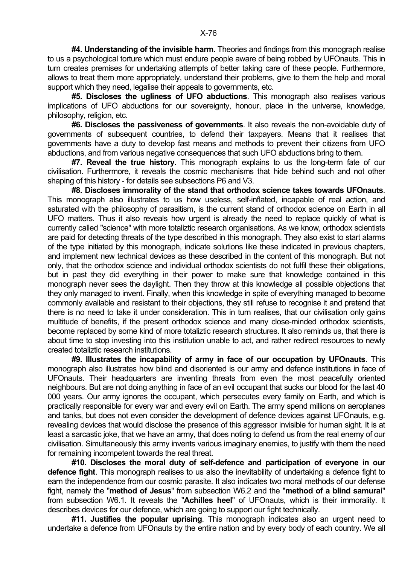**#4. Understanding of the invisible harm**. Theories and findings from this monograph realise to us a psychological torture which must endure people aware of being robbed by UFOnauts. This in turn creates premises for undertaking attempts of better taking care of these people. Furthermore, allows to treat them more appropriately, understand their problems, give to them the help and moral support which they need, legalise their appeals to governments, etc.

 **#5. Discloses the ugliness of UFO abductions**. This monograph also realises various implications of UFO abductions for our sovereignty, honour, place in the universe, knowledge, philosophy, religion, etc.

 **#6. Discloses the passiveness of governments**. It also reveals the non-avoidable duty of governments of subsequent countries, to defend their taxpayers. Means that it realises that governments have a duty to develop fast means and methods to prevent their citizens from UFO abductions, and from various negative consequences that such UFO abductions bring to them.

 **#7. Reveal the true history**. This monograph explains to us the long-term fate of our civilisation. Furthermore, it reveals the cosmic mechanisms that hide behind such and not other shaping of this history - for details see subsections P6 and V3.

 **#8. Discloses immorality of the stand that orthodox science takes towards UFOnauts**. This monograph also illustrates to us how useless, self-inflated, incapable of real action, and saturated with the philosophy of parasitism, is the current stand of orthodox science on Earth in all UFO matters. Thus it also reveals how urgent is already the need to replace quickly of what is currently called "science" with more totaliztic research organisations. As we know, orthodox scientists are paid for detecting threats of the type described in this monograph. They also exist to start alarms of the type initiated by this monograph, indicate solutions like these indicated in previous chapters, and implement new technical devices as these described in the content of this monograph. But not only, that the orthodox science and individual orthodox scientists do not fulfil these their obligations, but in past they did everything in their power to make sure that knowledge contained in this monograph never sees the daylight. Then they throw at this knowledge all possible objections that they only managed to invent. Finally, when this knowledge in spite of everything managed to become commonly available and resistant to their objections, they still refuse to recognise it and pretend that there is no need to take it under consideration. This in turn realises, that our civilisation only gains multitude of benefits, if the present orthodox science and many close-minded orthodox scientists, become replaced by some kind of more totaliztic research structures. It also reminds us, that there is about time to stop investing into this institution unable to act, and rather redirect resources to newly created totaliztic research institutions.

 **#9. Illustrates the incapability of army in face of our occupation by UFOnauts**. This monograph also illustrates how blind and disoriented is our army and defence institutions in face of UFOnauts. Their headquarters are inventing threats from even the most peacefully oriented neighbours. But are not doing anything in face of an evil occupant that sucks our blood for the last 40 000 years. Our army ignores the occupant, which persecutes every family on Earth, and which is practically responsible for every war and every evil on Earth. The army spend millions on aeroplanes and tanks, but does not even consider the development of defence devices against UFOnauts, e.g. revealing devices that would disclose the presence of this aggressor invisible for human sight. It is at least a sarcastic joke, that we have an army, that does noting to defend us from the real enemy of our civilisation. Simultaneously this army invents various imaginary enemies, to justify with them the need for remaining incompetent towards the real threat.

 **#10. Discloses the moral duty of self-defence and participation of everyone in our defence fight**. This monograph realises to us also the inevitability of undertaking a defence fight to earn the independence from our cosmic parasite. It also indicates two moral methods of our defense fight, namely the "**method of Jesus**" from subsection W6.2 and the "**method of a blind samurai**" from subsection W6.1. It reveals the "**Achilles heel**" of UFOnauts, which is their immorality. It describes devices for our defence, which are going to support our fight technically.

 **#11. Justifies the popular uprising**. This monograph indicates also an urgent need to undertake a defence from UFOnauts by the entire nation and by every body of each country. We all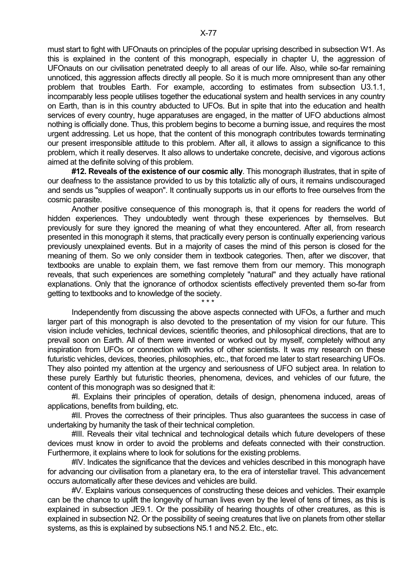must start to fight with UFOnauts on principles of the popular uprising described in subsection W1. As this is explained in the content of this monograph, especially in chapter U, the aggression of UFOnauts on our civilisation penetrated deeply to all areas of our life. Also, while so-far remaining unnoticed, this aggression affects directly all people. So it is much more omnipresent than any other problem that troubles Earth. For example, according to estimates from subsection U3.1.1, incomparably less people utilises together the educational system and health services in any country on Earth, than is in this country abducted to UFOs. But in spite that into the education and health services of every country, huge apparatuses are engaged, in the matter of UFO abductions almost nothing is officially done. Thus, this problem begins to become a burning issue, and requires the most urgent addressing. Let us hope, that the content of this monograph contributes towards terminating our present irresponsible attitude to this problem. After all, it allows to assign a significance to this problem, which it really deserves. It also allows to undertake concrete, decisive, and vigorous actions aimed at the definite solving of this problem.

 **#12. Reveals of the existence of our cosmic ally**. This monograph illustrates, that in spite of our deafness to the assistance provided to us by this totaliztic ally of ours, it remains undiscouraged and sends us "supplies of weapon". It continually supports us in our efforts to free ourselves from the cosmic parasite.

 Another positive consequence of this monograph is, that it opens for readers the world of hidden experiences. They undoubtedly went through these experiences by themselves. But previously for sure they ignored the meaning of what they encountered. After all, from research presented in this monograph it stems, that practically every person is continually experiencing various previously unexplained events. But in a majority of cases the mind of this person is closed for the meaning of them. So we only consider them in textbook categories. Then, after we discover, that textbooks are unable to explain them, we fast remove them from our memory. This monograph reveals, that such experiences are something completely "natural" and they actually have rational explanations. Only that the ignorance of orthodox scientists effectively prevented them so-far from getting to textbooks and to knowledge of the society.

 Independently from discussing the above aspects connected with UFOs, a further and much larger part of this monograph is also devoted to the presentation of my vision for our future. This vision include vehicles, technical devices, scientific theories, and philosophical directions, that are to prevail soon on Earth. All of them were invented or worked out by myself, completely without any inspiration from UFOs or connection with works of other scientists. It was my research on these futuristic vehicles, devices, theories, philosophies, etc., that forced me later to start researching UFOs. They also pointed my attention at the urgency and seriousness of UFO subject area. In relation to these purely Earthly but futuristic theories, phenomena, devices, and vehicles of our future, the content of this monograph was so designed that it:

 $\star \star \star$ 

 #I. Explains their principles of operation, details of design, phenomena induced, areas of applications, benefits from building, etc.

 #II. Proves the correctness of their principles. Thus also guarantees the success in case of undertaking by humanity the task of their technical completion.

 #III. Reveals their vital technical and technological details which future developers of these devices must know in order to avoid the problems and defeats connected with their construction. Furthermore, it explains where to look for solutions for the existing problems.

 #IV. Indicates the significance that the devices and vehicles described in this monograph have for advancing our civilisation from a planetary era, to the era of interstellar travel. This advancement occurs automatically after these devices and vehicles are build.

 #V. Explains various consequences of constructing these deices and vehicles. Their example can be the chance to uplift the longevity of human lives even by the level of tens of times, as this is explained in subsection JE9.1. Or the possibility of hearing thoughts of other creatures, as this is explained in subsection N2. Or the possibility of seeing creatures that live on planets from other stellar systems, as this is explained by subsections N5.1 and N5.2. Etc., etc.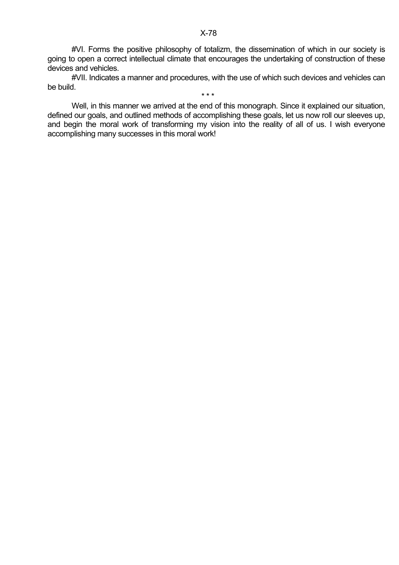#VII. Indicates a manner and procedures, with the use of which such devices and vehicles can be build.

 $\star \star \star$  Well, in this manner we arrived at the end of this monograph. Since it explained our situation, defined our goals, and outlined methods of accomplishing these goals, let us now roll our sleeves up, and begin the moral work of transforming my vision into the reality of all of us. I wish everyone accomplishing many successes in this moral work!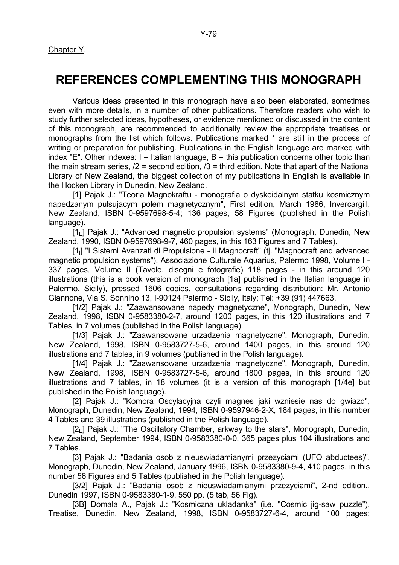## **REFERENCES COMPLEMENTING THIS MONOGRAPH**

 Various ideas presented in this monograph have also been elaborated, sometimes even with more details, in a number of other publications. Therefore readers who wish to study further selected ideas, hypotheses, or evidence mentioned or discussed in the content of this monograph, are recommended to additionally review the appropriate treatises or monographs from the list which follows. Publications marked \* are still in the process of writing or preparation for publishing. Publications in the English language are marked with index "E". Other indexes:  $I = Italian language$ ,  $B = this$  publication concerns other topic than the main stream series,  $/2$  = second edition,  $/3$  = third edition. Note that apart of the National Library of New Zealand, the biggest collection of my publications in English is available in the Hocken Library in Dunedin, New Zealand.

 [1] Pajak J.: "Teoria Magnokraftu - monografia o dyskoidalnym statku kosmicznym napedzanym pulsujacym polem magnetycznym", First edition, March 1986, Invercargill, New Zealand, ISBN 0-9597698-5-4; 136 pages, 58 Figures (published in the Polish language).

 $[1_F]$  Pajak J.: "Advanced magnetic propulsion systems" (Monograph, Dunedin, New Zealand, 1990, ISBN 0-9597698-9-7, 460 pages, in this 163 Figures and 7 Tables).

[1<sub>1</sub>] "I Sistemi Avanzati di Propulsione - il Magnocraft" (tj. "Magnocraft and advanced magnetic propulsion systems"), Associazione Culturale Aquarius, Palermo 1998, Volume I - 337 pages, Volume II (Tavole, disegni e fotografie) 118 pages - in this around 120 illustrations (this is a book version of monograph [1a] published in the Italian language in Palermo, Sicily), pressed 1606 copies, consultations regarding distribution: Mr. Antonio Giannone, Via S. Sonnino 13, I-90124 Palermo - Sicily, Italy; Tel: +39 (91) 447663.

 [1/2] Pajak J.: "Zaawansowane napedy magnetyczne", Monograph, Dunedin, New Zealand, 1998, ISBN 0-9583380-2-7, around 1200 pages, in this 120 illustrations and 7 Tables, in 7 volumes (published in the Polish language).

 [1/3] Pajak J.: "Zaawansowane urzadzenia magnetyczne", Monograph, Dunedin, New Zealand, 1998, ISBN 0-9583727-5-6, around 1400 pages, in this around 120 illustrations and 7 tables, in 9 volumes (published in the Polish language).

 [1/4] Pajak J.: "Zaawansowane urzadzenia magnetyczne", Monograph, Dunedin, New Zealand, 1998, ISBN 0-9583727-5-6, around 1800 pages, in this around 120 illustrations and 7 tables, in 18 volumes (it is a version of this monograph [1/4e] but published in the Polish language).

 [2] Pajak J.: "Komora Oscylacyjna czyli magnes jaki wzniesie nas do gwiazd", Monograph, Dunedin, New Zealand, 1994, ISBN 0-9597946-2-X, 184 pages, in this number 4 Tables and 39 illustrations (published in the Polish language).

 $[2_F]$  Pajak J.: "The Oscillatory Chamber, arkway to the stars", Monograph, Dunedin, New Zealand, September 1994, ISBN 0-9583380-0-0, 365 pages plus 104 illustrations and 7 Tables.

 [3] Pajak J.: "Badania osob z nieuswiadamianymi przezyciami (UFO abductees)", Monograph, Dunedin, New Zealand, January 1996, ISBN 0-9583380-9-4, 410 pages, in this number 56 Figures and 5 Tables (published in the Polish language).

 [3/2] Pajak J.: "Badania osob z nieuswiadamianymi przezyciami", 2-nd edition., Dunedin 1997, ISBN 0-9583380-1-9, 550 pp. (5 tab, 56 Fig).

 [3B] Domala A., Pajak J.: "Kosmiczna ukladanka" (i.e. "Cosmic jig-saw puzzle"), Treatise, Dunedin, New Zealand, 1998, ISBN 0-9583727-6-4, around 100 pages;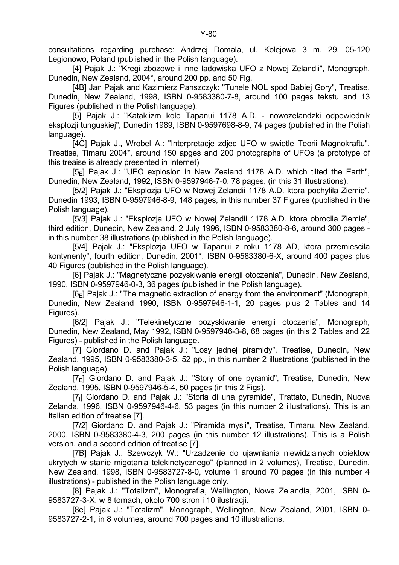consultations regarding purchase: Andrzej Domala, ul. Kolejowa 3 m. 29, 05-120 Legionowo, Poland (published in the Polish language).

 [4] Pajak J.: "Kregi zbozowe i inne ladowiska UFO z Nowej Zelandii", Monograph, Dunedin, New Zealand, 2004\*, around 200 pp. and 50 Fig.

[4B] Jan Pajak and Kazimierz Panszczyk: "Tunele NOL spod Babiej Gory". Treatise. Dunedin, New Zealand, 1998, ISBN 0-9583380-7-8, around 100 pages tekstu and 13 Figures (published in the Polish language).

 [5] Pajak J.: "Kataklizm kolo Tapanui 1178 A.D. - nowozelandzki odpowiednik eksplozji tunguskiej", Dunedin 1989, ISBN 0-9597698-8-9, 74 pages (published in the Polish language).

 [4C] Pajak J., Wrobel A.: "Interpretacje zdjec UFO w swietle Teorii Magnokraftu", Treatise, Timaru 2004\*, around 150 apges and 200 photographs of UFOs (a prototype of this treaise is already presented in Internet)

 $[5E]$  Pajak J.: "UFO explosion in New Zealand 1178 A.D. which tilted the Earth", Dunedin, New Zealand, 1992, ISBN 0-9597946-7-0, 78 pages, (in this 31 illustrations).

 [5/2] Pajak J.: "Eksplozja UFO w Nowej Zelandii 1178 A.D. ktora pochylila Ziemie", Dunedin 1993, ISBN 0-9597946-8-9, 148 pages, in this number 37 Figures (published in the Polish language).

 [5/3] Pajak J.: "Eksplozja UFO w Nowej Zelandii 1178 A.D. ktora obrocila Ziemie", third edition, Dunedin, New Zealand, 2 July 1996, ISBN 0-9583380-8-6, around 300 pages in this number 38 illustrations (published in the Polish language).

 [5/4] Pajak J.: "Eksplozja UFO w Tapanui z roku 1178 AD, ktora przemiescila kontynenty", fourth edition, Dunedin, 2001\*, ISBN 0-9583380-6-X, around 400 pages plus 40 Figures (published in the Polish language).

 [6] Pajak J.: "Magnetyczne pozyskiwanie energii otoczenia", Dunedin, New Zealand, 1990, ISBN 0-9597946-0-3, 36 pages (published in the Polish language).

 $[6E]$  Pajak J.: "The magnetic extraction of energy from the environment" (Monograph, Dunedin, New Zealand 1990, ISBN 0-9597946-1-1, 20 pages plus 2 Tables and 14 Figures).

 [6/2] Pajak J.: "Telekinetyczne pozyskiwanie energii otoczenia", Monograph, Dunedin, New Zealand, May 1992, ISBN 0-9597946-3-8, 68 pages (in this 2 Tables and 22 Figures) - published in the Polish language.

 [7] Giordano D. and Pajak J.: "Losy jednej piramidy", Treatise, Dunedin, New Zealand, 1995, ISBN 0-9583380-3-5, 52 pp., in this number 2 illustrations (published in the Polish language).

 $[7_F]$  Giordano D. and Pajak J.: "Story of one pyramid". Treatise, Dunedin, New Zealand, 1995, ISBN 0-9597946-5-4, 50 pages (in this 2 Figs).

[7] Giordano D. and Pajak J.: "Storia di una pyramide", Trattato, Dunedin, Nuova Zelanda, 1996, ISBN 0-9597946-4-6, 53 pages (in this number 2 illustrations). This is an Italian edition of treatise [7].

[7/2] Giordano D. and Pajak J.: "Piramida mysli", Treatise, Timaru, New Zealand, 2000, ISBN 0-9583380-4-3, 200 pages (in this number 12 illustrations). This is a Polish version, and a second edition of treatise [7].

 [7B] Pajak J., Szewczyk W.: "Urzadzenie do ujawniania niewidzialnych obiektow ukrytych w stanie migotania telekinetycznego" (planned in 2 volumes), Treatise, Dunedin, New Zealand, 1998, ISBN 0-9583727-8-0, volume 1 around 70 pages (in this number 4 illustrations) - published in the Polish language only.

 [8] Pajak J.: "Totalizm", Monografia, Wellington, Nowa Zelandia, 2001, ISBN 0- 9583727-3-X, w 8 tomach, okolo 700 stron i 10 ilustracji.

[8e] Pajak J.: "Totalizm", Monograph, Wellington, New Zealand, 2001, ISBN 0-9583727-2-1, in 8 volumes, around 700 pages and 10 illustrations.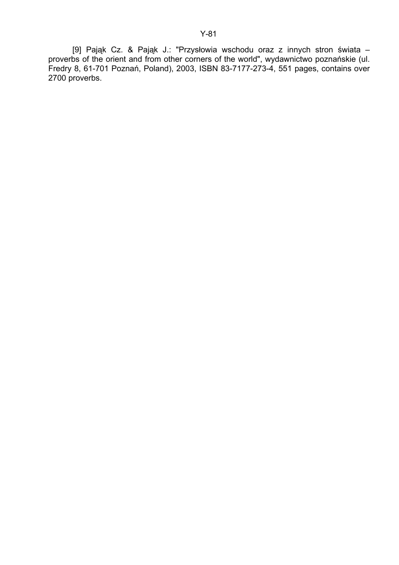[9] Pająk Cz. & Pająk J.: "Przysłowia wschodu oraz z innych stron świata – proverbs of the orient and from other corners of the world", wydawnictwo poznańskie (ul. Fredry 8, 61-701 Poznań, Poland), 2003, ISBN 83-7177-273-4, 551 pages, contains over 2700 proverbs.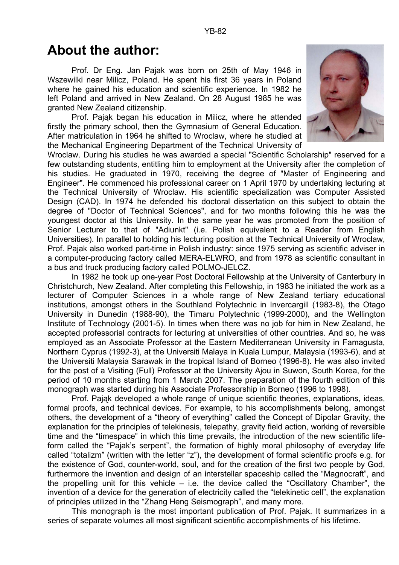## **About the author:**

 Prof. Dr Eng. Jan Pajak was born on 25th of May 1946 in Wszewilki near Milicz, Poland. He spent his first 36 years in Poland where he gained his education and scientific experience. In 1982 he left Poland and arrived in New Zealand. On 28 August 1985 he was granted New Zealand citizenship.

 Prof. Pająk began his education in Milicz, where he attended firstly the primary school, then the Gymnasium of General Education. After matriculation in 1964 he shifted to Wroclaw, where he studied at the Mechanical Engineering Department of the Technical University of



Wroclaw. During his studies he was awarded a special "Scientific Scholarship" reserved for a few outstanding students, entitling him to employment at the University after the completion of his studies. He graduated in 1970, receiving the degree of "Master of Engineering and Engineer". He commenced his professional career on 1 April 1970 by undertaking lecturing at the Technical University of Wroclaw. His scientific specialization was Computer Assisted Design (CAD). In 1974 he defended his doctoral dissertation on this subject to obtain the degree of "Doctor of Technical Sciences", and for two months following this he was the youngest doctor at this University. In the same year he was promoted from the position of Senior Lecturer to that of "Adiunkt" (i.e. Polish equivalent to a Reader from English Universities). In parallel to holding his lecturing position at the Technical University of Wroclaw, Prof. Pajak also worked part-time in Polish industry: since 1975 serving as scientific adviser in a computer-producing factory called MERA-ELWRO, and from 1978 as scientific consultant in a bus and truck producing factory called POLMO-JELCZ.

 In 1982 he took up one-year Post Doctoral Fellowship at the University of Canterbury in Christchurch, New Zealand. After completing this Fellowship, in 1983 he initiated the work as a lecturer of Computer Sciences in a whole range of New Zealand tertiary educational institutions, amongst others in the Southland Polytechnic in Invercargill (1983-8), the Otago University in Dunedin (1988-90), the Timaru Polytechnic (1999-2000), and the Wellington Institute of Technology (2001-5). In times when there was no job for him in New Zealand, he accepted professorial contracts for lecturing at universities of other countries. And so, he was employed as an Associate Professor at the Eastern Mediterranean University in Famagusta, Northern Cyprus (1992-3), at the Universiti Malaya in Kuala Lumpur, Malaysia (1993-6), and at the Universiti Malaysia Sarawak in the tropical Island of Borneo (1996-8). He was also invited for the post of a Visiting (Full) Professor at the University Ajou in Suwon, South Korea, for the period of 10 months starting from 1 March 2007. The preparation of the fourth edition of this monograph was started during his Associate Professorship in Borneo (1996 to 1998).

 Prof. Pająk developed a whole range of unique scientific theories, explanations, ideas, formal proofs, and technical devices. For example, to his accomplishments belong, amongst others, the development of a "theory of everything" called the Concept of Dipolar Gravity, the explanation for the principles of telekinesis, telepathy, gravity field action, working of reversible time and the "timespace" in which this time prevails, the introduction of the new scientific lifeform called the "Pajak's serpent", the formation of highly moral philosophy of everyday life called "totalizm" (written with the letter "z"), the development of formal scientific proofs e.g. for the existence of God, counter-world, soul, and for the creation of the first two people by God, furthermore the invention and design of an interstellar spaceship called the "Magnocraft", and the propelling unit for this vehicle – i.e. the device called the "Oscillatory Chamber", the invention of a device for the generation of electricity called the "telekinetic cell", the explanation of principles utilized in the "Zhang Heng Seismograph", and many more.

This monograph is the most important publication of Prof. Pajak. It summarizes in a series of separate volumes all most significant scientific accomplishments of his lifetime.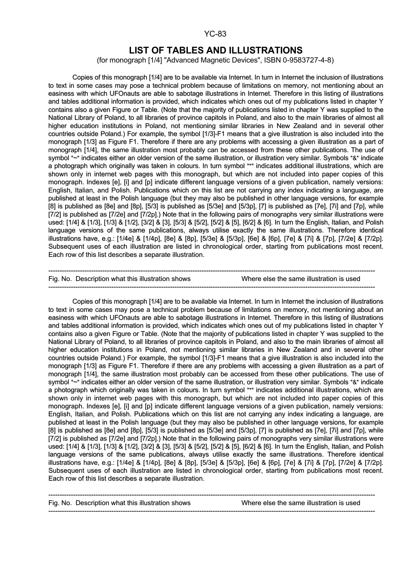#### YC-83

### **LIST OF TABLES AND ILLUSTRATIONS**

(for monograph [1/4] "Advanced Magnetic Devices", ISBN 0-9583727-4-8)

Copies of this monograph [1/4] are to be available via Internet. In turn in Internet the inclusion of illustrations to text in some cases may pose a technical problem because of limitations on memory, not mentioning about an easiness with which UFOnauts are able to sabotage illustrations in Internet. Therefore in this listing of illustrations and tables additional information is provided, which indicates which ones out of my publications listed in chapter Y contains also a given Figure or Table. (Note that the majority of publications listed in chapter Y was supplied to the National Library of Poland, to all libraries of province capitols in Poland, and also to the main libraries of almost all higher education institutions in Poland, not mentioning similar libraries in New Zealand and in several other countries outside Poland.) For example, the symbol [1/3]-F1 means that a give illustration is also included into the monograph [1/3] as Figure F1. Therefore if there are any problems with accessing a given illustration as a part of monograph [1/4], the same illustration most probably can be accessed from these other publications. The use of symbol "~" indicates either an older version of the same illustration, or illustration very similar. Symbols "&" indicate a photograph which originally was taken in colours. In turn symbol "\*" indicates additional illustrations, which are shown only in internet web pages with this monograph, but which are not included into paper copies of this monograph. Indexes [e], [i] and [p] indicate different language versions of a given publication, namely versions: English, Italian, and Polish. Publications which on this list are not carrying any index indicating a language, are published at least in the Polish language (but they may also be published in other language versions, for example [8] is published as [8e] and [8p], [5/3] is published as [5/3e] and [5/3p], [7] is published as [7e], [7i] and [7p], while [7/2] is published as [7/2e] and [7/2p].) Note that in the following pairs of monographs very similar illustrations were used: [1/4] & [1/3], [1/3] & [1/2], [3/2] & [3], [5/3] & [5/2], [5/2] & [5], [6/2] & [6]. In turn the English, Italian, and Polish language versions of the same publications, always utilise exactly the same illustrations. Therefore identical illustrations have, e.g.: [1/4e] & [1/4p], [8e] & [8p], [5/3e] & [5/3p], [6e] & [6p], [7e] & [7i] & [7p], [7/2e] & [7/2p]. Subsequent uses of each illustration are listed in chronological order, starting from publications most recent. Each row of this list describes a separate illustration.

| Fig. No. Description what this illustration shows | Where else the same illustration is used |
|---------------------------------------------------|------------------------------------------|
|                                                   |                                          |

Copies of this monograph [1/4] are to be available via Internet. In turn in Internet the inclusion of illustrations to text in some cases may pose a technical problem because of limitations on memory, not mentioning about an easiness with which UFOnauts are able to sabotage illustrations in Internet. Therefore in this listing of illustrations and tables additional information is provided, which indicates which ones out of my publications listed in chapter Y contains also a given Figure or Table. (Note that the majority of publications listed in chapter Y was supplied to the National Library of Poland, to all libraries of province capitols in Poland, and also to the main libraries of almost all higher education institutions in Poland, not mentioning similar libraries in New Zealand and in several other countries outside Poland.) For example, the symbol [1/3]-F1 means that a give illustration is also included into the monograph [1/3] as Figure F1. Therefore if there are any problems with accessing a given illustration as a part of monograph [1/4], the same illustration most probably can be accessed from these other publications. The use of symbol "~" indicates either an older version of the same illustration, or illustration very similar. Symbols "&" indicate a photograph which originally was taken in colours. In turn symbol "\*" indicates additional illustrations, which are shown only in internet web pages with this monograph, but which are not included into paper copies of this monograph. Indexes [e], [i] and [p] indicate different language versions of a given publication, namely versions: English, Italian, and Polish. Publications which on this list are not carrying any index indicating a language, are published at least in the Polish language (but they may also be published in other language versions, for example [8] is published as [8e] and [8p], [5/3] is published as [5/3e] and [5/3p], [7] is published as [7e], [7i] and [7p], while [7/2] is published as [7/2e] and [7/2p].) Note that in the following pairs of monographs very similar illustrations were used: [1/4] & [1/3], [1/3] & [1/2], [3/2] & [3], [5/3] & [5/2], [5/2] & [5], [6/2] & [6]. In turn the English, Italian, and Polish language versions of the same publications, always utilise exactly the same illustrations. Therefore identical illustrations have, e.g.: [1/4e] & [1/4p], [8e] & [8p], [5/3e] & [5/3p], [6e] & [6p], [7e] & [7i] & [7p], [7/2e] & [7/2p]. Subsequent uses of each illustration are listed in chronological order, starting from publications most recent. Each row of this list describes a separate illustration.

| Fig. No. Description what this illustration shows | Where else the same illustration is used |
|---------------------------------------------------|------------------------------------------|
|                                                   |                                          |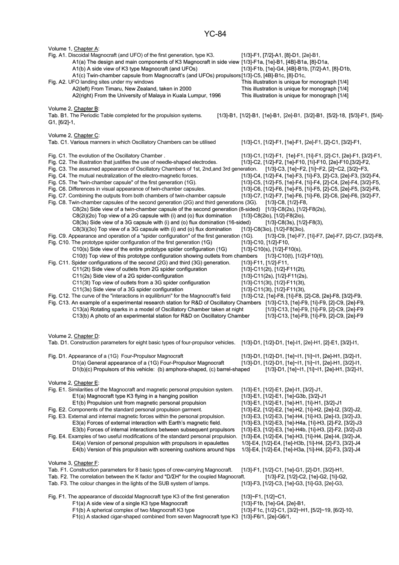| Volume 1, Chapter A:                                                                                                                       |                                                                                                                                      |
|--------------------------------------------------------------------------------------------------------------------------------------------|--------------------------------------------------------------------------------------------------------------------------------------|
| Fig. A1. Discoidal Magnocraft (and UFO) of the first generation, type K3.                                                                  | [1/3]-F1, [7/2]-A1, [8]-D1, [2e]-B1,                                                                                                 |
| A1(a) The design and main components of K3 Magnocraft in side view [1/3]-F1a, [1e]-B1, [4B]-B1a, [8]-D1a,                                  |                                                                                                                                      |
| A1(b) A side view of K3 type Magnocraft (and UFOs)                                                                                         | [1/3]-F1b, [1e]-G4, [4B]-B1b, [7/2]-A1, [8]-D1b,                                                                                     |
| A1(c) Twin-chamber capsule from Magnocraft's (and UFOs) propulsors[1/3]-C5, [4B]-B1c, [8]-D1c,                                             |                                                                                                                                      |
| Fig. A2. UFO landing sites under my windows                                                                                                | This illustration is unique for monograph [1/4]                                                                                      |
| A2(left) From Timaru, New Zealand, taken in 2000                                                                                           | This illustration is unique for monograph [1/4]                                                                                      |
| A2(right) From the University of Malaya in Kuala Lumpur, 1996                                                                              | This illustration is unique for monograph [1/4]                                                                                      |
| Volume 2, Chapter B:                                                                                                                       |                                                                                                                                      |
| Tab. B1. The Periodic Table completed for the propulsion systems.                                                                          | [1/3]-B1, [1/2]-B1, [1e]-B1, [2e]-B1, [3/2]-B1, [5/2]-18, [5/3]-F1, [5/4]-                                                           |
| G1, [6/2]-1,                                                                                                                               |                                                                                                                                      |
|                                                                                                                                            |                                                                                                                                      |
| Volume 2, Chapter C:                                                                                                                       |                                                                                                                                      |
| Tab. C1. Various manners in which Oscillatory Chambers can be utilised                                                                     | [1/3]-C1, [1/2]-F1, [1e]-F1, [2e]-F1, [2]-C1, [3/2]-F1,                                                                              |
|                                                                                                                                            |                                                                                                                                      |
| Fig. C1. The evolution of the Oscillatory Chamber.                                                                                         | [1/3]-C1, [1/2]-F1, [1e]-F1, [1i]-F1, [2]-C1, [2e]-F1, [3/2]-F1,                                                                     |
| Fig. C2. The illustration that justifies the use of needle-shaped electrodes.                                                              | [1/3]-C2, [1/2]-F2, [1e]-F10, [1i]-F10, [2e]-F10, [3/2]-F2,                                                                          |
| Fig. C3. The assumed appearance of Oscillatory Chambers of 1st, 2nd,and 3rd generation. [1/3]-C3, [1e]~F2, [1i]~F2, [2]~C2, [3/2]~F3,      |                                                                                                                                      |
| Fig. C4. The mutual neutralization of the electro-magnetic forces.<br>Fig. C5. The "twin-chamber capsule" of the first generation (1G).    | [1/3]-C4, [1/2]-F4, [1e]-F3, [1i]-F3, [2]-C3, [2e]-F3, [3/2]-F4,<br>[1/3]-C5, [1/2]-F5, [1e]-F4, [1i]-F4, [2]-C4, [2e]-F4, [3/2]-F5, |
| Fig. C6. Differences in visual appearance of twin-chamber capsules.                                                                        | [1/3]-C6, [1/2]-F6, [1e]-F5, [1i]-F5, [2]-C5, [2e]-F5, [3/2]-F6,                                                                     |
| Fig. C7. Combining the outputs from both chambers of twin-chamber capsule                                                                  | [1/3]-C7, [1/2]-F7, [1e]-F6, [1i]-F6, [2]-C6, [2e]-F6, [3/2]-F7,                                                                     |
| Fig. C8. Twin-chamber capsules of the second generation (2G) and third generations (3G).                                                   | [1/3]-C8, [1/2]-F8,                                                                                                                  |
| C8(2s) Side view of a twin-chamber capsule of the second generation (8-sided) [1/3]-C8(2s), [1/2]-F8(2s),                                  |                                                                                                                                      |
| $C8(2i)(2o)$ Top view of a 2G capsule with (i) and (o) flux domination                                                                     | [1/3]-C8(2io), [1/2]-F8(2io),                                                                                                        |
| C8(3s) Side view of a 3G capsule with (i) and (o) flux domination (16-sided)                                                               | [1/3]-C8(3s), [1/2]-F8(3),                                                                                                           |
| C8(3i)(3o) Top view of a 3G capsule with (i) and (o) flux domination                                                                       | [1/3]-C8(3io), [1/2]-F8(3io),                                                                                                        |
| Fig. C9. Appearance and operation of a "spider configuration" of the first generation (1G).                                                | [1/3]-C9, [1e]-F7, [1i]-F7, [2e]-F7, [2]-C7, [3/2]-F8,                                                                               |
| Fig. C10. The prototype spider configuration of the first generation (1G)                                                                  | [1/3]-C10, [1/2]-F10,                                                                                                                |
| C10(s) Side view of the entire prototype spider configuration (1G)                                                                         | $[1/3]$ -C10(s), $[1/2]$ -F10(s),                                                                                                    |
| C10(t) Top view of this prototype configuration showing outlets from chambers                                                              | [1/3]-C10(t), [1/2]-F10(t),                                                                                                          |
| Fig. C11. Spider configurations of the second (2G) and third (3G) generation.                                                              | [1/3]-F11, [1/2]-F11,                                                                                                                |
| C11(2t) Side view of outlets from 2G spider configuration                                                                                  | $[1/3]$ -C11(2t), $[1/2]$ -F11(2t),                                                                                                  |
| C11(2s) Side view of a 2G spider-configuration                                                                                             | [1/3]-C11(2s), [1/2]-F11(2s),                                                                                                        |
| C11(3t) Top view of outlets from a 3G spider configuration                                                                                 | $[1/3]$ -C11(3t), $[1/2]$ -F11(3t),                                                                                                  |
| C11(3s) Side view of a 3G spider configuration                                                                                             | $[1/3]$ -C11(3t), $[1/2]$ -F11(3t),                                                                                                  |
| Fig. C12. The curve of the "interactions in equilibrium" for the Magnocraft's field                                                        | [1/3]-C12, [1e]-F8, [1i]-F8, [2]-C8, [2e]-F8, [3/2]-F9,                                                                              |
| Fig. C13. An example of a experimental research station for R&D of Oscillatory Chambers [1/3]-C13, [1e]-F9, [1i]-F9, [2]-C9, [2e]-F9,      |                                                                                                                                      |
| C13(a) Rotating sparks in a model of Oscillatory Chamber taken at night                                                                    | [1/3]-C13, [1e]-F9, [1i]-F9, [2]-C9, [2e]-F9                                                                                         |
| C13(b) A photo of an experimental station for R&D on Oscillatory Chamber                                                                   | [1/3]-C13, [1e]-F9, [1i]-F9, [2]-C9, [2e]-F9                                                                                         |
|                                                                                                                                            |                                                                                                                                      |
| Volume 2, Chapter D:                                                                                                                       |                                                                                                                                      |
| Tab. D1. Construction parameters for eight basic types of four-propulsor vehicles. [1/3]-D1, [1/2]-D1, [1e]-I1, [2e]-H1, [2]-E1, [3/2]-I1, |                                                                                                                                      |
|                                                                                                                                            |                                                                                                                                      |
| Fig. D1. Appearance of a (1G) Four-Propulsor Magnocraft                                                                                    | [1/3]-D1, [1/2]-D1, [1e]~I1, [1i]~I1, [2e]-H1, [3/2]-I1,                                                                             |
| D1(a) General appearance of a (1G) Four-Propulsor Magnocraft                                                                               | [1/3]-D1, [1/2]-D1, [1e]~l1, [1i]~l1, [2e]-H1, [3/2]-l1,                                                                             |
| D1(b)(c) Propulsors of this vehicle: (b) amphora-shaped, (c) barrel-shaped                                                                 | [1/3]-D1, [1e]~l1, [1i]~l1, [2e]-H1, [3/2]-l1,                                                                                       |
|                                                                                                                                            |                                                                                                                                      |
| Volume 2, Chapter E:                                                                                                                       |                                                                                                                                      |
| Fig. E1. Similarities of the Magnocraft and magnetic personal propulsion system.                                                           | [1/3]-E1, [1/2]-E1, [2e]-I1, [3/2]-J1,                                                                                               |
| E1(a) Magnocraft type K3 flying in a hanging position                                                                                      | [1/3]-E1, [1/2]-E1, [1e]-G3b, [3/2]-J1                                                                                               |
| E1(b) Propulsion unit from magnetic personal propulsion                                                                                    | [1/3]-E1, [1/2]-E1, [1e]-H1, [1i]-H1, [3/2]-J1                                                                                       |
| Fig. E2. Components of the standard personal propulsion garment.                                                                           | [1/3]-E2, [1/2]-E2, [1e]-H2, [1i]-H2, [2e]-I2, [3/2]-J2,                                                                             |
| Fig. E3. External and internal magnetic forces within the personal propulsion.                                                             | [1/3]-E3, [1/2]-E3, [1e]-H4, [1i]-H3, [2e]-I3, [3/2]-J3,                                                                             |
| E3(a) Forces of external interaction with Earth's magnetic field.                                                                          | [1/3]-E3, [1/2]-E3, [1e]-H4a, [1i]-H3, [2]-F2, [3/2]-J3                                                                              |
| E3(b) Forces of internal interactions between subsequent propulsors                                                                        | [1/3]-E3, [1/2]-E3, [1e]-H4b, [1i]-H3, [2]-F2, [3/2]-J3                                                                              |
| Fig. E4. Examples of two useful modifications of the standard personal propulsion.                                                         | [1/3]-E4, [1/2]-E4, [1e]-H3, [1i]-H4, [2e]-l4, [3/2]-J4,                                                                             |
| E4(a) Version of personal propulsion with propulsors in epaulettes                                                                         | 1/3]-E4, [1/2]-E4, [1e]-H3b, [1i]-H4, [2]-F3, [3/2]-J4                                                                               |
| E4(b) Version of this propulsion with screening cushions around hips                                                                       | 1/3]-E4, [1/2]-E4, [1e]-H3a, [1i]-H4, [2]-F3, [3/2]-J4                                                                               |
|                                                                                                                                            |                                                                                                                                      |
| Volume 3, Chapter F:                                                                                                                       |                                                                                                                                      |
| Tab. F1. Construction parameters for 8 basic types of crew-carrying Magnocraft.                                                            | [1/3]-F1, [1/2]-C1, [1e]-G1, [2]-D1, [3/2]-H1,                                                                                       |
| Tab. F2. The correlation between the K factor and "D/ΣH" for the coupled Magnocraft.                                                       | [1/3]-F2, [1/2]-C2, [1e]-G2, [1i]-G2,                                                                                                |
| Tab. F3. The colour changes in the lights of the SUB system of lamps.                                                                      | [1/3]-F3, [1/2]-C3, [1e]-G3, [1i]-G3, [2e]-G3,                                                                                       |
|                                                                                                                                            |                                                                                                                                      |
| Fig. F1. The appearance of discoidal Magnocraft type K3 of the first generation<br>F1(a) A side view of a single K3 type Magnocraft        | $[1/3]$ ~F1, $[1/2]$ ~C1,<br>[1/3]-F1b, [1e]-G4, [2e]-B1,                                                                            |
| F1(b) A spherical complex of two Magnocraft K3 type                                                                                        | [1/3]-F1c, [1/2]-C1, [3/2]~H1, [5/2]~19, [6/2]-10,                                                                                   |
| F1(c) A stacked cigar-shaped combined from seven Magnocraft type K3 [1/3]-F6/1, [2e]-G6/1,                                                 |                                                                                                                                      |
|                                                                                                                                            |                                                                                                                                      |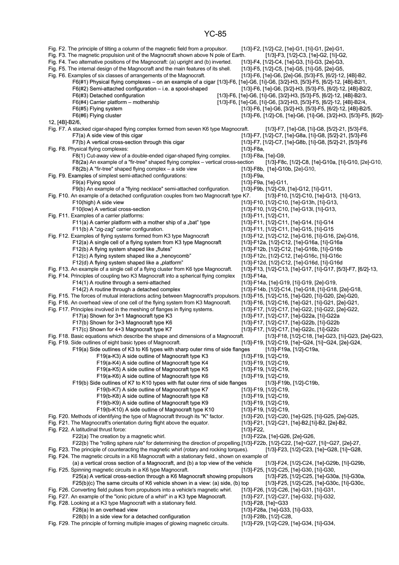### YC-85

| Fig. F2. The principle of tilting a column of the magnetic field from a propulsor.                                                      | [1/3]-F2, [1/2]-C2, [1e]-G1, [1i]-G1, [2e]-G1,                       |
|-----------------------------------------------------------------------------------------------------------------------------------------|----------------------------------------------------------------------|
| Fig. F3. The magnetic propulsion unit of the Magnocraft shown above N pole of Earth.                                                    | [1/3]-F3, [1/2]-C3, [1e]-G2, [1i]-G2,                                |
| Fig. F4. Two alternative positions of the Magnocraft: (a) upright and (b) inverted.                                                     | [1/3]-F4, [1/2]-C4, [1e]-G3, [1i]-G3, [2e]-G3,                       |
| Fig. F5. The internal design of the Magnocraft and the main features of its shell.                                                      | [1/3]-F5, [1/2]-C5, [1e]-G5, [1i]-G5, [2e]-G5,                       |
| Fig. F6. Examples of six classes of arrangements of the Magnocraft.                                                                     | [1/3]-F6, [1e]-G6, [2e]-G6, [5/3]-F5, [6/2]-12, [4B]-B2,             |
| F6(#1) Physical flying complexes - on an example of a cigar [1/3]-F6, [1e]-G6, [1i]-G6, [3/2]-H3, [5/3]-F5, [6/2]-12, [4B]-B2/1,        |                                                                      |
| $F6(\#2)$ Semi-attached configuration – i.e. a spool-shaped                                                                             | [1/3]-F6, [1e]-G6, [3/2]-H3, [5/3]-F5, [6/2]-12, [4B]-B2/2,          |
| F6(#3) Detached configuration                                                                                                           | [1/3]-F6, [1e]-G6, [1i]-G6, [3/2]-H3, [5/3]-F5, [6/2]-12, [4B]-B2/3, |
| F6(#4) Carrier platform - mothership                                                                                                    | [1/3]-F6, [1e]-G6, [1i]-G6, [3/2]-H3, [5/3]-F5, [6/2]-12, [4B]-B2/4, |
| F6(#5) Flying system                                                                                                                    | [1/3]-F6, [1e]-G6, [3/2]-H3, [5/3]-F5, [6/2]-12, [4B]-B2/5,          |
| F6(#6) Flying cluster                                                                                                                   | [1/3]-F6, [1/2]-C6, [1e]-G6, [1i]-G6, [3/2]-H3, [5/3]-F5, [6/2]-     |
| 12, [4B]-B2/6,                                                                                                                          | [1/3]-F7, [1e]-G8, [1i]-G8, [5/2]-21, [5/3]-F6,                      |
| Fig. F7. A stacked cigar-shaped flying complex formed from seven K6 type Magnocraft.<br>F7(a) A side view of this cigar                 | [1/3]-F7, [1/2]-C7, [1e]-G8a, [1i]-G8, [5/2]-21, [5/3]-F6            |
| F7(b) A vertical cross-section through this cigar                                                                                       | [1/3]-F7, [1/2]-C7, [1e]-G8b, [1i]-G8, [5/2]-21, [5/3]-F6            |
| Fig. F8. Physical flying complexes:                                                                                                     | [1/3]-F8a,                                                           |
| F8(1) Cut-away view of a double-ended cigar-shaped flying complex.                                                                      | [1/3]-F8a, [1e]-G9,                                                  |
| F8(2a) An example of a "fir-tree" shaped flying complex - vertical cross-section                                                        | [1/3]-F8c, [1/2]-C8, [1e]-G10a, [1i]-G10, [2e]-G10,                  |
| $F8(2b)$ A "fir-tree" shaped flying complex – a side view                                                                               | [1/3]-F8b, [1e]-G10b, [2e]-G10,                                      |
| Fig. F9. Examples of simplest semi-attached configurations:                                                                             | $[1/3]$ -F9a,                                                        |
| F9(a) Flying spool                                                                                                                      | [1/3]-F9a, [1e]-G11,                                                 |
| F9(b) An example of a "flying necklace" semi-attached configuration.                                                                    | [1/3]-F9b, [1/2]-C9, [1e]-G12, [1i]-G11,                             |
| Fig. F10. An example of a detached configuration couples from two Magnocraft type K7.                                                   | [1/3]-F10, [1/2]-C10, [1e]-G13, [1i]-G13,                            |
| F10(high) A side view                                                                                                                   | [1/3]-F10, [1/2]-C10, [1e]-G13h, [1i]-G13,                           |
| F10(low) A vertical cross-section                                                                                                       | [1/3]-F10, [1/2]-C10, [1e]-G13l, [1i]-G13,                           |
| Fig. F11. Examples of a carrier platforms:                                                                                              | $[1/3]$ -F11, $[1/2]$ -C11,                                          |
| F11(a) A carrier platform with a mother ship of a "bat" type                                                                            | [1/3]-F11, [1/2]-C11, [1e]-G14, [1i]-G14                             |
| F11(b) A "zig-zag" carrier configuration.                                                                                               | [1/3]-F11, [1/2]-C11, [1e]-G15, [1i]-G15                             |
| Fig. F12. Examples of flying systems formed from K3 type Magnocraft                                                                     | [1/3]-F12, [1/2]-C12, [1e]-G16, [1i]-G16, [2e]-G16,                  |
| F12(a) A single cell of a flying system from K3 type Magnocraft                                                                         | [1/3]-F12a, [1/2]-C12, [1e]-G16a, [1i]-G16a                          |
| F12(b) A flying system shaped like "flutes"                                                                                             | [1/3]-F12b, [1/2]-C12, [1e]-G16b, [1i]-G16b                          |
| F12(c) A flying system shaped like a "henoycomb"                                                                                        | [1/3]-F12c, [1/2]-C12, [1e]-G16c, [1i]-G16c                          |
| F12(d) A flying system shaped like a "platform"                                                                                         | [1/3]-F12d, [1/2]-C12, [1e]-G16d, [1i]-G16d                          |
| Fig. F13. An example of a single cell of a flying cluster from K6 type Magnocraft.                                                      | [1/3]-F13, [1/2]-C13, [1e]-G17, [1i]-G17, [5/3]-F7, [6/2]-13,        |
| Fig. F14. Principles of coupling two K3 Magnocraft into a spherical flying complex                                                      | [1/3]-F14a,                                                          |
| F14(1) A routine through a semi-attached                                                                                                | [1/3]-F14a, [1e]-G19, [1i]-G19, [2e]-G19,                            |
| F14(2) A routine through a detached complex                                                                                             | [1/3]-F14b, [1/2]-C14, [1e]-G18, [1i]-G18, [2e]-G18,                 |
| Fig. F15. The forces of mutual interactions acting between Magnocraft's propulsors. [1/3]-F15, [1/2]-C15, [1e]-G20, [1i]-G20, [2e]-G20, |                                                                      |
| Fig. F16. An overhead view of one cell of the flying system from K3 Magnocraft.                                                         | [1/3]-F16, [1/2]-C16, [1e]-G21, [1i]-G21, [2e]-G21,                  |
| Fig. F17. Principles involved in the meshing of flanges in flying systems.                                                              | [1/3]-F17, [1/2]-C17, [1e]-G22, [1i]-G22, [2e]-G22,                  |
| F17(a) Shown for 3+1 Magnocraft type K3                                                                                                 | [1/3]-F17, [1/2]-C17, [1e]-G22a, [1i]-G22a                           |
| F17(b) Shown for 3+3 Magnocraft type K6                                                                                                 | [1/3]-F17, [1/2]-C17, [1e]-G22b, [1i]-G22b                           |
| F17(c) Shown for 4+3 Magnocraft type K7                                                                                                 | [1/3]-F17, [1/2]-C17, [1e]-G22c, [1i]-G22c                           |
| Fig. F18. Basic equations which describe the shape and dimensions of a Magnocraft.                                                      | [1/3]-F18, [1/2]-C18, [1e]-G23, [1i]-G23, [2e]-G23,                  |
| Fig. F19. Side outlines of eight basic types of Magnocraft.                                                                             | [1/3]-F19, [1/2]-C19, [1e]~G24, [1i]~G24, [2e]-G24,                  |
| F19(a) Side outlines of K3 to K6 types with sharp outer rims of side flanges                                                            | [1/3]-F19a, [1/2]-C19a,                                              |
| F19(a-K3) A side outline of Magnocraft type K3                                                                                          | [1/3]-F19, [1/2]-C19,                                                |
| F19(a-K4) A side outline of Magnocraft type K4                                                                                          | [1/3]-F19, [1/2]-C19,                                                |
| F19(a-K5) A side outline of Magnocraft type K5                                                                                          | [1/3]-F19, [1/2]-C19,                                                |
| F19(a-K6) A side outline of Magnocraft type K6                                                                                          | [1/3]-F19, [1/2]-C19,                                                |
| F19(b) Side outlines of K7 to K10 types with flat outer rims of side flanges                                                            | $[1/3]$ -F19b, $[1/2]$ -C19b,                                        |
| F19(b-K7) A side outline of Magnocraft type K7                                                                                          | $[1/3]$ -F19, $[1/2]$ -C19,                                          |
| F19(b-K8) A side outline of Magnocraft type K8                                                                                          | [1/3]-F19, [1/2]-C19,                                                |
| F19(b-K9) A side outline of Magnocraft type K9                                                                                          | [1/3]-F19, [1/2]-C19,                                                |
| F19(b-K10) A side outline of Magnocraft type K10                                                                                        | $[1/3]$ -F19, $[1/2]$ -C19,                                          |
| Fig. F20. Methods of identifying the type of Magnocraft through its "K" factor.                                                         | [1/3]-F20, [1/2]-C20, [1e]-G25, [1i]-G25, [2e]-G25,                  |
| Fig. F21. The Magnocraft's orientation during flight above the equator.                                                                 | [1/3]-F21, [1/2]-C21, [1e]-B2, [1i]-B2, [2e]-B2,                     |
| Fig. F22. A latitudinal thrust force:                                                                                                   | $[1/3]$ -F22,                                                        |
| F22(a) The creation by a magnetic whirl.                                                                                                | [1/3]-F22a, [1e]-G26, [2e]-G26,                                      |
| F22(b) The "rolling sphere rule" for determining the direction of propelling.[1/3]-F22b, [1/2]-C22, [1e]~G27, [1i]~G27, [2e]-27,        |                                                                      |
| Fig. F23. The principle of counteracting the magnetic whirl (rotary and rocking torques).                                               | [1/3]-F23, [1/2]-C23, [1e]~G28, [1i]~G28,                            |
| Fig. F24. The magnetic circuits in a K6 Magnocraft with a stationary field., shown on example of                                        |                                                                      |
| (a) a vertical cross section of a Magnocraft, and (b) a top view of the vehicle                                                         | [1/3]-F24, [1/2]-C24, [1e]-G29b, [1i]-G29b,                          |
| Fig. F25. Spinning magnetic circuits in a K6 type Magnocraft.                                                                           | [1/3]-F25, [1/2]-C25, [1e]-G30, [1i]-G30,                            |
| F25(a) A vertical cross-section through a K6 Magnocraft showing propulsors                                                              | [1/3]-F25, [1/2]-C25, [1e]-G30a, [1i]-G30a,                          |
| $F25(b)(c)$ The same circuits of K6 vehicle shown in a view: (a) side, (b) top                                                          | [1/3]-F25, [1/2]-C25, [1e]-G30c, [1i]-G30c,                          |
| Fig. F26. Converting field pulses from propulsors into a vehicle's magnetic whirl.                                                      | [1/3]-F26, [1/2]-C26, [1e]-G31, [1i]-G31,                            |
| Fig. F27. An example of the "ionic picture of a whirl" in a K3 type Magnocraft.                                                         | [1/3]-F27, [1/2]-C27, [1e]-G32, [1i]-G32,                            |
| Fig. F28. Looking at a K3 type Magnocraft with a stationary field.<br>F28(a) In an overhead view                                        | $[1/3]$ -F28, $[1e]$ ~G33<br>[1/3]-F28a, [1e]-G33, [1i]-G33,         |
| F28(b) In a side view for a detached configuration                                                                                      | [1/3]-F28b, [1/2]-C28,                                               |
| Fig. F29. The principle of forming multiple images of glowing magnetic circuits.                                                        | [1/3]-F29, [1/2]-C29, [1e]-G34, [1i]-G34,                            |
|                                                                                                                                         |                                                                      |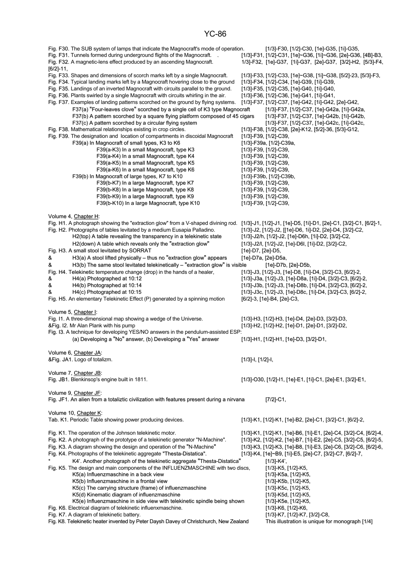| Fig. F30. The SUB system of lamps that indicate the Magnocraft's mode of operation.<br>Fig. F31. Tunnels formed during underground flights of the Magnocraft. .<br>Fig. F32. A magnetic-lens effect produced by an ascending Magnocraft.<br>$[6/2]-11,$                                                                                                                                                                                                                                                                                                                                                                                                                                                                                                                                                     |                                                | [1/3]-F30, [1/2]-C30, [1e]-G35, [1i]-G35,<br>[1/3]-F31, [1/2]-C31, [1e]~G36, [1i]~G36, [2e]-G36, [4B]-B3,<br>1/3]-F32, [1e]-G37, [1i]-G37, [2e]-G37, [3/2]-H2, [5/3]-F4,                                                                                                                                                                                                                                                                                                                        |
|-------------------------------------------------------------------------------------------------------------------------------------------------------------------------------------------------------------------------------------------------------------------------------------------------------------------------------------------------------------------------------------------------------------------------------------------------------------------------------------------------------------------------------------------------------------------------------------------------------------------------------------------------------------------------------------------------------------------------------------------------------------------------------------------------------------|------------------------------------------------|-------------------------------------------------------------------------------------------------------------------------------------------------------------------------------------------------------------------------------------------------------------------------------------------------------------------------------------------------------------------------------------------------------------------------------------------------------------------------------------------------|
| Fig. F33. Shapes and dimensions of scorch marks left by a single Magnocraft.<br>Fig. F34. Typical landing marks left by a Magnocraft hovering close to the ground<br>Fig. F35. Landings of an inverted Magnocraft with circuits parallel to the ground.<br>Fig. F36. Plants swirled by a single Magnocraft with circuits whirling in the air.<br>Fig. F37. Examples of landing patterns scorched on the ground by flying systems.<br>F37(a) "Four-leaves clove" scorched by a single cell of K3 type Magnocraft<br>F37(b) A pattern scorched by a square flying platform composed of 45 cigars<br>F37(c) A pattern scorched by a circular flying system<br>Fig. F38. Mathematical relationships existing in crop circles.<br>Fig. F39. The designation and location of compartments in discoidal Magnocraft |                                                | [1/3]-F33, [1/2]-C33, [1e]~G38, [1i]~G38, [5/2]-23, [5/3]-F3,<br>[1/3]-F34, [1/2]-C34, [1e]-G39, [1i]-G39,<br>[1/3]-F35, [1/2]-C35, [1e]-G40, [1i]-G40,<br>[1/3]-F36, [1/2]-C36, [1e]-G41, [1i]-G41,<br>[1/3]-F37, [1/2]-C37, [1e]-G42, [1i]-G42, [2e]-G42,<br>[1/3]-F37, [1/2]-C37, [1e]-G42a, [1i]-G42a,<br>[1/3]-F37, [1/2]-C37, [1e]-G42b, [1i]-G42b,<br>[1/3]-F37, [1/2]-C37, [1e]-G42c, [1i]-G42c,<br>[1/3]-F38, [1/2]-C38, [2e]-K12, [5/2]-36, [5/3]-G12,<br>$[1/3]$ -F39, $[1/2]$ -C39, |
| F39(a) In Magnocraft of small types, K3 to K6<br>F39(a-K3) In a small Magnocraft, type K3<br>F39(a-K4) In a small Magnocraft, type K4<br>F39(a-K5) In a small Magnocraft, type K5<br>F39(a-K6) In a small Magnocraft, type K6                                                                                                                                                                                                                                                                                                                                                                                                                                                                                                                                                                               | [1/3]-F39, [1/2]-C39,<br>[1/3]-F39, [1/2]-C39, | [1/3]-F39a, [1/2]-C39a,<br>[1/3]-F39, [1/2]-C39,<br>[1/3]-F39, [1/2]-C39,                                                                                                                                                                                                                                                                                                                                                                                                                       |
| F39(b) In Magnocraft of large types, K7 to K10<br>F39(b-K7) In a large Magnocraft, type K7<br>F39(b-K8) In a large Magnocraft, type K8<br>F39(b-K9) In a large Magnocraft, type K9<br>F39(b-K10) In a large Magnocraft, type K10                                                                                                                                                                                                                                                                                                                                                                                                                                                                                                                                                                            | [1/3]-F39, [1/2]-C39,                          | [1/3]-F39b, [1/2]-C39b,<br>[1/3]-F39, [1/2]-C39,<br>[1/3]-F39, [1/2]-C39,<br>[1/3]-F39, [1/2]-C39,                                                                                                                                                                                                                                                                                                                                                                                              |
| Volume 4, Chapter H:<br>Fig. H1. A photograph showing the "extraction glow" from a V-shaped divining rod. [1/3]-J1, [1/2]-J1, [1e]-D5, [1i]-D1, [2e]-C1, [3/2]-C1, [6/2]-1,<br>Fig. H2. Photographs of tables levitated by a medium Eusapia Palladino.<br>H2(top) A table revealing the transparency in a telekinetic state<br>H2(down) A table which reveals only the "extraction glow"                                                                                                                                                                                                                                                                                                                                                                                                                    |                                                | [1/3]-J2, [1/2]-J2, [[1e]-D6, 1i]-D2, [2e]-D4, [3/2]-C2,<br>[1/3]-J2/h, [1/2]-J2, [1e]-D6h, [1i]-D2, [3/2]-C2,<br>[1/3]-J2/I, [1/2]-J2, [1e]-D6I, [1i]-D2, [3/2]-C2,                                                                                                                                                                                                                                                                                                                            |
| Fig. H3. A small stool levitated by SORRAT                                                                                                                                                                                                                                                                                                                                                                                                                                                                                                                                                                                                                                                                                                                                                                  | [1e]-D7, [2e]-D5,                              |                                                                                                                                                                                                                                                                                                                                                                                                                                                                                                 |
| &<br>H3(a) A stool lifted physically - thus no "extraction glow" appears<br>H3(b) The same stool levitated telekinetically - "extraction glow" is visible<br>&                                                                                                                                                                                                                                                                                                                                                                                                                                                                                                                                                                                                                                              | [1e]-D7a, [2e]-D5a,                            | [1e]-D7b, [2e]-D5b,                                                                                                                                                                                                                                                                                                                                                                                                                                                                             |
| Fig. H4. Telekinetic temperature change (drop) in the hands of a healer,                                                                                                                                                                                                                                                                                                                                                                                                                                                                                                                                                                                                                                                                                                                                    |                                                | [1/3]-J3, [1/2]-J3, [1e]-D8, [1i]-D4, [3/2]-C3, [6/2]-2,                                                                                                                                                                                                                                                                                                                                                                                                                                        |
| &<br>H4(a) Photographed at 10:12<br>&<br>H4(b) Photographed at 10:14                                                                                                                                                                                                                                                                                                                                                                                                                                                                                                                                                                                                                                                                                                                                        |                                                | [1/3]-J3a, [1/2]-J3, [1e]-D8a, [1i]-D4, [3/2]-C3, [6/2]-2,<br>[1/3]-J3b, [1/2]-J3, [1e]-D8b, [1i]-D4, [3/2]-C3, [6/2]-2,                                                                                                                                                                                                                                                                                                                                                                        |
| &<br>H4(c) Photographed at 10:15<br>Fig. H5. An elementary Telekinetic Effect (P) generated by a spinning motion                                                                                                                                                                                                                                                                                                                                                                                                                                                                                                                                                                                                                                                                                            |                                                | [1/3]-J3c, [1/2]-J3, [1e]-D8c, [1i]-D4, [3/2]-C3, [6/2]-2,<br>[6/2]-3, [1e]-B4, [2e]-C3,                                                                                                                                                                                                                                                                                                                                                                                                        |
| Volume 5, Chapter I:                                                                                                                                                                                                                                                                                                                                                                                                                                                                                                                                                                                                                                                                                                                                                                                        |                                                |                                                                                                                                                                                                                                                                                                                                                                                                                                                                                                 |
| Fig. 11. A three-dimensional map showing a wedge of the Universe.<br>&Fig. I2. Mr Alan Plank with his pump                                                                                                                                                                                                                                                                                                                                                                                                                                                                                                                                                                                                                                                                                                  |                                                | [1/3]-H3, [1/2]-H3, [1e]-D4, [2e]-D3, [3/2]-D3,<br>[1/3]-H2, [1/2]-H2, [1e]-D1, [2e]-D1, [3/2]-D2,                                                                                                                                                                                                                                                                                                                                                                                              |
| Fig. I3. A technique for developing YES/NO answers in the pendulum-assisted ESP:                                                                                                                                                                                                                                                                                                                                                                                                                                                                                                                                                                                                                                                                                                                            |                                                |                                                                                                                                                                                                                                                                                                                                                                                                                                                                                                 |
| (a) Developing a "No" answer, (b) Developing a "Yes" answer                                                                                                                                                                                                                                                                                                                                                                                                                                                                                                                                                                                                                                                                                                                                                 |                                                | [1/3]-H1, [1/2]-H1, [1e]-D3, [3/2]-D1,                                                                                                                                                                                                                                                                                                                                                                                                                                                          |
| Volume 6, Chapter JA:<br>&Fig. JA1. Logo of totalizm.                                                                                                                                                                                                                                                                                                                                                                                                                                                                                                                                                                                                                                                                                                                                                       | [1/3]-I, [1/2]-I,                              |                                                                                                                                                                                                                                                                                                                                                                                                                                                                                                 |
| Volume 7, Chapter JB:<br>Fig. JB1. Blenkinsop's engine built in 1811.                                                                                                                                                                                                                                                                                                                                                                                                                                                                                                                                                                                                                                                                                                                                       |                                                | [1/3]-O30, [1/2]-I1, [1e]-E1, [1i]-C1, [2e]-E1, [3/2]-E1,                                                                                                                                                                                                                                                                                                                                                                                                                                       |
| Volume 9, Chapter JF:<br>Fig. JF1. An alien from a totaliztic civilization with features present during a nirvana                                                                                                                                                                                                                                                                                                                                                                                                                                                                                                                                                                                                                                                                                           |                                                | $[7/2]$ -C1,                                                                                                                                                                                                                                                                                                                                                                                                                                                                                    |
| Volume 10, Chapter K:<br>Tab. K1. Periodic Table showing power producing devices.                                                                                                                                                                                                                                                                                                                                                                                                                                                                                                                                                                                                                                                                                                                           |                                                | [1/3]-K1, [1/2]-K1, [1e]-B2, [2e]-C1, [3/2]-C1, [6/2]-2,                                                                                                                                                                                                                                                                                                                                                                                                                                        |
| Fig. K1. The operation of the Johnson telekinetic motor.<br>Fig. K2. A photograph of the prototype of a telekinetic generator "N-Machine".<br>Fig. K3. A diagram showing the design and operation of the "N-Machine"                                                                                                                                                                                                                                                                                                                                                                                                                                                                                                                                                                                        |                                                | [1/3]-K1, [1/2]-K1, [1e]-B6, [1i]-E1, [2e]-C4, [3/2]-C4, [6/2]-4,<br>[1/3]-K2, [1/2]-K2, [1e]-B7, [1i]-E2, [2e]-C5, [3/2]-C5, [6/2]-5,<br>[1/3]-K3, [1/2]-K3, [1e]-B8, [1i]-E3, [2e]-C6, [3/2]-C6, [6/2]-6,                                                                                                                                                                                                                                                                                     |
| Fig. K4. Photographs of the telekinetic aggregate "Thesta-Distatica".                                                                                                                                                                                                                                                                                                                                                                                                                                                                                                                                                                                                                                                                                                                                       |                                                | [1/3]-K4, [1e]~B9, [1i]-E5, [2e]-C7, [3/2]-C7, [6/2]-7,                                                                                                                                                                                                                                                                                                                                                                                                                                         |
| K4'. Another photograph of the telekinetic aggregate "Thesta-Distatica"<br>Fig. K5. The design and main components of the INFLUENZMASCHINE with two discs,<br>K5(a) Influenzmaschine in a back view                                                                                                                                                                                                                                                                                                                                                                                                                                                                                                                                                                                                         |                                                | $[1/3]$ -K4',<br>[1/3]-K5, [1/2]-K5,<br>[1/3]-K5a, [1/2]-K5,                                                                                                                                                                                                                                                                                                                                                                                                                                    |
| K5(b) Influenzmaschine in a frontal view<br>K5(c) The carrying structure (frame) of influenzmaschine                                                                                                                                                                                                                                                                                                                                                                                                                                                                                                                                                                                                                                                                                                        |                                                | [1/3]-K5b, [1/2]-K5,<br>[1/3]-K5c, [1/2]-K5,                                                                                                                                                                                                                                                                                                                                                                                                                                                    |
| K5(d) Kinematic diagram of influenzmaschine                                                                                                                                                                                                                                                                                                                                                                                                                                                                                                                                                                                                                                                                                                                                                                 |                                                | [1/3]-K5d, [1/2]-K5,                                                                                                                                                                                                                                                                                                                                                                                                                                                                            |
| K5(e) Influenzmaschine in side view with telekinetic spindle being shown                                                                                                                                                                                                                                                                                                                                                                                                                                                                                                                                                                                                                                                                                                                                    |                                                | [1/3]-K5e, [1/2]-K5,                                                                                                                                                                                                                                                                                                                                                                                                                                                                            |
| Fig. K6. Electrical diagram of telekinetic influenxmaschine.<br>Fig. K7. A diagram of telekinetic battery.                                                                                                                                                                                                                                                                                                                                                                                                                                                                                                                                                                                                                                                                                                  |                                                | [1/3]-K6, [1/2]-K6,<br>[1/3]-K7, [1/2]-K7, [3/2]-C8,                                                                                                                                                                                                                                                                                                                                                                                                                                            |
| Fig. K8. Telekinetic heater invented by Peter Daysh Davey of Christchurch, New Zealand                                                                                                                                                                                                                                                                                                                                                                                                                                                                                                                                                                                                                                                                                                                      |                                                | This illustration is unique for monograph [1/4]                                                                                                                                                                                                                                                                                                                                                                                                                                                 |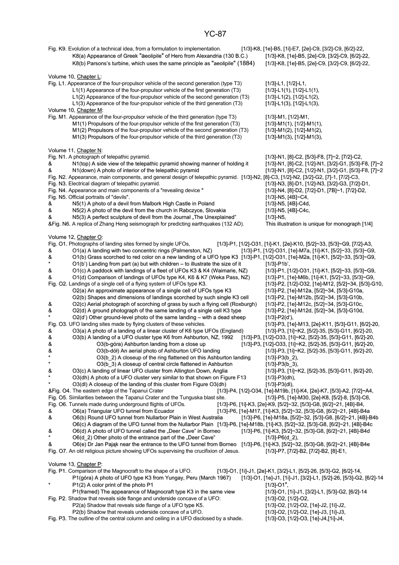Fig. K9. Evolution of a technical idea, from a formulation to implementation. [1/3]-K8, [1e]-B5, [1i]-E7, [2e]-C9, [3/2]-C9, [6/2]-22, K8(a) Appearance of Greek "aeolipile" of Hero from Alexandria (130 B.C.) [1/3]-K8, [1e]-B5, [2e]-C9, [3/2]-C9, [6/2]-22, K8(b) Parsons's turbine, which uses the same principle as "aeolipile" (1884) [1/3]-K8, [1e]-B5, [2e]-C9, [3/2]-C9, [6/2]-22, Volume 10, Chapter L: Fig. L1. Appearance of the four-propulsor vehicle of the second generation (type T3) [1/3]-L1, [1/2]-L1, L1(1) Appearance of the four-propulsor vehicle of the first generation (T3) [1/3]-L1(1), [1/2]-L1(1), L1(2) Appearance of the four-propulsor vehicle of the second generation (T3) [1/3]-L1(2), [1/2]-L1(2), L1(3) Appearance of the four-propulsor vehicle of the third generation (T3) [1/3]-L1(3), [1/2]-L1(3), Volume 10, Chapter M: Fig. M1. Appearance of the four-propulsor vehicle of the third generation (type T3) [1/3]-M1, [1/2]-M1, M1(1) Propulsors of the four-propulsor vehicle of the first generation (T3) [1/3]-M1(1), [1/2]-M1(1), M1(2) Propulsors of the four-propulsor vehicle of the second generation (T3) [1/3]-M1(2), [1/2]-M1(2), M1(3) Propulsors of the four-propulsor vehicle of the third generation (T3) [1/3]-M1(3), [1/2]-M1(3), Volume 11, Chapter N: Fig. N1. A photograph of telepathic pyramid. [1/3]-N1, [8]-C2, [5/3]-F8, [7]~2, [7/2]-C2, & N1(top) A side view of the telepathic pyramid showing manner of holding it [1/3]-N1, [8]-C2, [1/2]-N1, [3/2]-G1, [5/3]-F8, [7]~2 & N1(down) A photo of interior of the telepathic pyramid [1/3]-N1, [8]-C2, [1/2]-N1, [3/2]-G1, [5/3]-F8, [7]~2 Fig. N2. Appearance, main components, and general design of telepathic pyramid. [1/3]-N2, [8]-C3, [1/2]-N2, [3/2]-G2, [7]-1, [7/2]-C3, Fig. N3. Electrical diagram of telepathic pyramid. [1/3]-N3, [8]-D1, [1/3]-N3, [8]-D1, [1/2]-N3, [3/2]-G3, [7/2]-D1, Fig. N4. Appearance and main components of a "revealing device " " [1/3]-N4, [8]-D2, [7/2]-D1, [7B]~1, [7/2]-D2, Fig. N5. Official portraits of "devils" . . [1/3]-N5, [4B]~C4, & N5(1) A photo of a devil from Malbork High Castle in Poland [1/3]-N5, [4B]-C4d, 8 M5(2) A photo of the devil from the church in Rabczyce, Slovakia [1/3]-N5, [4B]-C4c,<br>8 M5(3) A perfect sculpture of devil from the Journal "The Unexplained" [1/3]-N5,  $N5(3)$  A perfect sculpture of devil from the Journal "The Unexplained" &Fig. N6. A replica of Zhang Heng seismograph for predicting earthquakes (132 AD). This illustration is unique for monograph [1/4] Volume 12, Chapter O:<br>Fig. 01. Photographs of landing sites formed by single UFOs. [1/3]-P1, [1/2]-O31, [1i]-K1, [2e]-K10, [5/2]~33, [5/3]~G9, [7/2]-A3, & O1(a) A landing with two concentric rings (Palmerston, NZ) [1/3]-P1, [1/2]-O31, [1e]-M7a, [1i]-K1, [5/2]~33, [5/3]~G9,  $\alpha$  O1(b) Grass scorched to red color on a new landing of a UFO type K3 [1/3]-P1, [1/2]-O31, [1e]-M2a, [1i]-K1, [5/2]~33, [5/3]~G9,  $O(1/b')$  Landing from part (a) but with children – to illustrate the size of it [1/3]-P1b'. & O1(c) A paddock with landings of a fleet of UFOs K3 & K4 (Waimarie, NZ) [1/3]-P1, [1/2]-O31, [1i]-K1, [5/2]~33, [5/3]~G9, & O1(d) Comparison of landings of UFOs type K4, K6 & K7 (Weka Pass, NZ) Fig. O2. Landings of a single cell of a flying system of UFOs type K3. [1/3]-P2, [1/2]-O32, [1e]-M12, [5/2]~34, [5/3]-G10,<br>O2(a) An approximate appearance of a single cell of UFOs type K3 [1/3]-P2, [1e]-M12a, [5/2]~34, [5/ O2(a) An approximate appearance of a single cell of UFOs type K3 O2(b) Shapes and dimensions of landings scorched by such single K3 cell [1/3]-P2, [1e]-M12b, [5/2]~34, [5/3]-G10b, 02(c) Aerial photograph of scorching of grass by such a flying cell (Roxburgh) [1/3]-P2, [1e]-M12c, [5/2]~3  $\alpha$  O2(c) Aerial photograph of scorching of grass by such a flying cell (Roxburgh) & O2(d) A ground photograph of the same landing of a single cell K3 type [1/3]-P2, [1e]-M12d, [5/2]~34, [5/3]-G10d,  $O2(d')$  Other ground-level photo of the same landing – with a dead sheep [1/3]-P2(d'), Fig. O3. UFO landing sites made by flying clusters of these vehicles. [1/3]-P3, [1e]-M13, [2e]-K11, [5/3]-G11, [6/2]-20, <br>8. O3(a) A photo of a landing of a linear cluster of K6 type UFOs (England) [1/3]-P3, [1i]~K2, [5/2] 8 O3(a) A photo of a landing of a linear cluster of K6 type UFOs (England) <br>8 O3(b) A landing of a UFO cluster type K6 from Ashburton. NZ. 1992 [15] & O3(b) A landing of a UFO cluster type K6 from Ashburton, NZ, 1992 [1/3]-P3, [1/2]-O33, [1i]~K2, [5/2]-35, [5/3]-G11, [6/2]-20, & O3(b-góra) Ashburton landing from a close up [1/3]-P3, [1/2]-O33, [1i]~K2, [5/2]-35, [5/3]-G11, [6/2]-20, & O3(b-dół) An aerial photo of Ashburton UFO landing [1/3]-P3, [1i]~K2, [5/2]-35, [5/3]-G11, [6/2]-20, O3(b 2) A closeup of the ring flattened on this Ashburton landing [1/3]-P3(b 2), \* O3(b\_3) A closeup of central circle flattened in Ashburton [1/3]-P3(b\_3),<br>8 O3(c) A landing of linear UFO cluster from Allington Down, Anglia [1/3]-P3, [1i]~K2, [5/2]-35, [5/3]-G11, [6/2]-20, O3(c) A landing of linear UFO cluster from Allington Down, Anglia [1/3]-P3, [1i]-<br>O3(dh) A photo of a UFO cluster very similar to that shown on Figure F13 [1/3]-P3(dh), O3(dh) A photo of a UFO cluster very similar to that shown on Figure F13 O3(dl) A closeup of the landing of this cluster from Figure O3(dh) [1/3]-P3(dl), &Fig. O4. The eastern edge of the Tapanui Crater [1/3]-P4, [1/2]-O34, [1e]-M19b, [1i]-K4, [2e]-K7, [5/3]-A2, [7/2]~A4, Fig. O5. Similarities between the Tapanui Crater and the Tunguska blast site. [1/3]-P5, [1e]-M30, [2e]-K8, [5/2]-8, [5/3]-C6, Fig. O6. Tunnels made during underground flights of UFOs. [1/3]-P6, [1i]-K3, [2e]-K9, [5/2]~32, [5/3]-G8, [6/2]~21, [4B]-B4, & O6(a) Triangular UFO tunnel from Ecuador [1/3]-P6, [1e]-M17, [1i]-K3, [5/2]~32, [5/3]-G8, [6/2]~21, [4B]-B4a & O6(b) Round UFO tunnel from Nullarbor Plain in West Australia [1/3]-P6, [1e]-M18a, [5/2]~32, [5/3]-G8, [6/2]~21, [4B]-B4b O6(c) A diagram of the UFO tunnel from the Nullarbor Plain [1/3]-P6, [1e]-M18b, [1i]-K3, [5/2]~32, [5/3]-G8, [6/2]~21, [4B]-B4c & O6(d) A photo of UFO tunnel called the "Deer Cave" in Borneo [1/3]-P6, [1i]-K3, [5/2]~32, [5/3]-G8, [6/2]~21, [4B]-B4d \* O6(d\_2) Other photo of the entrance part of the "Deer Cave" [1/3]-P6(d\_2),<br>8 O6(e) Dr Jan Paiak near the entrance to the UFO tunnel from Borneo [1/3]-P6, [1i]-K3, [5/2]~3 & O6(e) Dr Jan Pająk near the entrance to the UFO tunnel from Borneo [1/3]-P6, [1i]-K3, [5/2]~32, [5/3]-G8, [6/2]~21, [4B]-B4e Fig. O7. An old religious picture showing UFOs supervising the crucifixion of Jesus. [1/3]-P7, [7/2]-B2, [7/2]-B2, [8]-E1, Volume 13, Chapter P:<br>Fig. P1, Comparison of the Magnocraft to the shape of a UFO. Fig. P1. Comparison of the Magnocraft to the shape of a UFO. [1/3]-O1, [1i]-J1, [2e]-K1, [3/2]-L1, [5/2]-26, [5/3]-G2, [6/2]-14, P1(góra) A photo of UFO type K3 from Yungay, Peru (March 1967) [1/3]-O1, [1e]-J1, [1i]-J1, [3/2]-L1, [5/2]-26, [5/3]-G2, [6/2]-14 P1(2) A color print of the photo P1 [1/3]-O1", P1(framed) The appearance of Magnocraft type K3 in the same view [1/3]-O1, [1i]-J1, [3/2]-L1, [5/3]-G2, [6/2]-14 Fig. P2. Shadow that reveals side flange and underside concave of a UFO: [1/3]-O2, [1/2]-O2, [1/2]-O2, [1/2]-O2, [1]-J2, [1]-J2, [1]-J2, [1]-J2, [1]-J2, [1]-J2, [1]-J2, [1]-J2, [1]-J2, [1]-J2, [1]-J2, [1]-J2, [1]-J2, [1]-J P2(a) Shadow that reveals side flange of a UFO type K5. P2(b) Shadow that reveals underside concave of a UFO. [1/3]-O2, [1/2]-O2, [1/2]-O2, [1e]-J3, [1i]-J3, [1i]-J3,<br>he outline of the central column and ceiling in a UFO disclosed by a shade. [1/3]-O3, [1/2]-O3, [1e]-J4,[1i]-J4 Fig. P3. The outline of the central column and ceiling in a UFO disclosed by a shade.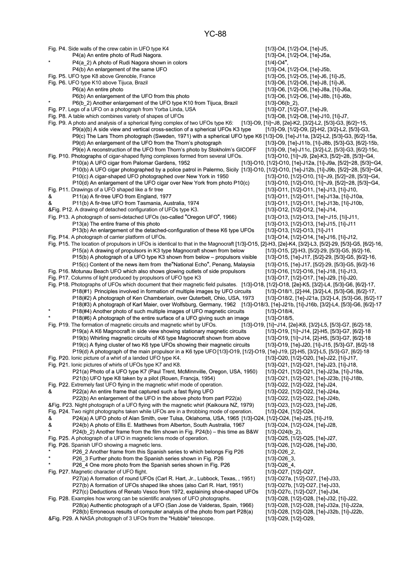Fig. P4. Side walls of the crew cabin in UFO type K4 [1/3]-04, [1/2]-04, [1/2]-04, [1e]-J5, P4(a) An entire photo of Rudi Nagora. [1/3]-O4, [1/2]-O4, [1e]-J5a, P4(a\_2) A photo of Rudi Nagora shown in colors [1/4]-O4", P4(b) An enlargement of the same UFO [1/3]-O4, [1/2]-O4, [1e]-J5b, Fig. P5. UFO type K8 above Grenoble, France [1/3]-O5, [1/2]-O5, [1/2]-O5, [1e]-J6, [1i]-J5, Fig. P6. UFO type K10 above Tijuca, Brazil **above 19. Intervention Control** [1/3]-O6, [1/2]-O6, [1e]-J8, [1i]-J6, P6(a) An entire photo **provides** and the control of the control of the control of the control of the control of the control of the control of the control of the control of the control of the control of the control of the c P6(b) An enlargement of the UFO from this photo [1/3]-O6, [1/2]-O6, [1/2]-O6, [1e]-J8b, [1i]-J6b, P6(b\_2) Another enlargement of the UFO type K10 from Tijuca, Brazil [1/3]-O6(b\_2), Fig. P7. Legs of a UFO on a photograph from Yorba Linda, USA [1/3]-O7, [1/2]-O7, [1/2]-O7, [1e]-J9, Fig. P8. A table which combines variety of shapes of UFOs [1/3]-O8, [1/3]-O8, [1/2]-O8, [1e]-J10, [1i]-J7, Fig. P9. A photo and analysis of a spherical flying complex of two UFOs type K6: [1/3]-O9, [1i]~J8, [2e]-K2, [3/2]-L2, [5/3]-G3, [6/2]~15, P9(a)(b) A side view and vertical cross-section of a spherical UFOs K3 type [1/3]-O9, [1/2]-O9, [2]-H2, [3/2]-L2, [5/3]-G3, P9(c) The Lars Thorn photograph (Sweden, 1971) with a spherical UFO type K6 [1/3]-O9, [1e]-J11a, [3/2]-L2, [5/3]-G3, [6/2]-15a, P9(d) An enlargement of the UFO from the Thorn's photograph P9(e) A reconstruction of the UFO from Thorn's photo by Stokholm's GICOFF [1/3]-O9, [1e]-J11c, [3/2]-L2, [5/3]-G3, [6/2]-15c, Fig. P10. Photographs of cigar-shaped flying complexes formed from several UFOs. [1/3]-O10, [1i]~J9, [2e]-K3, [5/2]~28, [5/3]~G4, P10(a) A UFO cigar from Palomar Gardens, 1952 [1/3]-O10, [1/2]-O10, [1e]-J12a, [1i]-J9a, [5/2]~28, [5/3]~G4, P10(b) A UFO cigar photographed by a police patrol in Palermo, Sicily [1/3]-O10, [1/2]-O10, [1e]-J12b, [1i]-J9b, [5/2]~28, [5/3]~G4, P10(c) A cigar-shaped UFO photographed over New York in 1950 [1/3]-O10, [1/2]-O10, [1/2]-O10, [1i]~J9, [5/2]~28, [5/3]~G4, P10(d) An enlargement of the UFO cigar over New York from photo P10(c) [1/3]-O10, [1/2]-O10, [1i]~J9, [5/2]~28, [5/3]~G4, Fig. P11. Drawings of a UFO shaped like a fir tree [173]-011, [173]-011, [18]-011, [19]-J13, [11]-J10, [19]-J1<br>8. P11(a) A fir-tree UFO from England. 1977 [173] [173]-011, [172]-011, [18]-J131, [11]-J10 & P11(a) A fir-tree UFO from England, 1977 [1/3]-O11, [1/2]-O11, [1e]-J13a, [1i]-J10a, & P11(b) A fir-tree UFO from Tasmania, Australia, 1974 [1/3]-O11, [1/2]-O11, [1e]-J13b, [1i]-J10b, &Fig. P12. A drawing of detached configuration of UFOs type K3. [1/3]-O12, [1/2]-O12, [1e]-J14, Fig. P13. A photograph of semi-detached UFOs (so-called "Oregon UFO", 1966) [1/3]-O13, [1/2]-O13, [1e]~J15, [1i]-J11, P13(a) The entire frame of this photo [1/3]-O13, [1/2]-O13, [1/2]-O13, [1e]-J15, [1i]-J11 P13(b) An enlargement of the detached-configuration of these K6 type UFOs [1/3]-O13, [1/2]-O13, [1i]-J11 Fig. P14. A photograph of carrier platform of UFOs. [1/3]-O14, [1/2]-O14, [1e]-J16, [1i]-J12, Fig. P15. The location of propulsors in UFOs is identical to that in the Magnocraft [1/3]-O15, [2]-H3, [2e]-K4, [3/2]-L3, [5/2]-29, [5/3]-G5, [6/2]-16, P15(a) A drawing of propulsors in K3 type Magnocraft shown from below [1/3]-O15, [2]-H3, [5/2]-29, [5/3]-G5, [6/2]-16, P15(b) A photograph of a UFO type K3 shown from below - propulsors visible [1/3]-O15, [1e]-J17, [5/2]-29, [5/3]-G5, [6/2]-16, P15(c) Content of the news item from the"National Echo", Penang, Malaysia [1/3]-O15, [1e]-J17, [5/2]-29, [5/3]-G5, [6/2]-16 Fig. P16. Motunau Beach UFO which also shows glowing outlets of side propulsors [1/3]-O16, [1/2]-O16, [1e]-J18, [1i]-J13, Fig. P17. Columns of light produced by propulsors of UFO type K3 [1/3]-O17, [1/2]-O17, [1e]-J29, [1i]-J20, Fig. P18. Photographs of UFOs which document that their magnetic field pulsates. [1/3]-O18, [1/2]-O18, [2e]-K5, [3/2]-L4, [5/3]-G6, [6/2]-17, P18(#1) Principles involved in formation of multiple images by UFO circuits [1/3]-O18/1, [2]-H4, [3/2]-L4, [5/3]-G6, [6/2]-17, P18(#2) A photograph of Ken Chamberlain, over Quterbelt, Ohio, USA, 1973 P18(#3) A photograph of Karl Maier, over Wolfsburg, Germany, 1962 [1/3]-O18/3, [1e]-J21b, [1i]-J16b, [3/2]-L4, [5/3]-G6, [6/2]-17 P18(#4) Another photo of such multiple images of UFO magnetic circuits [1/3]-O18/4, P18(#6) A photograph of the entire surface of a UFO giving such an image [1/3]-O18/5,<br>The formation of magnetic circuits and magnetic whirl by UFOs. [11]~O19, [11]~J14, [2e]-K6, [3/2]-L5, [5/3]-G7, [6/2]-18, Fig. P19. The formation of magnetic circuits and magnetic whirl by UFOs. P19(a) A K6 Magnocraft in side view showing stationary magnetic circuits [1/3]-O19, [1i]~J14, [2]-H5, [5/3]-G7, [6/2]-18 P19(b) Whirling magnetic circuits of K6 type Magnocraft shown from above [1/3]-O19, [1i]~J14, [2]-H5, [5/3]-G7, [6/2]-18 P19(c) A flying cluster of two K6 type UFOs showing their magnetic circuits [1/3]-O19, [1e]-J20, [1i]-J15, [5/3]-G7, [6/2]-18 P19(d) A photograph of the main propulsor in a K6 type UFO[1/3]-O19, [1/2]-O19, [1e]-J19, [2]-H5, [3/2]-L5, [5/3]-G7, [6/2]-18 Fig. P20. Ionic picture of a whirl of a landed UFO type K4. [1/3]-O20, [1/2]-O20, [1e]-J22, [1i]-J17, Fig. P21. Ionic pictures of whirls of UFOs type K7 and K8. [1/3]-021, [1/3]-021, [1/2]-021, [1e]-J23, [1i]-J18, P21(a) Photo of a UFO type K7 (Paul Trent, McMinnville, Oregon, USA, 1950) [1/3]-O21, [1/2]-O21, [1e]-J23a, [1i]-J18a, P21(b) UFO type K8 taken by a pilot (Rouen, Francja, 1954) [1/3]-O21, [1/2]-O21, [1e]-J23b, [1i]-J18b, Fig. P22. Extremely fast UFO flying in the magnetic whirl mode of operation. [1/3]-O22, [1/2]-O22, [1e]-J24, 8 P22(a) An entire frame that captured such a fast flying UFO [1/3]-O22, [1/2]-O22, [1e]-J24a, P22(b) An enlargement of the UFO in the above photo from part P22(a) [1/3]-O22, [1/2]-O22, [1e]-J24b, &Fig. P23. Night photograph of a UFO flying with the magnetic whirl (Kaikoura NZ, 1979) [1/3]-O23, [1/2]-O23, [1e]-J26, Fig. P24. Two night photographs taken while UFOs are in a throbbing mode of operation. [1/3]-O24, [1/2]-O24, & P24(a) A UFO photo of Alan Smith, over Tulsa, Oklahoma, USA, 1965 [1/3]-O24, [1/2]-O24, [1e]-J25, [1i]-J19, & P24(b) A photo of Ellis E. Matthews from Alberton, South Australia, 1967 [1/3]-O24, [1/2]-O24, [1e]-J28, P24(b) 2) Another frame from the film shown in Fig. P24(b) – this time as B&W [1/3]-O24(b) 2). Fig. P25. A photograph of a UFO in magnetic lens mode of operation. [1/3]-O25, [1/2]-O25, [1e]-J27, Fig. P26. Spanish UFO showing a magnetic lens. [19] The magnetic lens. Fig. P26. Spanish UFO showing a magnetic lens. P26\_2 Another frame from this Spanish series to which belongs Fig P26 [1/3]-O26\_2, P26\_3 Further photo from the Spanish series shown in Fig. P26 [1/3]-O26\_3, P26\_4 One more photo from the Spanish series shown in Fig. P26 [1/3]-O26\_4, Fig. P27. Magnetic character of UFO flight.  $[1/3]-O27$ ,  $[1/2]-O27$ ,  $[1/2]-O27$ ,  $[1/2]-O27$ , P27(a) A formation of round UFOs (Carl R. Hart, Jr., Lubbock, Texas, , 1951) [1/3]-O27a, [1/2]-O27, [1e]-J33, P27(b) A formation of UFOs shaped like shoes (also Carl R. Hart, 1951) [1/3]-O27b, [1/2]-O27, [1e]-J33, P27(c) Deductions of Renato Vesco from 1972, explaining shoe-shaped UFOs [1/3]-O27c, [1/2]-O27, [1e]-J34, Fig. P28. Examples how wrong can be scientific analyses of UFO photographs. [1/3]-O28, [1/2]-O28, [1e]-J32, [1i]-J22, P28(a) Authentic photograph of a UFO (San Jose de Valderas, Spain, 1966) [1/3]-O28, [1/2]-O28, [1e]-J32a, [1i]-J22a, P28(b) Erroneous results of computer analysis of the photo from part P28(a) [1/3]-O28, [1/2]-O28, [1e]-J32b, [1i]-J22b, &Fig. P29. A NASA photograph of 3 UFOs from the "Hubble" telescope " . [1/3]-O29, [1/2]-O29,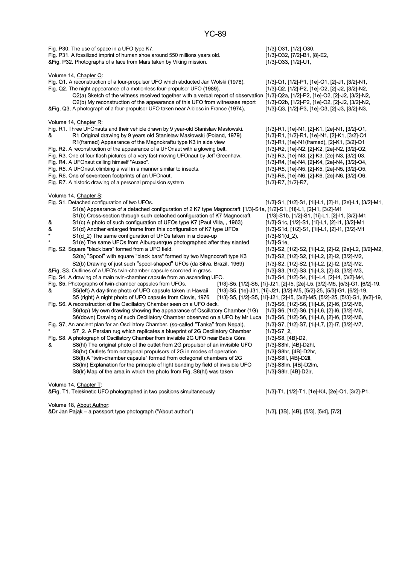#### YC-89

Fig. P30. The use of space in a UFO type K7.<br>
Fig. P31. A fossilized imprint of human shoe around 550 millions years old. [1/3]-O32, [7/2]-B1, [8]-E2, Fig. P31. A fossilized imprint of human shoe around 550 millions years old. [1/3]-O32, [7/2]-B1, [8]-O32, [7/2]-B1, [8]-E2, [7/2]-D1, &Fig. P32. Photographs of a face from Mars taken by Viking mission. Volume 14, Chapter Q: Fig. Q1. A reconstruction of a four-propulsor UFO which abducted Jan Wolski (1978). [1/3]-Q1, [1/2]-P1, [1e]-O1, [2]-J1, [3/2]-N1, Fig. Q2. The night appearance of a motionless four-propulsor UFO (1989). [1/3]-Q2, [1/2]-P2, [1e]-O2, [2]-J2, [3/2]-N2, Q2(a) Sketch of the witness received together with a verbal report of observation [1/3]-Q2a, [1/2]-P2, [1e]-O2, [2]-J2, [3/2]-N2, Q2(b) My reconstruction of the appearance of this UFO from witnesses report [1/3]-Q2b, [1/2]-P2, [1e]-O2, [2]-J2, [3/2]-N2, &Fig. Q3. A photograph of a four-propulsor UFO taken near Albiosc in France (1974). [1/3]-Q3, [1/2]-P3, [1e]-O3, [2]-J3, [3/2]-N3, Volume 14, Chapter R: Fig. R1. Three UFOnauts and their vehicle drawn by 9 year-old Stanisław Masłowski. [1/3]-R1, [1e]-N1, [2]-K1, [2e]-N1, [3/2]-O1, [3/2]-O1, [3. [2e]-N1, [3/2]-O1, [3. [39]-O1, [3. [3. [3. ] 4. [3. ] 4. [3. ] 4. [3. ] 4. [3. & R1 Original drawing by 9 years old Stanisław Masłowski (Poland, 1979) R1(framed) Appearance of the Magnokraftu type K3 in side view [1/3]-R1, [1e]-N1(framed), [2]-K1, [3/2]-O1 Fig. R2. A reconstruction of the appearance of a UFOnaut with a glowing belt. [1/3]-R2, [1e]-N2, [2]-K2, [2e]-N2, [3/2]-O2, Fig. R3. One of four flash pictures of a very fast-moving UFOnaut by Jeff Greenhaw. [1/3]-R3, [1e]-N3, [2]-K3, [2e]-N3, [3/2]-03, Fig. R4. A UFOnaut calling himself "Ausso". [1/3]-R4, [1e]-N4, [2]-K4, [2e]-N4, [3/2]-O4, Fig. R5. A UFOnaut climbing a wall in a manner similar to insects. [1/3]-R5, [1e]-N5, [2e]-N5, [2e]-N5, [2e]-N5, [3/2]-O5, Fig. R6. One of seventeen footprints of an UFOnaut. [1/3]-R6, [1e]-N6, [2]-K6, [2e]-N6, [3/2]-O6, Fig. R7. A historic drawing of a personal propulsion system [1/3]-R7, [1/2]-R7, [1/2]-R7, [1/2]-R7, Volume 14, Chapter S: Fig. S1. Detached configuration of two UFOs. [1/3]-S1, [1/2]-S1, [1i]-L1, [2]-I1, [2e]-L1, [3/2]-M1, S1(a) Appearance of a detached configuration of 2 K7 type Magnocraft [1/3]-S1a, [1/2]-S1, [1i]-L1, [2]-I1, [3/2]-M1 S1(b) Cross-section through such detached configuration of K7 Magnocraft [1/3]-S1b, [1/2]-S1, [1i]-L1, [2]-I1, [3/2]-M1 & S1(c) A photo of such configuration of UFOs type K7 (Paul Villa, , 1963) [1/3]-S1c, [1/2]-S1, [1i]-L1, [2]-I1, [3/2]-M1 & S1(d) Another enlarged frame from this configuration of K7 type UFOs [1/3]-S1d, [1/2]-S1, [1i]-L1, [2]-I1, [3/2]-M1 S1(d) 2) The same configuration of UFOs taken in a close-up [1/3]-S1(d) 2), S1(e) The same UFOs from Alburquerque photographed after they slanted [1/3]-S1e, Fig. S2. Square "black bars" formed from a UFO field. [1/3]-S2, [1/2]-S2, [1i]-L2, [2]-I2, [2e]-L2, [3/2]-M2,  $S2(a)$  "Spool" with square "black bars" formed by two Magnocraft type K3 [1/3]-S2, [1/2]-S2, [1i]-L2, [2]-l2, [3/2]-M2, S2(b) Drawing of just such "spool-shaped" UFOs (da Silva, Brazil, 1969) [1/3]-S2, [1/2]-S2, [1i]-L2, [2]-I2, [3/2]-M2, &Fig. S3. Outlines of a UFO's twin-chamber capsule scorched in grass. [1/3]-S3, [1/2]-S3, [1i]-L3, [2]-I3, [3/2]-M3,<br>Fig. S4. A drawing of a main twin-chamber capsule from an ascending UFO. [1/3]-S4, [1/2]-S4, [1i]~L4, [2] Fig. S4. A drawing of a main twin-chamber capsule from an ascending UFO. Fig. S5. Photographs of twin-chamber capsules from UFOs. [1/3]-S5, [1/2]-S5, [1i]-J21, [2]-I5, [2e]-L5, [3/2]-M5, [5/3]-G1, [6/2]-19, & S5(left) A day-time photo of UFO capsule taken in Hawaii [1/3]-S5, [1e]-J31, [1i]-J21, [3/2]-M5, [5/2]-25, [5/3]-G1, [6/2]-19, S5 (right) A night photo of UFO capsule from Clovis, 1976 [1/3]-S5, [1/2]-S5, [1i]-J21, [2]-I5, [3/2]-M5, [5/2]-25, [5/3]-G1, [6/2]-19, Fig. S6. A reconstruction of the Oscillatory Chamber seen on a UFO deck. [1/3]-S6, [1/2]-S6, [1i]-L6, [2]-I6, [3/2]-M6, S6(top) My own drawing showing the appearance of Oscillatory Chamber (1G) [1/3]-S6, [1/2]-S6, [1i]-L6, [2]-I6, [3/2]-M6, S6(down) Drawing of such Oscillatory Chamber observed on a UFO by Mr Luca [1/3]-S6, [1/2]-S6, [1i]-L6, [2]-I6, [3/2]-M6, Fig. S7. An ancient plan for an Oscillatory Chamber. (so-called "Tanka" from Nepal). [1/3]-S7, [1/2]-S7, [1i]-L7, [2]-I7, [3/2]-M7, S7\_2. A Persian rug which replicates a blueprint of 2G Oscillatory Chamber [1/3]-S7\_2, Fig. S8. A photograph of Oscillatory Chamber from invisible 2G UFO near Babia Góra [1/3]-S8, [4B]-D2, & S8(hl) The original photo of the outlet from 2G propulsor of an invisible UFO [1/3]-S8hl, [4B]-D2hl, S8(hr) Outlets from octagonal propulsors of 2G in modes of operation [1/3]-S8hr, [4B]-D2hr, [68].<br>S8(II) A "twin-chamber capsule" formed from octagonal chambers of 2G [1/3]-S8II. [4B]-D2II. S8(II) A "twin-chamber capsule" formed from octagonal chambers of 2G S8(Im) Explanation for the principle of light bending by field of invisible UFO [1/3]-S8lm, [4B]-D2lm, S8(Ir) Map of the area in which the photo from Fig. S8(Ir) was taken [1/3]-S8lr. [4B]-D2lr. S8(lr) Map of the area in which the photo from Fig. S8(hl) was taken Volume 14, Chapter T: &Fig. T1. Telekinetic UFO photographed in two positions simultaneously [1/3]-T1, [1/2]-T1, [1e]-K4, [2e]-O1, [3/2]-P1. Volume 18, About Author: &Dr Jan Pająk – a passport type photograph ("About author") [1/3], [3B], [4B], [5/3], [5/4], [7/2]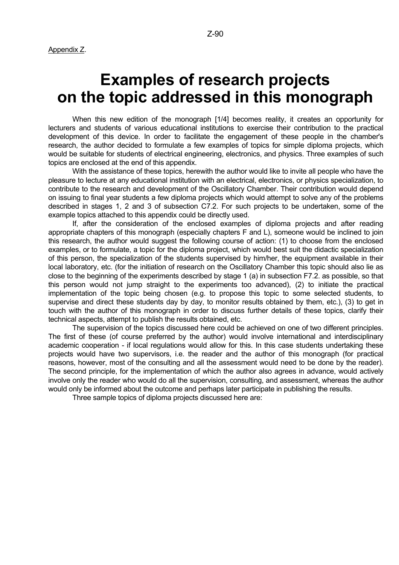# **Examples of research projects on the topic addressed in this monograph**

 When this new edition of the monograph [1/4] becomes reality, it creates an opportunity for lecturers and students of various educational institutions to exercise their contribution to the practical development of this device. In order to facilitate the engagement of these people in the chamber's research, the author decided to formulate a few examples of topics for simple diploma projects, which would be suitable for students of electrical engineering, electronics, and physics. Three examples of such topics are enclosed at the end of this appendix.

 With the assistance of these topics, herewith the author would like to invite all people who have the pleasure to lecture at any educational institution with an electrical, electronics, or physics specialization, to contribute to the research and development of the Oscillatory Chamber. Their contribution would depend on issuing to final year students a few diploma projects which would attempt to solve any of the problems described in stages 1, 2 and 3 of subsection C7.2. For such projects to be undertaken, some of the example topics attached to this appendix could be directly used.

 If, after the consideration of the enclosed examples of diploma projects and after reading appropriate chapters of this monograph (especially chapters F and L), someone would be inclined to join this research, the author would suggest the following course of action: (1) to choose from the enclosed examples, or to formulate, a topic for the diploma project, which would best suit the didactic specialization of this person, the specialization of the students supervised by him/her, the equipment available in their local laboratory, etc. (for the initiation of research on the Oscillatory Chamber this topic should also lie as close to the beginning of the experiments described by stage 1 (a) in subsection F7.2. as possible, so that this person would not jump straight to the experiments too advanced), (2) to initiate the practical implementation of the topic being chosen (e.g. to propose this topic to some selected students, to supervise and direct these students day by day, to monitor results obtained by them, etc.), (3) to get in touch with the author of this monograph in order to discuss further details of these topics, clarify their technical aspects, attempt to publish the results obtained, etc.

 The supervision of the topics discussed here could be achieved on one of two different principles. The first of these (of course preferred by the author) would involve international and interdisciplinary academic cooperation - if local regulations would allow for this. In this case students undertaking these projects would have two supervisors, i.e. the reader and the author of this monograph (for practical reasons, however, most of the consulting and all the assessment would need to be done by the reader). The second principle, for the implementation of which the author also agrees in advance, would actively involve only the reader who would do all the supervision, consulting, and assessment, whereas the author would only be informed about the outcome and perhaps later participate in publishing the results.

Three sample topics of diploma projects discussed here are: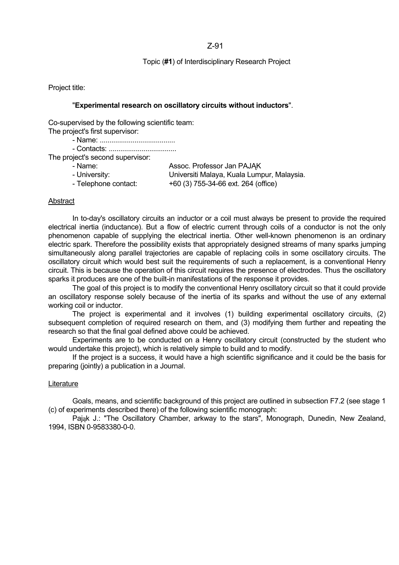#### Z-91

#### Topic (**#1**) of Interdisciplinary Research Project

#### Project title:

#### "**Experimental research on oscillatory circuits without inductors**".

Co-supervised by the following scientific team:

The project's first supervisor:

- Name: .......................................

- Contacts: ...................................

The project's second supervisor:

- Name: Assoc. Professor Jan PAJAK - University: Universiti Malaya, Kuala Lumpur, Malaysia. - Telephone contact: +60 (3) 755-34-66 ext. 264 (office)

#### Abstract

 In to-day's oscillatory circuits an inductor or a coil must always be present to provide the required electrical inertia (inductance). But a flow of electric current through coils of a conductor is not the only phenomenon capable of supplying the electrical inertia. Other well-known phenomenon is an ordinary electric spark. Therefore the possibility exists that appropriately designed streams of many sparks jumping simultaneously along parallel trajectories are capable of replacing coils in some oscillatory circuits. The oscillatory circuit which would best suit the requirements of such a replacement, is a conventional Henry circuit. This is because the operation of this circuit requires the presence of electrodes. Thus the oscillatory sparks it produces are one of the built-in manifestations of the response it provides.

 The goal of this project is to modify the conventional Henry oscillatory circuit so that it could provide an oscillatory response solely because of the inertia of its sparks and without the use of any external working coil or inductor.

 The project is experimental and it involves (1) building experimental oscillatory circuits, (2) subsequent completion of required research on them, and (3) modifying them further and repeating the research so that the final goal defined above could be achieved.

 Experiments are to be conducted on a Henry oscillatory circuit (constructed by the student who would undertake this project), which is relatively simple to build and to modify.

 If the project is a success, it would have a high scientific significance and it could be the basis for preparing (jointly) a publication in a Journal.

#### **Literature**

 Goals, means, and scientific background of this project are outlined in subsection F7.2 (see stage 1 (c) of experiments described there) of the following scientific monograph:

Pajak J.: "The Oscillatory Chamber, arkway to the stars", Monograph, Dunedin, New Zealand, 1994, ISBN 0-9583380-0-0.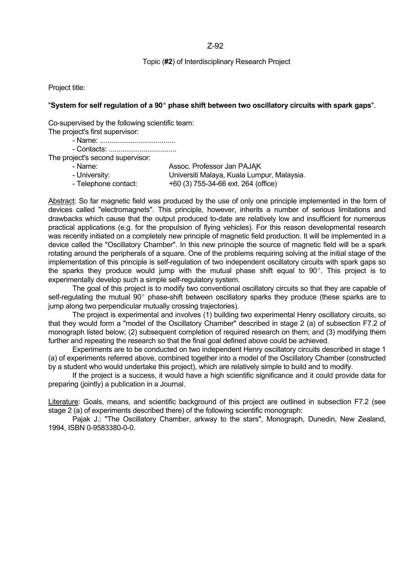#### Z-92

#### Topic (**#2**) of Interdisciplinary Research Project

#### Project title:

#### "System for self regulation of a 90° phase shift between two oscillatory circuits with spark gaps".

Co-supervised by the following scientific team:

The project's first supervisor:

- Name: .......................................

- Contacts: ...................................

The project's second supervisor:

| - Name:              | Assoc. Professor Jan PAJAK                 |
|----------------------|--------------------------------------------|
| - University:        | Universiti Malaya, Kuala Lumpur, Malaysia. |
| - Telephone contact: | +60 (3) 755-34-66 ext. 264 (office)        |

Abstract: So far magnetic field was produced by the use of only one principle implemented in the form of devices called "electromagnets". This principle, however, inherits a number of serious limitations and drawbacks which cause that the output produced to-date are relatively low and insufficient for numerous practical applications (e.g. for the propulsion of flying vehicles). For this reason developmental research was recently initiated on a completely new principle of magnetic field production. It will be implemented in a device called the "Oscillatory Chamber". In this new principle the source of magnetic field will be a spark rotating around the peripherals of a square. One of the problems requiring solving at the initial stage of the implementation of this principle is self-regulation of two independent oscillatory circuits with spark gaps so the sparks they produce would jump with the mutual phase shift equal to  $90^\circ$ . This project is to experimentally develop such a simple self-regulatory system.

 The goal of this project is to modify two conventional oscillatory circuits so that they are capable of self-regulating the mutual 90° phase-shift between oscillatory sparks they produce (these sparks are to jump along two perpendicular mutually crossing trajectories).

 The project is experimental and involves (1) building two experimental Henry oscillatory circuits, so that they would form a "model of the Oscillatory Chamber" described in stage 2 (a) of subsection F7.2 of monograph listed below; (2) subsequent completion of required research on them; and (3) modifying them further and repeating the research so that the final goal defined above could be achieved.

 Experiments are to be conducted on two independent Henry oscillatory circuits described in stage 1 (a) of experiments referred above, combined together into a model of the Oscillatory Chamber (constructed by a student who would undertake this project), which are relatively simple to build and to modify.

 If the project is a success, it would have a high scientific significance and it could provide data for preparing (jointly) a publication in a Journal.

Literature: Goals, means, and scientific background of this project are outlined in subsection F7.2 (see stage 2 (a) of experiments described there) of the following scientific monograph:

 Pajak J.: "The Oscillatory Chamber, arkway to the stars", Monograph, Dunedin, New Zealand, 1994, ISBN 0-9583380-0-0.